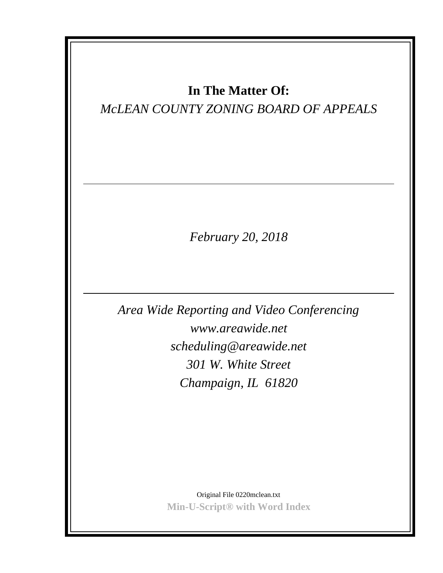# **In The Matter Of:**

# *McLEAN COUNTY ZONING BOARD OF APPEALS*

*February 20, 2018*

*Area Wide Reporting and Video Conferencing www.areawide.net scheduling@areawide.net 301 W. White Street Champaign, IL 61820*

> Original File 0220mclean.txt **Min-U-Script® with Word Index**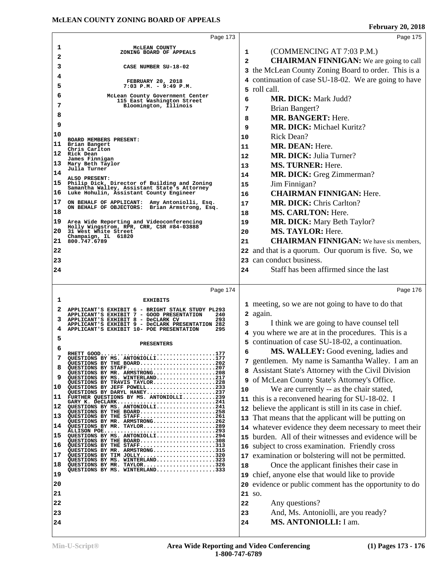|    | Page 173                                                                                            |              | Page 175                                                |
|----|-----------------------------------------------------------------------------------------------------|--------------|---------------------------------------------------------|
| 1  | MCLEAN COUNTY                                                                                       |              |                                                         |
| 2  | ZONING BOARD OF APPEALS                                                                             | 1            | (COMMENCING AT 7:03 P.M.)                               |
| 3  | CASE NUMBER SU-18-02                                                                                | $\mathbf{2}$ | <b>CHAIRMAN FINNIGAN:</b> We are going to call          |
| 4  |                                                                                                     |              | 3 the McLean County Zoning Board to order. This is a    |
| 5  | <b>FEBRUARY 20, 2018</b><br>$7:03$ P.M. - 9:49 P.M.                                                 |              | 4 continuation of case SU-18-02. We are going to have   |
| 6  | McLean County Government Center                                                                     |              | 5 roll call.                                            |
| 7  | 115 East Washington Street<br>Bloomington, Illinois                                                 | 6            | <b>MR. DICK: Mark Judd?</b>                             |
| 8  |                                                                                                     | 7            | Brian Bangert?                                          |
|    |                                                                                                     | 8            | <b>MR. BANGERT: Here.</b>                               |
| 9  |                                                                                                     | 9            | <b>MR. DICK: Michael Kuritz?</b>                        |
| 10 | BOARD MEMBERS PRESENT:                                                                              | 10           | Rick Dean?                                              |
| 11 | Brian Bangert<br>Chris Carlton                                                                      | 11           | MR. DEAN: Here.                                         |
|    | 12 Rick Dean<br>James Finnigan                                                                      | 12           | <b>MR. DICK: Julia Turner?</b>                          |
| 13 | Mary Beth Taylor<br>Julia Turner                                                                    | 13           | <b>MS. TURNER: Here.</b>                                |
| 14 | ALSO PRESENT:                                                                                       | 14           | MR. DICK: Greg Zimmerman?                               |
|    | 15 Philip Dick, Director of Building and Zoning<br>Samantha Walley, Assistant State's Attorney      | 15           | Jim Finnigan?                                           |
| 16 | Luke Hohulin, Assistant County Engineer                                                             | 16           | <b>CHAIRMAN FINNIGAN: Here.</b>                         |
| 17 | ON BEHALF OF APPLICANT: Amy Antoniolli, Esq.<br>ON BEHALF OF OBJECTORS: Brian Armstrong, Esq.       | 17           | <b>MR. DICK: Chris Carlton?</b>                         |
| 18 |                                                                                                     | 18           | <b>MS. CARLTON: Here.</b>                               |
| 19 | Area Wide Reporting and Videoconferencing<br>Holly Wingstrom, RPR, CRR, CSR #84-03888               | 19           | <b>MR. DICK:</b> Mary Beth Taylor?                      |
| 20 | 31 West White Street                                                                                | 20           | <b>MS. TAYLOR: Here.</b>                                |
|    | Champaign, IL 61820<br>21 800.747.6789                                                              | 21           | <b>CHAIRMAN FINNIGAN:</b> We have six members,          |
| 22 |                                                                                                     |              | 22 and that is a quorum. Our quorum is five. So, we     |
| 23 |                                                                                                     |              | 23 can conduct business.                                |
| 24 |                                                                                                     | 24           | Staff has been affirmed since the last                  |
|    |                                                                                                     |              |                                                         |
|    |                                                                                                     |              |                                                         |
|    | Page 174                                                                                            |              | Page 176                                                |
| 1  | <b>EXHIBITS</b>                                                                                     |              |                                                         |
|    | APPLICANT'S EXHIBIT 6 - BRIGHT STALK STUDY PL293                                                    |              | 1 meeting, so we are not going to have to do that       |
|    | APPLICANT'S EXHIBIT 7 - GOOD PRESENTATION<br>240<br>293<br>APPLICANT'S EXHIBIT 8 - DeCLARK CV       |              | 2 again.                                                |
| 4  | APPLICANT'S EXHIBIT 9 - DeCLARK PRESENTATION 282<br>APPLICANT'S EXHIBIT 10- POE PRESENTATION<br>295 | 3            | I think we are going to have counsel tell               |
| 5  |                                                                                                     |              | 4 you where we are at in the procedures. This is a      |
| 6  | <b>PRESENTERS</b>                                                                                   |              | 5 continuation of case SU-18-02, a continuation.        |
| 7  |                                                                                                     | 6            | MS. WALLEY: Good evening, ladies and                    |
| 8  | QUESTIONS BY THE BOARD202<br>QUESTIONS BY STAFF207                                                  |              | 7 gentlemen. My name is Samantha Walley. I am an        |
| 9  | OUESTIONS BY MR. ARMSTRONG208<br>QUESTIONS BY MS. WINTERLAND217                                     |              | 8 Assistant State's Attorney with the Civil Division    |
| 10 | QUESTIONS BY TRAVIS TAYLOR228<br>QUESTIONS BY JEFF POWELL233                                        |              | 9 of McLean County State's Attorney's Office.           |
| 11 | QUESTIONS BY DARYL HANEY237<br>FURTHER QUESTIONS BY MS. ANTONIOLLI239                               | 10           | We are currently -- as the chair stated,                |
| 12 | GARY K. DeCLARK241<br>QUESTIONS BY MS. ANTONIOLLI241                                                |              | 11 this is a reconvened hearing for SU-18-02. I         |
| 13 | QUESTIONS BY THE BOARD258<br>QUESTIONS BY THE STAFF261                                              |              | 12 believe the applicant is still in its case in chief. |
| 14 | QUESTIONS BY MR. ARMSTRONG262<br>QUESTIONS BY MR. TAYLOR289                                         |              | 13 That means that the applicant will be putting on     |
|    | ALLISON POE293                                                                                      |              | 14 whatever evidence they deem necessary to meet their  |
| 15 | QUESTIONS BY MS. ANTONIOLLI294<br>QUESTIONS BY THE BOARD308                                         | 15           | burden. All of their witnesses and evidence will be     |
| 16 | QUESTIONS BY THE STAFF313<br>QUESTIONS BY MR. ARMSTRONG315                                          | 16           | subject to cross examination. Friendly cross            |
| 17 | QUESTIONS BY TIM JOLLY320<br>QUESTIONS BY MS. WINTERLAND323                                         | 17           | examination or bolstering will not be permitted.        |
| 18 | QUESTIONS BY MR. TAYLOR326<br>QUESTIONS BY MS. WINTERLAND333                                        | 18           | Once the applicant finishes their case in               |
| 19 |                                                                                                     | 19           | chief, anyone else that would like to provide           |
| 20 |                                                                                                     | 20           | evidence or public comment has the opportunity to do    |
| 21 |                                                                                                     |              | 21 SO.                                                  |
| 22 |                                                                                                     | 22           | Any questions?                                          |
| 23 |                                                                                                     | 23           | And, Ms. Antoniolli, are you ready?                     |
| 24 |                                                                                                     | 24           | MS. ANTONIOLLI: I am.                                   |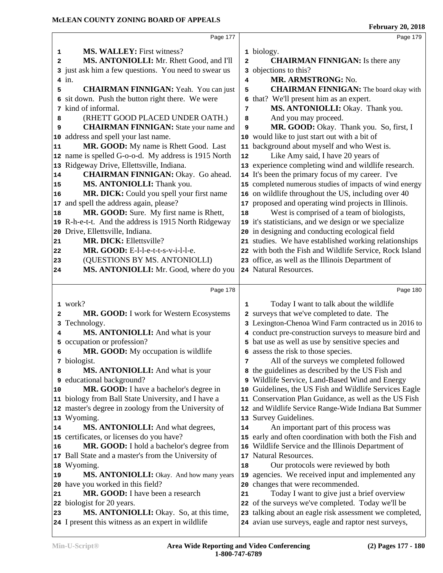|              | Page 177                                                                                        |                | Page 179                                                                                                     |  |
|--------------|-------------------------------------------------------------------------------------------------|----------------|--------------------------------------------------------------------------------------------------------------|--|
| 1            | <b>MS. WALLEY:</b> First witness?                                                               |                | 1 biology.                                                                                                   |  |
| $\mathbf{2}$ | MS. ANTONIOLLI: Mr. Rhett Good, and I'll                                                        | $\overline{a}$ | <b>CHAIRMAN FINNIGAN:</b> Is there any                                                                       |  |
|              | 3 just ask him a few questions. You need to swear us                                            | 3              | objections to this?                                                                                          |  |
|              | $4$ in.                                                                                         | 4              | MR. ARMSTRONG: No.                                                                                           |  |
| 5            | <b>CHAIRMAN FINNIGAN:</b> Yeah. You can just                                                    | 5              | <b>CHAIRMAN FINNIGAN:</b> The board okay with                                                                |  |
|              | 6 sit down. Push the button right there. We were                                                | 6              | that? We'll present him as an expert.                                                                        |  |
|              | 7 kind of informal.                                                                             | 7              | MS. ANTONIOLLI: Okay. Thank you.                                                                             |  |
| 8            | (RHETT GOOD PLACED UNDER OATH.)                                                                 | 8              | And you may proceed.                                                                                         |  |
| 9            | <b>CHAIRMAN FINNIGAN:</b> State your name and                                                   | 9              | MR. GOOD: Okay. Thank you. So, first, I                                                                      |  |
|              | address and spell your last name.                                                               |                | 10 would like to just start out with a bit of                                                                |  |
| 10<br>11     | MR. GOOD: My name is Rhett Good. Last                                                           |                | 11 background about myself and who West is.                                                                  |  |
|              | 12 name is spelled G-o-o-d. My address is 1915 North                                            | 12             | Like Amy said, I have 20 years of                                                                            |  |
|              | Ridgeway Drive, Ellettsville, Indiana.                                                          |                | 13 experience completing wind and wildlife research.                                                         |  |
| 13           | <b>CHAIRMAN FINNIGAN: Okay. Go ahead.</b>                                                       |                |                                                                                                              |  |
| 14           | MS. ANTONIOLLI: Thank you.                                                                      |                | 14 It's been the primary focus of my career. I've                                                            |  |
| 15           |                                                                                                 |                | 15 completed numerous studies of impacts of wind energy                                                      |  |
| 16           | MR. DICK: Could you spell your first name<br>and spell the address again, please?               |                | 16 on wildlife throughout the US, including over 40                                                          |  |
| 17           |                                                                                                 |                | 17 proposed and operating wind projects in Illinois.                                                         |  |
| 18           | MR. GOOD: Sure. My first name is Rhett,<br>19 R-h-e-t-t. And the address is 1915 North Ridgeway | 18             | West is comprised of a team of biologists,                                                                   |  |
|              |                                                                                                 |                | 19 it's statisticians, and we design or we specialize                                                        |  |
| 20           | Drive, Ellettsville, Indiana.                                                                   |                | 20 in designing and conducting ecological field                                                              |  |
| 21           | <b>MR. DICK: Ellettsville?</b>                                                                  |                | 21 studies. We have established working relationships                                                        |  |
| 22           | MR. GOOD: E-l-l-e-t-t-s-v-i-l-l-e.                                                              |                | 22 with both the Fish and Wildlife Service, Rock Island                                                      |  |
| 23           | (QUESTIONS BY MS. ANTONIOLLI)                                                                   |                | 23 office, as well as the Illinois Department of                                                             |  |
| 24           | MS. ANTONIOLLI: Mr. Good, where do you                                                          |                | 24 Natural Resources.                                                                                        |  |
|              |                                                                                                 |                |                                                                                                              |  |
|              |                                                                                                 |                |                                                                                                              |  |
|              | Page 178                                                                                        |                | Page 180                                                                                                     |  |
|              | 1 work?                                                                                         | 1              | Today I want to talk about the wildlife                                                                      |  |
| 2            | MR. GOOD: I work for Western Ecosystems                                                         |                | 2 surveys that we've completed to date. The                                                                  |  |
| 3            | Technology.                                                                                     |                | 3 Lexington-Chenoa Wind Farm contracted us in 2016 to                                                        |  |
| 4            | MS. ANTONIOLLI: And what is your                                                                |                | 4 conduct pre-construction surveys to measure bird and                                                       |  |
|              | 5 occupation or profession?                                                                     |                | 5 bat use as well as use by sensitive species and                                                            |  |
| 6            | MR. GOOD: My occupation is wildlife                                                             |                | 6 assess the risk to those species.                                                                          |  |
|              | 7 biologist.                                                                                    | 7              | All of the surveys we completed followed                                                                     |  |
| 8            | MS. ANTONIOLLI: And what is your                                                                |                | 8 the guidelines as described by the US Fish and                                                             |  |
|              | 9 educational background?                                                                       |                | 9 Wildlife Service, Land-Based Wind and Energy                                                               |  |
| 10           | MR. GOOD: I have a bachelor's degree in                                                         | 10             | Guidelines, the US Fish and Wildlife Services Eagle                                                          |  |
| 11           | biology from Ball State University, and I have a                                                |                | 11 Conservation Plan Guidance, as well as the US Fish                                                        |  |
|              | 12 master's degree in zoology from the University of                                            |                | 12 and Wildlife Service Range-Wide Indiana Bat Summer                                                        |  |
|              | 13 Wyoming.                                                                                     |                | 13 Survey Guidelines.                                                                                        |  |
| 14           | MS. ANTONIOLLI: And what degrees,                                                               | 14             | An important part of this process was                                                                        |  |
|              | 15 certificates, or licenses do you have?                                                       |                | 15 early and often coordination with both the Fish and                                                       |  |
| 16           | MR. GOOD: I hold a bachelor's degree from                                                       |                | 16 Wildlife Service and the Illinois Department of                                                           |  |
|              | 17 Ball State and a master's from the University of                                             |                | 17 Natural Resources.                                                                                        |  |
| 18           | Wyoming.                                                                                        | 18             | Our protocols were reviewed by both                                                                          |  |
| 19           | MS. ANTONIOLLI: Okay. And how many years                                                        | 19             | agencies. We received input and implemented any                                                              |  |
|              | 20 have you worked in this field?                                                               | 20             | changes that were recommended.                                                                               |  |
| 21           | MR. GOOD: I have been a research                                                                | 21             | Today I want to give just a brief overview                                                                   |  |
| 22           | biologist for 20 years.                                                                         |                | 22 of the surveys we've completed. Today we'll be                                                            |  |
| 23           | MS. ANTONIOLLI: Okay. So, at this time,<br>24 I present this witness as an expert in wildlife   | 23             | talking about an eagle risk assessment we completed,<br>24 avian use surveys, eagle and raptor nest surveys, |  |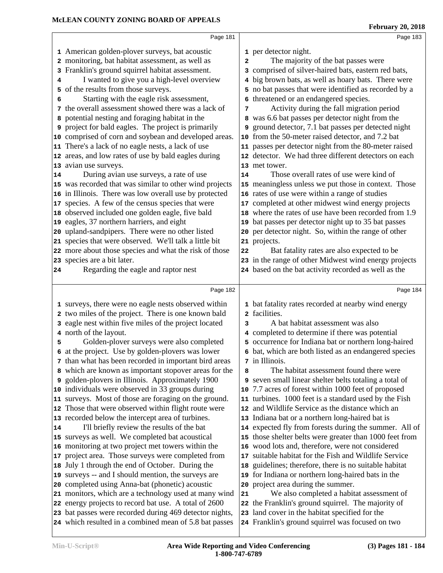|    | Page 181                                                                                                          |                | Page 183                                                                                                |
|----|-------------------------------------------------------------------------------------------------------------------|----------------|---------------------------------------------------------------------------------------------------------|
|    | 1 American golden-plover surveys, bat acoustic                                                                    |                | 1 per detector night.                                                                                   |
|    | 2 monitoring, bat habitat assessment, as well as                                                                  | $\overline{a}$ | The majority of the bat passes were                                                                     |
|    | 3 Franklin's ground squirrel habitat assessment.                                                                  |                | 3 comprised of silver-haired bats, eastern red bats,                                                    |
| 4  | I wanted to give you a high-level overview                                                                        |                | 4 big brown bats, as well as hoary bats. There were                                                     |
|    | 5 of the results from those surveys.                                                                              |                | 5 no bat passes that were identified as recorded by a                                                   |
| 6  | Starting with the eagle risk assessment,                                                                          | 6              | threatened or an endangered species.                                                                    |
|    | 7 the overall assessment showed there was a lack of                                                               | 7              | Activity during the fall migration period                                                               |
|    | 8 potential nesting and foraging habitat in the                                                                   |                | 8 was 6.6 bat passes per detector night from the                                                        |
|    | <b>9</b> project for bald eagles. The project is primarily                                                        | 9              | ground detector, 7.1 bat passes per detected night                                                      |
|    | 10 comprised of corn and soybean and developed areas.                                                             |                | 10 from the 50-meter raised detector, and 7.2 bat                                                       |
|    | 11 There's a lack of no eagle nests, a lack of use                                                                |                | 11 passes per detector night from the 80-meter raised                                                   |
|    | 12 areas, and low rates of use by bald eagles during                                                              |                | 12 detector. We had three different detectors on each                                                   |
|    | 13 avian use surveys.                                                                                             |                | 13 met tower.                                                                                           |
| 14 | During avian use surveys, a rate of use                                                                           | 14             | Those overall rates of use were kind of                                                                 |
|    | 15 was recorded that was similar to other wind projects                                                           |                | 15 meaningless unless we put those in context. Those                                                    |
|    | 16 in Illinois. There was low overall use by protected                                                            |                | 16 rates of use were within a range of studies                                                          |
|    | 17 species. A few of the census species that were                                                                 |                | 17 completed at other midwest wind energy projects                                                      |
|    | 18 observed included one golden eagle, five bald                                                                  |                | 18 where the rates of use have been recorded from 1.9                                                   |
|    | 19 eagles, 37 northern harriers, and eight                                                                        |                | 19 bat passes per detector night up to 35 bat passes                                                    |
|    | 20 upland-sandpipers. There were no other listed                                                                  |                | 20 per detector night. So, within the range of other                                                    |
|    | 21 species that were observed. We'll talk a little bit                                                            |                | 21 projects.                                                                                            |
|    | 22 more about those species and what the risk of those                                                            | 22             | Bat fatality rates are also expected to be                                                              |
|    | 23 species are a bit later.                                                                                       |                | 23 in the range of other Midwest wind energy projects                                                   |
| 24 | Regarding the eagle and raptor nest                                                                               |                | 24 based on the bat activity recorded as well as the                                                    |
|    |                                                                                                                   |                |                                                                                                         |
|    | Page 182                                                                                                          |                |                                                                                                         |
|    |                                                                                                                   |                | Page 184                                                                                                |
|    | 1 surveys, there were no eagle nests observed within                                                              |                | 1 bat fatality rates recorded at nearby wind energy                                                     |
|    | 2 two miles of the project. There is one known bald                                                               |                | 2 facilities.                                                                                           |
|    | 3 eagle nest within five miles of the project located                                                             | 3              | A bat habitat assessment was also                                                                       |
|    | 4 north of the layout.                                                                                            |                |                                                                                                         |
| 5  |                                                                                                                   |                | 4 completed to determine if there was potential<br>5 occurrence for Indiana bat or northern long-haired |
|    | Golden-plover surveys were also completed                                                                         |                |                                                                                                         |
|    | 6 at the project. Use by golden-plovers was lower                                                                 |                | 6 bat, which are both listed as an endangered species<br>7 in Illinois.                                 |
|    | 7 than what has been recorded in important bird areas                                                             | 8              | The habitat assessment found there were                                                                 |
|    | 8 which are known as important stopover areas for the                                                             |                |                                                                                                         |
|    | 9 golden-plovers in Illinois. Approximately 1900<br>10 individuals were observed in 33 groups during              |                | 9 seven small linear shelter belts totaling a total of                                                  |
|    |                                                                                                                   |                | 10 7.7 acres of forest within 1000 feet of proposed                                                     |
|    | 11 surveys. Most of those are foraging on the ground.                                                             |                | 11 turbines. 1000 feet is a standard used by the Fish                                                   |
|    | 12 Those that were observed within flight route were                                                              |                | 12 and Wildlife Service as the distance which an                                                        |
|    | 13 recorded below the intercept area of turbines.                                                                 |                | 13 Indiana bat or a northern long-haired bat is                                                         |
|    | I'll briefly review the results of the bat                                                                        |                | 14 expected fly from forests during the summer. All of                                                  |
|    | 15 surveys as well. We completed bat acoustical                                                                   |                | 15 those shelter belts were greater than 1000 feet from                                                 |
|    | 16 monitoring at two project met towers within the                                                                |                | 16 wood lots and, therefore, were not considered                                                        |
|    | 17 project area. Those surveys were completed from                                                                |                | 17 suitable habitat for the Fish and Wildlife Service                                                   |
|    | 18 July 1 through the end of October. During the                                                                  |                | 18 guidelines; therefore, there is no suitable habitat                                                  |
|    | 19 surveys -- and I should mention, the surveys are                                                               |                | 19 for Indiana or northern long-haired bats in the                                                      |
|    | 20 completed using Anna-bat (phonetic) acoustic                                                                   |                | 20 project area during the summer.                                                                      |
|    | 21 monitors, which are a technology used at many wind                                                             | 21             | We also completed a habitat assessment of                                                               |
| 14 | 22 energy projects to record bat use. A total of 2600                                                             |                | 22 the Franklin's ground squirrel. The majority of                                                      |
|    | 23 bat passes were recorded during 469 detector nights,<br>24 which resulted in a combined mean of 5.8 bat passes |                | 23 land cover in the habitat specified for the<br>24 Franklin's ground squirrel was focused on two      |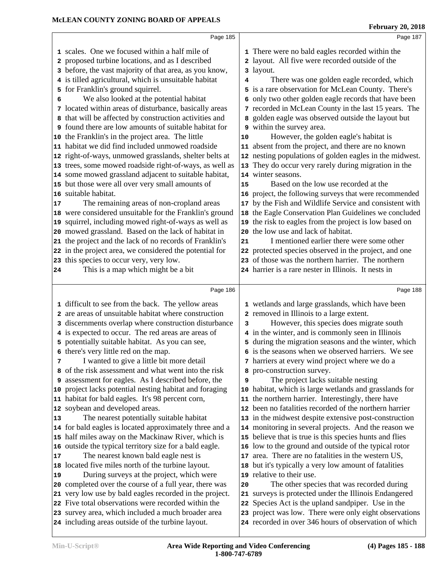|    | Page 185                                                                                                    |    | Page 187                                                                                                        |  |
|----|-------------------------------------------------------------------------------------------------------------|----|-----------------------------------------------------------------------------------------------------------------|--|
|    | 1 scales. One we focused within a half mile of                                                              |    | 1 There were no bald eagles recorded within the                                                                 |  |
|    | 2 proposed turbine locations, and as I described                                                            |    | 2 layout. All five were recorded outside of the                                                                 |  |
|    | 3 before, the vast majority of that area, as you know,                                                      |    | 3 layout.                                                                                                       |  |
|    | 4 is tilled agricultural, which is unsuitable habitat                                                       | 4  | There was one golden eagle recorded, which                                                                      |  |
|    | 5 for Franklin's ground squirrel.                                                                           |    | 5 is a rare observation for McLean County. There's                                                              |  |
| 6  | We also looked at the potential habitat                                                                     |    | 6 only two other golden eagle records that have been                                                            |  |
|    | 7 located within areas of disturbance, basically areas                                                      |    | 7 recorded in McLean County in the last 15 years. The                                                           |  |
|    | that will be affected by construction activities and                                                        |    | 8 golden eagle was observed outside the layout but                                                              |  |
|    | found there are low amounts of suitable habitat for                                                         |    | 9 within the survey area.                                                                                       |  |
|    | 10 the Franklin's in the project area. The little                                                           | 10 | However, the golden eagle's habitat is                                                                          |  |
| 11 | habitat we did find included unmowed roadside                                                               |    | 11 absent from the project, and there are no known                                                              |  |
|    | 12 right-of-ways, unmowed grasslands, shelter belts at                                                      |    | 12 nesting populations of golden eagles in the midwest.                                                         |  |
|    | 13 trees, some mowed roadside right-of-ways, as well as                                                     |    | 13 They do occur very rarely during migration in the                                                            |  |
|    | 14 some mowed grassland adjacent to suitable habitat,                                                       |    | 14 winter seasons.                                                                                              |  |
|    | 15 but those were all over very small amounts of                                                            | 15 | Based on the low use recorded at the                                                                            |  |
|    | 16 suitable habitat.                                                                                        |    | 16 project, the following surveys that were recommended                                                         |  |
| 17 | The remaining areas of non-cropland areas                                                                   |    | 17 by the Fish and Wildlife Service and consistent with                                                         |  |
|    | 18 were considered unsuitable for the Franklin's ground                                                     |    | 18 the Eagle Conservation Plan Guidelines we concluded                                                          |  |
|    | 19 squirrel, including mowed right-of-ways as well as                                                       |    | 19 the risk to eagles from the project is low based on                                                          |  |
|    | 20 mowed grassland. Based on the lack of habitat in                                                         |    | 20 the low use and lack of habitat.                                                                             |  |
|    | 21 the project and the lack of no records of Franklin's                                                     | 21 | I mentioned earlier there were some other                                                                       |  |
|    | 22 in the project area, we considered the potential for                                                     |    | 22 protected species observed in the project, and one                                                           |  |
|    | 23 this species to occur very, very low.                                                                    |    | 23 of those was the northern harrier. The northern                                                              |  |
| 24 | This is a map which might be a bit                                                                          |    | 24 harrier is a rare nester in Illinois. It nests in                                                            |  |
|    |                                                                                                             |    |                                                                                                                 |  |
|    |                                                                                                             |    |                                                                                                                 |  |
|    | Page 186                                                                                                    |    | Page 188                                                                                                        |  |
|    |                                                                                                             |    |                                                                                                                 |  |
|    | 1 difficult to see from the back. The yellow areas<br>2 are areas of unsuitable habitat where construction  |    | 1 wetlands and large grasslands, which have been<br>2 removed in Illinois to a large extent.                    |  |
|    |                                                                                                             | 3  |                                                                                                                 |  |
|    | 3 discernments overlap where construction disturbance<br>4 is expected to occur. The red areas are areas of |    | However, this species does migrate south<br>4 in the winter, and is commonly seen in Illinois                   |  |
|    | 5 potentially suitable habitat. As you can see,                                                             |    | 5 during the migration seasons and the winter, which                                                            |  |
|    | 6 there's very little red on the map.                                                                       |    | 6 is the seasons when we observed harriers. We see                                                              |  |
| 7  | I wanted to give a little bit more detail                                                                   |    | 7 harriers at every wind project where we do a                                                                  |  |
|    | 8 of the risk assessment and what went into the risk                                                        |    | 8 pro-construction survey.                                                                                      |  |
|    | 9 assessment for eagles. As I described before, the                                                         | 9  | The project lacks suitable nesting                                                                              |  |
| 10 | project lacks potential nesting habitat and foraging                                                        | 10 | habitat, which is large wetlands and grasslands for                                                             |  |
|    | 11 habitat for bald eagles. It's 98 percent corn,                                                           |    | 11 the northern harrier. Interestingly, there have                                                              |  |
|    | 12 soybean and developed areas.                                                                             |    | 12 been no fatalities recorded of the northern harrier                                                          |  |
| 13 | The nearest potentially suitable habitat                                                                    |    | 13 in the midwest despite extensive post-construction                                                           |  |
|    | 14 for bald eagles is located approximately three and a                                                     |    | 14 monitoring in several projects. And the reason we                                                            |  |
|    | 15 half miles away on the Mackinaw River, which is                                                          |    | 15 believe that is true is this species hunts and flies                                                         |  |
|    | 16 outside the typical territory size for a bald eagle.                                                     |    | 16 low to the ground and outside of the typical rotor                                                           |  |
| 17 | The nearest known bald eagle nest is                                                                        |    | 17 area. There are no fatalities in the western US,                                                             |  |
| 18 | located five miles north of the turbine layout.                                                             |    | 18 but it's typically a very low amount of fatalities                                                           |  |
| 19 | During surveys at the project, which were                                                                   |    | 19 relative to their use.                                                                                       |  |
| 20 | completed over the course of a full year, there was                                                         | 20 | The other species that was recorded during                                                                      |  |
| 21 | very low use by bald eagles recorded in the project.                                                        |    | 21 surveys is protected under the Illinois Endangered                                                           |  |
|    | 22 Five total observations were recorded within the                                                         |    | 22 Species Act is the upland sandpiper. Use in the                                                              |  |
|    | 23 survey area, which included a much broader area<br>24 including areas outside of the turbine layout.     |    | 23 project was low. There were only eight observations<br>24 recorded in over 346 hours of observation of which |  |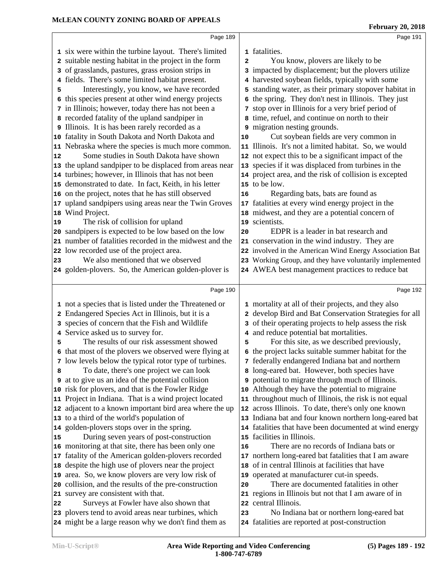|    | Page 189                                                                                                    |    | Page 191                                                                                            |  |
|----|-------------------------------------------------------------------------------------------------------------|----|-----------------------------------------------------------------------------------------------------|--|
|    |                                                                                                             |    | 1 fatalities.                                                                                       |  |
|    | 1 six were within the turbine layout. There's limited                                                       |    |                                                                                                     |  |
|    | 2 suitable nesting habitat in the project in the form<br>3 of grasslands, pastures, grass erosion strips in | 2  | You know, plovers are likely to be<br>3 impacted by displacement; but the plovers utilize           |  |
|    |                                                                                                             |    | 4 harvested soybean fields, typically with some                                                     |  |
| 4  | fields. There's some limited habitat present.                                                               |    |                                                                                                     |  |
| 5  | Interestingly, you know, we have recorded                                                                   |    | 5 standing water, as their primary stopover habitat in                                              |  |
| 6  | this species present at other wind energy projects                                                          |    | 6 the spring. They don't nest in Illinois. They just                                                |  |
|    | 7 in Illinois; however, today there has not been a                                                          |    | 7 stop over in Illinois for a very brief period of                                                  |  |
|    | 8 recorded fatality of the upland sandpiper in                                                              |    | 8 time, refuel, and continue on north to their                                                      |  |
|    | 9 Illinois. It is has been rarely recorded as a                                                             |    | 9 migration nesting grounds.                                                                        |  |
|    | 10 fatality in South Dakota and North Dakota and                                                            | 10 | Cut soybean fields are very common in                                                               |  |
|    | 11 Nebraska where the species is much more common.                                                          |    | 11 Illinois. It's not a limited habitat. So, we would                                               |  |
| 12 | Some studies in South Dakota have shown                                                                     |    | 12 not expect this to be a significant impact of the                                                |  |
|    | 13 the upland sandpiper to be displaced from areas near                                                     |    | 13 species if it was displaced from turbines in the                                                 |  |
|    | 14 turbines; however, in Illinois that has not been                                                         |    | 14 project area, and the risk of collision is excepted                                              |  |
|    | 15 demonstrated to date. In fact, Keith, in his letter                                                      |    | 15 to be low.                                                                                       |  |
|    | 16 on the project, notes that he has still observed                                                         | 16 | Regarding bats, bats are found as                                                                   |  |
|    | 17 upland sandpipers using areas near the Twin Groves                                                       |    | 17 fatalities at every wind energy project in the                                                   |  |
|    | 18 Wind Project.                                                                                            |    | 18 midwest, and they are a potential concern of                                                     |  |
| 19 | The risk of collision for upland                                                                            |    | 19 scientists.                                                                                      |  |
|    | 20 sandpipers is expected to be low based on the low                                                        | 20 | EDPR is a leader in bat research and                                                                |  |
|    | 21 number of fatalities recorded in the midwest and the                                                     |    | 21 conservation in the wind industry. They are                                                      |  |
|    | 22 low recorded use of the project area.                                                                    |    | 22 involved in the American Wind Energy Association Bat                                             |  |
| 23 | We also mentioned that we observed                                                                          |    | 23 Working Group, and they have voluntarily implemented                                             |  |
|    | 24 golden-plovers. So, the American golden-plover is                                                        |    | 24 AWEA best management practices to reduce bat                                                     |  |
|    |                                                                                                             |    |                                                                                                     |  |
|    |                                                                                                             |    |                                                                                                     |  |
|    | Page 190                                                                                                    |    | Page 192                                                                                            |  |
|    |                                                                                                             |    |                                                                                                     |  |
|    | 1 not a species that is listed under the Threatened or                                                      |    | 1 mortality at all of their projects, and they also                                                 |  |
|    | 2 Endangered Species Act in Illinois, but it is a                                                           |    | 2 develop Bird and Bat Conservation Strategies for all                                              |  |
|    | 3 species of concern that the Fish and Wildlife                                                             |    | 3 of their operating projects to help assess the risk                                               |  |
| 5  | 4 Service asked us to survey for.                                                                           | 5  | 4 and reduce potential bat mortalities.                                                             |  |
|    | The results of our risk assessment showed                                                                   |    | For this site, as we described previously,                                                          |  |
|    | 6 that most of the plovers we observed were flying at                                                       |    | 6 the project lacks suitable summer habitat for the                                                 |  |
| 8  | 7 low levels below the typical rotor type of turbines.                                                      |    | 7 federally endangered Indiana bat and northern                                                     |  |
|    | To date, there's one project we can look                                                                    |    | 8 long-eared bat. However, both species have                                                        |  |
|    | <b>9</b> at to give us an idea of the potential collision                                                   |    | 9 potential to migrate through much of Illinois.<br>10 Although they have the potential to migraine |  |
|    | 10 risk for plovers, and that is the Fowler Ridge<br>11 Project in Indiana. That is a wind project located  |    | 11 throughout much of Illinois, the risk is not equal                                               |  |
|    | 12 adjacent to a known important bird area where the up                                                     |    | 12 across Illinois. To date, there's only one known                                                 |  |
|    | 13 to a third of the world's population of                                                                  |    | 13 Indiana bat and four known northern long-eared bat                                               |  |
|    |                                                                                                             |    | 14 fatalities that have been documented at wind energy                                              |  |
| 15 | 14 golden-plovers stops over in the spring.<br>During seven years of post-construction                      |    | 15 facilities in Illinois.                                                                          |  |
|    | 16 monitoring at that site, there has been only one                                                         | 16 | There are no records of Indiana bats or                                                             |  |
|    | 17 fatality of the American golden-plovers recorded                                                         |    | 17 northern long-eared bat fatalities that I am aware                                               |  |
|    | 18 despite the high use of plovers near the project                                                         |    | 18 of in central Illinois at facilities that have                                                   |  |
|    |                                                                                                             |    | 19 operated at manufacturer cut-in speeds.                                                          |  |
|    | 19 area. So, we know plovers are very low risk of<br>20 collision, and the results of the pre-construction  | 20 | There are documented fatalities in other                                                            |  |
|    | 21 survey are consistent with that.                                                                         |    |                                                                                                     |  |
| 22 | Surveys at Fowler have also shown that                                                                      |    | 21 regions in Illinois but not that I am aware of in<br>22 central Illinois.                        |  |
|    | 23 plovers tend to avoid areas near turbines, which                                                         | 23 | No Indiana bat or northern long-eared bat                                                           |  |
|    | 24 might be a large reason why we don't find them as                                                        |    | 24 fatalities are reported at post-construction                                                     |  |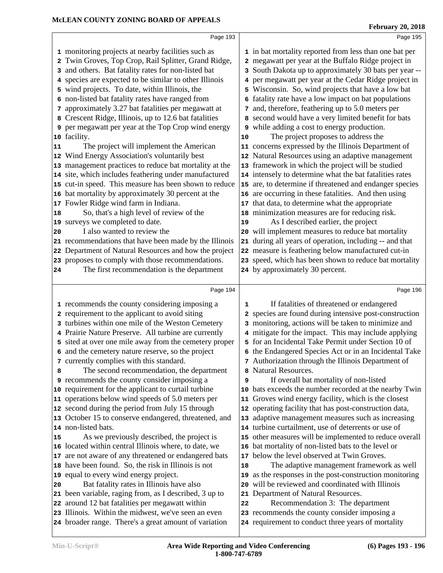|                           | Page 193                                                                                                                                                                                                                                                                                                                                                                                                                                                                                                                                                                                                                                                                                                                                                                                                                                                                                                                                                                                                                                                                                                                                                                                                                                     |          | Page 195                                                                                                                                                                                                                                                                                                                                                                                                                                                                                                                                                                                                                                                                                                                                                                                                                                                                                                                                                                                                                                                                                                                                                                                                                                                                                                                |  |
|---------------------------|----------------------------------------------------------------------------------------------------------------------------------------------------------------------------------------------------------------------------------------------------------------------------------------------------------------------------------------------------------------------------------------------------------------------------------------------------------------------------------------------------------------------------------------------------------------------------------------------------------------------------------------------------------------------------------------------------------------------------------------------------------------------------------------------------------------------------------------------------------------------------------------------------------------------------------------------------------------------------------------------------------------------------------------------------------------------------------------------------------------------------------------------------------------------------------------------------------------------------------------------|----------|-------------------------------------------------------------------------------------------------------------------------------------------------------------------------------------------------------------------------------------------------------------------------------------------------------------------------------------------------------------------------------------------------------------------------------------------------------------------------------------------------------------------------------------------------------------------------------------------------------------------------------------------------------------------------------------------------------------------------------------------------------------------------------------------------------------------------------------------------------------------------------------------------------------------------------------------------------------------------------------------------------------------------------------------------------------------------------------------------------------------------------------------------------------------------------------------------------------------------------------------------------------------------------------------------------------------------|--|
| 3<br>11<br>18<br>20<br>24 | 1 monitoring projects at nearby facilities such as<br>2 Twin Groves, Top Crop, Rail Splitter, Grand Ridge,<br>and others. Bat fatality rates for non-listed bat<br>4 species are expected to be similar to other Illinois<br>5 wind projects. To date, within Illinois, the<br>6 non-listed bat fatality rates have ranged from<br>7 approximately 3.27 bat fatalities per megawatt at<br>8 Crescent Ridge, Illinois, up to 12.6 bat fatalities<br><b>9</b> per megawatt per year at the Top Crop wind energy<br>10 facility.<br>The project will implement the American<br>12 Wind Energy Association's voluntarily best<br>13 management practices to reduce bat mortality at the<br>14 site, which includes feathering under manufactured<br>15 cut-in speed. This measure has been shown to reduce<br>16 bat mortality by approximately 30 percent at the<br>17 Fowler Ridge wind farm in Indiana.<br>So, that's a high level of review of the<br>19 surveys we completed to date.<br>I also wanted to review the<br>21 recommendations that have been made by the Illinois<br>22 Department of Natural Resources and how the project<br>23 proposes to comply with those recommendations.<br>The first recommendation is the department | 10<br>19 | 1 in bat mortality reported from less than one bat per<br>2 megawatt per year at the Buffalo Ridge project in<br>3 South Dakota up to approximately 30 bats per year --<br>4 per megawatt per year at the Cedar Ridge project in<br>5 Wisconsin. So, wind projects that have a low bat<br>6 fatality rate have a low impact on bat populations<br>7 and, therefore, feathering up to 5.0 meters per<br>8 second would have a very limited benefit for bats<br><b>9</b> while adding a cost to energy production.<br>The project proposes to address the<br>11 concerns expressed by the Illinois Department of<br>12 Natural Resources using an adaptive management<br>13 framework in which the project will be studied<br>14 intensely to determine what the bat fatalities rates<br>15 are, to determine if threatened and endanger species<br>16 are occurring in these fatalities. And then using<br>17 that data, to determine what the appropriate<br>18 minimization measures are for reducing risk.<br>As I described earlier, the project<br>20 will implement measures to reduce bat mortality<br>21 during all years of operation, including -- and that<br>22 measure is feathering below manufactured cut-in<br>23 speed, which has been shown to reduce bat mortality<br>24 by approximately 30 percent. |  |
|                           |                                                                                                                                                                                                                                                                                                                                                                                                                                                                                                                                                                                                                                                                                                                                                                                                                                                                                                                                                                                                                                                                                                                                                                                                                                              |          |                                                                                                                                                                                                                                                                                                                                                                                                                                                                                                                                                                                                                                                                                                                                                                                                                                                                                                                                                                                                                                                                                                                                                                                                                                                                                                                         |  |
|                           |                                                                                                                                                                                                                                                                                                                                                                                                                                                                                                                                                                                                                                                                                                                                                                                                                                                                                                                                                                                                                                                                                                                                                                                                                                              |          |                                                                                                                                                                                                                                                                                                                                                                                                                                                                                                                                                                                                                                                                                                                                                                                                                                                                                                                                                                                                                                                                                                                                                                                                                                                                                                                         |  |
|                           | Page 194                                                                                                                                                                                                                                                                                                                                                                                                                                                                                                                                                                                                                                                                                                                                                                                                                                                                                                                                                                                                                                                                                                                                                                                                                                     |          | Page 196                                                                                                                                                                                                                                                                                                                                                                                                                                                                                                                                                                                                                                                                                                                                                                                                                                                                                                                                                                                                                                                                                                                                                                                                                                                                                                                |  |
|                           | 1 recommends the county considering imposing a                                                                                                                                                                                                                                                                                                                                                                                                                                                                                                                                                                                                                                                                                                                                                                                                                                                                                                                                                                                                                                                                                                                                                                                               | 1        | If fatalities of threatened or endangered                                                                                                                                                                                                                                                                                                                                                                                                                                                                                                                                                                                                                                                                                                                                                                                                                                                                                                                                                                                                                                                                                                                                                                                                                                                                               |  |
|                           | 2 requirement to the applicant to avoid siting                                                                                                                                                                                                                                                                                                                                                                                                                                                                                                                                                                                                                                                                                                                                                                                                                                                                                                                                                                                                                                                                                                                                                                                               |          | 2 species are found during intensive post-construction                                                                                                                                                                                                                                                                                                                                                                                                                                                                                                                                                                                                                                                                                                                                                                                                                                                                                                                                                                                                                                                                                                                                                                                                                                                                  |  |
|                           | 3 turbines within one mile of the Weston Cemetery                                                                                                                                                                                                                                                                                                                                                                                                                                                                                                                                                                                                                                                                                                                                                                                                                                                                                                                                                                                                                                                                                                                                                                                            |          | 3 monitoring, actions will be taken to minimize and                                                                                                                                                                                                                                                                                                                                                                                                                                                                                                                                                                                                                                                                                                                                                                                                                                                                                                                                                                                                                                                                                                                                                                                                                                                                     |  |
|                           | 4 Prairie Nature Preserve. All turbine are currently                                                                                                                                                                                                                                                                                                                                                                                                                                                                                                                                                                                                                                                                                                                                                                                                                                                                                                                                                                                                                                                                                                                                                                                         |          | 4 mitigate for the impact. This may include applying                                                                                                                                                                                                                                                                                                                                                                                                                                                                                                                                                                                                                                                                                                                                                                                                                                                                                                                                                                                                                                                                                                                                                                                                                                                                    |  |
|                           | 5 sited at over one mile away from the cemetery proper                                                                                                                                                                                                                                                                                                                                                                                                                                                                                                                                                                                                                                                                                                                                                                                                                                                                                                                                                                                                                                                                                                                                                                                       |          | 5 for an Incidental Take Permit under Section 10 of                                                                                                                                                                                                                                                                                                                                                                                                                                                                                                                                                                                                                                                                                                                                                                                                                                                                                                                                                                                                                                                                                                                                                                                                                                                                     |  |
|                           | 6 and the cemetery nature reserve, so the project<br>7 currently complies with this standard.                                                                                                                                                                                                                                                                                                                                                                                                                                                                                                                                                                                                                                                                                                                                                                                                                                                                                                                                                                                                                                                                                                                                                |          | 6 the Endangered Species Act or in an Incidental Take<br>7 Authorization through the Illinois Department of                                                                                                                                                                                                                                                                                                                                                                                                                                                                                                                                                                                                                                                                                                                                                                                                                                                                                                                                                                                                                                                                                                                                                                                                             |  |
| 8                         | The second recommendation, the department                                                                                                                                                                                                                                                                                                                                                                                                                                                                                                                                                                                                                                                                                                                                                                                                                                                                                                                                                                                                                                                                                                                                                                                                    |          | <b>Natural Resources.</b>                                                                                                                                                                                                                                                                                                                                                                                                                                                                                                                                                                                                                                                                                                                                                                                                                                                                                                                                                                                                                                                                                                                                                                                                                                                                                               |  |
|                           | <b>9</b> recommends the county consider imposing a                                                                                                                                                                                                                                                                                                                                                                                                                                                                                                                                                                                                                                                                                                                                                                                                                                                                                                                                                                                                                                                                                                                                                                                           | 9        | If overall bat mortality of non-listed                                                                                                                                                                                                                                                                                                                                                                                                                                                                                                                                                                                                                                                                                                                                                                                                                                                                                                                                                                                                                                                                                                                                                                                                                                                                                  |  |
|                           | 10 requirement for the applicant to curtail turbine                                                                                                                                                                                                                                                                                                                                                                                                                                                                                                                                                                                                                                                                                                                                                                                                                                                                                                                                                                                                                                                                                                                                                                                          | 10       | bats exceeds the number recorded at the nearby Twin                                                                                                                                                                                                                                                                                                                                                                                                                                                                                                                                                                                                                                                                                                                                                                                                                                                                                                                                                                                                                                                                                                                                                                                                                                                                     |  |
|                           | 11 operations below wind speeds of 5.0 meters per                                                                                                                                                                                                                                                                                                                                                                                                                                                                                                                                                                                                                                                                                                                                                                                                                                                                                                                                                                                                                                                                                                                                                                                            | 11       | Groves wind energy facility, which is the closest                                                                                                                                                                                                                                                                                                                                                                                                                                                                                                                                                                                                                                                                                                                                                                                                                                                                                                                                                                                                                                                                                                                                                                                                                                                                       |  |
|                           | 12 second during the period from July 15 through                                                                                                                                                                                                                                                                                                                                                                                                                                                                                                                                                                                                                                                                                                                                                                                                                                                                                                                                                                                                                                                                                                                                                                                             | 12       | operating facility that has post-construction data,                                                                                                                                                                                                                                                                                                                                                                                                                                                                                                                                                                                                                                                                                                                                                                                                                                                                                                                                                                                                                                                                                                                                                                                                                                                                     |  |
|                           | 13 October 15 to conserve endangered, threatened, and                                                                                                                                                                                                                                                                                                                                                                                                                                                                                                                                                                                                                                                                                                                                                                                                                                                                                                                                                                                                                                                                                                                                                                                        | 13       | adaptive management measures such as increasing                                                                                                                                                                                                                                                                                                                                                                                                                                                                                                                                                                                                                                                                                                                                                                                                                                                                                                                                                                                                                                                                                                                                                                                                                                                                         |  |
|                           | 14 non-listed bats.                                                                                                                                                                                                                                                                                                                                                                                                                                                                                                                                                                                                                                                                                                                                                                                                                                                                                                                                                                                                                                                                                                                                                                                                                          |          | 14 turbine curtailment, use of deterrents or use of                                                                                                                                                                                                                                                                                                                                                                                                                                                                                                                                                                                                                                                                                                                                                                                                                                                                                                                                                                                                                                                                                                                                                                                                                                                                     |  |
| 15                        | As we previously described, the project is                                                                                                                                                                                                                                                                                                                                                                                                                                                                                                                                                                                                                                                                                                                                                                                                                                                                                                                                                                                                                                                                                                                                                                                                   |          | 15 other measures will be implemented to reduce overall                                                                                                                                                                                                                                                                                                                                                                                                                                                                                                                                                                                                                                                                                                                                                                                                                                                                                                                                                                                                                                                                                                                                                                                                                                                                 |  |
|                           | 16 located within central Illinois where, to date, we                                                                                                                                                                                                                                                                                                                                                                                                                                                                                                                                                                                                                                                                                                                                                                                                                                                                                                                                                                                                                                                                                                                                                                                        |          | 16 bat mortality of non-listed bats to the level or                                                                                                                                                                                                                                                                                                                                                                                                                                                                                                                                                                                                                                                                                                                                                                                                                                                                                                                                                                                                                                                                                                                                                                                                                                                                     |  |
|                           | 17 are not aware of any threatened or endangered bats                                                                                                                                                                                                                                                                                                                                                                                                                                                                                                                                                                                                                                                                                                                                                                                                                                                                                                                                                                                                                                                                                                                                                                                        |          | 17 below the level observed at Twin Groves.                                                                                                                                                                                                                                                                                                                                                                                                                                                                                                                                                                                                                                                                                                                                                                                                                                                                                                                                                                                                                                                                                                                                                                                                                                                                             |  |
|                           | 18 have been found. So, the risk in Illinois is not                                                                                                                                                                                                                                                                                                                                                                                                                                                                                                                                                                                                                                                                                                                                                                                                                                                                                                                                                                                                                                                                                                                                                                                          | 18       | The adaptive management framework as well                                                                                                                                                                                                                                                                                                                                                                                                                                                                                                                                                                                                                                                                                                                                                                                                                                                                                                                                                                                                                                                                                                                                                                                                                                                                               |  |
|                           | 19 equal to every wind energy project.                                                                                                                                                                                                                                                                                                                                                                                                                                                                                                                                                                                                                                                                                                                                                                                                                                                                                                                                                                                                                                                                                                                                                                                                       | 19       | as the responses in the post-construction monitoring                                                                                                                                                                                                                                                                                                                                                                                                                                                                                                                                                                                                                                                                                                                                                                                                                                                                                                                                                                                                                                                                                                                                                                                                                                                                    |  |
| 20                        | Bat fatality rates in Illinois have also                                                                                                                                                                                                                                                                                                                                                                                                                                                                                                                                                                                                                                                                                                                                                                                                                                                                                                                                                                                                                                                                                                                                                                                                     | 20       | will be reviewed and coordinated with Illinois                                                                                                                                                                                                                                                                                                                                                                                                                                                                                                                                                                                                                                                                                                                                                                                                                                                                                                                                                                                                                                                                                                                                                                                                                                                                          |  |
| 21                        | been variable, raging from, as I described, 3 up to                                                                                                                                                                                                                                                                                                                                                                                                                                                                                                                                                                                                                                                                                                                                                                                                                                                                                                                                                                                                                                                                                                                                                                                          | 21       | Department of Natural Resources.                                                                                                                                                                                                                                                                                                                                                                                                                                                                                                                                                                                                                                                                                                                                                                                                                                                                                                                                                                                                                                                                                                                                                                                                                                                                                        |  |
|                           | 22 around 12 bat fatalities per megawatt within<br>23 Illinois. Within the midwest, we've seen an even                                                                                                                                                                                                                                                                                                                                                                                                                                                                                                                                                                                                                                                                                                                                                                                                                                                                                                                                                                                                                                                                                                                                       | 22       | Recommendation 3: The department<br>23 recommends the county consider imposing a                                                                                                                                                                                                                                                                                                                                                                                                                                                                                                                                                                                                                                                                                                                                                                                                                                                                                                                                                                                                                                                                                                                                                                                                                                        |  |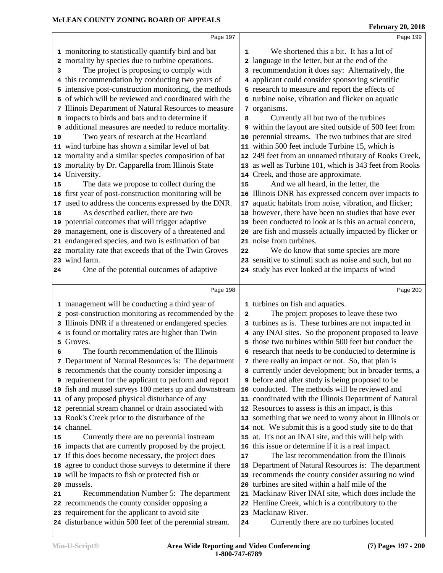|    | Page 197                                                     |              | Page 199                                                |
|----|--------------------------------------------------------------|--------------|---------------------------------------------------------|
|    | 1 monitoring to statistically quantify bird and bat          | 1            | We shortened this a bit. It has a lot of                |
|    | 2 mortality by species due to turbine operations.            | $\mathbf{2}$ | language in the letter, but at the end of the           |
| з  | The project is proposing to comply with                      |              | 3 recommendation it does say: Alternatively, the        |
| 4  | this recommendation by conducting two years of               |              | 4 applicant could consider sponsoring scientific        |
|    | intensive post-construction monitoring, the methods          |              | 5 research to measure and report the effects of         |
|    | of which will be reviewed and coordinated with the           |              | 6 turbine noise, vibration and flicker on aquatic       |
|    | 7 Illinois Department of Natural Resources to measure        |              | 7 organisms.                                            |
|    | 8 impacts to birds and bats and to determine if              | 8            | Currently all but two of the turbines                   |
|    | additional measures are needed to reduce mortality.          |              | 9 within the layout are sited outside of 500 feet from  |
| 9  | Two years of research at the Heartland                       |              | perennial streams. The two turbines that are sited      |
| 10 | 11 wind turbine has shown a similar level of bat             |              | 11 within 500 feet include Turbine 15, which is         |
|    |                                                              |              |                                                         |
|    | 12 mortality and a similar species composition of bat        |              | 12 249 feet from an unnamed tributary of Rooks Creek,   |
|    | 13 mortality by Dr. Capparella from Illinois State           | 13           | as well as Turbine 101, which is 343 feet from Rooks    |
|    | 14 University.                                               | 14           | Creek, and those are approximate.                       |
| 15 | The data we propose to collect during the                    | 15           | And we all heard, in the letter, the                    |
|    | 16 first year of post-construction monitoring will be        | 16           | Illinois DNR has expressed concern over impacts to      |
|    | 17 used to address the concerns expressed by the DNR.        | 17           | aquatic habitats from noise, vibration, and flicker;    |
| 18 | As described earlier, there are two                          | 18           | however, there have been no studies that have ever      |
|    | 19 potential outcomes that will trigger adaptive             | 19           | been conducted to look at is this an actual concern,    |
|    | 20 management, one is discovery of a threatened and          | 20           | are fish and mussels actually impacted by flicker or    |
|    | 21 endangered species, and two is estimation of bat          | 21           | noise from turbines.                                    |
|    | 22 mortality rate that exceeds that of the Twin Groves       | 22           | We do know that some species are more                   |
|    | 23 wind farm.                                                |              | 23 sensitive to stimuli such as noise and such, but no  |
| 24 | One of the potential outcomes of adaptive                    |              | 24 study has ever looked at the impacts of wind         |
|    |                                                              |              |                                                         |
|    | Page 198                                                     |              | Page 200                                                |
|    | 1 management will be conducting a third year of              |              | 1 turbines on fish and aquatics.                        |
|    | 2 post-construction monitoring as recommended by the         | $\mathbf{2}$ | The project proposes to leave these two                 |
|    | 3 Illinois DNR if a threatened or endangered species         |              | 3 turbines as is. These turbines are not impacted in    |
|    | 4 is found or mortality rates are higher than Twin           |              | 4 any INAI sites. So the proponent proposed to leave    |
|    | 5 Groves.                                                    |              | 5 those two turbines within 500 feet but conduct the    |
| 6  | The fourth recommendation of the Illinois                    |              |                                                         |
|    |                                                              |              | 6 research that needs to be conducted to determine is   |
|    | 7 Department of Natural Resources is: The department         |              | 7 there really an impact or not. So, that plan is       |
|    | 8 recommends that the county consider imposing a             |              | 8 currently under development; but in broader terms, a  |
|    | <b>9</b> requirement for the applicant to perform and report |              | <b>9</b> before and after study is being proposed to be |
|    | 10 fish and mussel surveys 100 meters up and downstream      | 10           | conducted. The methods will be reviewed and             |
|    | 11 of any proposed physical disturbance of any               |              | 11 coordinated with the Illinois Department of Natural  |
|    | 12 perennial stream channel or drain associated with         |              | 12 Resources to assess is this an impact, is this       |
|    | 13 Rook's Creek prior to the disturbance of the              |              | 13 something that we need to worry about in Illinois or |
|    | 14 channel.                                                  |              | 14 not. We submit this is a good study site to do that  |
| 15 | Currently there are no perennial instream                    | 15           | at. It's not an INAI site, and this will help with      |
|    | 16 impacts that are currently proposed by the project.       | 16           | this issue or determine if it is a real impact.         |
|    | 17 If this does become necessary, the project does           | 17           | The last recommendation from the Illinois               |
|    | 18 agree to conduct those surveys to determine if there      | 18           | Department of Natural Resources is: The department      |
|    | 19 will be impacts to fish or protected fish or              |              | 19 recommends the county consider assuring no wind      |
|    | 20 mussels.                                                  | 20           | turbines are sited within a half mile of the            |
| 21 | Recommendation Number 5: The department                      | 21           | Mackinaw River INAI site, which does include the        |
|    | 22 recommends the county consider opposing a                 | 22           | Henline Creek, which is a contributory to the           |
|    | 23 requirement for the applicant to avoid site               | 23           | Mackinaw River.                                         |
|    | 24 disturbance within 500 feet of the perennial stream.      | 24           | Currently there are no turbines located                 |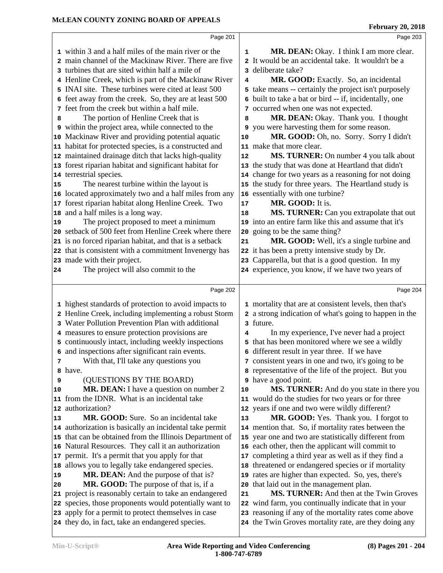|    | Page 201                                                                                                      |             | Page 203                                                                                                     |  |
|----|---------------------------------------------------------------------------------------------------------------|-------------|--------------------------------------------------------------------------------------------------------------|--|
|    | 1 within 3 and a half miles of the main river or the                                                          | $\mathbf 1$ | MR. DEAN: Okay. I think I am more clear.                                                                     |  |
|    | 2 main channel of the Mackinaw River. There are five                                                          |             | 2 It would be an accidental take. It wouldn't be a                                                           |  |
|    | 3 turbines that are sited within half a mile of                                                               |             | 3 deliberate take?                                                                                           |  |
|    | 4 Henline Creek, which is part of the Mackinaw River                                                          | 4           | MR. GOOD: Exactly. So, an incidental                                                                         |  |
|    | 5 INAI site. These turbines were cited at least 500                                                           |             | 5 take means -- certainly the project isn't purposely                                                        |  |
|    | 6 feet away from the creek. So, they are at least 500                                                         |             | 6 built to take a bat or bird -- if, incidentally, one                                                       |  |
|    | 7 feet from the creek but within a half mile.                                                                 |             | 7 occurred when one was not expected.                                                                        |  |
| 8  | The portion of Henline Creek that is                                                                          | 8           | MR. DEAN: Okay. Thank you. I thought                                                                         |  |
|    | 9 within the project area, while connected to the                                                             |             | 9 you were harvesting them for some reason.                                                                  |  |
|    | 10 Mackinaw River and providing potential aquatic                                                             | 10          | MR. GOOD: Oh, no. Sorry. Sorry I didn't                                                                      |  |
|    | 11 habitat for protected species, is a constructed and                                                        |             | 11 make that more clear.                                                                                     |  |
|    | 12 maintained drainage ditch that lacks high-quality                                                          | 12          | <b>MS. TURNER:</b> On number 4 you talk about                                                                |  |
|    | 13 forest riparian habitat and significant habitat for                                                        |             | 13 the study that was done at Heartland that didn't                                                          |  |
|    | 14 terrestrial species.                                                                                       |             | 14 change for two years as a reasoning for not doing                                                         |  |
| 15 | The nearest turbine within the layout is                                                                      |             | 15 the study for three years. The Heartland study is                                                         |  |
|    | 16 located approximately two and a half miles from any                                                        |             | 16 essentially with one turbine?                                                                             |  |
|    | 17 forest riparian habitat along Henline Creek. Two                                                           | 17          | MR. GOOD: It is.                                                                                             |  |
|    | 18 and a half miles is a long way.                                                                            | 18          | MS. TURNER: Can you extrapolate that out                                                                     |  |
| 19 | The project proposed to meet a minimum                                                                        |             | 19 into an entire farm like this and assume that it's                                                        |  |
|    | 20 setback of 500 feet from Henline Creek where there                                                         |             | 20 going to be the same thing?                                                                               |  |
|    | 21 is no forced riparian habitat, and that is a setback                                                       | 21          | MR. GOOD: Well, it's a single turbine and                                                                    |  |
|    | 22 that is consistent with a commitment Invenergy has<br>23 made with their project.                          | 22          | it has been a pretty intensive study by Dr.<br>23 Capparella, but that is a good question. In my             |  |
| 24 | The project will also commit to the                                                                           |             | 24 experience, you know, if we have two years of                                                             |  |
|    |                                                                                                               |             |                                                                                                              |  |
|    |                                                                                                               |             |                                                                                                              |  |
|    | Page 202                                                                                                      |             | Page 204                                                                                                     |  |
|    | 1 highest standards of protection to avoid impacts to                                                         |             | 1 mortality that are at consistent levels, then that's                                                       |  |
|    | 2 Henline Creek, including implementing a robust Storm                                                        |             | 2 a strong indication of what's going to happen in the                                                       |  |
|    | 3 Water Pollution Prevention Plan with additional                                                             |             | 3 future.                                                                                                    |  |
|    | 4 measures to ensure protection provisions are                                                                | 4           | In my experience, I've never had a project                                                                   |  |
|    | 5 continuously intact, including weekly inspections                                                           |             | 5 that has been monitored where we see a wildly                                                              |  |
|    | 6 and inspections after significant rain events.                                                              |             | 6 different result in year three. If we have                                                                 |  |
| 7  | With that, I'll take any questions you                                                                        |             | 7 consistent years in one and two, it's going to be                                                          |  |
|    | a have.                                                                                                       |             | 8 representative of the life of the project. But you                                                         |  |
| 9  | (QUESTIONS BY THE BOARD)                                                                                      |             | <b>9</b> have a good point.                                                                                  |  |
| 10 | MR. DEAN: I have a question on number 2                                                                       | 10          | MS. TURNER: And do you state in there you                                                                    |  |
|    | 11 from the IDNR. What is an incidental take                                                                  |             | 11 would do the studies for two years or for three                                                           |  |
| 12 | authorization?                                                                                                |             | 12 years if one and two were wildly different?                                                               |  |
| 13 | MR. GOOD: Sure. So an incidental take                                                                         | 13          | MR. GOOD: Yes. Thank you. I forgot to                                                                        |  |
|    | 14 authorization is basically an incidental take permit                                                       |             | 14 mention that. So, if mortality rates between the                                                          |  |
|    | 15 that can be obtained from the Illinois Department of                                                       |             | 15 year one and two are statistically different from                                                         |  |
|    | 16 Natural Resources. They call it an authorization                                                           |             | 16 each other, then the applicant will commit to                                                             |  |
|    | 17 permit. It's a permit that you apply for that                                                              |             | 17 completing a third year as well as if they find a                                                         |  |
| 18 | allows you to legally take endangered species.                                                                |             | 18 threatened or endangered species or if mortality                                                          |  |
| 19 | MR. DEAN: And the purpose of that is?                                                                         |             | 19 rates are higher than expected. So, yes, there's                                                          |  |
| 20 | MR. GOOD: The purpose of that is, if a                                                                        | 20          | that laid out in the management plan.                                                                        |  |
|    | 21 project is reasonably certain to take an endangered                                                        | 21          | MS. TURNER: And then at the Twin Groves                                                                      |  |
|    | 22 species, those proponents would potentially want to<br>23 apply for a permit to protect themselves in case |             | 22 wind farm, you continually indicate that in your<br>23 reasoning if any of the mortality rates come above |  |
|    | 24 they do, in fact, take an endangered species.                                                              |             | 24 the Twin Groves mortality rate, are they doing any                                                        |  |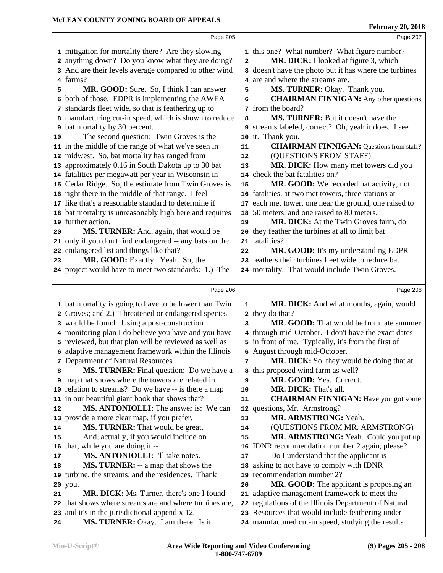|                                  | Page 205                                                                              |              | Page 207                                                                                               |  |
|----------------------------------|---------------------------------------------------------------------------------------|--------------|--------------------------------------------------------------------------------------------------------|--|
|                                  | 1 mitigation for mortality there? Are they slowing                                    |              | 1 this one? What number? What figure number?                                                           |  |
|                                  | 2 anything down? Do you know what they are doing?                                     | $\mathbf{2}$ | MR. DICK: I looked at figure 3, which                                                                  |  |
|                                  | 3 And are their levels average compared to other wind                                 |              | 3 doesn't have the photo but it has where the turbines                                                 |  |
|                                  | 4 farms?                                                                              |              | 4 are and where the streams are.                                                                       |  |
| 5                                | MR. GOOD: Sure. So, I think I can answer                                              | 5            | MS. TURNER: Okay. Thank you.                                                                           |  |
| 6                                | both of those. EDPR is implementing the AWEA                                          | 6            | <b>CHAIRMAN FINNIGAN:</b> Any other questions                                                          |  |
|                                  | 7 standards fleet wide, so that is feathering up to                                   |              | 7 from the board?                                                                                      |  |
|                                  | 8 manufacturing cut-in speed, which is shown to reduce                                | 8            | MS. TURNER: But it doesn't have the                                                                    |  |
|                                  | <b>9</b> bat mortality by 30 percent.                                                 |              | 9 streams labeled, correct? Oh, yeah it does. I see                                                    |  |
| 10                               | The second question: Twin Groves is the                                               |              | 10 it. Thank you.                                                                                      |  |
|                                  | 11 in the middle of the range of what we've seen in                                   | ${\bf 11}$   | <b>CHAIRMAN FINNIGAN:</b> Questions from staff?                                                        |  |
|                                  | 12 midwest. So, bat mortality has ranged from                                         | 12           | (QUESTIONS FROM STAFF)                                                                                 |  |
|                                  | 13 approximately 0.16 in South Dakota up to 30 bat                                    | 13           | MR. DICK: How many met towers did you                                                                  |  |
|                                  | 14 fatalities per megawatt per year in Wisconsin in                                   |              | 14 check the bat fatalities on?                                                                        |  |
|                                  | 15 Cedar Ridge. So, the estimate from Twin Groves is                                  | 15           | MR. GOOD: We recorded bat activity, not                                                                |  |
|                                  | 16 right there in the middle of that range. I feel                                    |              | 16 fatalities, at two met towers, three stations at                                                    |  |
|                                  | 17 like that's a reasonable standard to determine if                                  | 17           | each met tower, one near the ground, one raised to                                                     |  |
|                                  | 18 bat mortality is unreasonably high here and requires                               |              | 18 50 meters, and one raised to 80 meters.                                                             |  |
|                                  | 19 further action.                                                                    | 19           | MR. DICK: At the Twin Groves farm, do                                                                  |  |
| 20                               | MS. TURNER: And, again, that would be                                                 |              | 20 they feather the turbines at all to limit bat                                                       |  |
|                                  | 21 only if you don't find endangered -- any bats on the                               |              | 21 fatalities?                                                                                         |  |
|                                  | 22 endangered list and things like that?                                              | 22           | MR. GOOD: It's my understanding EDPR                                                                   |  |
| 23                               | MR. GOOD: Exactly. Yeah. So, the                                                      |              | 23 feathers their turbines fleet wide to reduce bat                                                    |  |
|                                  | 24 project would have to meet two standards: 1.) The                                  |              | 24 mortality. That would include Twin Groves.                                                          |  |
|                                  | Page 206                                                                              |              | Page 208                                                                                               |  |
|                                  |                                                                                       |              |                                                                                                        |  |
|                                  |                                                                                       |              |                                                                                                        |  |
|                                  | 1 bat mortality is going to have to be lower than Twin                                | $\mathbf 1$  | MR. DICK: And what months, again, would                                                                |  |
|                                  | 2 Groves; and 2.) Threatened or endangered species                                    |              | 2 they do that?                                                                                        |  |
|                                  | 3 would be found. Using a post-construction                                           | 3            | MR. GOOD: That would be from late summer                                                               |  |
|                                  | 4 monitoring plan I do believe you have and you have                                  |              | 4 through mid-October. I don't have the exact dates                                                    |  |
|                                  | 5 reviewed, but that plan will be reviewed as well as                                 |              | 5 in front of me. Typically, it's from the first of                                                    |  |
|                                  | 6 adaptive management framework within the Illinois                                   |              | 6 August through mid-October.                                                                          |  |
|                                  | 7 Department of Natural Resources.                                                    | 7            | MR. DICK: So, they would be doing that at                                                              |  |
| 8                                | <b>MS. TURNER:</b> Final question: Do we have a                                       |              | 8 this proposed wind farm as well?                                                                     |  |
|                                  | <b>9</b> map that shows where the towers are related in                               | 9            | MR. GOOD: Yes. Correct.                                                                                |  |
|                                  | 10 relation to streams? Do we have -- is there a map                                  | 10           | MR. DICK: That's all.                                                                                  |  |
|                                  | 11 in our beautiful giant book that shows that?                                       | 11           | <b>CHAIRMAN FINNIGAN:</b> Have you got some                                                            |  |
|                                  | <b>MS. ANTONIOLLI:</b> The answer is: We can                                          | 13           | 12 questions, Mr. Armstrong?                                                                           |  |
|                                  | 13 provide a more clear map, if you prefer.                                           | 14           | MR. ARMSTRONG: Yeah.                                                                                   |  |
|                                  | MS. TURNER: That would be great.                                                      | 15           | (QUESTIONS FROM MR. ARMSTRONG)<br>MR. ARMSTRONG: Yeah. Could you put up                                |  |
|                                  | And, actually, if you would include on<br>16 that, while you are doing it --          |              | 16 IDNR recommendation number 2 again, please?                                                         |  |
|                                  | MS. ANTONIOLLI: I'll take notes.                                                      | 17           | Do I understand that the applicant is                                                                  |  |
|                                  | <b>MS. TURNER:</b> -- a map that shows the                                            |              | 18 asking to not have to comply with IDNR                                                              |  |
|                                  | 19 turbine, the streams, and the residences. Thank                                    |              | 19 recommendation number 2?                                                                            |  |
|                                  | 20 you.                                                                               | 20           | MR. GOOD: The applicant is proposing an                                                                |  |
| 12<br>14<br>15<br>17<br>18<br>21 | MR. DICK: Ms. Turner, there's one I found                                             |              | 21 adaptive management framework to meet the                                                           |  |
|                                  | 22 that shows where streams are and where turbines are,                               |              | 22 regulations of the Illinois Department of Natural                                                   |  |
|                                  | 23 and it's in the jurisdictional appendix 12.<br>MS. TURNER: Okay. I am there. Is it |              | 23 Resources that would include feathering under<br>24 manufactured cut-in speed, studying the results |  |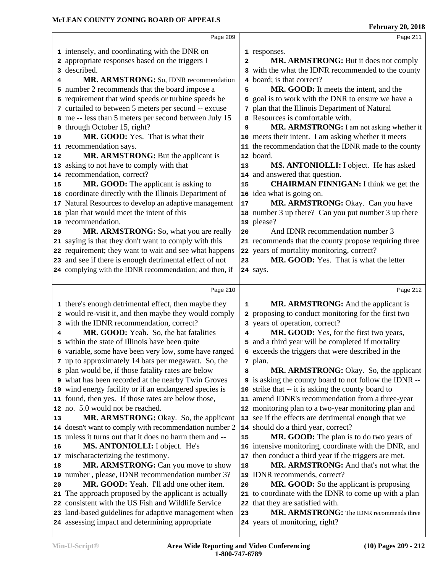|    | Page 209                                                                                                 |                | Page 211                                                                                               |  |
|----|----------------------------------------------------------------------------------------------------------|----------------|--------------------------------------------------------------------------------------------------------|--|
|    |                                                                                                          |                |                                                                                                        |  |
|    | 1 intensely, and coordinating with the DNR on<br>2 appropriate responses based on the triggers I         | $\overline{a}$ | 1 responses.<br>MR. ARMSTRONG: But it does not comply                                                  |  |
|    | 3 described.                                                                                             |                | 3 with the what the IDNR recommended to the county                                                     |  |
| 4  | MR. ARMSTRONG: So, IDNR recommendation                                                                   |                | 4 board; is that correct?                                                                              |  |
|    | 5 number 2 recommends that the board impose a                                                            | 5              | MR. GOOD: It meets the intent, and the                                                                 |  |
|    | 6 requirement that wind speeds or turbine speeds be                                                      |                | 6 goal is to work with the DNR to ensure we have a                                                     |  |
|    | 7 curtailed to between 5 meters per second -- excuse                                                     |                | 7 plan that the Illinois Department of Natural                                                         |  |
|    | 8 me -- less than 5 meters per second between July 15                                                    |                | 8 Resources is comfortable with.                                                                       |  |
|    | 9 through October 15, right?                                                                             | 9              | MR. ARMSTRONG: I am not asking whether it                                                              |  |
| 10 | MR. GOOD: Yes. That is what their                                                                        |                | 10 meets their intent. I am asking whether it meets                                                    |  |
|    | 11 recommendation says.                                                                                  |                | 11 the recommendation that the IDNR made to the county                                                 |  |
| 12 | MR. ARMSTRONG: But the applicant is                                                                      |                | 12 board.                                                                                              |  |
|    | 13 asking to not have to comply with that                                                                | 13             | MS. ANTONIOLLI: I object. He has asked                                                                 |  |
|    | 14 recommendation, correct?                                                                              |                | 14 and answered that question.                                                                         |  |
| 15 | MR. GOOD: The applicant is asking to                                                                     | 15             | <b>CHAIRMAN FINNIGAN: I think we get the</b>                                                           |  |
|    | 16 coordinate directly with the Illinois Department of                                                   |                | 16 idea what is going on.                                                                              |  |
|    | 17 Natural Resources to develop an adaptive management                                                   | 17             | MR. ARMSTRONG: Okay. Can you have                                                                      |  |
|    | 18 plan that would meet the intent of this                                                               |                | 18 number 3 up there? Can you put number 3 up there                                                    |  |
|    | 19 recommendation.                                                                                       |                | 19 please?                                                                                             |  |
| 20 | MR. ARMSTRONG: So, what you are really                                                                   | 20             | And IDNR recommendation number 3                                                                       |  |
|    | 21 saying is that they don't want to comply with this                                                    |                | 21 recommends that the county propose requiring three                                                  |  |
|    | 22 requirement; they want to wait and see what happens                                                   |                | 22 years of mortality monitoring, correct?                                                             |  |
|    | 23 and see if there is enough detrimental effect of not                                                  | 23             | MR. GOOD: Yes. That is what the letter                                                                 |  |
|    | 24 complying with the IDNR recommendation; and then, if                                                  |                | 24 says.                                                                                               |  |
|    |                                                                                                          |                |                                                                                                        |  |
|    |                                                                                                          |                |                                                                                                        |  |
|    | Page 210                                                                                                 |                | Page 212                                                                                               |  |
|    |                                                                                                          | 1              |                                                                                                        |  |
|    | 1 there's enough detrimental effect, then maybe they                                                     |                | MR. ARMSTRONG: And the applicant is                                                                    |  |
|    | 2 would re-visit it, and then maybe they would comply                                                    |                | 2 proposing to conduct monitoring for the first two                                                    |  |
| 4  | 3 with the IDNR recommendation, correct?<br>MR. GOOD: Yeah. So, the bat fatalities                       | 4              | 3 years of operation, correct?                                                                         |  |
|    |                                                                                                          |                | MR. GOOD: Yes, for the first two years,                                                                |  |
|    | 5 within the state of Illinois have been quite<br>6 variable, some have been very low, some have ranged  |                | 5 and a third year will be completed if mortality<br>6 exceeds the triggers that were described in the |  |
|    | 7 up to approximately 14 bats per megawatt. So, the                                                      |                | 7 plan.                                                                                                |  |
|    | 8 plan would be, if those fatality rates are below                                                       | 8              | MR. ARMSTRONG: Okay. So, the applicant                                                                 |  |
|    | 9 what has been recorded at the nearby Twin Groves                                                       |                | 9 is asking the county board to not follow the IDNR --                                                 |  |
|    | 10 wind energy facility or if an endangered species is                                                   |                | 10 strike that -- it is asking the county board to                                                     |  |
|    | 11 found, then yes. If those rates are below those,                                                      | 11             | amend IDNR's recommendation from a three-year                                                          |  |
|    | 12 no. 5.0 would not be reached.                                                                         |                | 12 monitoring plan to a two-year monitoring plan and                                                   |  |
| 13 | <b>MR. ARMSTRONG:</b> Okay. So, the applicant                                                            |                | 13 see if the effects are detrimental enough that we                                                   |  |
|    | 14 doesn't want to comply with recommendation number 2                                                   |                | 14 should do a third year, correct?                                                                    |  |
|    | 15 unless it turns out that it does no harm them and --                                                  | 15             | MR. GOOD: The plan is to do two years of                                                               |  |
| 16 | MS. ANTONIOLLI: I object. He's                                                                           |                | 16 intensive monitoring, coordinate with the DNR, and                                                  |  |
|    | 17 mischaracterizing the testimony.                                                                      |                | 17 then conduct a third year if the triggers are met.                                                  |  |
| 18 | MR. ARMSTRONG: Can you move to show                                                                      | 18             | MR. ARMSTRONG: And that's not what the                                                                 |  |
|    | 19 number, please, IDNR recommendation number 3?                                                         | 19             | IDNR recommends, correct?                                                                              |  |
| 20 | MR. GOOD: Yeah. I'll add one other item.                                                                 | 20             | MR. GOOD: So the applicant is proposing                                                                |  |
|    | 21 The approach proposed by the applicant is actually                                                    |                | 21 to coordinate with the IDNR to come up with a plan                                                  |  |
|    | 22 consistent with the US Fish and Wildlife Service                                                      | 22             | that they are satisfied with.                                                                          |  |
|    | 23 land-based guidelines for adaptive management when<br>24 assessing impact and determining appropriate | 23             | MR. ARMSTRONG: The IDNR recommends three<br>24 years of monitoring, right?                             |  |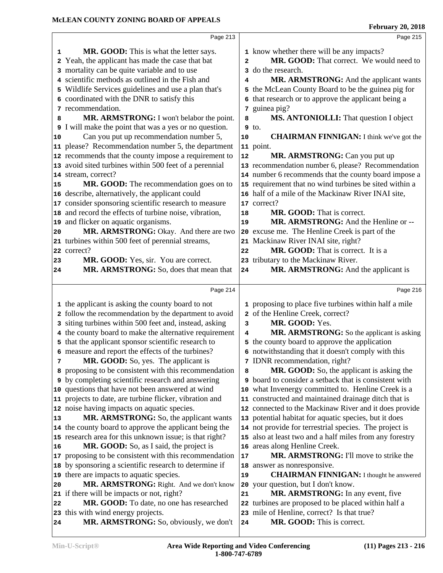|    | Page 213                                                                     |                | Page 215                                                                 |
|----|------------------------------------------------------------------------------|----------------|--------------------------------------------------------------------------|
| 1  | MR. GOOD: This is what the letter says.                                      |                | 1 know whether there will be any impacts?                                |
| 2  | Yeah, the applicant has made the case that bat                               | $\overline{2}$ | MR. GOOD: That correct. We would need to                                 |
|    | 3 mortality can be quite variable and to use                                 |                | 3 do the research.                                                       |
|    | 4 scientific methods as outlined in the Fish and                             | 4              | MR. ARMSTRONG: And the applicant wants                                   |
|    | 5 Wildlife Services guidelines and use a plan that's                         |                | 5 the McLean County Board to be the guinea pig for                       |
|    | 6 coordinated with the DNR to satisfy this                                   |                | 6 that research or to approve the applicant being a                      |
|    | 7 recommendation.                                                            |                | 7 guinea pig?                                                            |
| 8  | MR. ARMSTRONG: I won't belabor the point.                                    | 8              | MS. ANTONIOLLI: That question I object                                   |
|    | I will make the point that was a yes or no question.                         |                | $9$ to.                                                                  |
| 10 | Can you put up recommendation number 5,                                      | 10             | <b>CHAIRMAN FINNIGAN:</b> I think we've got the                          |
|    | 11 please? Recommendation number 5, the department                           |                | 11 point.                                                                |
|    | 12 recommends that the county impose a requirement to                        | ${\bf 12}$     | MR. ARMSTRONG: Can you put up                                            |
|    | 13 avoid sited turbines within 500 feet of a perennial                       |                | 13 recommendation number 6, please? Recommendation                       |
|    | 14 stream, correct?                                                          |                | 14 number 6 recommends that the county board impose a                    |
| 15 | MR. GOOD: The recommendation goes on to                                      |                | 15 requirement that no wind turbines be sited within a                   |
|    | 16 describe, alternatively, the applicant could                              |                | 16 half of a mile of the Mackinaw River INAI site,                       |
|    | 17 consider sponsoring scientific research to measure                        |                | 17 correct?                                                              |
|    | 18 and record the effects of turbine noise, vibration,                       | 18             | MR. GOOD: That is correct.                                               |
|    | 19 and flicker on aquatic organisms.                                         | 19             | MR. ARMSTRONG: And the Henline or --                                     |
| 20 | MR. ARMSTRONG: Okay. And there are two                                       |                | 20 excuse me. The Henline Creek is part of the                           |
|    | 21 turbines within 500 feet of perennial streams,                            |                | 21 Mackinaw River INAI site, right?                                      |
|    | 22 correct?                                                                  | 22             | MR. GOOD: That is correct. It is a                                       |
| 23 | MR. GOOD: Yes, sir. You are correct.                                         |                | 23 tributary to the Mackinaw River.                                      |
| 24 | MR. ARMSTRONG: So, does that mean that                                       | 24             | MR. ARMSTRONG: And the applicant is                                      |
|    |                                                                              |                |                                                                          |
|    |                                                                              |                |                                                                          |
|    | Page 214                                                                     |                | Page 216                                                                 |
|    | 1 the applicant is asking the county board to not                            |                | 1 proposing to place five turbines within half a mile                    |
|    | 2 follow the recommendation by the department to avoid                       |                | 2 of the Henline Creek, correct?                                         |
|    | 3 siting turbines within 500 feet and, instead, asking                       | 3              | MR. GOOD: Yes.                                                           |
|    | 4 the county board to make the alternative requirement                       | 4              | MR. ARMSTRONG: So the applicant is asking                                |
|    | 5 that the applicant sponsor scientific research to                          |                | 5 the county board to approve the application                            |
|    | 6 measure and report the effects of the turbines?                            |                | 6 notwithstanding that it doesn't comply with this                       |
| 7  | <b>MR. GOOD:</b> So, yes. The applicant is                                   |                | 7 IDNR recommendation, right?                                            |
|    | 8 proposing to be consistent with this recommendation                        | 8              | MR. GOOD: So, the applicant is asking the                                |
|    | <b>9</b> by completing scientific research and answering                     |                | <b>9</b> board to consider a setback that is consistent with             |
|    | 10 questions that have not been answered at wind                             |                | 10 what Invenergy committed to. Henline Creek is a                       |
|    | 11 projects to date, are turbine flicker, vibration and                      |                | 11 constructed and maintained drainage ditch that is                     |
|    | 12 noise having impacts on aquatic species.                                  |                | 12 connected to the Mackinaw River and it does provide                   |
| 13 | MR. ARMSTRONG: So, the applicant wants                                       |                | 13 potential habitat for aquatic species, but it does                    |
|    | 14 the county board to approve the applicant being the                       |                | 14 not provide for terrestrial species. The project is                   |
|    | 15 research area for this unknown issue; is that right?                      |                | 15 also at least two and a half miles from any forestry                  |
| 16 | MR. GOOD: So, as I said, the project is                                      |                | 16 areas along Henline Creek.                                            |
|    | 17 proposing to be consistent with this recommendation                       | 17             | MR. ARMSTRONG: I'll move to strike the                                   |
|    | 18 by sponsoring a scientific research to determine if                       |                | 18 answer as nonresponsive.                                              |
|    | 19 there are impacts to aquatic species.                                     | 19             | <b>CHAIRMAN FINNIGAN:</b> I thought he answered                          |
| 20 | MR. ARMSTRONG: Right. And we don't know                                      | 20             | your question, but I don't know.                                         |
|    | 21 if there will be impacts or not, right?                                   | 21             | MR. ARMSTRONG: In any event, five                                        |
| 22 | MR. GOOD: To date, no one has researched                                     |                | 22 turbines are proposed to be placed within half a                      |
|    | 23 this with wind energy projects.<br>MR. ARMSTRONG: So, obviously, we don't |                | 23 mile of Henline, correct? Is that true?<br>MR. GOOD: This is correct. |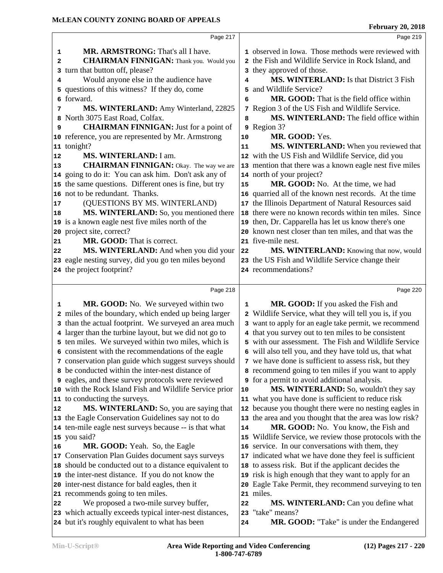|                | Page 217                                                                                                   |    | Page 219                                                                                                     |
|----------------|------------------------------------------------------------------------------------------------------------|----|--------------------------------------------------------------------------------------------------------------|
|                |                                                                                                            |    |                                                                                                              |
| 1              | MR. ARMSTRONG: That's all I have.                                                                          |    | 1 observed in Iowa. Those methods were reviewed with                                                         |
| 2              | <b>CHAIRMAN FINNIGAN:</b> Thank you. Would you                                                             |    | 2 the Fish and Wildlife Service in Rock Island, and                                                          |
|                | 3 turn that button off, please?                                                                            |    | 3 they approved of those.                                                                                    |
| 4              | Would anyone else in the audience have                                                                     | 4  | <b>MS. WINTERLAND:</b> Is that District 3 Fish                                                               |
|                | 5 questions of this witness? If they do, come                                                              | 5  | and Wildlife Service?                                                                                        |
|                | 6 forward.                                                                                                 | 6  | MR. GOOD: That is the field office within                                                                    |
| 7              | MS. WINTERLAND: Amy Winterland, 22825                                                                      |    | 7 Region 3 of the US Fish and Wildlife Service.                                                              |
| 8              | North 3075 East Road, Colfax.                                                                              | 8  | MS. WINTERLAND: The field office within                                                                      |
| 9              | <b>CHAIRMAN FINNIGAN:</b> Just for a point of                                                              |    | 9 Region 3?                                                                                                  |
|                | 10 reference, you are represented by Mr. Armstrong                                                         | 10 | MR. GOOD: Yes.                                                                                               |
|                | 11 tonight?                                                                                                | 11 | MS. WINTERLAND: When you reviewed that                                                                       |
| 12             | MS. WINTERLAND: I am.                                                                                      |    | 12 with the US Fish and Wildlife Service, did you                                                            |
| 13             | <b>CHAIRMAN FINNIGAN:</b> Okay. The way we are                                                             |    | 13 mention that there was a known eagle nest five miles                                                      |
|                | 14 going to do it: You can ask him. Don't ask any of                                                       |    | 14 north of your project?                                                                                    |
|                | 15 the same questions. Different ones is fine, but try                                                     | 15 | MR. GOOD: No. At the time, we had                                                                            |
|                | 16 not to be redundant. Thanks.                                                                            |    | 16 quarried all of the known nest records. At the time                                                       |
| 17             | (QUESTIONS BY MS. WINTERLAND)                                                                              |    | 17 the Illinois Department of Natural Resources said                                                         |
| 18             | MS. WINTERLAND: So, you mentioned there                                                                    |    | 18 there were no known records within ten miles. Since                                                       |
|                | 19 is a known eagle nest five miles north of the                                                           |    | 19 then, Dr. Capparella has let us know there's one                                                          |
|                | 20 project site, correct?                                                                                  |    | 20 known nest closer than ten miles, and that was the                                                        |
| 21             | MR. GOOD: That is correct.                                                                                 |    | 21 five-mile nest.                                                                                           |
| 22             | MS. WINTERLAND: And when you did your                                                                      | 22 | MS. WINTERLAND: Knowing that now, would                                                                      |
|                | 23 eagle nesting survey, did you go ten miles beyond                                                       |    | 23 the US Fish and Wildlife Service change their                                                             |
|                | 24 the project footprint?                                                                                  |    | 24 recommendations?                                                                                          |
|                |                                                                                                            |    |                                                                                                              |
|                | Page 218                                                                                                   |    | Page 220                                                                                                     |
| 1              | MR. GOOD: No. We surveyed within two                                                                       | 1  | MR. GOOD: If you asked the Fish and                                                                          |
|                | 2 miles of the boundary, which ended up being larger                                                       |    | 2 Wildlife Service, what they will tell you is, if you                                                       |
|                |                                                                                                            |    |                                                                                                              |
|                |                                                                                                            |    |                                                                                                              |
|                | 3 than the actual footprint. We surveyed an area much                                                      |    | 3 want to apply for an eagle take permit, we recommend                                                       |
|                | 4 larger than the turbine layout, but we did not go to                                                     |    | 4 that you survey out to ten miles to be consistent                                                          |
|                | 5 ten miles. We surveyed within two miles, which is                                                        |    | 5 with our assessment. The Fish and Wildlife Service                                                         |
|                | 6 consistent with the recommendations of the eagle                                                         |    | 6 will also tell you, and they have told us, that what                                                       |
|                | 7 conservation plan guide which suggest surveys should<br>8 be conducted within the inter-nest distance of |    | 7 we have done is sufficient to assess risk, but they<br>8 recommend going to ten miles if you want to apply |
|                | 9 eagles, and these survey protocols were reviewed                                                         |    | <b>9</b> for a permit to avoid additional analysis.                                                          |
|                | 10 with the Rock Island Fish and Wildlife Service prior                                                    | 10 |                                                                                                              |
|                | 11 to conducting the surveys.                                                                              |    | MS. WINTERLAND: So, wouldn't they say<br>11 what you have done is sufficient to reduce risk                  |
|                | MS. WINTERLAND: So, you are saying that                                                                    |    | 12 because you thought there were no nesting eagles in                                                       |
|                | 13 the Eagle Conservation Guidelines say not to do                                                         |    | 13 the area and you thought that the area was low risk?                                                      |
|                | 14 ten-mile eagle nest surveys because -- is that what                                                     | 14 | MR. GOOD: No. You know, the Fish and                                                                         |
|                | 15 you said?                                                                                               |    | 15 Wildlife Service, we review those protocols with the                                                      |
|                | MR. GOOD: Yeah. So, the Eagle                                                                              |    | 16 service. In our conversations with them, they                                                             |
|                | 17 Conservation Plan Guides document says surveys                                                          |    | 17 indicated what we have done they feel is sufficient                                                       |
|                | 18 should be conducted out to a distance equivalent to                                                     |    | 18 to assess risk. But if the applicant decides the                                                          |
|                | 19 the inter-nest distance. If you do not know the                                                         |    | 19 risk is high enough that they want to apply for an                                                        |
|                | 20 inter-nest distance for bald eagles, then it                                                            |    | 20 Eagle Take Permit, they recommend surveying to ten                                                        |
|                | 21 recommends going to ten miles.                                                                          |    | 21 miles.                                                                                                    |
| 12<br>16<br>22 | We proposed a two-mile survey buffer,                                                                      | 22 | MS. WINTERLAND: Can you define what                                                                          |
|                | 23 which actually exceeds typical inter-nest distances,                                                    | 23 | "take" means?                                                                                                |
|                | 24 but it's roughly equivalent to what has been                                                            | 24 | MR. GOOD: "Take" is under the Endangered                                                                     |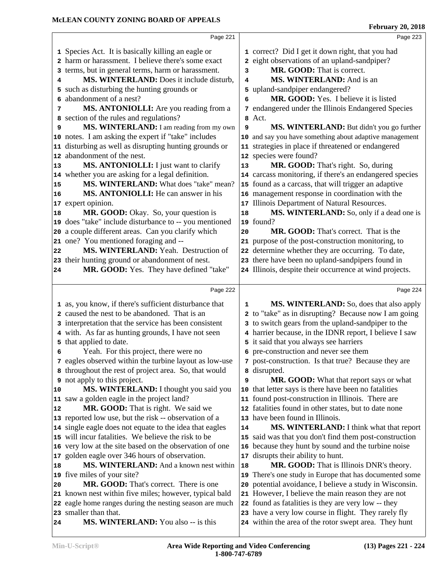|    | Page 221                                                                         |    | Page 223                                                                                                    |  |
|----|----------------------------------------------------------------------------------|----|-------------------------------------------------------------------------------------------------------------|--|
|    | 1 Species Act. It is basically killing an eagle or                               |    | 1 correct? Did I get it down right, that you had                                                            |  |
|    | 2 harm or harassment. I believe there's some exact                               |    | 2 eight observations of an upland-sandpiper?                                                                |  |
|    | 3 terms, but in general terms, harm or harassment.                               | 3  | MR. GOOD: That is correct.                                                                                  |  |
| 4  | MS. WINTERLAND: Does it include disturb,                                         | 4  | MS. WINTERLAND: And is an                                                                                   |  |
|    | 5 such as disturbing the hunting grounds or                                      |    | 5 upland-sandpiper endangered?                                                                              |  |
| 6  | abandonment of a nest?                                                           | 6  | MR. GOOD: Yes. I believe it is listed                                                                       |  |
| 7  | MS. ANTONIOLLI: Are you reading from a                                           |    | 7 endangered under the Illinois Endangered Species                                                          |  |
|    | 8 section of the rules and regulations?                                          | 8  | Act.                                                                                                        |  |
| 9  | MS. WINTERLAND: I am reading from my own                                         | 9  | MS. WINTERLAND: But didn't you go further                                                                   |  |
|    | 10 notes. I am asking the expert if "take" includes                              |    | 10 and say you have something about adaptive management                                                     |  |
|    | 11 disturbing as well as disrupting hunting grounds or                           |    | 11 strategies in place if threatened or endangered                                                          |  |
|    | 12 abandonment of the nest.                                                      |    | 12 species were found?                                                                                      |  |
| 13 | MS. ANTONIOLLI: I just want to clarify                                           | 13 | MR. GOOD: That's right. So, during                                                                          |  |
|    | 14 whether you are asking for a legal definition.                                |    | 14 carcass monitoring, if there's an endangered species                                                     |  |
| 15 | MS. WINTERLAND: What does "take" mean?                                           |    | 15 found as a carcass, that will trigger an adaptive                                                        |  |
| 16 | MS. ANTONIOLLI: He can answer in his                                             |    | 16 management response in coordination with the                                                             |  |
|    | 17 expert opinion.                                                               |    | 17 Illinois Department of Natural Resources.                                                                |  |
| 18 | MR. GOOD: Okay. So, your question is                                             | 18 | MS. WINTERLAND: So, only if a dead one is                                                                   |  |
|    | 19 does "take" include disturbance to -- you mentioned                           |    | 19 found?                                                                                                   |  |
|    | 20 a couple different areas. Can you clarify which                               | 20 | MR. GOOD: That's correct. That is the                                                                       |  |
|    | 21 one? You mentioned foraging and --                                            |    | 21 purpose of the post-construction monitoring, to                                                          |  |
| 22 | MS. WINTERLAND: Yeah. Destruction of                                             |    | 22 determine whether they are occurring. To date,                                                           |  |
|    | 23 their hunting ground or abandonment of nest.                                  |    | 23 there have been no upland-sandpipers found in                                                            |  |
| 24 | MR. GOOD: Yes. They have defined "take"                                          |    | 24 Illinois, despite their occurrence at wind projects.                                                     |  |
|    |                                                                                  |    |                                                                                                             |  |
|    |                                                                                  |    |                                                                                                             |  |
|    | Page 222                                                                         |    | Page 224                                                                                                    |  |
|    | 1 as, you know, if there's sufficient disturbance that                           | 1  | MS. WINTERLAND: So, does that also apply                                                                    |  |
|    | 2 caused the nest to be abandoned. That is an                                    |    | 2 to "take" as in disrupting? Because now I am going                                                        |  |
|    | 3 interpretation that the service has been consistent                            |    | 3 to switch gears from the upland-sandpiper to the                                                          |  |
|    | 4 with. As far as hunting grounds, I have not seen                               |    | 4 harrier because, in the IDNR report, I believe I saw                                                      |  |
|    | 5 that applied to date.                                                          |    | 5 it said that you always see harriers                                                                      |  |
| 6  | Yeah. For this project, there were no                                            |    | 6 pre-construction and never see them                                                                       |  |
|    | 7 eagles observed within the turbine layout as low-use                           |    | 7 post-construction. Is that true? Because they are                                                         |  |
|    | 8 throughout the rest of project area. So, that would                            |    | 8 disrupted.                                                                                                |  |
|    | <b>9</b> not apply to this project.                                              | 9  | MR. GOOD: What that report says or what                                                                     |  |
| 10 | MS. WINTERLAND: I thought you said you                                           | 10 | that letter says is there have been no fatalities                                                           |  |
|    | 11 saw a golden eagle in the project land?                                       |    | 11 found post-construction in Illinois. There are                                                           |  |
| 12 | MR. GOOD: That is right. We said we                                              |    | 12 fatalities found in other states, but to date none                                                       |  |
|    | 13 reported low use, but the risk -- observation of a                            |    | 13 have been found in Illinois.                                                                             |  |
|    | 14 single eagle does not equate to the idea that eagles                          | 14 | <b>MS. WINTERLAND:</b> I think what that report                                                             |  |
|    | 15 will incur fatalities. We believe the risk to be                              | 15 | said was that you don't find them post-construction                                                         |  |
|    | 16 very low at the site based on the observation of one                          |    | 16 because they hunt by sound and the turbine noise                                                         |  |
|    | 17 golden eagle over 346 hours of observation.                                   | 17 | disrupts their ability to hunt.                                                                             |  |
| 18 | MS. WINTERLAND: And a known nest within                                          | 18 | MR. GOOD: That is Illinois DNR's theory.                                                                    |  |
|    | 19 five miles of your site?                                                      |    | 19 There's one study in Europe that has documented some                                                     |  |
| 20 | MR. GOOD: That's correct. There is one                                           | 20 | potential avoidance, I believe a study in Wisconsin.                                                        |  |
|    | 21 known nest within five miles; however, typical bald                           |    | 21 However, I believe the main reason they are not                                                          |  |
|    | 22 eagle home ranges during the nesting season are much<br>23 smaller than that. |    | 22 found as fatalities is they are very low -- they<br>23 have a very low course in flight. They rarely fly |  |

within the area of the rotor swept area. They hunt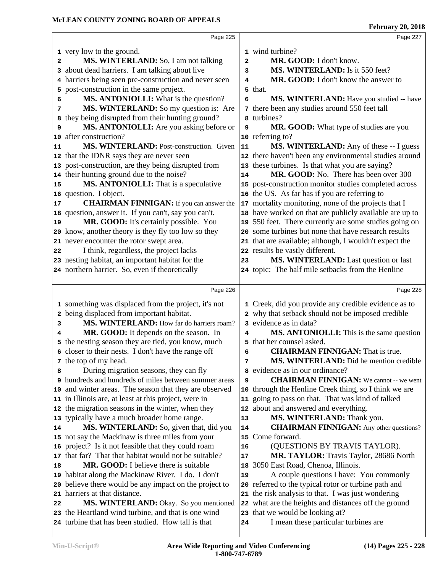|    | Page 225                                               |                         | Page 227                                                |  |
|----|--------------------------------------------------------|-------------------------|---------------------------------------------------------|--|
|    | 1 very low to the ground.                              |                         | 1 wind turbine?                                         |  |
| 2  | MS. WINTERLAND: So, I am not talking                   | $\overline{\mathbf{2}}$ | MR. GOOD: I don't know.                                 |  |
|    | 3 about dead harriers. I am talking about live         | 3                       | MS. WINTERLAND: Is it 550 feet?                         |  |
|    | 4 harriers being seen pre-construction and never seen  | 4                       | MR. GOOD: I don't know the answer to                    |  |
| 5  | post-construction in the same project.                 |                         | 5 that.                                                 |  |
| 6  | MS. ANTONIOLLI: What is the question?                  | 6                       | MS. WINTERLAND: Have you studied -- have                |  |
| 7  | MS. WINTERLAND: So my question is: Are                 |                         | 7 there been any studies around 550 feet tall           |  |
| 8  | they being disrupted from their hunting ground?        |                         | turbines?                                               |  |
| 9  | MS. ANTONIOLLI: Are you asking before or               | 9                       | MR. GOOD: What type of studies are you                  |  |
| 10 | after construction?                                    |                         | 10 referring to?                                        |  |
| 11 | MS. WINTERLAND: Post-construction. Given               | 11                      | <b>MS. WINTERLAND:</b> Any of these -- I guess          |  |
|    | 12 that the IDNR says they are never seen              |                         | 12 there haven't been any environmental studies around  |  |
|    | 13 post-construction, are they being disrupted from    |                         | 13 these turbines. Is that what you are saying?         |  |
|    | 14 their hunting ground due to the noise?              | 14                      | MR. GOOD: No. There has been over 300                   |  |
| 15 | MS. ANTONIOLLI: That is a speculative                  |                         | 15 post-construction monitor studies completed across   |  |
|    | 16 question. I object.                                 |                         | 16 the US. As far has if you are referring to           |  |
| 17 | <b>CHAIRMAN FINNIGAN:</b> If you can answer the        |                         | 17 mortality monitoring, none of the projects that I    |  |
|    | 18 question, answer it. If you can't, say you can't.   |                         | 18 have worked on that are publicly available are up to |  |
| 19 | MR. GOOD: It's certainly possible. You                 |                         | 19 550 feet. There currently are some studies going on  |  |
|    | 20 know, another theory is they fly too low so they    |                         | 20 some turbines but none that have research results    |  |
|    | 21 never encounter the rotor swept area.               |                         | 21 that are available; although, I wouldn't expect the  |  |
| 22 | I think, regardless, the project lacks                 |                         | 22 results be vastly different.                         |  |
|    | 23 nesting habitat, an important habitat for the       | 23                      | MS. WINTERLAND: Last question or last                   |  |
|    | 24 northern harrier. So, even if theoretically         |                         | 24 topic: The half mile setbacks from the Henline       |  |
|    |                                                        |                         |                                                         |  |
|    | Page 226                                               |                         | Page 228                                                |  |
|    | 1 something was displaced from the project, it's not   |                         | 1 Creek, did you provide any credible evidence as to    |  |
|    | 2 being displaced from important habitat.              |                         | 2 why that setback should not be imposed credible       |  |
| з  | MS. WINTERLAND: How far do harriers roam?              |                         | 3 evidence as in data?                                  |  |
| 4  | MR. GOOD: It depends on the season. In                 | 4                       | MS. ANTONIOLLI: This is the same question               |  |
|    | 5 the nesting season they are tied, you know, much     | 5.                      | that her counsel asked.                                 |  |
|    | 6 closer to their nests. I don't have the range off    | 6                       | <b>CHAIRMAN FINNIGAN:</b> That is true.                 |  |
|    | 7 the top of my head.                                  | 7                       | MS. WINTERLAND: Did he mention credible                 |  |
| 8  | During migration seasons, they can fly                 |                         | 8 evidence as in our ordinance?                         |  |
|    | 9 hundreds and hundreds of miles between summer areas  | 9                       | <b>CHAIRMAN FINNIGAN:</b> We cannot -- we went          |  |
|    | 10 and winter areas. The season that they are observed | 10                      | through the Henline Creek thing, so I think we are      |  |
|    | 11 in Illinois are, at least at this project, were in  |                         | 11 going to pass on that. That was kind of talked       |  |
|    | 12 the migration seasons in the winter, when they      |                         | 12 about and answered and everything.                   |  |
|    | 13 typically have a much broader home range.           | 13                      | MS. WINTERLAND: Thank you.                              |  |
| 14 | MS. WINTERLAND: So, given that, did you                | 14                      | <b>CHAIRMAN FINNIGAN:</b> Any other questions?          |  |
|    | 15 not say the Mackinaw is three miles from your       | 15                      | Come forward.                                           |  |
|    | 16 project? Is it not feasible that they could roam    | 16                      | (QUESTIONS BY TRAVIS TAYLOR).                           |  |
|    | 17 that far? That that habitat would not be suitable?  | 17                      | MR. TAYLOR: Travis Taylor, 28686 North                  |  |
| 18 | <b>MR. GOOD:</b> I believe there is suitable           | 18                      | 3050 East Road, Chenoa, Illinois.                       |  |
|    |                                                        |                         |                                                         |  |
|    | 19 habitat along the Mackinaw River. I do. I don't     | 19                      | A couple questions I have: You commonly                 |  |
|    | 20 believe there would be any impact on the project to |                         | 20 referred to the typical rotor or turbine path and    |  |
|    | 21 harriers at that distance.                          |                         | 21 the risk analysis to that. I was just wondering      |  |
| 22 | MS. WINTERLAND: Okay. So you mentioned                 |                         | 22 what are the heights and distances off the ground    |  |
|    | 23 the Heartland wind turbine, and that is one wind    | 23                      | that we would be looking at?                            |  |
|    | 24 turbine that has been studied. How tall is that     | 24                      | I mean these particular turbines are                    |  |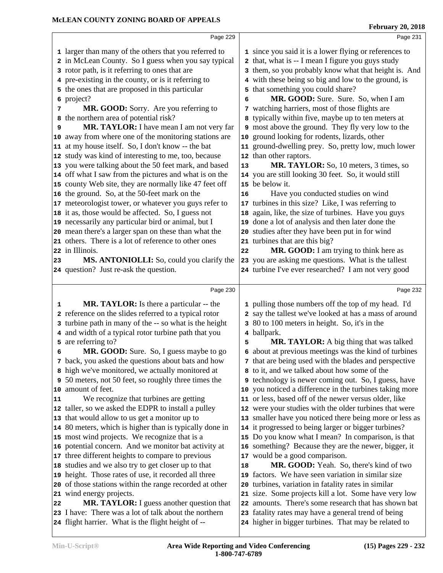|    | Page 229                                                                                                    |    | Page 231                                                                                                    |
|----|-------------------------------------------------------------------------------------------------------------|----|-------------------------------------------------------------------------------------------------------------|
|    |                                                                                                             |    |                                                                                                             |
|    | 1 larger than many of the others that you referred to                                                       |    | 1 since you said it is a lower flying or references to                                                      |
|    | 2 in McLean County. So I guess when you say typical                                                         |    | 2 that, what is -- I mean I figure you guys study                                                           |
|    | 3 rotor path, is it referring to ones that are                                                              |    | 3 them, so you probably know what that height is. And                                                       |
|    | 4 pre-existing in the county, or is it referring to                                                         |    | 4 with these being so big and low to the ground, is                                                         |
|    | 5 the ones that are proposed in this particular                                                             |    | 5 that something you could share?                                                                           |
|    | 6 project?                                                                                                  | 6  | MR. GOOD: Sure. Sure. So, when I am                                                                         |
| 7  | MR. GOOD: Sorry. Are you referring to                                                                       |    | 7 watching harriers, most of those flights are                                                              |
|    | 8 the northern area of potential risk?                                                                      | 8  | typically within five, maybe up to ten meters at                                                            |
| 9  | MR. TAYLOR: I have mean I am not very far                                                                   |    | 9 most above the ground. They fly very low to the                                                           |
|    | 10 away from where one of the monitoring stations are                                                       | 10 | ground looking for rodents, lizards, other                                                                  |
|    | 11 at my house itself. So, I don't know -- the bat                                                          |    | 11 ground-dwelling prey. So, pretty low, much lower                                                         |
|    | 12 study was kind of interesting to me, too, because                                                        |    | 12 than other raptors.                                                                                      |
|    | 13 you were talking about the 50 feet mark, and based                                                       | 13 | MR. TAYLOR: So, 10 meters, 3 times, so                                                                      |
|    | 14 off what I saw from the pictures and what is on the                                                      |    | 14 you are still looking 30 feet. So, it would still                                                        |
|    | 15 county Web site, they are normally like 47 feet off                                                      |    | 15 be below it.                                                                                             |
|    | 16 the ground. So, at the 50-feet mark on the                                                               | 16 | Have you conducted studies on wind                                                                          |
|    | 17 meteorologist tower, or whatever you guys refer to                                                       |    | 17 turbines in this size? Like, I was referring to                                                          |
|    | 18 it as, those would be affected. So, I guess not                                                          |    | 18 again, like, the size of turbines. Have you guys                                                         |
|    | 19 necessarily any particular bird or animal, but I                                                         |    | 19 done a lot of analysis and then later done the                                                           |
|    | 20 mean there's a larger span on these than what the                                                        |    | 20 studies after they have been put in for wind                                                             |
|    | 21 others. There is a lot of reference to other ones                                                        |    | 21 turbines that are this big?                                                                              |
|    | 22 in Illinois.                                                                                             | 22 | MR. GOOD: I am trying to think here as                                                                      |
| 23 | MS. ANTONIOLLI: So, could you clarify the                                                                   |    | 23 you are asking me questions. What is the tallest                                                         |
|    | 24 question? Just re-ask the question.                                                                      |    | 24 turbine I've ever researched? I am not very good                                                         |
|    |                                                                                                             |    |                                                                                                             |
|    | Page 230                                                                                                    |    | Page 232                                                                                                    |
| 1  | <b>MR. TAYLOR:</b> Is there a particular -- the                                                             |    | 1 pulling those numbers off the top of my head. I'd                                                         |
|    | 2 reference on the slides referred to a typical rotor                                                       |    | 2 say the tallest we've looked at has a mass of around                                                      |
|    | 3 turbine path in many of the -- so what is the height                                                      |    | 3 80 to 100 meters in height. So, it's in the                                                               |
|    | 4 and width of a typical rotor turbine path that you                                                        |    | 4 ballpark.                                                                                                 |
|    |                                                                                                             |    |                                                                                                             |
|    |                                                                                                             |    |                                                                                                             |
|    | 5 are referring to?                                                                                         | 5  | MR. TAYLOR: A big thing that was talked                                                                     |
| 6  | MR. GOOD: Sure. So, I guess maybe to go                                                                     |    | 6 about at previous meetings was the kind of turbines                                                       |
|    | 7 back, you asked the questions about bats and how                                                          |    | 7 that are being used with the blades and perspective                                                       |
|    | 8 high we've monitored, we actually monitored at                                                            |    | 8 to it, and we talked about how some of the                                                                |
|    | 9 50 meters, not 50 feet, so roughly three times the                                                        |    | <b>9</b> technology is newer coming out. So, I guess, have                                                  |
|    | 10 amount of feet.                                                                                          |    | 10 you noticed a difference in the turbines taking more                                                     |
| 11 | We recognize that turbines are getting                                                                      |    | 11 or less, based off of the newer versus older, like                                                       |
|    | 12 taller, so we asked the EDPR to install a pulley                                                         |    | 12 were your studies with the older turbines that were                                                      |
|    | 13 that would allow to us get a monitor up to                                                               |    | 13 smaller have you noticed there being more or less as                                                     |
|    | 14 80 meters, which is higher than is typically done in                                                     | 14 | it progressed to being larger or bigger turbines?                                                           |
|    | 15 most wind projects. We recognize that is a                                                               | 15 | Do you know what I mean? In comparison, is that                                                             |
|    | 16 potential concern. And we monitor bat activity at                                                        |    | 16 something? Because they are the newer, bigger, it                                                        |
|    | 17 three different heights to compare to previous                                                           |    | 17 would be a good comparison.                                                                              |
|    | 18 studies and we also try to get closer up to that                                                         | 18 | MR. GOOD: Yeah. So, there's kind of two                                                                     |
|    | 19 height. Those rates of use, it recorded all three                                                        |    | 19 factors. We have seen variation in similar size                                                          |
|    | 20 of those stations within the range recorded at other                                                     | 20 | turbines, variation in fatality rates in similar                                                            |
|    | 21 wind energy projects.                                                                                    |    | 21 size. Some projects kill a lot. Some have very low                                                       |
| 22 | MR. TAYLOR: I guess another question that                                                                   |    | 22 amounts. There's some research that has shown bat                                                        |
|    | 23 I have: There was a lot of talk about the northern<br>24 flight harrier. What is the flight height of -- |    | 23 fatality rates may have a general trend of being<br>24 higher in bigger turbines. That may be related to |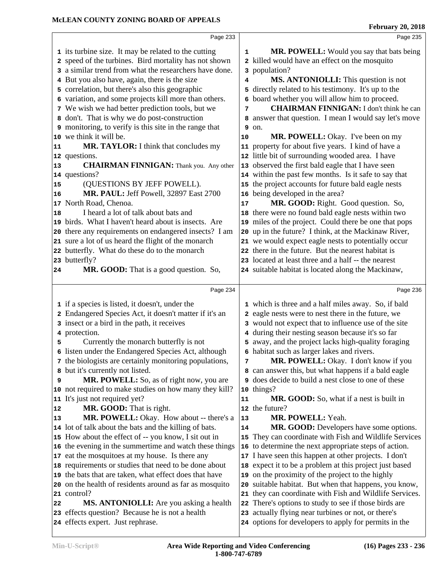|                 | Page 233                                                                                                       |    | Page 235                                              |  |
|-----------------|----------------------------------------------------------------------------------------------------------------|----|-------------------------------------------------------|--|
|                 | 1 its turbine size. It may be related to the cutting                                                           | 1  | MR. POWELL: Would you say that bats being             |  |
|                 | 2 speed of the turbines. Bird mortality has not shown                                                          |    | 2 killed would have an effect on the mosquito         |  |
|                 | 3 a similar trend from what the researchers have done.                                                         |    | 3 population?                                         |  |
|                 | 4 But you also have, again, there is the size                                                                  | 4  | <b>MS. ANTONIOLLI:</b> This question is not           |  |
|                 | 5 correlation, but there's also this geographic                                                                |    | 5 directly related to his testimony. It's up to the   |  |
|                 | 6 variation, and some projects kill more than others.                                                          |    | 6 board whether you will allow him to proceed.        |  |
|                 | 7 We wish we had better prediction tools, but we                                                               | 7  | <b>CHAIRMAN FINNIGAN:</b> I don't think he can        |  |
|                 | 8 don't. That is why we do post-construction                                                                   | 8  | answer that question. I mean I would say let's move   |  |
|                 | 9 monitoring, to verify is this site in the range that                                                         | 9  | on.                                                   |  |
|                 | 10 we think it will be.                                                                                        | 10 | MR. POWELL: Okay. I've been on my                     |  |
| 11              | MR. TAYLOR: I think that concludes my                                                                          | 11 | property for about five years. I kind of have a       |  |
|                 | 12 questions.                                                                                                  | 12 | little bit of surrounding wooded area. I have         |  |
| 13              | <b>CHAIRMAN FINNIGAN:</b> Thank you. Any other                                                                 |    | 13 observed the first bald eagle that I have seen     |  |
|                 | 14 questions?                                                                                                  |    | 14 within the past few months. Is it safe to say that |  |
| 15              | (QUESTIONS BY JEFF POWELL).                                                                                    | 15 | the project accounts for future bald eagle nests      |  |
| 16              | MR. PAUL: Jeff Powell, 32897 East 2700                                                                         | 16 | being developed in the area?                          |  |
| 17 <sub>2</sub> | North Road, Chenoa.                                                                                            | 17 | MR. GOOD: Right. Good question. So,                   |  |
| 18              | I heard a lot of talk about bats and                                                                           |    | 18 there were no found bald eagle nests within two    |  |
|                 | 19 birds. What I haven't heard about is insects. Are                                                           |    | 19 miles of the project. Could there be one that pops |  |
|                 | 20 there any requirements on endangered insects? I am                                                          | 20 | up in the future? I think, at the Mackinaw River,     |  |
|                 | 21 sure a lot of us heard the flight of the monarch                                                            |    | 21 we would expect eagle nests to potentially occur   |  |
|                 | 22 butterfly. What do these do to the monarch                                                                  |    | 22 there in the future. But the nearest habitat is    |  |
|                 | 23 butterfly?                                                                                                  |    | 23 located at least three and a half -- the nearest   |  |
| 24              | MR. GOOD: That is a good question. So,                                                                         |    | 24 suitable habitat is located along the Mackinaw,    |  |
|                 | Page 234                                                                                                       |    | Page 236                                              |  |
|                 |                                                                                                                |    |                                                       |  |
|                 |                                                                                                                |    |                                                       |  |
|                 | 1 if a species is listed, it doesn't, under the                                                                |    | 1 which is three and a half miles away. So, if bald   |  |
|                 | 2 Endangered Species Act, it doesn't matter if it's an                                                         |    | 2 eagle nests were to nest there in the future, we    |  |
|                 | 3 insect or a bird in the path, it receives                                                                    |    | 3 would not expect that to influence use of the site  |  |
|                 | 4 protection.                                                                                                  |    | 4 during their nesting season because it's so far     |  |
| 5               | Currently the monarch butterfly is not                                                                         |    | 5 away, and the project lacks high-quality foraging   |  |
|                 | 6 listen under the Endangered Species Act, although                                                            |    | 6 habitat such as larger lakes and rivers.            |  |
|                 | 7 the biologists are certainly monitoring populations,                                                         | 7  | MR. POWELL: Okay. I don't know if you                 |  |
| 8               | but it's currently not listed.                                                                                 | 8  | can answer this, but what happens if a bald eagle     |  |
| 9               | MR. POWELL: So, as of right now, you are                                                                       | 9  | does decide to build a nest close to one of these     |  |
|                 | 10 not required to make studies on how many they kill?                                                         | 10 | things?                                               |  |
| 11              | It's just not required yet?                                                                                    | 11 | MR. GOOD: So, what if a nest is built in              |  |
| 12<br>13        | MR. GOOD: That is right.                                                                                       | 13 | 12 the future?<br>MR. POWELL: Yeah.                   |  |
|                 | MR. POWELL: Okay. How about -- there's a                                                                       | 14 | MR. GOOD: Developers have some options.               |  |
|                 | 14 lot of talk about the bats and the killing of bats.<br>15 How about the effect of -- you know, I sit out in | 15 | They can coordinate with Fish and Wildlife Services   |  |
|                 |                                                                                                                | 16 | to determine the next appropriate steps of action.    |  |
|                 | 16 the evening in the summertime and watch these things<br>17 eat the mosquitoes at my house. Is there any     |    | 17 I have seen this happen at other projects. I don't |  |
|                 | 18 requirements or studies that need to be done about                                                          | 18 | expect it to be a problem at this project just based  |  |
|                 | 19 the bats that are taken, what effect does that have                                                         | 19 | on the proximity of the project to the highly         |  |
|                 | 20 on the health of residents around as far as mosquito                                                        | 20 | suitable habitat. But when that happens, you know,    |  |
| 21              | control?                                                                                                       | 21 | they can coordinate with Fish and Wildlife Services.  |  |
| 22              | <b>MS. ANTONIOLLI:</b> Are you asking a health                                                                 | 22 | There's options to study to see if those birds are    |  |
|                 | 23 effects question? Because he is not a health                                                                |    | 23 actually flying near turbines or not, or there's   |  |
|                 | 24 effects expert. Just rephrase.                                                                              |    | 24 options for developers to apply for permits in the |  |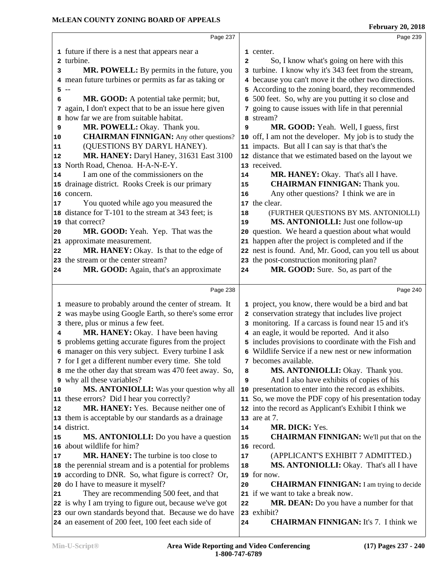|    | Page 237                                                                                                  |              | Page 239                                                                                                     |  |
|----|-----------------------------------------------------------------------------------------------------------|--------------|--------------------------------------------------------------------------------------------------------------|--|
|    | 1 future if there is a nest that appears near a                                                           |              | 1 center.                                                                                                    |  |
|    | 2 turbine.                                                                                                | $\mathbf{2}$ | So, I know what's going on here with this                                                                    |  |
| 3  | MR. POWELL: By permits in the future, you                                                                 |              | 3 turbine. I know why it's 343 feet from the stream,                                                         |  |
|    | 4 mean future turbines or permits as far as taking or                                                     |              | 4 because you can't move it the other two directions.                                                        |  |
|    | $5 -$                                                                                                     |              | 5 According to the zoning board, they recommended                                                            |  |
| 6  | MR. GOOD: A potential take permit; but,                                                                   |              | 6 500 feet. So, why are you putting it so close and                                                          |  |
|    | again, I don't expect that to be an issue here given                                                      |              | 7 going to cause issues with life in that perennial                                                          |  |
| 7  | how far we are from suitable habitat.                                                                     |              | 8 stream?                                                                                                    |  |
| 8  |                                                                                                           |              |                                                                                                              |  |
| 9  | MR. POWELL: Okay. Thank you.                                                                              | 9            | MR. GOOD: Yeah. Well, I guess, first                                                                         |  |
| 10 | <b>CHAIRMAN FINNIGAN:</b> Any other questions?                                                            |              | 10 off, I am not the developer. My job is to study the                                                       |  |
| 11 | (QUESTIONS BY DARYL HANEY).                                                                               |              | 11 impacts. But all I can say is that that's the                                                             |  |
| 12 | MR. HANEY: Daryl Haney, 31631 East 3100                                                                   |              | 12 distance that we estimated based on the layout we                                                         |  |
|    | 13 North Road, Chenoa. H-A-N-E-Y.                                                                         |              | 13 received.                                                                                                 |  |
| 14 | I am one of the commissioners on the                                                                      | 14           | MR. HANEY: Okay. That's all I have.                                                                          |  |
|    | 15 drainage district. Rooks Creek is our primary                                                          | 15           | <b>CHAIRMAN FINNIGAN: Thank you.</b>                                                                         |  |
|    | 16 concern.                                                                                               | 16           | Any other questions? I think we are in                                                                       |  |
| 17 | You quoted while ago you measured the                                                                     |              | 17 the clear.                                                                                                |  |
|    | 18 distance for T-101 to the stream at 343 feet; is                                                       | 18           | (FURTHER QUESTIONS BY MS. ANTONIOLLI)                                                                        |  |
|    | 19 that correct?                                                                                          | 19           | MS. ANTONIOLLI: Just one follow-up                                                                           |  |
| 20 | MR. GOOD: Yeah. Yep. That was the                                                                         | 20           | question. We heard a question about what would                                                               |  |
|    | 21 approximate measurement.                                                                               |              | 21 happen after the project is completed and if the                                                          |  |
| 22 | MR. HANEY: Okay. Is that to the edge of                                                                   |              | 22 nest is found. And, Mr. Good, can you tell us about                                                       |  |
|    | 23 the stream or the center stream?                                                                       |              | 23 the post-construction monitoring plan?                                                                    |  |
| 24 | MR. GOOD: Again, that's an approximate                                                                    | 24           | MR. GOOD: Sure. So, as part of the                                                                           |  |
|    |                                                                                                           |              |                                                                                                              |  |
|    |                                                                                                           |              |                                                                                                              |  |
|    | Page 238                                                                                                  |              | Page 240                                                                                                     |  |
|    |                                                                                                           |              |                                                                                                              |  |
|    | 1 measure to probably around the center of stream. It                                                     |              | 1 project, you know, there would be a bird and bat<br>2 conservation strategy that includes live project     |  |
|    | 2 was maybe using Google Earth, so there's some error<br>3 there, plus or minus a few feet.               |              | 3 monitoring. If a carcass is found near 15 and it's                                                         |  |
| 4  |                                                                                                           |              | 4 an eagle, it would be reported. And it also                                                                |  |
|    | MR. HANEY: Okay. I have been having                                                                       |              |                                                                                                              |  |
|    | 5 problems getting accurate figures from the project                                                      |              | 5 includes provisions to coordinate with the Fish and<br>6 Wildlife Service if a new nest or new information |  |
|    | 6 manager on this very subject. Every turbine I ask                                                       |              |                                                                                                              |  |
|    | 7 for I get a different number every time. She told                                                       | 8            | 7 becomes available.                                                                                         |  |
|    | 8 me the other day that stream was 470 feet away. So,                                                     | 9            | MS. ANTONIOLLI: Okay. Thank you.                                                                             |  |
| 10 | 9 why all these variables?                                                                                |              | And I also have exhibits of copies of his                                                                    |  |
|    | MS. ANTONIOLLI: Was your question why all<br>11 these errors? Did I hear you correctly?                   |              | 10 presentation to enter into the record as exhibits.                                                        |  |
| 12 | MR. HANEY: Yes. Because neither one of                                                                    |              | 11 So, we move the PDF copy of his presentation today                                                        |  |
|    |                                                                                                           |              | 12 into the record as Applicant's Exhibit I think we                                                         |  |
|    | 13 them is acceptable by our standards as a drainage<br>14 district.                                      | 14           | 13 are at 7.<br>MR. DICK: Yes.                                                                               |  |
| 15 |                                                                                                           | 15           |                                                                                                              |  |
| 16 | <b>MS. ANTONIOLLI:</b> Do you have a question<br>about wildlife for him?                                  |              | <b>CHAIRMAN FINNIGAN:</b> We'll put that on the<br>16 record.                                                |  |
| 17 |                                                                                                           |              |                                                                                                              |  |
|    | <b>MR. HANEY:</b> The turbine is too close to                                                             | 17<br>18     | (APPLICANT'S EXHIBIT 7 ADMITTED.)                                                                            |  |
|    | 18 the perennial stream and is a potential for problems                                                   |              | MS. ANTONIOLLI: Okay. That's all I have                                                                      |  |
|    | 19 according to DNR. So, what figure is correct? Or,                                                      | 20           | 19 for now.                                                                                                  |  |
|    | 20 do I have to measure it myself?                                                                        |              | <b>CHAIRMAN FINNIGAN:</b> I am trying to decide                                                              |  |
| 21 | They are recommending 500 feet, and that                                                                  |              | 21 if we want to take a break now.                                                                           |  |
|    | 22 is why I am trying to figure out, because we've got                                                    | 22           | <b>MR. DEAN:</b> Do you have a number for that                                                               |  |
|    | 23 our own standards beyond that. Because we do have<br>24 an easement of 200 feet, 100 feet each side of | 24           | 23 exhibit?<br><b>CHAIRMAN FINNIGAN:</b> It's 7. I think we                                                  |  |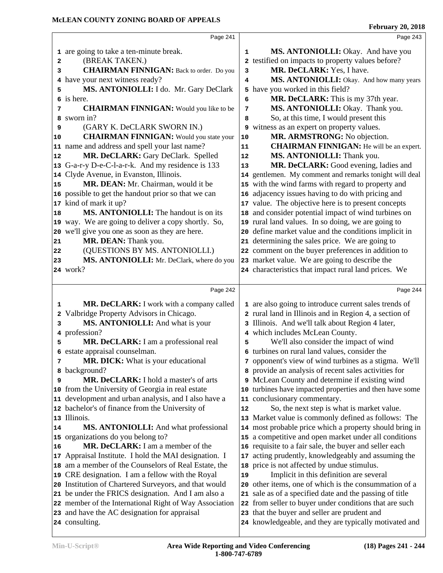|    | Page 241                                                                |            | Page 243                                                                                                        |  |
|----|-------------------------------------------------------------------------|------------|-----------------------------------------------------------------------------------------------------------------|--|
|    | 1 are going to take a ten-minute break.                                 | 1          | MS. ANTONIOLLI: Okay. And have you                                                                              |  |
| 2  | (BREAK TAKEN.)                                                          | 2          | testified on impacts to property values before?                                                                 |  |
| 3  | <b>CHAIRMAN FINNIGAN:</b> Back to order. Do you                         | 3          | MR. DeCLARK: Yes, I have.                                                                                       |  |
| 4  | have your next witness ready?                                           | 4          | MS. ANTONIOLLI: Okay. And how many years                                                                        |  |
| 5  | MS. ANTONIOLLI: I do. Mr. Gary DeClark                                  |            | 5 have you worked in this field?                                                                                |  |
| 6  | is here.                                                                | 6          | MR. DeCLARK: This is my 37th year.                                                                              |  |
| 7  | <b>CHAIRMAN FINNIGAN:</b> Would you like to be                          | 7          | MS. ANTONIOLLI: Okay. Thank you.                                                                                |  |
| 8  | sworn in?                                                               | 8          | So, at this time, I would present this                                                                          |  |
| 9  | (GARY K. DeCLARK SWORN IN.)                                             | 9          | witness as an expert on property values.                                                                        |  |
| 10 | <b>CHAIRMAN FINNIGAN:</b> Would you state your                          | ${\bf 10}$ | MR. ARMSTRONG: No objection.                                                                                    |  |
|    | 11 name and address and spell your last name?                           | 11         | <b>CHAIRMAN FINNIGAN:</b> He will be an expert.                                                                 |  |
| 12 | MR. DeCLARK: Gary DeClark. Spelled                                      | ${\bf 12}$ | MS. ANTONIOLLI: Thank you.                                                                                      |  |
|    | 13 G-a-r-y D-e-C-l-a-r-k. And my residence is 133                       | 13         | MR. DeCLARK: Good evening, ladies and                                                                           |  |
|    | 14 Clyde Avenue, in Evanston, Illinois.                                 |            | 14 gentlemen. My comment and remarks tonight will deal                                                          |  |
| 15 | MR. DEAN: Mr. Chairman, would it be                                     |            | 15 with the wind farms with regard to property and                                                              |  |
|    | 16 possible to get the handout prior so that we can                     |            | 16 adjacency issues having to do with pricing and                                                               |  |
|    | 17 kind of mark it up?                                                  |            | 17 value. The objective here is to present concepts                                                             |  |
| 18 | MS. ANTONIOLLI: The handout is on its                                   |            | 18 and consider potential impact of wind turbines on                                                            |  |
|    | 19 way. We are going to deliver a copy shortly. So,                     |            | 19 rural land values. In so doing, we are going to                                                              |  |
|    | 20 we'll give you one as soon as they are here.                         |            | 20 define market value and the conditions implicit in                                                           |  |
| 21 | MR. DEAN: Thank you.                                                    |            | 21 determining the sales price. We are going to                                                                 |  |
| 22 | (QUESTIONS BY MS. ANTONIOLLI.)                                          |            | 22 comment on the buyer preferences in addition to                                                              |  |
| 23 | MS. ANTONIOLLI: Mr. DeClark, where do you                               |            | 23 market value. We are going to describe the                                                                   |  |
|    | <b>24</b> work?                                                         |            | 24 characteristics that impact rural land prices. We                                                            |  |
|    |                                                                         |            |                                                                                                                 |  |
|    |                                                                         |            |                                                                                                                 |  |
|    | Page 242                                                                |            | Page 244                                                                                                        |  |
| 1  | MR. DeCLARK: I work with a company called                               |            | 1 are also going to introduce current sales trends of                                                           |  |
| 2  | Valbridge Property Advisors in Chicago.                                 |            | 2 rural land in Illinois and in Region 4, a section of                                                          |  |
| 3  | MS. ANTONIOLLI: And what is your                                        |            | 3 Illinois. And we'll talk about Region 4 later,                                                                |  |
|    | 4 profession?                                                           |            | 4 which includes McLean County.                                                                                 |  |
| 5  | MR. DeCLARK: I am a professional real                                   | 5          | We'll also consider the impact of wind                                                                          |  |
|    | 6 estate appraisal counselman.                                          |            | 6 turbines on rural land values, consider the                                                                   |  |
| 7  | <b>MR. DICK:</b> What is your educational                               |            | 7 opponent's view of wind turbines as a stigma. We'll                                                           |  |
| 8  | background?                                                             |            | 8 provide an analysis of recent sales activities for                                                            |  |
| 9  | MR. DeCLARK: I hold a master's of arts                                  |            | 9 McLean County and determine if existing wind                                                                  |  |
|    | 10 from the University of Georgia in real estate                        |            | 10 turbines have impacted properties and then have some                                                         |  |
|    | 11 development and urban analysis, and I also have a                    |            | 11 conclusionary commentary.                                                                                    |  |
|    | 12 bachelor's of finance from the University of<br>13 Illinois.         | 12         | So, the next step is what is market value.                                                                      |  |
| 14 |                                                                         |            | 13 Market value is commonly defined as follows: The                                                             |  |
|    | MS. ANTONIOLLI: And what professional                                   |            | 14 most probable price which a property should bring in                                                         |  |
| 16 | 15 organizations do you belong to?<br>MR. DeCLARK: I am a member of the |            | 15 a competitive and open market under all conditions<br>16 requisite to a fair sale, the buyer and seller each |  |
|    | 17 Appraisal Institute. I hold the MAI designation. I                   |            |                                                                                                                 |  |
|    | 18 am a member of the Counselors of Real Estate, the                    | 18         | 17 acting prudently, knowledgeably and assuming the                                                             |  |
|    | 19 CRE designation. I am a fellow with the Royal                        | 19         | price is not affected by undue stimulus.<br>Implicit in this definition are several                             |  |
|    | 20 Institution of Chartered Surveyors, and that would                   | 20         | other items, one of which is the consummation of a                                                              |  |
|    | 21 be under the FRICS designation. And I am also a                      |            | 21 sale as of a specified date and the passing of title                                                         |  |
|    | 22 member of the International Right of Way Association                 |            | 22 from seller to buyer under conditions that are such                                                          |  |
|    | 23 and have the AC designation for appraisal                            |            | 23 that the buyer and seller are prudent and                                                                    |  |
|    | 24 consulting.                                                          |            | 24 knowledgeable, and they are typically motivated and                                                          |  |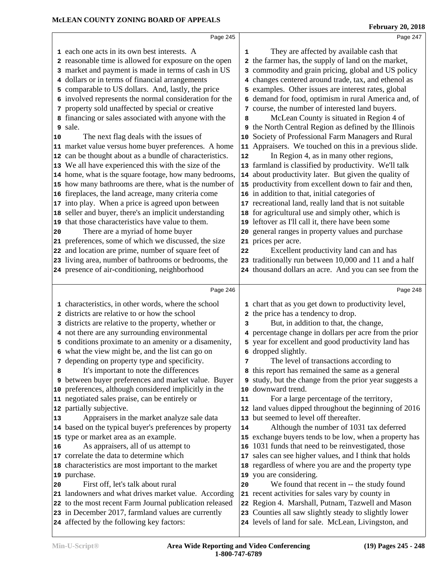|    | Page 245                                                                                                      |    | Page 247                                                                                                  |
|----|---------------------------------------------------------------------------------------------------------------|----|-----------------------------------------------------------------------------------------------------------|
|    | 1 each one acts in its own best interests. A                                                                  | 1  | They are affected by available cash that                                                                  |
|    | 2 reasonable time is allowed for exposure on the open                                                         |    | 2 the farmer has, the supply of land on the market,                                                       |
|    | 3 market and payment is made in terms of cash in US                                                           |    | 3 commodity and grain pricing, global and US policy                                                       |
|    | 4 dollars or in terms of financial arrangements                                                               |    | 4 changes centered around trade, tax, and ethenol as                                                      |
|    | 5 comparable to US dollars. And, lastly, the price                                                            |    | 5 examples. Other issues are interest rates, global                                                       |
|    | 6 involved represents the normal consideration for the                                                        |    | 6 demand for food, optimism in rural America and, of                                                      |
|    | 7 property sold unaffected by special or creative                                                             |    | 7 course, the number of interested land buyers.                                                           |
|    | 8 financing or sales associated with anyone with the                                                          | 8  | McLean County is situated in Region 4 of                                                                  |
|    | 9 sale.                                                                                                       |    | 9 the North Central Region as defined by the Illinois                                                     |
| 10 | The next flag deals with the issues of                                                                        |    | 10 Society of Professional Farm Managers and Rural                                                        |
|    | 11 market value versus home buyer preferences. A home                                                         |    | 11 Appraisers. We touched on this in a previous slide.                                                    |
|    | 12 can be thought about as a bundle of characteristics.                                                       | 12 | In Region 4, as in many other regions,                                                                    |
|    | 13 We all have experienced this with the size of the                                                          |    | 13 farmland is classified by productivity. We'll talk                                                     |
|    | 14 home, what is the square footage, how many bedrooms,                                                       |    | 14 about productivity later. But given the quality of                                                     |
|    | 15 how many bathrooms are there, what is the number of                                                        |    | 15 productivity from excellent down to fair and then,                                                     |
|    | 16 fireplaces, the land acreage, many criteria come                                                           |    | 16 in addition to that, initial categories of                                                             |
|    | 17 into play. When a price is agreed upon between                                                             |    | 17 recreational land, really land that is not suitable                                                    |
|    | 18 seller and buyer, there's an implicit understanding                                                        |    | 18 for agricultural use and simply other, which is                                                        |
|    | 19 that those characteristics have value to them.                                                             |    | 19 leftover as I'll call it, there have been some                                                         |
| 20 | There are a myriad of home buyer                                                                              |    | 20 general ranges in property values and purchase                                                         |
|    | 21 preferences, some of which we discussed, the size                                                          |    | 21 prices per acre.                                                                                       |
|    | 22 and location are prime, number of square feet of                                                           | 22 | Excellent productivity land can and has                                                                   |
|    | 23 living area, number of bathrooms or bedrooms, the                                                          |    | 23 traditionally run between 10,000 and 11 and a half                                                     |
|    | 24 presence of air-conditioning, neighborhood                                                                 |    | 24 thousand dollars an acre. And you can see from the                                                     |
|    | Page 246                                                                                                      |    | Page 248                                                                                                  |
|    |                                                                                                               |    |                                                                                                           |
|    | 1 characteristics, in other words, where the school                                                           |    | 1 chart that as you get down to productivity level,                                                       |
|    | 2 districts are relative to or how the school                                                                 |    | 2 the price has a tendency to drop.                                                                       |
|    | 3 districts are relative to the property, whether or                                                          | 3  | But, in addition to that, the change,                                                                     |
|    | 4 not there are any surrounding environmental                                                                 |    | 4 percentage change in dollars per acre from the prior                                                    |
|    | 5 conditions proximate to an amenity or a disamenity,                                                         |    | 5 year for excellent and good productivity land has                                                       |
|    | 6 what the view might be, and the list can go on                                                              |    | 6 dropped slightly.                                                                                       |
|    | 7 depending on property type and specificity.                                                                 | 7  | The level of transactions according to                                                                    |
| 8  | It's important to note the differences                                                                        |    | 8 this report has remained the same as a general                                                          |
|    | 9 between buyer preferences and market value. Buyer                                                           |    | 9 study, but the change from the prior year suggests a                                                    |
|    | 10 preferences, although considered implicitly in the                                                         |    | 10 downward trend.                                                                                        |
|    | 11 negotiated sales praise, can be entirely or                                                                | 11 | For a large percentage of the territory,                                                                  |
|    | 12 partially subjective.                                                                                      |    | 12 land values dipped throughout the beginning of 2016                                                    |
| 13 | Appraisers in the market analyze sale data                                                                    |    | 13 but seemed to level off thereafter.                                                                    |
|    | 14 based on the typical buyer's preferences by property                                                       | 14 | Although the number of 1031 tax deferred                                                                  |
|    | 15 type or market area as an example.                                                                         |    | 15 exchange buyers tends to be low, when a property has                                                   |
| 16 | As appraisers, all of us attempt to                                                                           |    | 16 1031 funds that need to be reinvestigated, those                                                       |
|    | 17 correlate the data to determine which                                                                      |    | 17 sales can see higher values, and I think that holds                                                    |
|    | 18 characteristics are most important to the market                                                           |    | 18 regardless of where you are and the property type                                                      |
|    |                                                                                                               |    | 19 you are considering.                                                                                   |
|    | 19 purchase.                                                                                                  |    |                                                                                                           |
| 20 | First off, let's talk about rural                                                                             | 20 | We found that recent in -- the study found                                                                |
|    | 21 landowners and what drives market value. According                                                         |    | 21 recent activities for sales vary by county in                                                          |
|    | 22 to the most recent Farm Journal publication released<br>23 in December 2017, farmland values are currently |    | 22 Region 4. Marshall, Putnam, Tazwell and Mason<br>23 Counties all saw slightly steady to slightly lower |

affected by the following key factors:

levels of land for sale. McLean, Livingston, and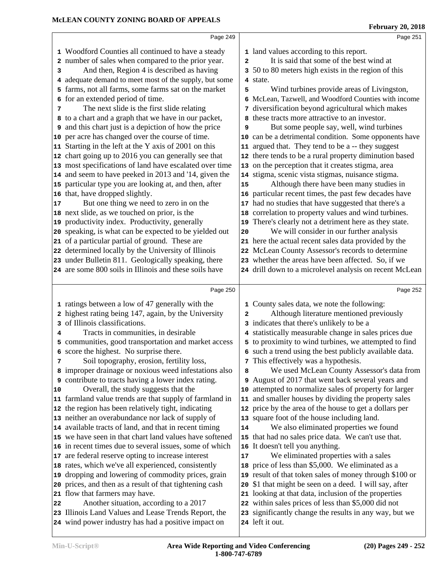|    | Page 249                                                     |              | Page 251                                                |  |
|----|--------------------------------------------------------------|--------------|---------------------------------------------------------|--|
|    | 1 Woodford Counties all continued to have a steady           |              | 1 land values according to this report.                 |  |
|    | 2 number of sales when compared to the prior year.           | $\mathbf{z}$ | It is said that some of the best wind at                |  |
| 3  | And then, Region 4 is described as having                    |              | 3 50 to 80 meters high exists in the region of this     |  |
|    | 4 adequate demand to meet most of the supply, but some       |              | 4 state.                                                |  |
|    | farms, not all farms, some farms sat on the market           | 5            | Wind turbines provide areas of Livingston,              |  |
| 6  | for an extended period of time.                              |              | 6 McLean, Tazwell, and Woodford Counties with income    |  |
| 7  | The next slide is the first slide relating                   | 7            | diversification beyond agricultural which makes         |  |
|    | 8 to a chart and a graph that we have in our packet,         |              | 8 these tracts more attractive to an investor.          |  |
|    | <b>9</b> and this chart just is a depiction of how the price | 9            | But some people say, well, wind turbines                |  |
|    | 10 per acre has changed over the course of time.             |              | 10 can be a detrimental condition. Some opponents have  |  |
|    | 11 Starting in the left at the Y axis of 2001 on this        |              | 11 argued that. They tend to be a -- they suggest       |  |
|    | 12 chart going up to 2016 you can generally see that         |              | 12 there tends to be a rural property diminution based  |  |
|    | 13 most specifications of land have escalated over time      |              | 13 on the perception that it creates stigma, area       |  |
|    | 14 and seem to have peeked in 2013 and '14, given the        |              | 14 stigma, scenic vista stigmas, nuisance stigma.       |  |
|    | 15 particular type you are looking at, and then, after       | 15           | Although there have been many studies in                |  |
|    | 16 that, have dropped slightly.                              |              | 16 particular recent times, the past few decades have   |  |
| 17 | But one thing we need to zero in on the                      |              | 17 had no studies that have suggested that there's a    |  |
|    | 18 next slide, as we touched on prior, is the                |              | 18 correlation to property values and wind turbines.    |  |
|    | 19 productivity index. Productivity, generally               |              | 19 There's clearly not a detriment here as they state.  |  |
|    | 20 speaking, is what can be expected to be yielded out       | 20           | We will consider in our further analysis                |  |
|    | 21 of a particular partial of ground. These are              |              | 21 here the actual recent sales data provided by the    |  |
|    | 22 determined locally by the University of Illinois          |              | 22 McLean County Assessor's records to determine        |  |
|    | 23 under Bulletin 811. Geologically speaking, there          |              | 23 whether the areas have been affected. So, if we      |  |
|    | 24 are some 800 soils in Illinois and these soils have       |              | 24 drill down to a microlevel analysis on recent McLean |  |
|    |                                                              |              |                                                         |  |
|    | Page 250                                                     |              | Page 252                                                |  |
|    | 1 ratings between a low of 47 generally with the             |              | 1 County sales data, we note the following:             |  |
|    | 2 highest rating being 147, again, by the University         | 2            | Although literature mentioned previously                |  |
| 3  | of Illinois classifications.                                 |              | 3 indicates that there's unlikely to be a               |  |
| 4  | Tracts in communities, in desirable                          |              | 4 statistically measurable change in sales prices due   |  |
|    | 5 communities, good transportation and market access         |              | 5 to proximity to wind turbines, we attempted to find   |  |
|    | 6 score the highest. No surprise there.                      |              | 6 such a trend using the best publicly available data.  |  |
| 7  | Soil topography, erosion, fertility loss,                    |              | 7 This effectively was a hypothesis.                    |  |
|    | 8 improper drainage or noxious weed infestations also        | 8            | We used McLean County Assessor's data from              |  |
|    | <b>9</b> contribute to tracts having a lower index rating.   |              | 9 August of 2017 that went back several years and       |  |
| 10 | Overall, the study suggests that the                         |              | 10 attempted to normalize sales of property for larger  |  |
|    | 11 farmland value trends are that supply of farmland in      | 11           | and smaller houses by dividing the property sales       |  |
|    | 12 the region has been relatively tight, indicating          |              | 12 price by the area of the house to get a dollars per  |  |
|    | 13 neither an overabundance nor lack of supply of            |              | 13 square foot of the house including land.             |  |
|    | 14 available tracts of land, and that in recent timing       | 14           | We also eliminated properties we found                  |  |
|    | 15 we have seen in that chart land values have softened      |              | 15 that had no sales price data. We can't use that.     |  |
|    | 16 in recent times due to several issues, some of which      |              | 16 It doesn't tell you anything.                        |  |
|    | 17 are federal reserve opting to increase interest           | 17           | We eliminated properties with a sales                   |  |
|    | 18 rates, which we've all experienced, consistently          |              | 18 price of less than \$5,000. We eliminated as a       |  |
|    | 19 dropping and lowering of commodity prices, grain          |              | 19 result of that token sales of money through \$100 or |  |
|    | 20 prices, and then as a result of that tightening cash      |              | 20 \$1 that might be seen on a deed. I will say, after  |  |
|    | 21 flow that farmers may have.                               |              | 21 looking at that data, inclusion of the properties    |  |
| 22 | Another situation, according to a 2017                       |              | 22 within sales prices of less than \$5,000 did not     |  |
|    | 23 Illinois Land Values and Lease Trends Report, the         |              | 23 significantly change the results in any way, but we  |  |
|    | 24 wind power industry has had a positive impact on          |              | 24 left it out.                                         |  |
|    |                                                              |              |                                                         |  |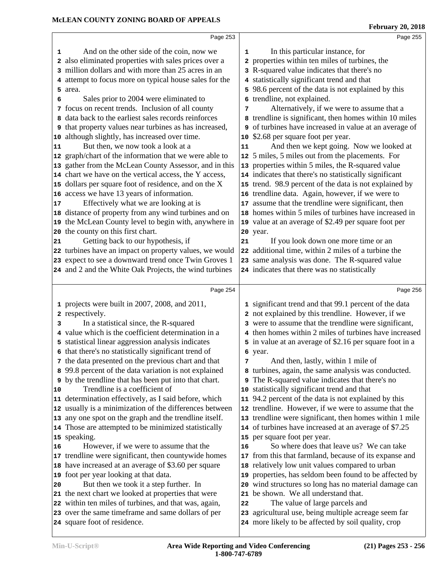|    | And on the other side of the coin, now we<br>1                                                              | 1  | In this particular instance, for                                                                                |
|----|-------------------------------------------------------------------------------------------------------------|----|-----------------------------------------------------------------------------------------------------------------|
|    | 2 also eliminated properties with sales prices over a                                                       |    | 2 properties within ten miles of turbines, the                                                                  |
|    | 3 million dollars and with more than 25 acres in an                                                         |    | 3 R-squared value indicates that there's no                                                                     |
|    | 4 attempt to focus more on typical house sales for the                                                      |    | 4 statistically significant trend and that                                                                      |
|    | 5 area.                                                                                                     |    | 5 98.6 percent of the data is not explained by this                                                             |
| 6  | Sales prior to 2004 were eliminated to                                                                      |    | 6 trendline, not explained.                                                                                     |
|    | 7 focus on recent trends. Inclusion of all county                                                           | 7  | Alternatively, if we were to assume that a                                                                      |
|    | data back to the earliest sales records reinforces<br>8                                                     |    | 8 trendline is significant, then homes within 10 miles                                                          |
|    | <b>9</b> that property values near turbines as has increased,                                               |    | <b>9</b> of turbines have increased in value at an average of                                                   |
| 10 | although slightly, has increased over time.                                                                 |    | 10 \$2.68 per square foot per year.                                                                             |
| 11 | But then, we now took a look at a                                                                           | 11 | And then we kept going. Now we looked at                                                                        |
| 12 | graph/chart of the information that we were able to                                                         |    | 12 5 miles, 5 miles out from the placements. For                                                                |
| 13 | gather from the McLean County Assessor, and in this                                                         |    | 13 properties within 5 miles, the R-squared value                                                               |
| 14 | chart we have on the vertical access, the Y access,                                                         |    | 14 indicates that there's no statistically significant                                                          |
| 15 | dollars per square foot of residence, and on the X                                                          |    | 15 trend. 98.9 percent of the data is not explained by                                                          |
| 16 | access we have 13 years of information.                                                                     |    | 16 trendline data. Again, however, if we were to                                                                |
| 17 | Effectively what we are looking at is                                                                       |    | 17 assume that the trendline were significant, then                                                             |
| 18 | distance of property from any wind turbines and on                                                          |    | 18 homes within 5 miles of turbines have increased in                                                           |
| 19 | the McLean County level to begin with, anywhere in                                                          |    | 19 value at an average of \$2.49 per square foot per                                                            |
| 20 | the county on this first chart.                                                                             |    | 20 year.                                                                                                        |
| 21 | Getting back to our hypothesis, if                                                                          | 21 | If you look down one more time or an                                                                            |
|    | 22 turbines have an impact on property values, we would                                                     |    | 22 additional time, within 2 miles of a turbine the                                                             |
|    | 23 expect to see a downward trend once Twin Groves 1                                                        |    | 23 same analysis was done. The R-squared value                                                                  |
|    | 24 and 2 and the White Oak Projects, the wind turbines                                                      |    | 24 indicates that there was no statistically                                                                    |
|    |                                                                                                             |    |                                                                                                                 |
|    | Page 254                                                                                                    |    | Page 256                                                                                                        |
|    |                                                                                                             |    |                                                                                                                 |
|    |                                                                                                             |    |                                                                                                                 |
|    | 1 projects were built in 2007, 2008, and 2011,                                                              |    | 1 significant trend and that 99.1 percent of the data                                                           |
| з  | 2 respectively.                                                                                             |    | 2 not explained by this trendline. However, if we                                                               |
|    | In a statistical since, the R-squared                                                                       |    | 3 were to assume that the trendline were significant,<br>4 then homes within 2 miles of turbines have increased |
|    | 4 value which is the coefficient determination in a                                                         |    |                                                                                                                 |
|    | 5 statistical linear aggression analysis indicates                                                          |    | 5 in value at an average of \$2.16 per square foot in a                                                         |
|    | 6 that there's no statistically significant trend of                                                        | 7  | 6 year.                                                                                                         |
|    | 7 the data presented on the previous chart and that                                                         |    | And then, lastly, within 1 mile of                                                                              |
|    | 8 99.8 percent of the data variation is not explained                                                       |    | 8 turbines, again, the same analysis was conducted.                                                             |
| 10 | <b>9</b> by the trendline that has been put into that chart.<br>Trendline is a coefficient of               |    | The R-squared value indicates that there's no                                                                   |
|    |                                                                                                             |    | 10 statistically significant trend and that                                                                     |
| 12 | 11 determination effectively, as I said before, which                                                       |    | 11 94.2 percent of the data is not explained by this<br>12 trendline. However, if we were to assume that the    |
| 13 | usually is a minimization of the differences between<br>any one spot on the graph and the trendline itself. |    |                                                                                                                 |
| 14 |                                                                                                             |    | 13 trendline were significant, then homes within 1 mile                                                         |
| 15 | Those are attempted to be minimized statistically                                                           |    | 14 of turbines have increased at an average of \$7.25                                                           |
| 16 | speaking.<br>However, if we were to assume that the                                                         | 16 | 15 per square foot per year.<br>So where does that leave us? We can take                                        |
| 17 |                                                                                                             | 17 |                                                                                                                 |
| 18 | trendline were significant, then countywide homes                                                           | 18 | from this that farmland, because of its expanse and                                                             |
| 19 | have increased at an average of \$3.60 per square                                                           | 19 | relatively low unit values compared to urban                                                                    |
| 20 | foot per year looking at that data.                                                                         |    | properties, has seldom been found to be affected by                                                             |
| 21 | But then we took it a step further. In                                                                      |    | 20 wind structures so long has no material damage can<br>21 be shown. We all understand that.                   |
|    | the next chart we looked at properties that were                                                            | 22 |                                                                                                                 |
|    | 22 within ten miles of turbines, and that was, again,<br>23 over the same timeframe and same dollars of per | 23 | The value of large parcels and<br>agricultural use, being multiple acreage seem far                             |

Page 253

Page 255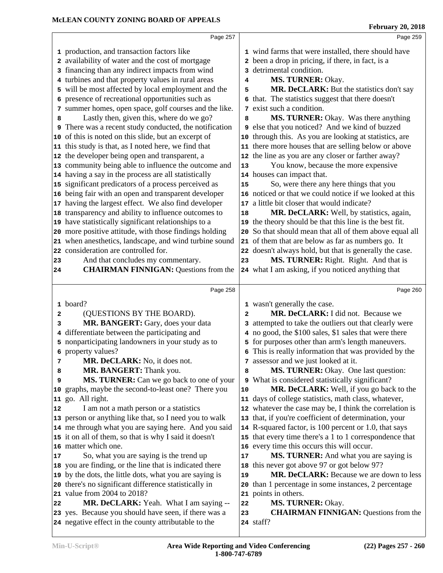|    | Page 257                                                |              | Page 259                                                |  |
|----|---------------------------------------------------------|--------------|---------------------------------------------------------|--|
|    | 1 production, and transaction factors like              |              | 1 wind farms that were installed, there should have     |  |
|    | 2 availability of water and the cost of mortgage        |              | 2 been a drop in pricing, if there, in fact, is a       |  |
|    | 3 financing than any indirect impacts from wind         |              | 3 detrimental condition.                                |  |
|    | 4 turbines and that property values in rural areas      | 4            | MS. TURNER: Okay.                                       |  |
|    | 5 will be most affected by local employment and the     | 5            | MR. DeCLARK: But the statistics don't say               |  |
|    | presence of recreational opportunities such as          |              | 6 that. The statistics suggest that there doesn't       |  |
|    | 7 summer homes, open space, golf courses and the like.  |              | 7 exist such a condition.                               |  |
| 8  | Lastly then, given this, where do we go?                | 8            | MS. TURNER: Okay. Was there anything                    |  |
| 9  | There was a recent study conducted, the notification    |              | 9 else that you noticed? And we kind of buzzed          |  |
|    | 10 of this is noted on this slide, but an excerpt of    |              | 10 through this. As you are looking at statistics, are  |  |
|    | 11 this study is that, as I noted here, we find that    |              | 11 there more houses that are selling below or above    |  |
|    | 12 the developer being open and transparent, a          |              | 12 the line as you are any closer or farther away?      |  |
|    | 13 community being able to influence the outcome and    | 13           | You know, because the more expensive                    |  |
|    | 14 having a say in the process are all statistically    |              | 14 houses can impact that.                              |  |
|    | 15 significant predicators of a process perceived as    | 15           | So, were there any here things that you                 |  |
|    | 16 being fair with an open and transparent developer    |              | 16 noticed or that we could notice if we looked at this |  |
|    | 17 having the largest effect. We also find developer    |              | 17 a little bit closer that would indicate?             |  |
|    | 18 transparency and ability to influence outcomes to    | 18           | MR. DeCLARK: Well, by statistics, again,                |  |
|    | 19 have statistically significant relationships to a    |              | 19 the theory should be that this line is the best fit. |  |
|    | 20 more positive attitude, with those findings holding  |              | 20 So that should mean that all of them above equal all |  |
|    | 21 when anesthetics, landscape, and wind turbine sound  |              | 21 of them that are below as far as numbers go. It      |  |
|    | 22 consideration are controlled for.                    |              | 22 doesn't always hold, but that is generally the case. |  |
| 23 | And that concludes my commentary.                       | 23           | MS. TURNER: Right. Right. And that is                   |  |
| 24 | <b>CHAIRMAN FINNIGAN: Questions from the</b>            |              | 24 what I am asking, if you noticed anything that       |  |
|    |                                                         |              |                                                         |  |
|    | Page 258                                                |              | Page 260                                                |  |
|    | 1 board?                                                |              | 1 wasn't generally the case.                            |  |
| 2  | (QUESTIONS BY THE BOARD).                               | $\mathbf{z}$ | MR. DeCLARK: I did not. Because we                      |  |
| 3  | MR. BANGERT: Gary, does your data                       |              | 3 attempted to take the outliers out that clearly were  |  |
|    | 4 differentiate between the participating and           |              | 4 no good, the \$100 sales, \$1 sales that were there   |  |
|    | 5 nonparticipating landowners in your study as to       |              | 5 for purposes other than arm's length maneuvers.       |  |
|    | 6 property values?                                      |              | 6 This is really information that was provided by the   |  |
| 7  | MR. DeCLARK: No, it does not.                           |              | 7 assessor and we just looked at it.                    |  |
| 8  | MR. BANGERT: Thank you.                                 | 8            | MS. TURNER: Okay. One last question:                    |  |
| 9  | MS. TURNER: Can we go back to one of your               |              | 9 What is considered statistically significant?         |  |
|    | 10 graphs, maybe the second-to-least one? There you     | 10           | MR. DeCLARK: Well, if you go back to the                |  |
|    | 11 go. All right.                                       |              | 11 days of college statistics, math class, whatever,    |  |
| 12 | I am not a math person or a statistics                  |              | 12 whatever the case may be, I think the correlation is |  |
|    | 13 person or anything like that, so I need you to walk  |              | 13 that, if you're coefficient of determination, your   |  |
|    | 14 me through what you are saying here. And you said    |              | 14 R-squared factor, is 100 percent or 1.0, that says   |  |
|    | 15 it on all of them, so that is why I said it doesn't  |              | 15 that every time there's a 1 to 1 correspondence that |  |
|    | 16 matter which one.                                    |              | 16 every time this occurs this will occur.              |  |
| 17 | So, what you are saying is the trend up                 | 17           | MS. TURNER: And what you are saying is                  |  |
|    | 18 you are finding, or the line that is indicated there |              | 18 this never got above 97 or got below 97?             |  |
|    | 19 by the dots, the little dots, what you are saying is | 19           | MR. DeCLARK: Because we are down to less                |  |
|    | 20 there's no significant difference statistically in   |              | 20 than 1 percentage in some instances, 2 percentage    |  |
|    | 21 value from 2004 to 2018?                             |              | 21 points in others.                                    |  |
| 22 | MR. DeCLARK: Yeah. What I am saying --                  | 22           | MS. TURNER: Okay.                                       |  |
|    | 23 yes. Because you should have seen, if there was a    | 23           | <b>CHAIRMAN FINNIGAN:</b> Questions from the            |  |

staff?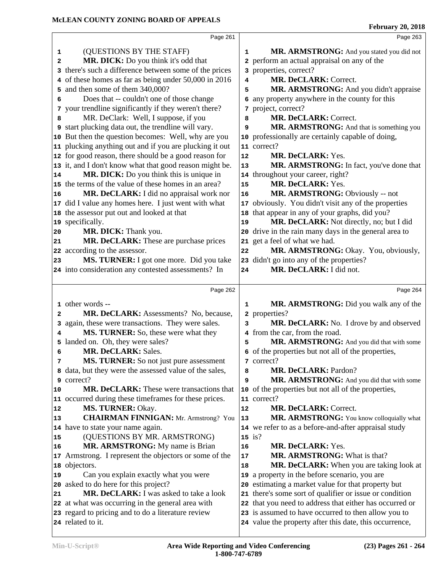|                                                                               |                                                                                                                                                                                                                                                                                                                                                                                                                                                                                                                                                                                                              | Page 263                                                                                                |                                                                                                                                                                                                                                                                                                                                                                                                                                                                                                                                                                                                                                                                                                                                                                     |
|-------------------------------------------------------------------------------|--------------------------------------------------------------------------------------------------------------------------------------------------------------------------------------------------------------------------------------------------------------------------------------------------------------------------------------------------------------------------------------------------------------------------------------------------------------------------------------------------------------------------------------------------------------------------------------------------------------|---------------------------------------------------------------------------------------------------------|---------------------------------------------------------------------------------------------------------------------------------------------------------------------------------------------------------------------------------------------------------------------------------------------------------------------------------------------------------------------------------------------------------------------------------------------------------------------------------------------------------------------------------------------------------------------------------------------------------------------------------------------------------------------------------------------------------------------------------------------------------------------|
|                                                                               |                                                                                                                                                                                                                                                                                                                                                                                                                                                                                                                                                                                                              |                                                                                                         |                                                                                                                                                                                                                                                                                                                                                                                                                                                                                                                                                                                                                                                                                                                                                                     |
|                                                                               |                                                                                                                                                                                                                                                                                                                                                                                                                                                                                                                                                                                                              |                                                                                                         |                                                                                                                                                                                                                                                                                                                                                                                                                                                                                                                                                                                                                                                                                                                                                                     |
|                                                                               |                                                                                                                                                                                                                                                                                                                                                                                                                                                                                                                                                                                                              |                                                                                                         |                                                                                                                                                                                                                                                                                                                                                                                                                                                                                                                                                                                                                                                                                                                                                                     |
|                                                                               | 4                                                                                                                                                                                                                                                                                                                                                                                                                                                                                                                                                                                                            |                                                                                                         |                                                                                                                                                                                                                                                                                                                                                                                                                                                                                                                                                                                                                                                                                                                                                                     |
|                                                                               | 5                                                                                                                                                                                                                                                                                                                                                                                                                                                                                                                                                                                                            |                                                                                                         |                                                                                                                                                                                                                                                                                                                                                                                                                                                                                                                                                                                                                                                                                                                                                                     |
|                                                                               |                                                                                                                                                                                                                                                                                                                                                                                                                                                                                                                                                                                                              |                                                                                                         |                                                                                                                                                                                                                                                                                                                                                                                                                                                                                                                                                                                                                                                                                                                                                                     |
| 7 your trendline significantly if they weren't there?                         |                                                                                                                                                                                                                                                                                                                                                                                                                                                                                                                                                                                                              |                                                                                                         |                                                                                                                                                                                                                                                                                                                                                                                                                                                                                                                                                                                                                                                                                                                                                                     |
| MR. DeClark: Well, I suppose, if you                                          | 8                                                                                                                                                                                                                                                                                                                                                                                                                                                                                                                                                                                                            | MR. DeCLARK: Correct.                                                                                   |                                                                                                                                                                                                                                                                                                                                                                                                                                                                                                                                                                                                                                                                                                                                                                     |
| 9 start plucking data out, the trendline will vary.                           | 9                                                                                                                                                                                                                                                                                                                                                                                                                                                                                                                                                                                                            | MR. ARMSTRONG: And that is something you                                                                |                                                                                                                                                                                                                                                                                                                                                                                                                                                                                                                                                                                                                                                                                                                                                                     |
| 10 But then the question becomes: Well, why are you                           |                                                                                                                                                                                                                                                                                                                                                                                                                                                                                                                                                                                                              |                                                                                                         |                                                                                                                                                                                                                                                                                                                                                                                                                                                                                                                                                                                                                                                                                                                                                                     |
| 11 plucking anything out and if you are plucking it out                       |                                                                                                                                                                                                                                                                                                                                                                                                                                                                                                                                                                                                              |                                                                                                         |                                                                                                                                                                                                                                                                                                                                                                                                                                                                                                                                                                                                                                                                                                                                                                     |
| 12 for good reason, there should be a good reason for                         | 12                                                                                                                                                                                                                                                                                                                                                                                                                                                                                                                                                                                                           | MR. DeCLARK: Yes.                                                                                       |                                                                                                                                                                                                                                                                                                                                                                                                                                                                                                                                                                                                                                                                                                                                                                     |
| 13 it, and I don't know what that good reason might be.                       | 13                                                                                                                                                                                                                                                                                                                                                                                                                                                                                                                                                                                                           | MR. ARMSTRONG: In fact, you've done that                                                                |                                                                                                                                                                                                                                                                                                                                                                                                                                                                                                                                                                                                                                                                                                                                                                     |
| MR. DICK: Do you think this is unique in                                      |                                                                                                                                                                                                                                                                                                                                                                                                                                                                                                                                                                                                              |                                                                                                         |                                                                                                                                                                                                                                                                                                                                                                                                                                                                                                                                                                                                                                                                                                                                                                     |
|                                                                               | 15                                                                                                                                                                                                                                                                                                                                                                                                                                                                                                                                                                                                           | MR. DeCLARK: Yes.                                                                                       |                                                                                                                                                                                                                                                                                                                                                                                                                                                                                                                                                                                                                                                                                                                                                                     |
| MR. DeCLARK: I did no appraisal work nor                                      | 16                                                                                                                                                                                                                                                                                                                                                                                                                                                                                                                                                                                                           |                                                                                                         |                                                                                                                                                                                                                                                                                                                                                                                                                                                                                                                                                                                                                                                                                                                                                                     |
| 17 did I value any homes here. I just went with what                          | 17                                                                                                                                                                                                                                                                                                                                                                                                                                                                                                                                                                                                           |                                                                                                         |                                                                                                                                                                                                                                                                                                                                                                                                                                                                                                                                                                                                                                                                                                                                                                     |
|                                                                               | 18                                                                                                                                                                                                                                                                                                                                                                                                                                                                                                                                                                                                           |                                                                                                         |                                                                                                                                                                                                                                                                                                                                                                                                                                                                                                                                                                                                                                                                                                                                                                     |
|                                                                               | 19                                                                                                                                                                                                                                                                                                                                                                                                                                                                                                                                                                                                           |                                                                                                         |                                                                                                                                                                                                                                                                                                                                                                                                                                                                                                                                                                                                                                                                                                                                                                     |
|                                                                               |                                                                                                                                                                                                                                                                                                                                                                                                                                                                                                                                                                                                              |                                                                                                         |                                                                                                                                                                                                                                                                                                                                                                                                                                                                                                                                                                                                                                                                                                                                                                     |
|                                                                               |                                                                                                                                                                                                                                                                                                                                                                                                                                                                                                                                                                                                              |                                                                                                         |                                                                                                                                                                                                                                                                                                                                                                                                                                                                                                                                                                                                                                                                                                                                                                     |
|                                                                               |                                                                                                                                                                                                                                                                                                                                                                                                                                                                                                                                                                                                              |                                                                                                         |                                                                                                                                                                                                                                                                                                                                                                                                                                                                                                                                                                                                                                                                                                                                                                     |
|                                                                               |                                                                                                                                                                                                                                                                                                                                                                                                                                                                                                                                                                                                              |                                                                                                         |                                                                                                                                                                                                                                                                                                                                                                                                                                                                                                                                                                                                                                                                                                                                                                     |
|                                                                               |                                                                                                                                                                                                                                                                                                                                                                                                                                                                                                                                                                                                              |                                                                                                         |                                                                                                                                                                                                                                                                                                                                                                                                                                                                                                                                                                                                                                                                                                                                                                     |
|                                                                               |                                                                                                                                                                                                                                                                                                                                                                                                                                                                                                                                                                                                              |                                                                                                         |                                                                                                                                                                                                                                                                                                                                                                                                                                                                                                                                                                                                                                                                                                                                                                     |
|                                                                               |                                                                                                                                                                                                                                                                                                                                                                                                                                                                                                                                                                                                              |                                                                                                         |                                                                                                                                                                                                                                                                                                                                                                                                                                                                                                                                                                                                                                                                                                                                                                     |
| Page 262                                                                      |                                                                                                                                                                                                                                                                                                                                                                                                                                                                                                                                                                                                              | Page 264                                                                                                |                                                                                                                                                                                                                                                                                                                                                                                                                                                                                                                                                                                                                                                                                                                                                                     |
| 1 other words --                                                              | 1                                                                                                                                                                                                                                                                                                                                                                                                                                                                                                                                                                                                            | MR. ARMSTRONG: Did you walk any of the                                                                  |                                                                                                                                                                                                                                                                                                                                                                                                                                                                                                                                                                                                                                                                                                                                                                     |
| MR. DeCLARK: Assessments? No, because,                                        |                                                                                                                                                                                                                                                                                                                                                                                                                                                                                                                                                                                                              | 2 properties?                                                                                           |                                                                                                                                                                                                                                                                                                                                                                                                                                                                                                                                                                                                                                                                                                                                                                     |
| again, these were transactions. They were sales.                              | 3                                                                                                                                                                                                                                                                                                                                                                                                                                                                                                                                                                                                            | MR. DeCLARK: No. I drove by and observed                                                                |                                                                                                                                                                                                                                                                                                                                                                                                                                                                                                                                                                                                                                                                                                                                                                     |
| MS. TURNER: So, these were what they                                          |                                                                                                                                                                                                                                                                                                                                                                                                                                                                                                                                                                                                              | 4 from the car, from the road.                                                                          |                                                                                                                                                                                                                                                                                                                                                                                                                                                                                                                                                                                                                                                                                                                                                                     |
| landed on. Oh, they were sales?                                               | 5                                                                                                                                                                                                                                                                                                                                                                                                                                                                                                                                                                                                            | MR. ARMSTRONG: And you did that with some                                                               |                                                                                                                                                                                                                                                                                                                                                                                                                                                                                                                                                                                                                                                                                                                                                                     |
| <b>MR. DeCLARK: Sales.</b>                                                    |                                                                                                                                                                                                                                                                                                                                                                                                                                                                                                                                                                                                              | 6 of the properties but not all of the properties,                                                      |                                                                                                                                                                                                                                                                                                                                                                                                                                                                                                                                                                                                                                                                                                                                                                     |
| MS. TURNER: So not just pure assessment                                       |                                                                                                                                                                                                                                                                                                                                                                                                                                                                                                                                                                                                              | 7 correct?                                                                                              |                                                                                                                                                                                                                                                                                                                                                                                                                                                                                                                                                                                                                                                                                                                                                                     |
| 8 data, but they were the assessed value of the sales,                        | 8                                                                                                                                                                                                                                                                                                                                                                                                                                                                                                                                                                                                            | <b>MR. DeCLARK: Pardon?</b>                                                                             |                                                                                                                                                                                                                                                                                                                                                                                                                                                                                                                                                                                                                                                                                                                                                                     |
| correct?                                                                      | 9                                                                                                                                                                                                                                                                                                                                                                                                                                                                                                                                                                                                            | MR. ARMSTRONG: And you did that with some                                                               |                                                                                                                                                                                                                                                                                                                                                                                                                                                                                                                                                                                                                                                                                                                                                                     |
| <b>MR. DeCLARK:</b> These were transactions that                              |                                                                                                                                                                                                                                                                                                                                                                                                                                                                                                                                                                                                              | 10 of the properties but not all of the properties,                                                     |                                                                                                                                                                                                                                                                                                                                                                                                                                                                                                                                                                                                                                                                                                                                                                     |
| occurred during these timeframes for these prices.                            |                                                                                                                                                                                                                                                                                                                                                                                                                                                                                                                                                                                                              | 11 correct?                                                                                             |                                                                                                                                                                                                                                                                                                                                                                                                                                                                                                                                                                                                                                                                                                                                                                     |
| MS. TURNER: Okay.                                                             | 12                                                                                                                                                                                                                                                                                                                                                                                                                                                                                                                                                                                                           | MR. DeCLARK: Correct.                                                                                   |                                                                                                                                                                                                                                                                                                                                                                                                                                                                                                                                                                                                                                                                                                                                                                     |
| <b>CHAIRMAN FINNIGAN: Mr. Armstrong? You</b>                                  | 13                                                                                                                                                                                                                                                                                                                                                                                                                                                                                                                                                                                                           | MR. ARMSTRONG: You know colloquially what                                                               |                                                                                                                                                                                                                                                                                                                                                                                                                                                                                                                                                                                                                                                                                                                                                                     |
| 14 have to state your name again.                                             |                                                                                                                                                                                                                                                                                                                                                                                                                                                                                                                                                                                                              | 14 we refer to as a before-and-after appraisal study                                                    |                                                                                                                                                                                                                                                                                                                                                                                                                                                                                                                                                                                                                                                                                                                                                                     |
| (QUESTIONS BY MR. ARMSTRONG)                                                  |                                                                                                                                                                                                                                                                                                                                                                                                                                                                                                                                                                                                              | $15$ is?                                                                                                |                                                                                                                                                                                                                                                                                                                                                                                                                                                                                                                                                                                                                                                                                                                                                                     |
| MR. ARMSTRONG: My name is Brian                                               | 16<br>17                                                                                                                                                                                                                                                                                                                                                                                                                                                                                                                                                                                                     | MR. DeCLARK: Yes.                                                                                       |                                                                                                                                                                                                                                                                                                                                                                                                                                                                                                                                                                                                                                                                                                                                                                     |
| 17 Armstrong. I represent the objectors or some of the                        | 18                                                                                                                                                                                                                                                                                                                                                                                                                                                                                                                                                                                                           | MR. ARMSTRONG: What is that?                                                                            |                                                                                                                                                                                                                                                                                                                                                                                                                                                                                                                                                                                                                                                                                                                                                                     |
| 18 objectors.                                                                 |                                                                                                                                                                                                                                                                                                                                                                                                                                                                                                                                                                                                              | MR. DeCLARK: When you are taking look at                                                                |                                                                                                                                                                                                                                                                                                                                                                                                                                                                                                                                                                                                                                                                                                                                                                     |
| Can you explain exactly what you were                                         | 20                                                                                                                                                                                                                                                                                                                                                                                                                                                                                                                                                                                                           | 19 a property in the before scenario, you are                                                           |                                                                                                                                                                                                                                                                                                                                                                                                                                                                                                                                                                                                                                                                                                                                                                     |
| asked to do here for this project?<br>MR. DeCLARK: I was asked to take a look | 21                                                                                                                                                                                                                                                                                                                                                                                                                                                                                                                                                                                                           | estimating a market value for that property but<br>there's some sort of qualifier or issue or condition |                                                                                                                                                                                                                                                                                                                                                                                                                                                                                                                                                                                                                                                                                                                                                                     |
| 22 at what was occurring in the general area with                             |                                                                                                                                                                                                                                                                                                                                                                                                                                                                                                                                                                                                              | 22 that you need to address that either has occurred or                                                 |                                                                                                                                                                                                                                                                                                                                                                                                                                                                                                                                                                                                                                                                                                                                                                     |
| 23 regard to pricing and to do a literature review                            |                                                                                                                                                                                                                                                                                                                                                                                                                                                                                                                                                                                                              | 23 is assumed to have occurred to then allow you to                                                     |                                                                                                                                                                                                                                                                                                                                                                                                                                                                                                                                                                                                                                                                                                                                                                     |
|                                                                               | Page 261<br>(QUESTIONS BY THE STAFF)<br>MR. DICK: Do you think it's odd that<br>there's such a difference between some of the prices<br>4 of these homes as far as being under 50,000 in 2016<br>and then some of them 340,000?<br>Does that -- couldn't one of those change<br>15 the terms of the value of these homes in an area?<br>18 the assessor put out and looked at that<br>19 specifically.<br>MR. DICK: Thank you.<br>MR. DeCLARK: These are purchase prices<br>22 according to the assessor.<br>MS. TURNER: I got one more. Did you take<br>24 into consideration any contested assessments? In | 1<br>22<br>24                                                                                           | MR. ARMSTRONG: And you stated you did not<br>2 perform an actual appraisal on any of the<br>3 properties, correct?<br>MR. DeCLARK: Correct.<br>MR. ARMSTRONG: And you didn't appraise<br>6 any property anywhere in the county for this<br>7 project, correct?<br>10 professionally are certainly capable of doing,<br>11 correct?<br>14 throughout your career, right?<br>MR. ARMSTRONG: Obviously -- not<br>obviously. You didn't visit any of the properties<br>that appear in any of your graphs, did you?<br>MR. DeCLARK: Not directly, no; but I did<br>20 drive in the rain many days in the general area to<br>21 get a feel of what we had.<br>MR. ARMSTRONG: Okay. You, obviously,<br>23 didn't go into any of the properties?<br>MR. DeCLARK: I did not. |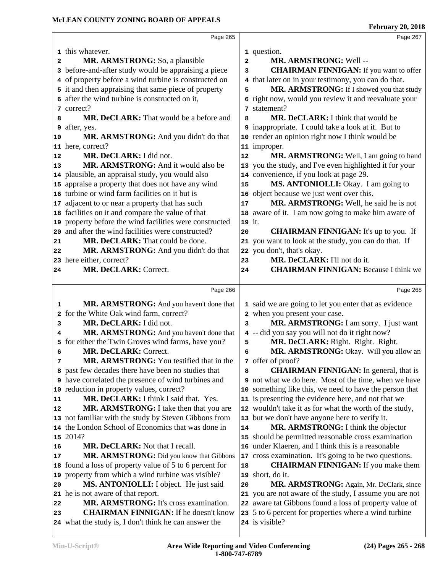|    | Page 265                                                   |                         | Page 267                                                |
|----|------------------------------------------------------------|-------------------------|---------------------------------------------------------|
|    | 1 this whatever.                                           |                         | 1 question.                                             |
| 2  | <b>MR. ARMSTRONG:</b> So, a plausible                      | $\overline{\mathbf{c}}$ | MR. ARMSTRONG: Well --                                  |
| 3  | before-and-after study would be appraising a piece         | 3                       | <b>CHAIRMAN FINNIGAN:</b> If you want to offer          |
| 4  | of property before a wind turbine is constructed on        | 4                       | that later on in your testimony, you can do that.       |
|    | 5 it and then appraising that same piece of property       | 5                       | MR. ARMSTRONG: If I showed you that study               |
|    | 6 after the wind turbine is constructed on it,             |                         | 6 right now, would you review it and reevaluate your    |
|    | 7 correct?                                                 |                         | 7 statement?                                            |
| 8  | MR. DeCLARK: That would be a before and                    | 8                       | MR. DeCLARK: I think that would be                      |
| 9  | after, yes.                                                |                         | 9 inappropriate. I could take a look at it. But to      |
| 10 | MR. ARMSTRONG: And you didn't do that                      |                         | 10 render an opinion right now I think would be         |
|    | 11 here, correct?                                          |                         | 11 improper.                                            |
| 12 | MR. DeCLARK: I did not.                                    | 12                      | MR. ARMSTRONG: Well, I am going to hand                 |
| 13 | MR. ARMSTRONG: And it would also be                        |                         | 13 you the study, and I've even highlighted it for your |
|    | 14 plausible, an appraisal study, you would also           |                         | 14 convenience, if you look at page 29.                 |
|    | 15 appraise a property that does not have any wind         | 15                      | MS. ANTONIOLLI: Okay. I am going to                     |
|    | 16 turbine or wind farm facilities on it but is            |                         | 16 object because we just went over this.               |
| 17 | adjacent to or near a property that has such               | 17                      | MR. ARMSTRONG: Well, he said he is not                  |
|    | 18 facilities on it and compare the value of that          |                         | 18 aware of it. I am now going to make him aware of     |
|    | 19 property before the wind facilities were constructed    | 19 it.                  |                                                         |
|    | 20 and after the wind facilities were constructed?         | 20                      | <b>CHAIRMAN FINNIGAN:</b> It's up to you. If            |
| 21 | MR. DeCLARK: That could be done.                           |                         | 21 you want to look at the study, you can do that. If   |
| 22 | MR. ARMSTRONG: And you didn't do that                      |                         | 22 you don't, that's okay.                              |
|    | 23 here either, correct?                                   | 23                      | MR. DeCLARK: I'll not do it.                            |
| 24 | MR. DeCLARK: Correct.                                      | 24                      | <b>CHAIRMAN FINNIGAN: Because I think we</b>            |
|    |                                                            |                         |                                                         |
|    | Page 266                                                   |                         | Page 268                                                |
| 1  | MR. ARMSTRONG: And you haven't done that                   |                         | 1 said we are going to let you enter that as evidence   |
| 2  | for the White Oak wind farm, correct?                      |                         | 2 when you present your case.                           |
| 3  | MR. DeCLARK: I did not.                                    | 3                       | MR. ARMSTRONG: I am sorry. I just want                  |
| 4  | MR. ARMSTRONG: And you haven't done that                   |                         | 4 -- did you say you will not do it right now?          |
| 5  | for either the Twin Groves wind farms, have you?           | 5                       | MR. DeCLARK: Right. Right. Right.                       |
| 6  | MR. DeCLARK: Correct.                                      | 6                       | MR. ARMSTRONG: Okay. Will you allow an                  |
| 7  | MR. ARMSTRONG: You testified that in the                   |                         | 7 offer of proof?                                       |
|    | 8 past few decades there have been no studies that         | 8                       | <b>CHAIRMAN FINNIGAN:</b> In general, that is           |
|    | <b>9</b> have correlated the presence of wind turbines and |                         | 9 not what we do here. Most of the time, when we have   |
| 10 | reduction in property values, correct?                     |                         | 10 something like this, we need to have the person that |
| 11 | MR. DeCLARK: I think I said that. Yes.                     |                         | 11 is presenting the evidence here, and not that we     |
| 12 | MR. ARMSTRONG: I take then that you are                    |                         | 12 wouldn't take it as for what the worth of the study, |
|    | 13 not familiar with the study by Steven Gibbons from      |                         | 13 but we don't have anyone here to verify it.          |
|    |                                                            |                         | MR. ARMSTRONG: I think the objector                     |
|    | 14 the London School of Economics that was done in         | 14                      |                                                         |
|    | 15 2014?                                                   |                         | 15 should be permitted reasonable cross examination     |
| 16 | MR. DeCLARK: Not that I recall.                            |                         | 16 under Klaeren, and I think this is a reasonable      |
| 17 | MR. ARMSTRONG: Did you know that Gibbons                   |                         | 17 cross examination. It's going to be two questions.   |
| 18 | found a loss of property value of 5 to 6 percent for       | 18                      | <b>CHAIRMAN FINNIGAN:</b> If you make them              |
| 19 | property from which a wind turbine was visible?            |                         | 19 short, do it.                                        |
| 20 | MS. ANTONIOLLI: I object. He just said                     | 20                      | MR. ARMSTRONG: Again, Mr. DeClark, since                |
| 21 | he is not aware of that report.                            |                         | 21 you are not aware of the study, I assume you are not |
| 22 | MR. ARMSTRONG: It's cross examination.                     |                         | 22 aware tat Gibbons found a loss of property value of  |
| 23 | <b>CHAIRMAN FINNIGAN:</b> If he doesn't know               |                         | 23 5 to 6 percent for properties where a wind turbine   |
|    | 24 what the study is, I don't think he can answer the      |                         | 24 is visible?                                          |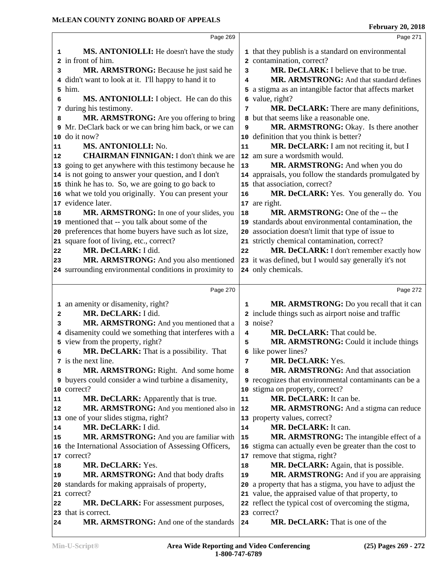| Page 269                                                          |                                                                                                                                                                                                                                                                                                                                                                                                                                                                                                                                                                                                                                                                                                                                                                                                              | Page 271                                                                                 |
|-------------------------------------------------------------------|--------------------------------------------------------------------------------------------------------------------------------------------------------------------------------------------------------------------------------------------------------------------------------------------------------------------------------------------------------------------------------------------------------------------------------------------------------------------------------------------------------------------------------------------------------------------------------------------------------------------------------------------------------------------------------------------------------------------------------------------------------------------------------------------------------------|------------------------------------------------------------------------------------------|
|                                                                   |                                                                                                                                                                                                                                                                                                                                                                                                                                                                                                                                                                                                                                                                                                                                                                                                              | 1 that they publish is a standard on environmental                                       |
|                                                                   |                                                                                                                                                                                                                                                                                                                                                                                                                                                                                                                                                                                                                                                                                                                                                                                                              | 2 contamination, correct?                                                                |
| MR. ARMSTRONG: Because he just said he                            | 3                                                                                                                                                                                                                                                                                                                                                                                                                                                                                                                                                                                                                                                                                                                                                                                                            | MR. DeCLARK: I believe that to be true.                                                  |
|                                                                   | 4                                                                                                                                                                                                                                                                                                                                                                                                                                                                                                                                                                                                                                                                                                                                                                                                            | MR. ARMSTRONG: And that standard defines                                                 |
|                                                                   |                                                                                                                                                                                                                                                                                                                                                                                                                                                                                                                                                                                                                                                                                                                                                                                                              | a stigma as an intangible factor that affects market                                     |
| MS. ANTONIOLLI: I object. He can do this                          |                                                                                                                                                                                                                                                                                                                                                                                                                                                                                                                                                                                                                                                                                                                                                                                                              | 6 value, right?                                                                          |
| during his testimony.                                             | 7                                                                                                                                                                                                                                                                                                                                                                                                                                                                                                                                                                                                                                                                                                                                                                                                            | MR. DeCLARK: There are many definitions,                                                 |
| MR. ARMSTRONG: Are you offering to bring                          |                                                                                                                                                                                                                                                                                                                                                                                                                                                                                                                                                                                                                                                                                                                                                                                                              | 8 but that seems like a reasonable one.                                                  |
|                                                                   | 9                                                                                                                                                                                                                                                                                                                                                                                                                                                                                                                                                                                                                                                                                                                                                                                                            | MR. ARMSTRONG: Okay. Is there another                                                    |
| do it now?                                                        |                                                                                                                                                                                                                                                                                                                                                                                                                                                                                                                                                                                                                                                                                                                                                                                                              | 10 definition that you think is better?                                                  |
| MS. ANTONIOLLI: No.                                               | 11                                                                                                                                                                                                                                                                                                                                                                                                                                                                                                                                                                                                                                                                                                                                                                                                           | MR. DeCLARK: I am not reciting it, but I                                                 |
| <b>CHAIRMAN FINNIGAN:</b> I don't think we are                    |                                                                                                                                                                                                                                                                                                                                                                                                                                                                                                                                                                                                                                                                                                                                                                                                              | 12 am sure a wordsmith would.                                                            |
|                                                                   | 13                                                                                                                                                                                                                                                                                                                                                                                                                                                                                                                                                                                                                                                                                                                                                                                                           | MR. ARMSTRONG: And when you do                                                           |
|                                                                   |                                                                                                                                                                                                                                                                                                                                                                                                                                                                                                                                                                                                                                                                                                                                                                                                              | 14 appraisals, you follow the standards promulgated by                                   |
|                                                                   |                                                                                                                                                                                                                                                                                                                                                                                                                                                                                                                                                                                                                                                                                                                                                                                                              | 15 that association, correct?                                                            |
|                                                                   | 16                                                                                                                                                                                                                                                                                                                                                                                                                                                                                                                                                                                                                                                                                                                                                                                                           | MR. DeCLARK: Yes. You generally do. You                                                  |
|                                                                   |                                                                                                                                                                                                                                                                                                                                                                                                                                                                                                                                                                                                                                                                                                                                                                                                              | 17 are right.                                                                            |
|                                                                   | 18                                                                                                                                                                                                                                                                                                                                                                                                                                                                                                                                                                                                                                                                                                                                                                                                           | MR. ARMSTRONG: One of the -- the                                                         |
|                                                                   |                                                                                                                                                                                                                                                                                                                                                                                                                                                                                                                                                                                                                                                                                                                                                                                                              | 19 standards about environmental contamination, the                                      |
|                                                                   |                                                                                                                                                                                                                                                                                                                                                                                                                                                                                                                                                                                                                                                                                                                                                                                                              | 20 association doesn't limit that type of issue to                                       |
|                                                                   |                                                                                                                                                                                                                                                                                                                                                                                                                                                                                                                                                                                                                                                                                                                                                                                                              | 21 strictly chemical contamination, correct?                                             |
|                                                                   |                                                                                                                                                                                                                                                                                                                                                                                                                                                                                                                                                                                                                                                                                                                                                                                                              | MR. DeCLARK: I don't remember exactly how                                                |
|                                                                   |                                                                                                                                                                                                                                                                                                                                                                                                                                                                                                                                                                                                                                                                                                                                                                                                              | 23 it was defined, but I would say generally it's not                                    |
|                                                                   |                                                                                                                                                                                                                                                                                                                                                                                                                                                                                                                                                                                                                                                                                                                                                                                                              | 24 only chemicals.                                                                       |
|                                                                   |                                                                                                                                                                                                                                                                                                                                                                                                                                                                                                                                                                                                                                                                                                                                                                                                              |                                                                                          |
| Page 270                                                          |                                                                                                                                                                                                                                                                                                                                                                                                                                                                                                                                                                                                                                                                                                                                                                                                              | Page 272                                                                                 |
|                                                                   |                                                                                                                                                                                                                                                                                                                                                                                                                                                                                                                                                                                                                                                                                                                                                                                                              |                                                                                          |
| 1 an amenity or disamenity, right?                                | 1                                                                                                                                                                                                                                                                                                                                                                                                                                                                                                                                                                                                                                                                                                                                                                                                            | MR. ARMSTRONG: Do you recall that it can                                                 |
| MR. DeCLARK: I did.                                               |                                                                                                                                                                                                                                                                                                                                                                                                                                                                                                                                                                                                                                                                                                                                                                                                              | 2 include things such as airport noise and traffic                                       |
| MR. ARMSTRONG: And you mentioned that a                           | 4                                                                                                                                                                                                                                                                                                                                                                                                                                                                                                                                                                                                                                                                                                                                                                                                            | 3 noise?                                                                                 |
| 4 disamenity could we something that interferes with a            | 5                                                                                                                                                                                                                                                                                                                                                                                                                                                                                                                                                                                                                                                                                                                                                                                                            | MR. DeCLARK: That could be.                                                              |
| 5 view from the property, right?                                  |                                                                                                                                                                                                                                                                                                                                                                                                                                                                                                                                                                                                                                                                                                                                                                                                              | MR. ARMSTRONG: Could it include things                                                   |
| MR. DeCLARK: That is a possibility. That<br>7 is the next line.   | 7                                                                                                                                                                                                                                                                                                                                                                                                                                                                                                                                                                                                                                                                                                                                                                                                            | 6 like power lines?                                                                      |
|                                                                   | 8                                                                                                                                                                                                                                                                                                                                                                                                                                                                                                                                                                                                                                                                                                                                                                                                            | MR. DeCLARK: Yes.<br>MR. ARMSTRONG: And that association                                 |
| <b>MR. ARMSTRONG:</b> Right. And some home<br>9                   |                                                                                                                                                                                                                                                                                                                                                                                                                                                                                                                                                                                                                                                                                                                                                                                                              |                                                                                          |
| buyers could consider a wind turbine a disamenity,<br>10 correct? |                                                                                                                                                                                                                                                                                                                                                                                                                                                                                                                                                                                                                                                                                                                                                                                                              | 9 recognizes that environmental contaminants can be a<br>10 stigma on property, correct? |
| <b>MR. DeCLARK:</b> Apparently that is true.                      | 11                                                                                                                                                                                                                                                                                                                                                                                                                                                                                                                                                                                                                                                                                                                                                                                                           | MR. DeCLARK: It can be.                                                                  |
| MR. ARMSTRONG: And you mentioned also in                          | 12                                                                                                                                                                                                                                                                                                                                                                                                                                                                                                                                                                                                                                                                                                                                                                                                           | MR. ARMSTRONG: And a stigma can reduce                                                   |
| 13 one of your slides stigma, right?                              |                                                                                                                                                                                                                                                                                                                                                                                                                                                                                                                                                                                                                                                                                                                                                                                                              | 13 property values, correct?                                                             |
| MR. DeCLARK: I did.                                               | 14                                                                                                                                                                                                                                                                                                                                                                                                                                                                                                                                                                                                                                                                                                                                                                                                           | MR. DeCLARK: It can.                                                                     |
| MR. ARMSTRONG: And you are familiar with                          | 15                                                                                                                                                                                                                                                                                                                                                                                                                                                                                                                                                                                                                                                                                                                                                                                                           | MR. ARMSTRONG: The intangible effect of a                                                |
| 16 the International Association of Assessing Officers,           |                                                                                                                                                                                                                                                                                                                                                                                                                                                                                                                                                                                                                                                                                                                                                                                                              | 16 stigma can actually even be greater than the cost to                                  |
| correct?<br>17                                                    |                                                                                                                                                                                                                                                                                                                                                                                                                                                                                                                                                                                                                                                                                                                                                                                                              | 17 remove that stigma, right?                                                            |
| MR. DeCLARK: Yes.                                                 | 18                                                                                                                                                                                                                                                                                                                                                                                                                                                                                                                                                                                                                                                                                                                                                                                                           | MR. DeCLARK: Again, that is possible.                                                    |
| MR. ARMSTRONG: And that body drafts                               | 19                                                                                                                                                                                                                                                                                                                                                                                                                                                                                                                                                                                                                                                                                                                                                                                                           | MR. ARMSTRONG: And if you are appraising                                                 |
| standards for making appraisals of property,<br>20                | 20                                                                                                                                                                                                                                                                                                                                                                                                                                                                                                                                                                                                                                                                                                                                                                                                           | a property that has a stigma, you have to adjust the                                     |
| 21 correct?                                                       |                                                                                                                                                                                                                                                                                                                                                                                                                                                                                                                                                                                                                                                                                                                                                                                                              | 21 value, the appraised value of that property, to                                       |
| <b>MR. DeCLARK:</b> For assessment purposes,                      |                                                                                                                                                                                                                                                                                                                                                                                                                                                                                                                                                                                                                                                                                                                                                                                                              | 22 reflect the typical cost of overcoming the stigma,                                    |
| that is correct.<br>23<br>MR. ARMSTRONG: And one of the standards |                                                                                                                                                                                                                                                                                                                                                                                                                                                                                                                                                                                                                                                                                                                                                                                                              | 23 correct?<br>MR. DeCLARK: That is one of the                                           |
| 1<br>3<br>6<br>8<br>11<br>12<br>18<br>23                          | <b>MS. ANTONIOLLI:</b> He doesn't have the study<br>2 in front of him.<br>4 didn't want to look at it. I'll happy to hand it to<br>5 him.<br>7<br>9 Mr. DeClark back or we can bring him back, or we can<br>10<br>13 going to get anywhere with this testimony because he<br>14 is not going to answer your question, and I don't<br>15 think he has to. So, we are going to go back to<br>16 what we told you originally. You can present your<br>17 evidence later.<br>MR. ARMSTRONG: In one of your slides, you<br>19 mentioned that -- you talk about some of the<br>20 preferences that home buyers have such as lot size,<br>21 square foot of living, etc., correct?<br>MR. DeCLARK: I did.<br>22<br>MR. ARMSTRONG: And you also mentioned<br>24 surrounding environmental conditions in proximity to | 5<br>22                                                                                  |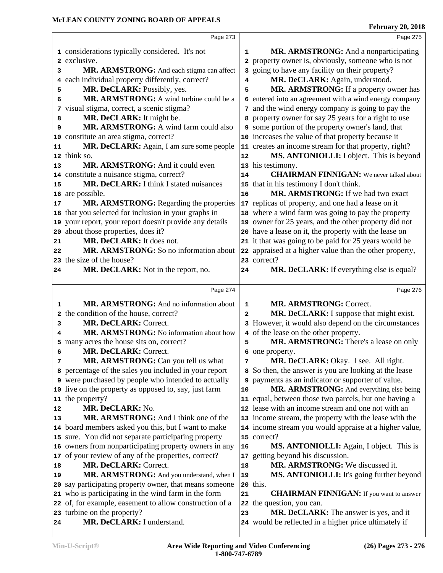|    | Page 273                                                  |                         | Page 275                                                                                        |  |
|----|-----------------------------------------------------------|-------------------------|-------------------------------------------------------------------------------------------------|--|
|    | 1 considerations typically considered. It's not           | 1                       | MR. ARMSTRONG: And a nonparticipating                                                           |  |
|    | 2 exclusive.                                              |                         | 2 property owner is, obviously, someone who is not                                              |  |
| 3  | MR. ARMSTRONG: And each stigma can affect                 |                         | 3 going to have any facility on their property?                                                 |  |
| 4  | each individual property differently, correct?            | 4                       | MR. DeCLARK: Again, understood.                                                                 |  |
| 5  | MR. DeCLARK: Possibly, yes.                               | 5                       | MR. ARMSTRONG: If a property owner has                                                          |  |
| 6  | MR. ARMSTRONG: A wind turbine could be a                  |                         | 6 entered into an agreement with a wind energy company                                          |  |
| 7  | visual stigma, correct, a scenic stigma?                  |                         | 7 and the wind energy company is going to pay the                                               |  |
| 8  | MR. DeCLARK: It might be.                                 | 8                       | property owner for say 25 years for a right to use                                              |  |
| 9  | MR. ARMSTRONG: A wind farm could also                     |                         | 9 some portion of the property owner's land, that                                               |  |
|    | 10 constitute an area stigma, correct?                    |                         | 10 increases the value of that property because it                                              |  |
| 11 | MR. DeCLARK: Again, I am sure some people                 |                         | 11 creates an income stream for that property, right?                                           |  |
|    | 12 think so.                                              | 12                      | MS. ANTONIOLLI: I object. This is beyond                                                        |  |
| 13 | MR. ARMSTRONG: And it could even                          |                         | 13 his testimony.                                                                               |  |
|    | 14 constitute a nuisance stigma, correct?                 | 14                      | <b>CHAIRMAN FINNIGAN:</b> We never talked about                                                 |  |
| 15 | MR. DeCLARK: I think I stated nuisances                   | 15                      | that in his testimony I don't think.                                                            |  |
|    | 16 are possible.                                          | 16                      | MR. ARMSTRONG: If we had two exact                                                              |  |
| 17 | MR. ARMSTRONG: Regarding the properties                   |                         | 17 replicas of property, and one had a lease on it                                              |  |
|    | 18 that you selected for inclusion in your graphs in      |                         | 18 where a wind farm was going to pay the property                                              |  |
|    | 19 your report, your report doesn't provide any details   |                         | 19 owner for 25 years, and the other property did not                                           |  |
|    | 20 about those properties, does it?                       |                         | 20 have a lease on it, the property with the lease on                                           |  |
| 21 | MR. DeCLARK: It does not.                                 |                         | 21 it that was going to be paid for 25 years would be                                           |  |
| 22 | MR. ARMSTRONG: So no information about                    |                         | 22 appraised at a higher value than the other property,                                         |  |
|    | 23 the size of the house?                                 |                         | 23 correct?                                                                                     |  |
| 24 | MR. DeCLARK: Not in the report, no.                       | 24                      | MR. DeCLARK: If everything else is equal?                                                       |  |
|    |                                                           |                         |                                                                                                 |  |
|    | Page 274                                                  |                         | Page 276                                                                                        |  |
|    |                                                           |                         |                                                                                                 |  |
| 1  | MR. ARMSTRONG: And no information about                   | 1                       | MR. ARMSTRONG: Correct.                                                                         |  |
|    | 2 the condition of the house, correct?                    | $\overline{\mathbf{2}}$ | MR. DeCLARK: I suppose that might exist.                                                        |  |
| 3  | MR. DeCLARK: Correct.                                     |                         | 3 However, it would also depend on the circumstances                                            |  |
| 4  | MR. ARMSTRONG: No information about how                   |                         | 4 of the lease on the other property.                                                           |  |
| 5  | many acres the house sits on, correct?                    | 5                       | MR. ARMSTRONG: There's a lease on only                                                          |  |
| 6  | <b>MR. DeCLARK: Correct.</b>                              |                         | 6 one property.                                                                                 |  |
| 7  | MR. ARMSTRONG: Can you tell us what                       | 7                       | MR. DeCLARK: Okay. I see. All right.                                                            |  |
|    | 8 percentage of the sales you included in your report     | 8                       | So then, the answer is you are looking at the lease                                             |  |
|    | 9 were purchased by people who intended to actually       | 9                       | payments as an indicator or supporter of value.                                                 |  |
|    | 10 live on the property as opposed to, say, just farm     | 10                      | MR. ARMSTRONG: And everything else being                                                        |  |
|    | 11 the property?                                          | 11                      | equal, between those two parcels, but one having a                                              |  |
| 12 | MR. DeCLARK: No.                                          |                         | 12 lease with an income stream and one not with an                                              |  |
| 13 | MR. ARMSTRONG: And I think one of the                     |                         | 13 income stream, the property with the lease with the                                          |  |
|    | 14 board members asked you this, but I want to make       |                         | 14 income stream you would appraise at a higher value,                                          |  |
|    | 15 sure. You did not separate participating property      |                         | 15 correct?                                                                                     |  |
|    | 16 owners from nonparticipating property owners in any    | 16                      | MS. ANTONIOLLI: Again, I object. This is                                                        |  |
|    | 17 of your review of any of the properties, correct?      | 17                      | getting beyond his discussion.                                                                  |  |
| 18 | MR. DeCLARK: Correct.                                     | 18                      | MR. ARMSTRONG: We discussed it.                                                                 |  |
| 19 | MR. ARMSTRONG: And you understand, when I                 | 19                      | MS. ANTONIOLLI: It's going further beyond                                                       |  |
|    | 20 say participating property owner, that means someone   |                         | 20 this.                                                                                        |  |
|    | 21 who is participating in the wind farm in the form      | 21                      | <b>CHAIRMAN FINNIGAN:</b> If you want to answer                                                 |  |
|    | 22 of, for example, easement to allow construction of a   | 22                      | the question, you can.                                                                          |  |
| 24 | 23 turbine on the property?<br>MR. DeCLARK: I understand. | 23                      | MR. DeCLARK: The answer is yes, and it<br>24 would be reflected in a higher price ultimately if |  |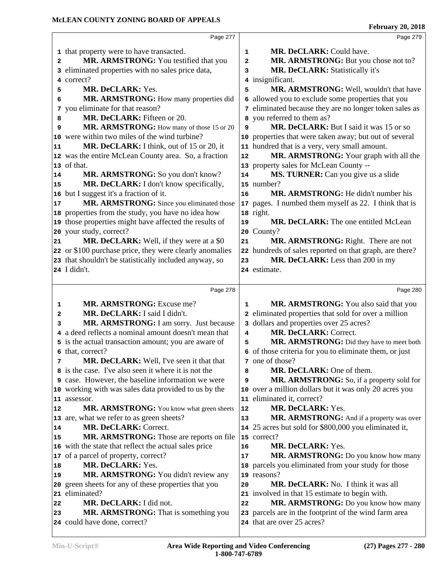|    | Page 277                                                             |                         | Page 279                                                                                            |  |
|----|----------------------------------------------------------------------|-------------------------|-----------------------------------------------------------------------------------------------------|--|
|    | 1 that property were to have transacted.                             | $\mathbf{1}$            | MR. DeCLARK: Could have.                                                                            |  |
| 2  | MR. ARMSTRONG: You testified that you                                | $\overline{\mathbf{2}}$ | MR. ARMSTRONG: But you chose not to?                                                                |  |
| 3  | eliminated properties with no sales price data,                      | 3                       | <b>MR. DeCLARK: Statistically it's</b>                                                              |  |
| 4  | correct?                                                             |                         | 4 insignificant.                                                                                    |  |
| 5  | MR. DeCLARK: Yes.                                                    | 5                       | MR. ARMSTRONG: Well, wouldn't that have                                                             |  |
| 6  | MR. ARMSTRONG: How many properties did                               |                         | 6 allowed you to exclude some properties that you                                                   |  |
| 7  | you eliminate for that reason?                                       |                         | 7 eliminated because they are no longer token sales as                                              |  |
| 8  | MR. DeCLARK: Fifteen or 20.                                          |                         | 8 you referred to them as?                                                                          |  |
| 9  | MR. ARMSTRONG: How many of those 15 or 20                            | 9                       | MR. DeCLARK: But I said it was 15 or so                                                             |  |
| 10 | were within two miles of the wind turbine?                           |                         | 10 properties that were taken away; but out of several                                              |  |
| 11 | MR. DeCLARK: I think, out of 15 or 20, it                            |                         | 11 hundred that is a very, very small amount.                                                       |  |
|    | 12 was the entire McLean County area. So, a fraction                 | 12                      | MR. ARMSTRONG: Your graph with all the                                                              |  |
|    | 13 of that.                                                          |                         | 13 property sales for McLean County --                                                              |  |
| 14 | MR. ARMSTRONG: So you don't know?                                    | 14                      | MS. TURNER: Can you give us a slide                                                                 |  |
| 15 | MR. DeCLARK: I don't know specifically,                              |                         | 15 number?                                                                                          |  |
|    | 16 but I suggest it's a fraction of it.                              | 16                      | MR. ARMSTRONG: He didn't number his                                                                 |  |
| 17 | MR. ARMSTRONG: Since you eliminated those                            | 17                      | pages. I numbed them myself as 22. I think that is                                                  |  |
|    | 18 properties from the study, you have no idea how                   |                         | 18 right.                                                                                           |  |
|    | 19 those properties might have affected the results of               | 19                      | MR. DeCLARK: The one entitled McLean                                                                |  |
|    | 20 your study, correct?                                              | 20                      | County?                                                                                             |  |
| 21 | MR. DeCLARK: Well, if they were at a \$0                             | 21                      | MR. ARMSTRONG: Right. There are not                                                                 |  |
|    | 22 or \$100 purchase price, they were clearly anomalies              |                         | 22 hundreds of sales reported on that graph, are there?                                             |  |
|    | 23 that shouldn't be statistically included anyway, so               | 23                      | MR. DeCLARK: Less than 200 in my                                                                    |  |
|    | 24 I didn't.                                                         |                         | 24 estimate.                                                                                        |  |
|    |                                                                      |                         |                                                                                                     |  |
|    |                                                                      |                         |                                                                                                     |  |
|    | Page 278                                                             |                         | Page 280                                                                                            |  |
| 1  | <b>MR. ARMSTRONG:</b> Excuse me?                                     | 1                       |                                                                                                     |  |
| 2  | MR. DeCLARK: I said I didn't.                                        |                         | MR. ARMSTRONG: You also said that you<br>2 eliminated properties that sold for over a million       |  |
| 3  | MR. ARMSTRONG: I am sorry. Just because                              |                         | 3 dollars and properties over 25 acres?                                                             |  |
| 4  | a deed reflects a nominal amount doesn't mean that                   | 4                       | MR. DeCLARK: Correct.                                                                               |  |
|    | 5 is the actual transaction amount; you are aware of                 | 5                       |                                                                                                     |  |
|    | 6 that, correct?                                                     |                         | MR. ARMSTRONG: Did they have to meet both<br>6 of those criteria for you to eliminate them, or just |  |
| 7  | MR. DeCLARK: Well, I've seen it that that                            |                         | 7 one of those?                                                                                     |  |
|    | 8 is the case. I've also seen it where it is not the                 | 8                       | MR. DeCLARK: One of them.                                                                           |  |
|    | <b>9</b> case. However, the baseline information we were             | 9                       | MR. ARMSTRONG: So, if a property sold for                                                           |  |
|    | 10 working with was sales data provided to us by the                 |                         | 10 over a million dollars but it was only 20 acres you                                              |  |
|    | 11 assessor.                                                         |                         | 11 eliminated it, correct?                                                                          |  |
| 12 | MR. ARMSTRONG: You know what green sheets                            | 12                      | MR. DeCLARK: Yes.                                                                                   |  |
|    | 13 are, what we refer to as green sheets?                            | 13                      | MR. ARMSTRONG: And if a property was over                                                           |  |
| 14 | MR. DeCLARK: Correct.                                                |                         | 14 25 acres but sold for \$800,000 you eliminated it,                                               |  |
| 15 | MR. ARMSTRONG: Those are reports on file                             |                         | 15 correct?                                                                                         |  |
|    | 16 with the state that reflect the actual sales price                | 16                      | MR. DeCLARK: Yes.                                                                                   |  |
|    | 17 of a parcel of property, correct?                                 | 17                      | MR. ARMSTRONG: Do you know how many                                                                 |  |
| 18 | MR. DeCLARK: Yes.                                                    | 18                      | parcels you eliminated from your study for those                                                    |  |
| 19 | MR. ARMSTRONG: You didn't review any                                 |                         | 19 reasons?                                                                                         |  |
| 20 | green sheets for any of these properties that you                    | 20                      | MR. DeCLARK: No. I think it was all                                                                 |  |
|    | 21 eliminated?                                                       |                         | 21 involved in that 15 estimate to begin with.                                                      |  |
| 22 | MR. DeCLARK: I did not.                                              | 22                      | MR. ARMSTRONG: Do you know how many                                                                 |  |
| 23 | MR. ARMSTRONG: That is something you<br>24 could have done, correct? |                         | 23 parcels are in the footprint of the wind farm area<br>24 that are over 25 acres?                 |  |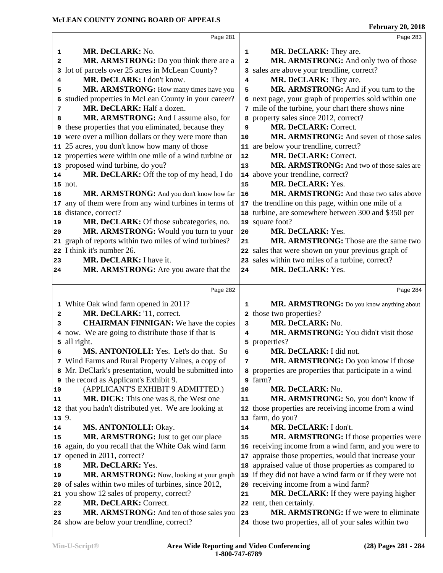|       | Page 281                                                                                |                | Page 283                                                                                        |  |
|-------|-----------------------------------------------------------------------------------------|----------------|-------------------------------------------------------------------------------------------------|--|
| 1     | MR. DeCLARK: No.                                                                        | 1              | MR. DeCLARK: They are.                                                                          |  |
| 2     | MR. ARMSTRONG: Do you think there are a                                                 | $\overline{a}$ | MR. ARMSTRONG: And only two of those                                                            |  |
| 3     | lot of parcels over 25 acres in McLean County?                                          |                | 3 sales are above your trendline, correct?                                                      |  |
| 4     | MR. DeCLARK: I don't know.                                                              | 4              | MR. DeCLARK: They are.                                                                          |  |
| 5     | MR. ARMSTRONG: How many times have you                                                  | 5              | MR. ARMSTRONG: And if you turn to the                                                           |  |
| 6     | studied properties in McLean County in your career?                                     |                | 6 next page, your graph of properties sold within one                                           |  |
| 7     | MR. DeCLARK: Half a dozen.                                                              |                | 7 mile of the turbine, your chart there shows nine                                              |  |
| 8     | MR. ARMSTRONG: And I assume also, for                                                   |                | 8 property sales since 2012, correct?                                                           |  |
|       | <b>9</b> these properties that you eliminated, because they                             | 9              | MR. DeCLARK: Correct.                                                                           |  |
|       | 10 were over a million dollars or they were more than                                   | 10             | MR. ARMSTRONG: And seven of those sales                                                         |  |
|       | 11 25 acres, you don't know how many of those                                           |                | 11 are below your trendline, correct?                                                           |  |
|       | 12 properties were within one mile of a wind turbine or                                 | 12             | MR. DeCLARK: Correct.                                                                           |  |
|       | 13 proposed wind turbine, do you?                                                       | 13             | MR. ARMSTRONG: And two of those sales are                                                       |  |
| 14    | MR. DeCLARK: Off the top of my head, I do                                               |                | 14 above your trendline, correct?                                                               |  |
|       |                                                                                         |                | MR. DeCLARK: Yes.                                                                               |  |
|       | 15 not.<br>MR. ARMSTRONG: And you don't know how far                                    | 15<br>16       | MR. ARMSTRONG: And those two sales above                                                        |  |
| 16    |                                                                                         |                |                                                                                                 |  |
|       | 17 any of them were from any wind turbines in terms of                                  |                | 17 the trendline on this page, within one mile of a                                             |  |
|       | 18 distance, correct?                                                                   |                | 18 turbine, are somewhere between 300 and \$350 per<br>19 square foot?                          |  |
| 19    | MR. DeCLARK: Of those subcategories, no.<br>MR. ARMSTRONG: Would you turn to your       |                | MR. DeCLARK: Yes.                                                                               |  |
| 20    |                                                                                         | 20             | MR. ARMSTRONG: Those are the same two                                                           |  |
|       | 21 graph of reports within two miles of wind turbines?<br>22 I think it's number 26.    | 21             |                                                                                                 |  |
|       |                                                                                         |                | 22 sales that were shown on your previous graph of                                              |  |
| 23    | MR. DeCLARK: I have it.                                                                 |                | 23 sales within two miles of a turbine, correct?<br>MR. DeCLARK: Yes.                           |  |
| 24    | MR. ARMSTRONG: Are you aware that the                                                   | 24             |                                                                                                 |  |
|       |                                                                                         |                |                                                                                                 |  |
|       |                                                                                         |                | Page 284                                                                                        |  |
|       | Page 282                                                                                |                |                                                                                                 |  |
|       | 1 White Oak wind farm opened in 2011?                                                   | 1              | MR. ARMSTRONG: Do you know anything about                                                       |  |
| 2     | MR. DeCLARK: '11, correct.                                                              |                | 2 those two properties?                                                                         |  |
| 3     | <b>CHAIRMAN FINNIGAN:</b> We have the copies                                            | 3              | MR. DeCLARK: No.                                                                                |  |
| 4     | now. We are going to distribute those if that is                                        | 4              | MR. ARMSTRONG: You didn't visit those                                                           |  |
|       | 5 all right.                                                                            | 5              | properties?                                                                                     |  |
| 6     | MS. ANTONIOLLI: Yes. Let's do that. So                                                  | 6              | MR. DeCLARK: I did not.                                                                         |  |
|       | 7 Wind Farms and Rural Property Values, a copy of                                       | 7              | MR. ARMSTRONG: Do you know if those                                                             |  |
|       | 8 Mr. DeClark's presentation, would be submitted into                                   |                | 8 properties are properties that participate in a wind                                          |  |
|       | 9 the record as Applicant's Exhibit 9.                                                  |                | 9 farm?                                                                                         |  |
| 10    | (APPLICANT'S EXHIBIT 9 ADMITTED.)                                                       | 10             | MR. DeCLARK: No.                                                                                |  |
| 11    | MR. DICK: This one was 8, the West one                                                  | 11             | MR. ARMSTRONG: So, you don't know if                                                            |  |
|       | 12 that you hadn't distributed yet. We are looking at                                   | 12             | those properties are receiving income from a wind                                               |  |
| 13 9. |                                                                                         |                | 13 farm, do you?                                                                                |  |
| 14    | MS. ANTONIOLLI: Okay.                                                                   | 14             | MR. DeCLARK: I don't.                                                                           |  |
| 15    | MR. ARMSTRONG: Just to get our place                                                    | 15             | MR. ARMSTRONG: If those properties were                                                         |  |
|       | 16 again, do you recall that the White Oak wind farm                                    |                | 16 receiving income from a wind farm, and you were to                                           |  |
|       | 17 opened in 2011, correct?                                                             | 17             | appraise those properties, would that increase your                                             |  |
| 18    | MR. DeCLARK: Yes.                                                                       |                | 18 appraised value of those properties as compared to                                           |  |
| 19    | MR. ARMSTRONG: Now, looking at your graph                                               |                | 19 if they did not have a wind farm or if they were not                                         |  |
|       | 20 of sales within two miles of turbines, since 2012,                                   |                | 20 receiving income from a wind farm?                                                           |  |
|       | 21 you show 12 sales of property, correct?                                              | 21             | MR. DeCLARK: If they were paying higher                                                         |  |
| 22    | MR. DeCLARK: Correct.                                                                   |                | 22 rent, then certainly.                                                                        |  |
| 23    | MR. ARMSTRONG: And ten of those sales you<br>24 show are below your trendline, correct? | 23             | MR. ARMSTRONG: If we were to eliminate<br>24 those two properties, all of your sales within two |  |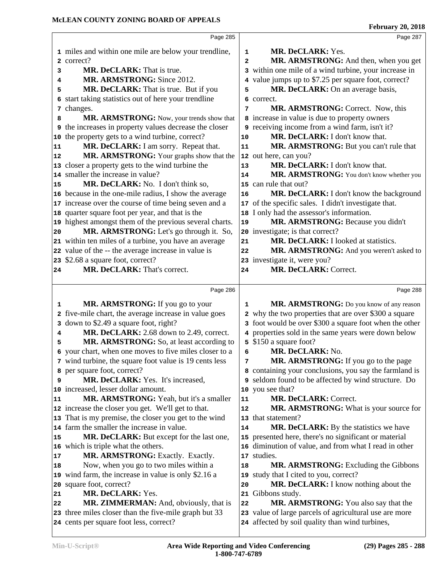|    | Page 285                                                                                        |              | Page 287                                                                                       |
|----|-------------------------------------------------------------------------------------------------|--------------|------------------------------------------------------------------------------------------------|
|    | 1 miles and within one mile are below your trendline,                                           | 1            | <b>MR. DeCLARK: Yes.</b>                                                                       |
|    | 2 correct?                                                                                      | $\mathbf{2}$ | MR. ARMSTRONG: And then, when you get                                                          |
| 3  | MR. DeCLARK: That is true.                                                                      |              | 3 within one mile of a wind turbine, your increase in                                          |
| 4  | MR. ARMSTRONG: Since 2012.                                                                      |              | 4 value jumps up to \$7.25 per square foot, correct?                                           |
| 5  | MR. DeCLARK: That is true. But if you                                                           | 5            | MR. DeCLARK: On an average basis,                                                              |
| 6  | start taking statistics out of here your trendline                                              |              | 6 correct.                                                                                     |
| 7  | changes.                                                                                        | 7            | <b>MR. ARMSTRONG:</b> Correct. Now, this                                                       |
| 8  | MR. ARMSTRONG: Now, your trends show that                                                       |              | 8 increase in value is due to property owners                                                  |
| 9  | the increases in property values decrease the closer                                            |              | 9 receiving income from a wind farm, isn't it?                                                 |
| 10 | the property gets to a wind turbine, correct?                                                   | 10           | MR. DeCLARK: I don't know that.                                                                |
| 11 | MR. DeCLARK: I am sorry. Repeat that.                                                           | 11           | MR. ARMSTRONG: But you can't rule that                                                         |
| 12 | MR. ARMSTRONG: Your graphs show that the                                                        |              | 12 out here, can you?                                                                          |
|    | 13 closer a property gets to the wind turbine the                                               | 13           | MR. DeCLARK: I don't know that.                                                                |
|    | 14 smaller the increase in value?                                                               | 14           | MR. ARMSTRONG: You don't know whether you                                                      |
| 15 | MR. DeCLARK: No. I don't think so,                                                              |              | 15 can rule that out?                                                                          |
|    | 16 because in the one-mile radius, I show the average                                           | 16           | MR. DeCLARK: I don't know the background                                                       |
|    | 17 increase over the course of time being seven and a                                           |              | 17 of the specific sales. I didn't investigate that.                                           |
|    | 18 quarter square foot per year, and that is the                                                |              | 18 I only had the assessor's information.                                                      |
|    | 19 highest amongst them of the previous several charts.                                         | 19           | MR. ARMSTRONG: Because you didn't                                                              |
| 20 | MR. ARMSTRONG: Let's go through it. So,                                                         |              | 20 investigate; is that correct?                                                               |
|    | 21 within ten miles of a turbine, you have an average                                           | 21           | MR. DeCLARK: I looked at statistics.                                                           |
|    | 22 value of the -- the average increase in value is                                             | 22           | MR. ARMSTRONG: And you weren't asked to                                                        |
|    | 23 \$2.68 a square foot, correct?                                                               |              | 23 investigate it, were you?                                                                   |
| 24 | MR. DeCLARK: That's correct.                                                                    | 24           | MR. DeCLARK: Correct.                                                                          |
|    |                                                                                                 |              |                                                                                                |
|    | Page 286                                                                                        |              | Page 288                                                                                       |
| 1  | MR. ARMSTRONG: If you go to your                                                                | 1            | MR. ARMSTRONG: Do you know of any reason                                                       |
| 2  | five-mile chart, the average increase in value goes                                             |              | 2 why the two properties that are over \$300 a square                                          |
|    | 3 down to \$2.49 a square foot, right?                                                          |              | 3 foot would be over \$300 a square foot when the other                                        |
| 4  | MR. DeCLARK: 2.68 down to 2.49, correct.                                                        |              | 4 properties sold in the same years were down below                                            |
| 5  | MR. ARMSTRONG: So, at least according to                                                        |              | 5 \$150 a square foot?                                                                         |
| 6  | your chart, when one moves to five miles closer to a                                            | 6            | MR. DeCLARK: No.                                                                               |
|    | 7 wind turbine, the square foot value is 19 cents less                                          | 7            | MR. ARMSTRONG: If you go to the page                                                           |
|    | 8 per square foot, correct?                                                                     |              | 8 containing your conclusions, you say the farmland is                                         |
| 9  | MR. DeCLARK: Yes. It's increased,                                                               |              | 9 seldom found to be affected by wind structure. Do                                            |
|    | 10 increased, lesser dollar amount.                                                             |              | 10 you see that?                                                                               |
| 11 | MR. ARMSTRONG: Yeah, but it's a smaller                                                         | 11           | MR. DeCLARK: Correct.                                                                          |
|    | 12 increase the closer you get. We'll get to that.                                              | 12           | MR. ARMSTRONG: What is your source for                                                         |
|    | 13 That is my premise, the closer you get to the wind                                           |              | 13 that statement?                                                                             |
|    | 14 farm the smaller the increase in value.                                                      | 14           | MR. DeCLARK: By the statistics we have                                                         |
| 15 | MR. DeCLARK: But except for the last one,                                                       |              | 15 presented here, there's no significant or material                                          |
|    | 16 which is triple what the others.                                                             |              | 16 diminution of value, and from what I read in other                                          |
| 17 | MR. ARMSTRONG: Exactly. Exactly.                                                                |              | 17 studies.                                                                                    |
| 18 | Now, when you go to two miles within a                                                          | 18           | MR. ARMSTRONG: Excluding the Gibbons                                                           |
|    |                                                                                                 |              | 19 study that I cited to you, correct?                                                         |
|    |                                                                                                 |              |                                                                                                |
|    | 19 wind farm, the increase in value is only \$2.16 a                                            | 20           |                                                                                                |
| 21 | 20 square foot, correct?<br>MR. DeCLARK: Yes.                                                   | 21           | MR. DeCLARK: I know nothing about the<br>Gibbons study.                                        |
| 22 |                                                                                                 | 22           |                                                                                                |
|    | MR. ZIMMERMAN: And, obviously, that is<br>23 three miles closer than the five-mile graph but 33 |              | MR. ARMSTRONG: You also say that the<br>23 value of large parcels of agricultural use are more |
|    | 24 cents per square foot less, correct?                                                         |              | 24 affected by soil quality than wind turbines,                                                |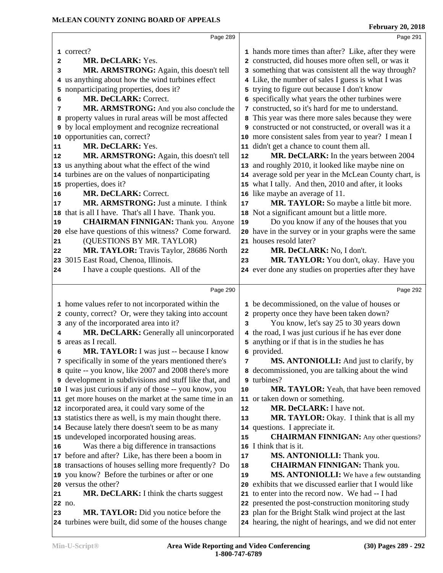|    | Page 289                                                                                                              |            | Page 291                                                                                                     |  |
|----|-----------------------------------------------------------------------------------------------------------------------|------------|--------------------------------------------------------------------------------------------------------------|--|
|    | 1 correct?                                                                                                            |            |                                                                                                              |  |
|    | MR. DeCLARK: Yes.                                                                                                     |            | 1 hands more times than after? Like, after they were<br>2 constructed, did houses more often sell, or was it |  |
| 2  |                                                                                                                       |            | 3 something that was consistent all the way through?                                                         |  |
| 3  | MR. ARMSTRONG: Again, this doesn't tell<br>4 us anything about how the wind turbines effect                           |            | 4 Like, the number of sales I guess is what I was                                                            |  |
|    | 5 nonparticipating properties, does it?                                                                               |            | 5 trying to figure out because I don't know                                                                  |  |
| 6  | MR. DeCLARK: Correct.                                                                                                 |            | 6 specifically what years the other turbines were                                                            |  |
| 7  | MR. ARMSTRONG: And you also conclude the                                                                              |            | 7 constructed, so it's hard for me to understand.                                                            |  |
|    | property values in rural areas will be most affected                                                                  |            | 8 This year was there more sales because they were                                                           |  |
| 8  | <b>9</b> by local employment and recognize recreational                                                               |            | 9 constructed or not constructed, or overall was it a                                                        |  |
|    | 10 opportunities can, correct?                                                                                        |            | 10 more consistent sales from year to year? I mean I                                                         |  |
| 11 | MR. DeCLARK: Yes.                                                                                                     |            | 11 didn't get a chance to count them all.                                                                    |  |
| 12 | MR. ARMSTRONG: Again, this doesn't tell                                                                               | 12         | MR. DeCLARK: In the years between 2004                                                                       |  |
|    | 13 us anything about what the effect of the wind                                                                      |            | 13 and roughly 2010, it looked like maybe nine on                                                            |  |
|    | 14 turbines are on the values of nonparticipating                                                                     |            | 14 average sold per year in the McLean County chart, is                                                      |  |
|    | 15 properties, does it?                                                                                               |            | 15 what I tally. And then, 2010 and after, it looks                                                          |  |
| 16 | MR. DeCLARK: Correct.                                                                                                 |            | 16 like maybe an average of 11.                                                                              |  |
| 17 | MR. ARMSTRONG: Just a minute. I think                                                                                 | $17$       | MR. TAYLOR: So maybe a little bit more.                                                                      |  |
| 18 | that is all I have. That's all I have. Thank you.                                                                     |            | 18 Not a significant amount but a little more.                                                               |  |
| 19 | <b>CHAIRMAN FINNIGAN:</b> Thank you. Anyone                                                                           | 19         | Do you know if any of the houses that you                                                                    |  |
|    | 20 else have questions of this witness? Come forward.                                                                 |            | 20 have in the survey or in your graphs were the same                                                        |  |
| 21 | (QUESTIONS BY MR. TAYLOR)                                                                                             |            | 21 houses resold later?                                                                                      |  |
| 22 | MR. TAYLOR: Travis Taylor, 28686 North                                                                                | 22         | MR. DeCLARK: No, I don't.                                                                                    |  |
| 23 | 3015 East Road, Chenoa, Illinois.                                                                                     | 23         | MR. TAYLOR: You don't, okay. Have you                                                                        |  |
| 24 | I have a couple questions. All of the                                                                                 |            | 24 ever done any studies on properties after they have                                                       |  |
|    |                                                                                                                       |            |                                                                                                              |  |
|    |                                                                                                                       |            |                                                                                                              |  |
|    | Page 290                                                                                                              |            | Page 292                                                                                                     |  |
|    |                                                                                                                       |            |                                                                                                              |  |
|    | 1 home values refer to not incorporated within the                                                                    |            | 1 be decommissioned, on the value of houses or                                                               |  |
|    | 2 county, correct? Or, were they taking into account                                                                  |            | 2 property once they have been taken down?                                                                   |  |
| 3  | any of the incorporated area into it?                                                                                 | 3          | You know, let's say 25 to 30 years down                                                                      |  |
| 4  | MR. DeCLARK: Generally all unincorporated                                                                             |            | 4 the road, I was just curious if he has ever done                                                           |  |
| 5  | areas as I recall.                                                                                                    |            | 5 anything or if that is in the studies he has                                                               |  |
| 6  | MR. TAYLOR: I was just -- because I know                                                                              |            | 6 provided.                                                                                                  |  |
|    | 7 specifically in some of the years mentioned there's                                                                 | 7          | MS. ANTONIOLLI: And just to clarify, by                                                                      |  |
|    | 8 quite -- you know, like 2007 and 2008 there's more<br><b>9</b> development in subdivisions and stuff like that, and |            | 8 decommissioned, you are talking about the wind<br>9 turbines?                                              |  |
|    | 10 I was just curious if any of those -- you know, you                                                                | 10         | MR. TAYLOR: Yeah, that have been removed                                                                     |  |
|    | 11 get more houses on the market at the same time in an                                                               |            | 11 or taken down or something.                                                                               |  |
|    | 12 incorporated area, it could vary some of the                                                                       | ${\bf 12}$ | MR. DeCLARK: I have not.                                                                                     |  |
|    | 13 statistics there as well, is my main thought there.                                                                | 13         | MR. TAYLOR: Okay. I think that is all my                                                                     |  |
|    | 14 Because lately there doesn't seem to be as many                                                                    |            | 14 questions. I appreciate it.                                                                               |  |
|    | 15 undeveloped incorporated housing areas.                                                                            | 15         | <b>CHAIRMAN FINNIGAN:</b> Any other questions?                                                               |  |
| 16 | Was there a big difference in transactions                                                                            | 16         | I think that is it.                                                                                          |  |
|    | 17 before and after? Like, has there been a boom in                                                                   | 17         | MS. ANTONIOLLI: Thank you.                                                                                   |  |
|    | 18 transactions of houses selling more frequently? Do                                                                 | 18         | <b>CHAIRMAN FINNIGAN:</b> Thank you.                                                                         |  |
|    | 19 you know? Before the turbines or after or one                                                                      | 19         | MS. ANTONIOLLI: We have a few outstanding                                                                    |  |
|    | 20 versus the other?                                                                                                  |            | 20 exhibits that we discussed earlier that I would like                                                      |  |
| 21 | MR. DeCLARK: I think the charts suggest                                                                               |            | 21 to enter into the record now. We had -- I had                                                             |  |
|    | 22 no.                                                                                                                |            | 22 presented the post-construction monitoring study                                                          |  |
| 23 | MR. TAYLOR: Did you notice before the                                                                                 |            | 23 plan for the Bright Stalk wind project at the last                                                        |  |
|    | 24 turbines were built, did some of the houses change                                                                 |            | 24 hearing, the night of hearings, and we did not enter                                                      |  |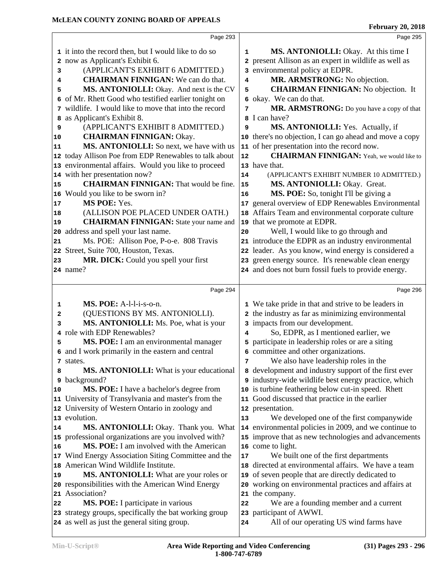|          | Page 293                                                             |              | Page 295                                                                     |  |
|----------|----------------------------------------------------------------------|--------------|------------------------------------------------------------------------------|--|
|          | 1 it into the record then, but I would like to do so                 | $\mathbf{1}$ | MS. ANTONIOLLI: Okay. At this time I                                         |  |
|          | 2 now as Applicant's Exhibit 6.                                      |              | 2 present Allison as an expert in wildlife as well as                        |  |
| 3        | (APPLICANT'S EXHIBIT 6 ADMITTED.)                                    |              | 3 environmental policy at EDPR.                                              |  |
| 4        | <b>CHAIRMAN FINNIGAN:</b> We can do that.                            | 4            | MR. ARMSTRONG: No objection.                                                 |  |
| 5        | MS. ANTONIOLLI: Okay. And next is the CV                             | 5            | <b>CHAIRMAN FINNIGAN:</b> No objection. It                                   |  |
|          | 6 of Mr. Rhett Good who testified earlier tonight on                 |              | 6 okay. We can do that.                                                      |  |
|          | 7 wildlife. I would like to move that into the record                |              | MR. ARMSTRONG: Do you have a copy of that                                    |  |
|          | 8 as Applicant's Exhibit 8.                                          |              | 8 I can have?                                                                |  |
| 9        | (APPLICANT'S EXHIBIT 8 ADMITTED.)                                    | 9            | MS. ANTONIOLLI: Yes. Actually, if                                            |  |
| 10       | <b>CHAIRMAN FINNIGAN: Okay.</b>                                      |              | 10 there's no objection, I can go ahead and move a copy                      |  |
| 11       | MS. ANTONIOLLI: So next, we have with us                             |              | 11 of her presentation into the record now.                                  |  |
|          | 12 today Allison Poe from EDP Renewables to talk about               | 12           | <b>CHAIRMAN FINNIGAN:</b> Yeah, we would like to                             |  |
|          | 13 environmental affairs. Would you like to proceed                  |              | 13 have that.                                                                |  |
|          | 14 with her presentation now?                                        | 14           | (APPLICANT'S EXHIBIT NUMBER 10 ADMITTED.)                                    |  |
| 15       | <b>CHAIRMAN FINNIGAN:</b> That would be fine.                        | 15           | MS. ANTONIOLLI: Okay. Great.                                                 |  |
|          | 16 Would you like to be sworn in?                                    | 16           | MS. POE: So, tonight I'll be giving a                                        |  |
| 17       | MS POE: Yes.                                                         | 17           | general overview of EDP Renewables Environmental                             |  |
| 18       | (ALLISON POE PLACED UNDER OATH.)                                     |              | 18 Affairs Team and environmental corporate culture                          |  |
| 19       | <b>CHAIRMAN FINNIGAN:</b> State your name and                        |              | 19 that we promote at EDPR.                                                  |  |
|          | 20 address and spell your last name.                                 | 20           | Well, I would like to go through and                                         |  |
| 21       | Ms. POE: Allison Poe, P-o-e. 808 Travis                              |              | 21 introduce the EDPR as an industry environmental                           |  |
|          | 22 Street, Suite 700, Houston, Texas.                                |              | 22 leader. As you know, wind energy is considered a                          |  |
| 23       | MR. DICK: Could you spell your first                                 |              | 23 green energy source. It's renewable clean energy                          |  |
|          | 24 name?                                                             |              | 24 and does not burn fossil fuels to provide energy.                         |  |
|          |                                                                      |              |                                                                              |  |
|          |                                                                      |              |                                                                              |  |
|          | Page 294                                                             |              | Page 296                                                                     |  |
| 1        | MS. POE: A-l-l-i-s-o-n.                                              |              |                                                                              |  |
| 2        | (QUESTIONS BY MS. ANTONIOLLI).                                       |              | 1 We take pride in that and strive to be leaders in                          |  |
| 3        |                                                                      |              | 2 the industry as far as minimizing environmental                            |  |
|          | MS. ANTONIOLLI: Ms. Poe, what is your<br>4 role with EDP Renewables? | 4            | 3 impacts from our development.                                              |  |
| 5        |                                                                      |              | So, EDPR, as I mentioned earlier, we                                         |  |
|          | MS. POE: I am an environmental manager                               |              | 5 participate in leadership roles or are a siting                            |  |
|          | 6 and I work primarily in the eastern and central<br>7 states.       | 7            | 6 committee and other organizations.<br>We also have leadership roles in the |  |
| 8        | MS. ANTONIOLLI: What is your educational                             |              | 8 development and industry support of the first ever                         |  |
| 9        | background?                                                          |              | 9 industry-wide wildlife best energy practice, which                         |  |
| 10       | MS. POE: I have a bachelor's degree from                             |              | 10 is turbine feathering below cut-in speed. Rhett                           |  |
|          | 11 University of Transylvania and master's from the                  |              | 11 Good discussed that practice in the earlier                               |  |
|          | 12 University of Western Ontario in zoology and                      |              | 12 presentation.                                                             |  |
|          | 13 evolution.                                                        | 13           | We developed one of the first companywide                                    |  |
|          | MS. ANTONIOLLI: Okay. Thank you. What                                |              | 14 environmental policies in 2009, and we continue to                        |  |
|          | 15 professional organizations are you involved with?                 |              | 15 improve that as new technologies and advancements                         |  |
|          | MS. POE: I am involved with the American                             |              | 16 come to light.                                                            |  |
|          | 17 Wind Energy Association Siting Committee and the                  | 17           | We built one of the first departments                                        |  |
|          | 18 American Wind Wildlife Institute.                                 |              | 18 directed at environmental affairs. We have a team                         |  |
| 14<br>16 | MS. ANTONIOLLI: What are your roles or                               | 19           | of seven people that are directly dedicated to                               |  |
|          | 20 responsibilities with the American Wind Energy                    |              | 20 working on environmental practices and affairs at                         |  |
|          | 21 Association?                                                      |              | 21 the company.                                                              |  |
| 19<br>22 | MS. POE: I participate in various                                    | 22           | We are a founding member and a current                                       |  |
|          | 23 strategy groups, specifically the bat working group               |              | 23 participant of AWWI.                                                      |  |
|          | 24 as well as just the general siting group.                         | 24           | All of our operating US wind farms have                                      |  |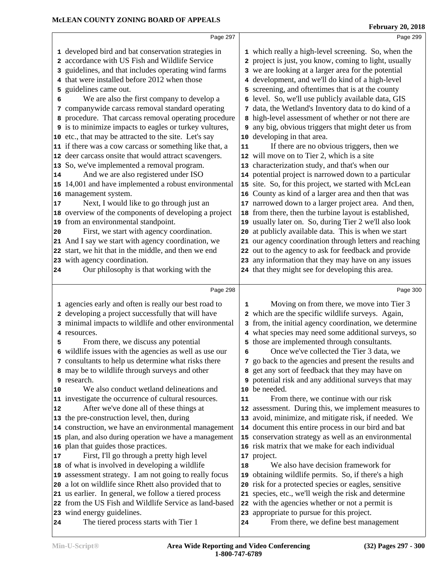|                | Page 297                                                                                                                                                                                                                                                                                                                                                                                                                                                                                                                 | Page 299                                                                                                                                                                                                                                                                                                                                                                                                                                                                                                                                |  |
|----------------|--------------------------------------------------------------------------------------------------------------------------------------------------------------------------------------------------------------------------------------------------------------------------------------------------------------------------------------------------------------------------------------------------------------------------------------------------------------------------------------------------------------------------|-----------------------------------------------------------------------------------------------------------------------------------------------------------------------------------------------------------------------------------------------------------------------------------------------------------------------------------------------------------------------------------------------------------------------------------------------------------------------------------------------------------------------------------------|--|
| 3<br>5<br>6    | 1 developed bird and bat conservation strategies in<br>2 accordance with US Fish and Wildlife Service<br>guidelines, and that includes operating wind farms<br>4 that were installed before 2012 when those<br>guidelines came out.<br>We are also the first company to develop a<br>7 companywide carcass removal standard operating<br>8 procedure. That carcass removal operating procedure<br><b>9</b> is to minimize impacts to eagles or turkey vultures,<br>10 etc., that may be attracted to the site. Let's say | 1 which really a high-level screening. So, when the<br>2 project is just, you know, coming to light, usually<br>3 we are looking at a larger area for the potential<br>4 development, and we'll do kind of a high-level<br>5 screening, and oftentimes that is at the county<br>6 level. So, we'll use publicly available data, GIS<br>7 data, the Wetland's Inventory data to do kind of a<br>8 high-level assessment of whether or not there are<br>any big, obvious triggers that might deter us from<br>10 developing in that area. |  |
| 14             | 11 if there was a cow carcass or something like that, a<br>12 deer carcass onsite that would attract scavengers.<br>13 So, we've implemented a removal program.<br>And we are also registered under ISO<br>15 14,001 and have implemented a robust environmental                                                                                                                                                                                                                                                         | If there are no obvious triggers, then we<br>11<br>12 will move on to Tier 2, which is a site<br>13 characterization study, and that's when our<br>14 potential project is narrowed down to a particular<br>15 site. So, for this project, we started with McLean                                                                                                                                                                                                                                                                       |  |
| 17<br>20       | 16 management system.<br>Next, I would like to go through just an<br>18 overview of the components of developing a project<br>19 from an environmental standpoint.<br>First, we start with agency coordination.<br>21 And I say we start with agency coordination, we<br>22 start, we hit that in the middle, and then we end<br>23 with agency coordination.                                                                                                                                                            | 16 County as kind of a larger area and then that was<br>17 narrowed down to a larger project area. And then,<br>18 from there, then the turbine layout is established,<br>19 usually later on. So, during Tier 2 we'll also look<br>20 at publicly available data. This is when we start<br>21 our agency coordination through letters and reaching<br>22 out to the agency to ask for feedback and provide<br>23 any information that they may have on any issues                                                                      |  |
| 24             | Our philosophy is that working with the                                                                                                                                                                                                                                                                                                                                                                                                                                                                                  | 24 that they might see for developing this area.                                                                                                                                                                                                                                                                                                                                                                                                                                                                                        |  |
|                |                                                                                                                                                                                                                                                                                                                                                                                                                                                                                                                          |                                                                                                                                                                                                                                                                                                                                                                                                                                                                                                                                         |  |
| 4<br>5         | Page 298<br>1 agencies early and often is really our best road to<br>2 developing a project successfully that will have<br>3 minimal impacts to wildlife and other environmental<br>resources.<br>From there, we discuss any potential<br>6 wildlife issues with the agencies as well as use our<br>7 consultants to help us determine what risks there<br>8 may be to wildlife through surveys and other<br>9 research.                                                                                                 | Page 300<br>Moving on from there, we move into Tier 3<br>1<br>2 which are the specific wildlife surveys. Again,<br>3 from, the initial agency coordination, we determine<br>4 what species may need some additional surveys, so<br>5 those are implemented through consultants.<br>Once we've collected the Tier 3 data, we<br>6<br>7 go back to the agencies and present the results and<br>8 get any sort of feedback that they may have on<br>9 potential risk and any additional surveys that may                                   |  |
| 10<br>12<br>17 | We also conduct wetland delineations and<br>11 investigate the occurrence of cultural resources.<br>After we've done all of these things at<br>13 the pre-construction level, then, during<br>14 construction, we have an environmental management<br>15 plan, and also during operation we have a management<br>16 plan that guides those practices.<br>First, I'll go through a pretty high level                                                                                                                      | 10 be needed.<br>From there, we continue with our risk<br>${\bf 11}$<br>12 assessment. During this, we implement measures to<br>13 avoid, minimize, and mitigate risk, if needed. We<br>14 document this entire process in our bird and bat<br>15 conservation strategy as well as an environmental<br>16 risk matrix that we make for each individual<br>17 project.                                                                                                                                                                   |  |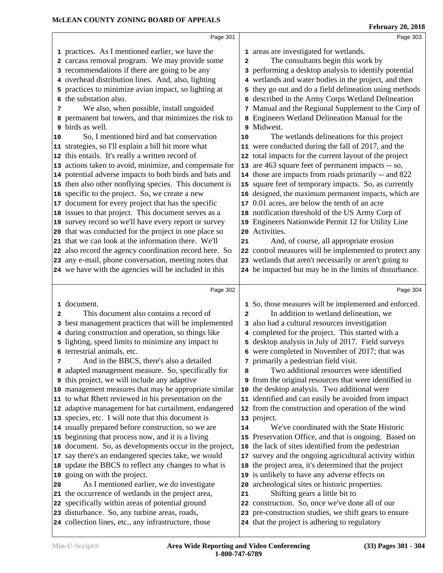|    | Page 301                                                                                              |              | Page 303                                                                                               |  |
|----|-------------------------------------------------------------------------------------------------------|--------------|--------------------------------------------------------------------------------------------------------|--|
|    | 1 practices. As I mentioned earlier, we have the                                                      |              | 1 areas are investigated for wetlands.                                                                 |  |
|    | 2 carcass removal program. We may provide some                                                        | $\mathbf{2}$ | The consultants begin this work by                                                                     |  |
|    | 3 recommendations if there are going to be any                                                        |              | 3 performing a desktop analysis to identify potential                                                  |  |
|    | 4 overhead distribution lines. And, also, lighting                                                    |              | 4 wetlands and water bodies in the project, and then                                                   |  |
|    | 5 practices to minimize avian impact, so lighting at                                                  |              | 5 they go out and do a field delineation using methods                                                 |  |
|    | 6 the substation also.                                                                                |              | 6 described in the Army Corps Wetland Delineation                                                      |  |
| 7  | We also, when possible, install unguided                                                              |              | 7 Manual and the Regional Supplement to the Corp of                                                    |  |
| 8  | permanent bat towers, and that minimizes the risk to                                                  |              | 8 Engineers Wetland Delineation Manual for the                                                         |  |
| 9  | birds as well.                                                                                        |              | 9 Midwest.                                                                                             |  |
| 10 | So, I mentioned bird and bat conservation                                                             | 10           | The wetlands delineations for this project                                                             |  |
|    | 11 strategies, so I'll explain a bill bit more what                                                   |              | 11 were conducted during the fall of 2017, and the                                                     |  |
|    | 12 this entails. It's really a written record of                                                      |              | 12 total impacts for the current layout of the project                                                 |  |
|    | 13 actions taken to avoid, minimize, and compensate for                                               |              | 13 are 463 square feet of permanent impacts -- so,                                                     |  |
|    | 14 potential adverse impacts to both birds and bats and                                               |              | 14 those are impacts from roads primarily -- and 822                                                   |  |
|    | 15 then also other nonflying species. This document is                                                |              | 15 square feet of temporary impacts. So, as currently                                                  |  |
|    | 16 specific to the project. So, we create a new                                                       |              | 16 designed, the maximum permanent impacts, which are                                                  |  |
|    | 17 document for every project that has the specific                                                   | 17           | 0.01 acres, are below the tenth of an acre                                                             |  |
|    | 18 issues to that project. This document serves as a                                                  |              | 18 notification threshold of the US Army Corp of                                                       |  |
|    | 19 survey record so we'll have every report or survey                                                 |              | 19 Engineers Nationwide Permit 12 for Utility Line                                                     |  |
|    | 20 that was conducted for the project in one place so                                                 |              | 20 Activities.                                                                                         |  |
|    | 21 that we can look at the information there. We'll                                                   | 21           | And, of course, all appropriate erosion                                                                |  |
|    | 22 also record the agency coordination record here. So                                                |              | 22 control measures will be implemented to protect any                                                 |  |
|    | 23 any e-mail, phone conversation, meeting notes that                                                 |              | 23 wetlands that aren't necessarily or aren't going to                                                 |  |
|    | 24 we have with the agencies will be included in this                                                 |              | 24 be impacted but may be in the limits of disturbance.                                                |  |
|    |                                                                                                       |              |                                                                                                        |  |
|    |                                                                                                       |              |                                                                                                        |  |
|    | Page 302                                                                                              |              | Page 304                                                                                               |  |
|    | 1 document.                                                                                           |              | 1 So, those measures will be implemented and enforced.                                                 |  |
| 2  | This document also contains a record of                                                               | $\mathbf{2}$ | In addition to wetland delineation, we                                                                 |  |
| 3  | best management practices that will be implemented                                                    |              | 3 also had a cultural resources investigation                                                          |  |
| 4  | during construction and operation, so things like                                                     |              | 4 completed for the project. This started with a                                                       |  |
| 5  | lighting, speed limits to minimize any impact to                                                      |              | 5 desktop analysis in July of 2017. Field surveys                                                      |  |
|    | 6 terrestrial animals, etc.                                                                           |              | 6 were completed in November of 2017; that was                                                         |  |
| 7  | And in the BBCS, there's also a detailed                                                              |              | 7 primarily a pedestrian field visit.                                                                  |  |
|    | 8 adapted management measure. So, specifically for                                                    | 8            | Two additional resources were identified                                                               |  |
|    | <sup>9</sup> this project, we will include any adaptive                                               |              | <b>9</b> from the original resources that were identified in                                           |  |
|    | 10 management measures that may be appropriate similar                                                |              | 10 the desktop analysis. Two additional were                                                           |  |
|    | 11 to what Rhett reviewed in his presentation on the                                                  |              | 11 identified and can easily be avoided from impact                                                    |  |
|    | 12 adaptive management for bat curtailment, endangered                                                |              | 12 from the construction and operation of the wind                                                     |  |
|    | 13 species, etc. I will note that this document is                                                    |              | 13 project.                                                                                            |  |
|    | 14 usually prepared before construction, so we are                                                    | 14           | We've coordinated with the State Historic                                                              |  |
|    | 15 beginning that process now, and it is a living                                                     |              | 15 Preservation Office, and that is ongoing. Based on                                                  |  |
|    | 16 document. So, as developments occur in the project,                                                |              | 16 the lack of sites identified from the pedestrian                                                    |  |
|    | 17 say there's an endangered species take, we would                                                   |              | 17 survey and the ongoing agricultural activity within                                                 |  |
|    | 18 update the BBCS to reflect any changes to what is                                                  |              | 18 the project area, it's determined that the project                                                  |  |
|    | 19 going on with the project.                                                                         |              | 19 is unlikely to have any adverse effects on                                                          |  |
| 20 | As I mentioned earlier, we do investigate                                                             |              | 20 archeological sites or historic properties.                                                         |  |
|    | 21 the occurrence of wetlands in the project area,                                                    | 21           | Shifting gears a little bit to                                                                         |  |
|    | 22 specifically within areas of potential ground                                                      |              | 22 construction. So, once we've done all of our                                                        |  |
|    | 23 disturbance. So, any turbine areas, roads,<br>24 collection lines, etc., any infrastructure, those |              | 23 pre-construction studies, we shift gears to ensure<br>24 that the project is adhering to regulatory |  |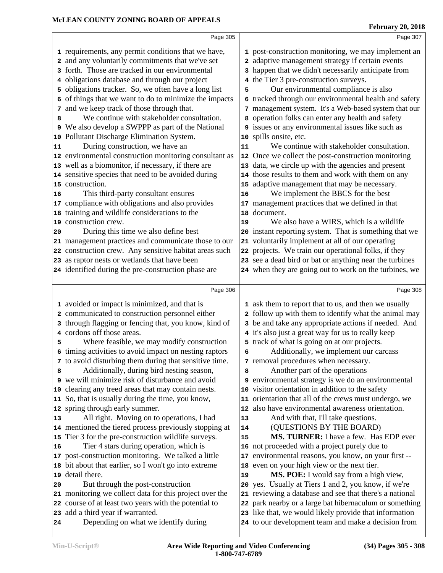|    | Page 305                                                                  |                         | Page 307                                                                                                      |
|----|---------------------------------------------------------------------------|-------------------------|---------------------------------------------------------------------------------------------------------------|
|    | 1 requirements, any permit conditions that we have,                       |                         | 1 post-construction monitoring, we may implement an                                                           |
|    | 2 and any voluntarily commitments that we've set                          | $\overline{\mathbf{c}}$ | adaptive management strategy if certain events                                                                |
|    | 3 forth. Those are tracked in our environmental                           |                         | 3 happen that we didn't necessarily anticipate from                                                           |
|    | 4 obligations database and through our project                            |                         | 4 the Tier 3 pre-construction surveys.                                                                        |
|    | 5 obligations tracker. So, we often have a long list                      | 5                       | Our environmental compliance is also                                                                          |
|    | 6 of things that we want to do to minimize the impacts                    |                         | 6 tracked through our environmental health and safety                                                         |
| 7  | and we keep track of those through that.                                  | 7                       | management system. It's a Web-based system that our                                                           |
| 8  | We continue with stakeholder consultation.                                | 8                       | operation folks can enter any health and safety                                                               |
|    | 9 We also develop a SWPPP as part of the National                         |                         | <b>9</b> issues or any environmental issues like such as                                                      |
|    | 10 Pollutant Discharge Elimination System.                                |                         | 10 spills onsite, etc.                                                                                        |
| 11 | During construction, we have an                                           | 11                      | We continue with stakeholder consultation.                                                                    |
|    | 12 environmental construction monitoring consultant as                    | 12                      | Once we collect the post-construction monitoring                                                              |
|    | 13 well as a biomonitor, if necessary, if there are                       |                         | 13 data, we circle up with the agencies and present                                                           |
|    | 14 sensitive species that need to be avoided during                       |                         | 14 those results to them and work with them on any                                                            |
|    | 15 construction.                                                          |                         | 15 adaptive management that may be necessary.                                                                 |
| 16 | This third-party consultant ensures                                       | 16                      | We implement the BBCS for the best                                                                            |
|    | 17 compliance with obligations and also provides                          | 17                      | management practices that we defined in that                                                                  |
|    | 18 training and wildlife considerations to the                            | 18                      | document.                                                                                                     |
|    | 19 construction crew.                                                     | 19                      | We also have a WIRS, which is a wildlife                                                                      |
| 20 | During this time we also define best                                      |                         | 20 instant reporting system. That is something that we                                                        |
|    | 21 management practices and communicate those to our                      |                         | 21 voluntarily implement at all of our operating                                                              |
|    | 22 construction crew. Any sensitive habitat areas such                    |                         | 22 projects. We train our operational folks, if they                                                          |
|    | 23 as raptor nests or wetlands that have been                             |                         | 23 see a dead bird or bat or anything near the turbines                                                       |
|    | 24 identified during the pre-construction phase are                       |                         | 24 when they are going out to work on the turbines, we                                                        |
|    |                                                                           |                         |                                                                                                               |
|    | Page 306                                                                  |                         |                                                                                                               |
|    |                                                                           |                         | Page 308                                                                                                      |
|    | 1 avoided or impact is minimized, and that is                             |                         | 1 ask them to report that to us, and then we usually                                                          |
|    | 2 communicated to construction personnel either                           |                         | 2 follow up with them to identify what the animal may                                                         |
|    | 3 through flagging or fencing that, you know, kind of                     |                         | 3 be and take any appropriate actions if needed. And                                                          |
|    | 4 cordons off those areas.                                                |                         | 4 it's also just a great way for us to really keep                                                            |
| 5  | Where feasible, we may modify construction                                |                         | 5 track of what is going on at our projects.                                                                  |
|    | 6 timing activities to avoid impact on nesting raptors                    | 6                       | Additionally, we implement our carcass                                                                        |
|    | 7 to avoid disturbing them during that sensitive time.                    |                         | 7 removal procedures when necessary.                                                                          |
| 8  | Additionally, during bird nesting season,                                 | 8                       | Another part of the operations                                                                                |
|    | 9 we will minimize risk of disturbance and avoid                          |                         | 9 environmental strategy is we do an environmental                                                            |
|    | 10 clearing any treed areas that may contain nests.                       |                         | 10 visitor orientation in addition to the safety                                                              |
|    | 11 So, that is usually during the time, you know,                         | 11                      | orientation that all of the crews must undergo, we                                                            |
|    | 12 spring through early summer.                                           | 12                      | also have environmental awareness orientation.                                                                |
| 13 | All right. Moving on to operations, I had                                 | 13                      | And with that, I'll take questions.                                                                           |
|    | 14 mentioned the tiered process previously stopping at                    | 14                      | (QUESTIONS BY THE BOARD)                                                                                      |
|    | 15 Tier 3 for the pre-construction wildlife surveys.                      | 15                      | MS. TURNER: I have a few. Has EDP ever                                                                        |
| 16 | Tier 4 stars during operation, which is                                   |                         | 16 not proceeded with a project purely due to                                                                 |
|    | 17 post-construction monitoring. We talked a little                       | 17                      | environmental reasons, you know, on your first --                                                             |
|    | 18 bit about that earlier, so I won't go into extreme                     |                         | 18 even on your high view or the next tier.                                                                   |
|    | 19 detail there.                                                          | 19                      | MS. POE: I would say from a high view,                                                                        |
| 20 | But through the post-construction                                         |                         | 20 yes. Usually at Tiers 1 and 2, you know, if we're                                                          |
|    | 21 monitoring we collect data for this project over the                   |                         | 21 reviewing a database and see that there's a national                                                       |
|    | 22 course of at least two years with the potential to                     |                         | 22 park nearby or a large bat hibernaculum or something                                                       |
| 24 | 23 add a third year if warranted.<br>Depending on what we identify during |                         | 23 like that, we would likely provide that information<br>24 to our development team and make a decision from |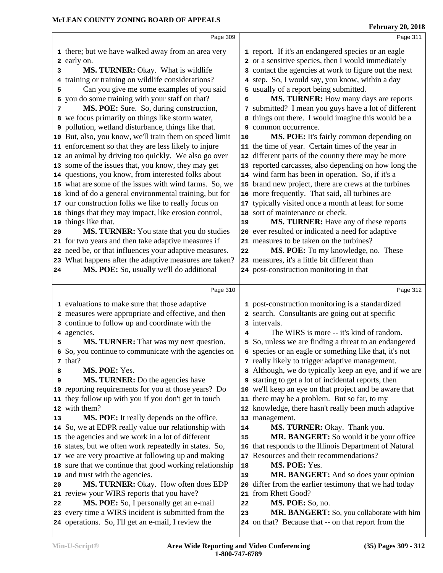|    | Page 309                                                |    | Page 311                                                   |
|----|---------------------------------------------------------|----|------------------------------------------------------------|
|    | 1 there; but we have walked away from an area very      |    | 1 report. If it's an endangered species or an eagle        |
|    | 2 early on.                                             |    | 2 or a sensitive species, then I would immediately         |
| 3  | MS. TURNER: Okay. What is wildlife                      |    | 3 contact the agencies at work to figure out the next      |
| 4  | training or training on wildlife considerations?        | 4  | step. So, I would say, you know, within a day              |
| 5  | Can you give me some examples of you said               | 5  | usually of a report being submitted.                       |
|    | you do some training with your staff on that?<br>6      | 6  | MS. TURNER: How many days are reports                      |
| 7  | MS. POE: Sure. So, during construction,                 |    | 7 submitted? I mean you guys have a lot of different       |
|    | 8 we focus primarily on things like storm water,        |    | 8 things out there. I would imagine this would be a        |
|    | 9 pollution, wetland disturbance, things like that.     | 9  | common occurrence.                                         |
|    | 10 But, also, you know, we'll train them on speed limit | 10 | MS. POE: It's fairly common depending on                   |
|    | 11 enforcement so that they are less likely to injure   |    | 11 the time of year. Certain times of the year in          |
|    | 12 an animal by driving too quickly. We also go over    |    | 12 different parts of the country there may be more        |
|    | 13 some of the issues that, you know, they may get      |    | 13 reported carcasses, also depending on how long the      |
|    | 14 questions, you know, from interested folks about     |    | 14 wind farm has been in operation. So, if it's a          |
|    | 15 what are some of the issues with wind farms. So, we  |    | 15 brand new project, there are crews at the turbines      |
|    | 16 kind of do a general environmental training, but for |    | 16 more frequently. That said, all turbines are            |
|    | 17 our construction folks we like to really focus on    |    | 17 typically visited once a month at least for some        |
|    | 18 things that they may impact, like erosion control,   |    | 18 sort of maintenance or check.                           |
|    | 19 things like that.                                    | 19 | MS. TURNER: Have any of these reports                      |
| 20 | MS. TURNER: You state that you do studies               |    | 20 ever resulted or indicated a need for adaptive          |
|    | 21 for two years and then take adaptive measures if     |    | 21 measures to be taken on the turbines?                   |
|    | 22 need be, or that influences your adaptive measures.  | 22 | MS. POE: To my knowledge, no. These                        |
|    | 23 What happens after the adaptive measures are taken?  |    | 23 measures, it's a little bit different than              |
| 24 | MS. POE: So, usually we'll do additional                |    | 24 post-construction monitoring in that                    |
|    |                                                         |    |                                                            |
|    | Page 310                                                |    | Page 312                                                   |
|    |                                                         |    |                                                            |
|    | 1 evaluations to make sure that those adaptive          |    | 1 post-construction monitoring is a standardized           |
|    | 2 measures were appropriate and effective, and then     |    | 2 search. Consultants are going out at specific            |
|    | 3 continue to follow up and coordinate with the         | 3  | intervals.                                                 |
|    | 4 agencies.                                             | 4  | The WIRS is more -- it's kind of random.                   |
| 5  | MS. TURNER: That was my next question.                  | 5  | So, unless we are finding a threat to an endangered        |
|    | 6 So, you continue to communicate with the agencies on  |    | 6 species or an eagle or something like that, it's not     |
|    | 7 that?                                                 |    | 7 really likely to trigger adaptive management.            |
| 8  | MS. POE: Yes.                                           |    | 8 Although, we do typically keep an eye, and if we are     |
| 9  | MS. TURNER: Do the agencies have                        |    | <b>9</b> starting to get a lot of incidental reports, then |
|    | 10 reporting requirements for you at those years? Do    |    | 10 we'll keep an eye on that project and be aware that     |
|    | 11 they follow up with you if you don't get in touch    | 11 | there may be a problem. But so far, to my                  |
|    | 12 with them?                                           |    | 12 knowledge, there hasn't really been much adaptive       |
| 13 | MS. POE: It really depends on the office.               |    | 13 management.                                             |
|    | 14 So, we at EDPR really value our relationship with    | 14 | MS. TURNER: Okay. Thank you.                               |
|    | 15 the agencies and we work in a lot of different       | 15 | MR. BANGERT: So would it be your office                    |
|    | 16 states, but we often work repeatedly in states. So,  | 16 | that responds to the Illinois Department of Natural        |
|    | 17 we are very proactive at following up and making     | 17 | Resources and their recommendations?                       |
|    | 18 sure that we continue that good working relationship | 18 | MS. POE: Yes.                                              |
|    | 19 and trust with the agencies.                         | 19 | MR. BANGERT: And so does your opinion                      |
| 20 | MS. TURNER: Okay. How often does EDP                    | 20 | differ from the earlier testimony that we had today        |
|    | 21 review your WIRS reports that you have?              |    | 21 from Rhett Good?                                        |
| 22 | MS. POE: So, I personally get an e-mail                 | 22 | MS. POE: So, no.                                           |
|    | 23 every time a WIRS incident is submitted from the     | 23 | MR. BANGERT: So, you collaborate with him                  |
|    | 24 operations. So, I'll get an e-mail, I review the     |    | 24 on that? Because that -- on that report from the        |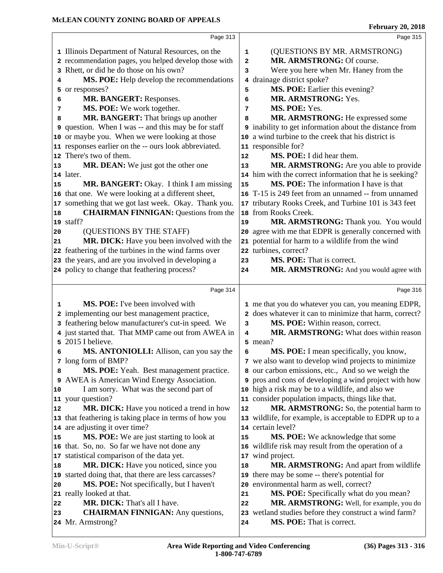|    | Page 313                                                   |                   | Page 315                                                      |
|----|------------------------------------------------------------|-------------------|---------------------------------------------------------------|
|    | 1 Illinois Department of Natural Resources, on the         | 1                 | (QUESTIONS BY MR. ARMSTRONG)                                  |
|    | 2 recommendation pages, you helped develop those with      | $\overline{a}$    | MR. ARMSTRONG: Of course.                                     |
|    | 3 Rhett, or did he do those on his own?                    | 3                 | Were you here when Mr. Haney from the                         |
| 4  | MS. POE: Help develop the recommendations                  | 4                 | drainage district spoke?                                      |
|    | 5 or responses?                                            | 5                 | MS. POE: Earlier this evening?                                |
| 6  | MR. BANGERT: Responses.                                    | 6                 | MR. ARMSTRONG: Yes.                                           |
| 7  | MS. POE: We work together.                                 | 7                 | MS. POE: Yes.                                                 |
| 8  | MR. BANGERT: That brings up another                        | 8                 | MR. ARMSTRONG: He expressed some                              |
|    | <b>9</b> question. When I was -- and this may be for staff |                   | <b>9</b> inability to get information about the distance from |
|    | 10 or maybe you. When we were looking at those             |                   | 10 a wind turbine to the creek that his district is           |
|    | 11 responses earlier on the -- ours look abbreviated.      |                   | 11 responsible for?                                           |
|    | 12 There's two of them.                                    | $12 \overline{ }$ | MS. POE: I did hear them.                                     |
| 13 | MR. DEAN: We just got the other one                        | 13                | MR. ARMSTRONG: Are you able to provide                        |
|    | 14 later.                                                  |                   | 14 him with the correct information that he is seeking?       |
| 15 | MR. BANGERT: Okay. I think I am missing                    | 15                | MS. POE: The information I have is that                       |
|    | 16 that one. We were looking at a different sheet,         |                   | 16 T-15 is 249 feet from an unnamed -- from unnamed           |
|    | 17 something that we got last week. Okay. Thank you.       |                   | 17 tributary Rooks Creek, and Turbine 101 is 343 feet         |
| 18 | <b>CHAIRMAN FINNIGAN: Questions from the</b>               |                   | 18 from Rooks Creek.                                          |
|    | 19 staff?                                                  | 19                | MR. ARMSTRONG: Thank you. You would                           |
| 20 | (QUESTIONS BY THE STAFF)                                   |                   | 20 agree with me that EDPR is generally concerned with        |
| 21 | MR. DICK: Have you been involved with the                  |                   | 21 potential for harm to a wildlife from the wind             |
|    | 22 feathering of the turbines in the wind farms over       |                   | 22 turbines, correct?                                         |
|    | 23 the years, and are you involved in developing a         | 23                | MS. POE: That is correct.                                     |
|    | 24 policy to change that feathering process?               | 24                | MR. ARMSTRONG: And you would agree with                       |
|    |                                                            |                   |                                                               |
|    | Page 314                                                   |                   | Page 316                                                      |
| 1  | MS. POE: I've been involved with                           |                   | 1 me that you do whatever you can, you meaning EDPR,          |
|    | 2 implementing our best management practice,               |                   | 2 does whatever it can to minimize that harm, correct?        |
|    | 3 feathering below manufacturer's cut-in speed. We         | 3                 | MS. POE: Within reason, correct.                              |
|    | 4 just started that. That MMP came out from AWEA in        | 4                 | MR. ARMSTRONG: What does within reason                        |
|    | 5 2015 I believe.                                          |                   | 5 mean?                                                       |
| 6  | <b>MS. ANTONIOLLI:</b> Allison, can you say the            | 6                 | MS. POE: I mean specifically, you know,                       |
|    | 7 long form of BMP?                                        |                   | 7 we also want to develop wind projects to minimize           |
| 8  | MS. POE: Yeah. Best management practice.                   |                   | 8 our carbon emissions, etc., And so we weigh the             |
|    | 9 AWEA is American Wind Energy Association.                |                   | <b>9</b> pros and cons of developing a wind project with how  |
| 10 | I am sorry. What was the second part of                    |                   | 10 high a risk may be to a wildlife, and also we              |
|    | 11 your question?                                          |                   | 11 consider population impacts, things like that.             |
| 12 | MR. DICK: Have you noticed a trend in how                  | 12                | MR. ARMSTRONG: So, the potential harm to                      |
|    | 13 that feathering is taking place in terms of how you     |                   | 13 wildlife, for example, is acceptable to EDPR up to a       |
|    | 14 are adjusting it over time?                             |                   | 14 certain level?                                             |
| 15 | MS. POE: We are just starting to look at                   | 15                | MS. POE: We acknowledge that some                             |
|    | 16 that. So, no. So far we have not done any               |                   | 16 wildlife risk may result from the operation of a           |
|    | 17 statistical comparison of the data yet.                 | 17                | wind project.                                                 |
| 18 | MR. DICK: Have you noticed, since you                      | 18                | MR. ARMSTRONG: And apart from wildlife                        |
|    | 19 started doing that, that there are less carcasses?      |                   | 19 there may be some -- there's potential for                 |
|    | MS. POE: Not specifically, but I haven't                   |                   | 20 environmental harm as well, correct?                       |
| 20 |                                                            |                   |                                                               |
|    | 21 really looked at that.                                  | 21                | MS. POE: Specifically what do you mean?                       |
| 22 | MR. DICK: That's all I have.                               | 22                | MR. ARMSTRONG: Well, for example, you do                      |
| 23 | <b>CHAIRMAN FINNIGAN:</b> Any questions,                   |                   | 23 wetland studies before they construct a wind farm?         |
|    | 24 Mr. Armstrong?                                          | 24                | MS. POE: That is correct.                                     |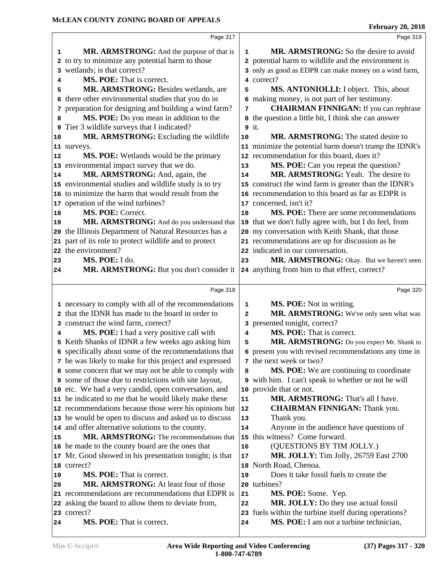|          | Page 317                                                |              | Page 319                                                                                                  |
|----------|---------------------------------------------------------|--------------|-----------------------------------------------------------------------------------------------------------|
| 1        | MR. ARMSTRONG: And the purpose of that is               | $\mathbf{1}$ | MR. ARMSTRONG: So the desire to avoid                                                                     |
|          | 2 to try to minimize any potential harm to those        |              | 2 potential harm to wildlife and the environment is                                                       |
|          | wetlands; is that correct?                              |              | 3 only as good as EDPR can make money on a wind farm,                                                     |
| 4        | MS. POE: That is correct.                               |              | 4 correct?                                                                                                |
| 5        | MR. ARMSTRONG: Besides wetlands, are                    | 5            | MS. ANTONIOLLI: I object. This, about                                                                     |
| б.       | there other environmental studies that you do in        |              | 6 making money, is not part of her testimony.                                                             |
| 7        | preparation for designing and building a wind farm?     | 7            | <b>CHAIRMAN FINNIGAN:</b> If you can rephrase                                                             |
| 8        | MS. POE: Do you mean in addition to the                 |              | 8 the question a little bit, I think she can answer                                                       |
|          | 9 Tier 3 wildlife surveys that I indicated?             |              | $9$ it.                                                                                                   |
| 10       | MR. ARMSTRONG: Excluding the wildlife                   | 10           | <b>MR. ARMSTRONG:</b> The stated desire to                                                                |
|          | 11 surveys.                                             |              | 11 minimize the potential harm doesn't trump the IDNR's                                                   |
| 12       | MS. POE: Wetlands would be the primary                  |              | 12 recommendation for this board, does it?                                                                |
|          | 13 environmental impact survey that we do.              | 13           | MS. POE: Can you repeat the question?                                                                     |
| 14       | MR. ARMSTRONG: And, again, the                          | 14           | MR. ARMSTRONG: Yeah. The desire to                                                                        |
|          | 15 environmental studies and wildlife study is to try   |              | 15 construct the wind farm is greater than the IDNR's                                                     |
|          | 16 to minimize the harm that would result from the      |              | 16 recommendation to this board as far as EDPR is                                                         |
|          | 17 operation of the wind turbines?                      |              | 17 concerned, isn't it?                                                                                   |
|          | MS. POE: Correct.                                       | 18           | MS. POE: There are some recommendations                                                                   |
| 18<br>19 | MR. ARMSTRONG: And do you understand that               |              |                                                                                                           |
|          | 20 the Illinois Department of Natural Resources has a   |              | 19 that we don't fully agree with, but I do feel, from<br>20 my conversation with Keith Shank, that those |
|          | 21 part of its role to protect wildlife and to protect  |              |                                                                                                           |
|          | 22 the environment?                                     |              | 21 recommendations are up for discussion as he<br>22 indicated in our conversation.                       |
| 23       | MS. POE: I do.                                          | 23           | MR. ARMSTRONG: Okay. But we haven't seen                                                                  |
| 24       | MR. ARMSTRONG: But you don't consider it                |              | 24 anything from him to that effect, correct?                                                             |
|          |                                                         |              |                                                                                                           |
|          | Page 318                                                |              | Page 320                                                                                                  |
|          | 1 necessary to comply with all of the recommendations   | $\mathbf{1}$ | MS. POE: Not in writing.                                                                                  |
|          | 2 that the IDNR has made to the board in order to       | 2            | MR. ARMSTRONG: We've only seen what was                                                                   |
|          | 3 construct the wind farm, correct?                     |              | 3 presented tonight, correct?                                                                             |
| 4        | MS. POE: I had a very positive call with                | 4            | MS. POE: That is correct.                                                                                 |
| 5        | Keith Shanks of IDNR a few weeks ago asking him         | 5            | MR. ARMSTRONG: Do you expect Mr. Shank to                                                                 |
|          | 6 specifically about some of the recommendations that   | 6            | present you with revised recommendations any time in                                                      |
|          | 7 he was likely to make for this project and expressed  |              | 7 the next week or two?                                                                                   |
|          | 8 some concern that we may not be able to comply with   | 8            | MS. POE: We are continuing to coordinate                                                                  |
|          | 9 some of those due to restrictions with site layout,   |              | 9 with him. I can't speak to whether or not he will                                                       |
|          | 10 etc. We had a very candid, open conversation, and    |              | 10 provide that or not.                                                                                   |
|          | 11 he indicated to me that he would likely make these   | 11           | MR. ARMSTRONG: That's all I have.                                                                         |
|          | 12 recommendations because those were his opinions but  | 12           | <b>CHAIRMAN FINNIGAN:</b> Thank you.                                                                      |
|          | 13 he would be open to discuss and asked us to discuss  | 13           | Thank you.                                                                                                |
|          | 14 and offer alternative solutions to the county.       | 14           | Anyone in the audience have questions of                                                                  |
| 15       | MR. ARMSTRONG: The recommendations that                 |              | 15 this witness? Come forward.                                                                            |
|          | 16 he made to the county board are the ones that        | 16           | (QUESTIONS BY TIM JOLLY.)                                                                                 |
|          | 17 Mr. Good showed in his presentation tonight; is that | 17           | <b>MR. JOLLY:</b> Tim Jolly, 26759 East 2700                                                              |
|          | 18 correct?                                             |              | 18 North Road, Chenoa.                                                                                    |
| 19       | MS. POE: That is correct.                               | 19           | Does it take fossil fuels to create the                                                                   |
| 20       | MR. ARMSTRONG: At least four of those                   |              | 20 turbines?                                                                                              |
|          | 21 recommendations are recommendations that EDPR is     | 21           | MS. POE: Some. Yep.                                                                                       |
|          | 22 asking the board to allow them to deviate from,      | 22           | MR. JOLLY: Do they use actual fossil                                                                      |
|          | 23 correct?                                             |              | 23 fuels within the turbine itself during operations?                                                     |
| 24       | MS. POE: That is correct.                               | 24           | MS. POE: I am not a turbine technician,                                                                   |
|          |                                                         |              |                                                                                                           |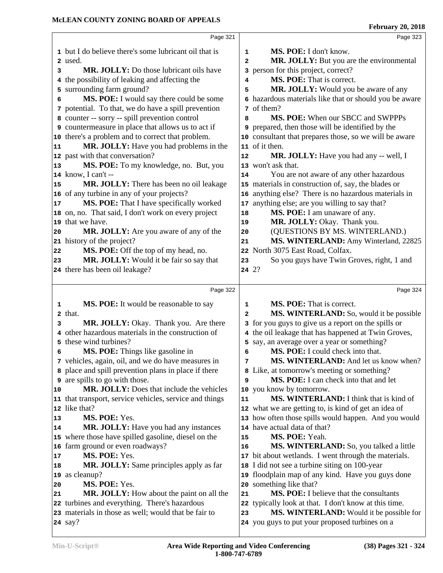|    | Page 321                                                               |                | Page 323                                                                                   |
|----|------------------------------------------------------------------------|----------------|--------------------------------------------------------------------------------------------|
|    | 1 but I do believe there's some lubricant oil that is                  | 1              | MS. POE: I don't know.                                                                     |
|    | 2 used.                                                                | $\overline{a}$ | MR. JOLLY: But you are the environmental                                                   |
| 3  | <b>MR. JOLLY:</b> Do those lubricant oils have                         | 3              | person for this project, correct?                                                          |
|    | 4 the possibility of leaking and affecting the                         | 4              | MS. POE: That is correct.                                                                  |
|    | 5 surrounding farm ground?                                             | 5              | MR. JOLLY: Would you be aware of any                                                       |
| 6  | MS. POE: I would say there could be some                               |                | 6 hazardous materials like that or should you be aware                                     |
|    | 7 potential. To that, we do have a spill prevention                    |                | 7 of them?                                                                                 |
|    | 8 counter -- sorry -- spill prevention control                         | 8              | MS. POE: When our SBCC and SWPPPs                                                          |
|    | <b>9</b> countermeasure in place that allows us to act if              | 9              | prepared, then those will be identified by the                                             |
|    | 10 there's a problem and to correct that problem.                      |                | 10 consultant that prepares those, so we will be aware                                     |
| 11 | MR. JOLLY: Have you had problems in the                                |                | 11 of it then.                                                                             |
|    | 12 past with that conversation?                                        | 12             | MR. JOLLY: Have you had any -- well, I                                                     |
| 13 | MS. POE: To my knowledge, no. But, you                                 |                | 13 won't ask that.                                                                         |
|    | 14 know, I can't --                                                    | 14             | You are not aware of any other hazardous                                                   |
| 15 | MR. JOLLY: There has been no oil leakage                               |                | 15 materials in construction of, say, the blades or                                        |
|    | 16 of any turbine in any of your projects?                             | 16             | anything else? There is no hazardous materials in                                          |
| 17 | MS. POE: That I have specifically worked                               | 17             | anything else; are you willing to say that?                                                |
|    | 18 on, no. That said, I don't work on every project                    | 18             | MS. POE: I am unaware of any.                                                              |
|    | 19 that we have.                                                       | 19             | MR. JOLLY: Okay. Thank you.                                                                |
| 20 | MR. JOLLY: Are you aware of any of the                                 | 20             | (QUESTIONS BY MS. WINTERLAND.)                                                             |
|    | 21 history of the project?                                             | 21             | MS. WINTERLAND: Amy Winterland, 22825                                                      |
| 22 | MS. POE: Off the top of my head, no.                                   |                | 22 North 3075 East Road, Colfax.                                                           |
| 23 | MR. JOLLY: Would it be fair so say that                                | 23             | So you guys have Twin Groves, right, 1 and                                                 |
|    | 24 there has been oil leakage?                                         | 24 2?          |                                                                                            |
|    |                                                                        |                |                                                                                            |
|    | Page 322                                                               |                | Page 324                                                                                   |
| 1  | MS. POE: It would be reasonable to say                                 | 1              | <b>MS. POE:</b> That is correct.                                                           |
|    | 2 that.                                                                | $\mathbf{2}$   | MS. WINTERLAND: So, would it be possible                                                   |
| 3  | MR. JOLLY: Okay. Thank you. Are there                                  |                | 3 for you guys to give us a report on the spills or                                        |
|    | 4 other hazardous materials in the construction of                     |                | 4 the oil leakage that has happened at Twin Groves,                                        |
|    | 5 these wind turbines?                                                 |                | 5 say, an average over a year or something?                                                |
| 6  | MS. POE: Things like gasoline in                                       | 6              | MS. POE: I could check into that.                                                          |
|    | 7 vehicles, again, oil, and we do have measures in                     | 7              | <b>MS. WINTERLAND:</b> And let us know when?                                               |
|    | 8 place and spill prevention plans in place if there                   |                | 8 Like, at tomorrow's meeting or something?                                                |
|    | <b>9</b> are spills to go with those.                                  | 9              | MS. POE: I can check into that and let                                                     |
| 10 | MR. JOLLY: Does that include the vehicles                              |                | 10 you know by tomorrow.                                                                   |
|    | 11 that transport, service vehicles, service and things                | 11             | MS. WINTERLAND: I think that is kind of                                                    |
|    | 12 like that?                                                          |                | 12 what we are getting to, is kind of get an idea of                                       |
| 13 | MS. POE: Yes.                                                          |                | 13 how often those spills would happen. And you would                                      |
| 14 | MR. JOLLY: Have you had any instances                                  |                | 14 have actual data of that?                                                               |
|    | 15 where those have spilled gasoline, diesel on the                    | 15             | MS. POE: Yeah.                                                                             |
|    | 16 farm ground or even roadways?                                       | 16             | MS. WINTERLAND: So, you talked a little                                                    |
| 17 | MS. POE: Yes.                                                          |                | 17 bit about wetlands. I went through the materials.                                       |
| 18 | <b>MR. JOLLY:</b> Same principles apply as far                         |                | 18 I did not see a turbine siting on 100-year                                              |
|    | 19 as cleanup?                                                         |                | 19 floodplain map of any kind. Have you guys done                                          |
| 20 | MS. POE: Yes.                                                          |                | 20 something like that?                                                                    |
| 21 | MR. JOLLY: How about the paint on all the                              | 21             | MS. POE: I believe that the consultants                                                    |
|    | 22 turbines and everything. There's hazardous                          |                |                                                                                            |
|    |                                                                        |                |                                                                                            |
|    |                                                                        | 22             | typically look at that. I don't know at this time.                                         |
|    | 23 materials in those as well; would that be fair to<br><b>24</b> say? | 23             | MS. WINTERLAND: Would it be possible for<br>24 you guys to put your proposed turbines on a |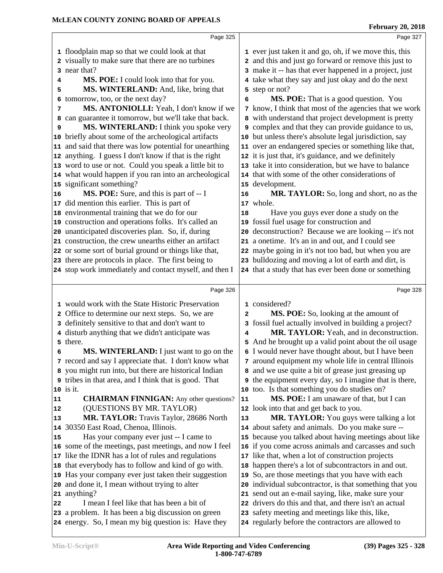|    | MCLEAN COUNTY ZONING BOARD OF APPEALS                        | <b>February 20, 2018</b> |                                                               |  |  |
|----|--------------------------------------------------------------|--------------------------|---------------------------------------------------------------|--|--|
|    | Page 325                                                     |                          |                                                               |  |  |
|    | 1 floodplain map so that we could look at that               |                          | 1 ever just taken it and go, oh, if we move this, this        |  |  |
|    | 2 visually to make sure that there are no turbines           |                          | 2 and this and just go forward or remove this just to         |  |  |
|    | 3 near that?                                                 |                          | 3 make it -- has that ever happened in a project, just        |  |  |
| 4  | MS. POE: I could look into that for you.                     |                          | 4 take what they say and just okay and do the next            |  |  |
| 5  | MS. WINTERLAND: And, like, bring that                        |                          | 5 step or not?                                                |  |  |
| 6  | tomorrow, too, or the next day?                              | 6                        | MS. POE: That is a good question. You                         |  |  |
| 7  | MS. ANTONIOLLI: Yeah, I don't know if we                     |                          | 7 know, I think that most of the agencies that we work        |  |  |
| 8  | can guarantee it tomorrow, but we'll take that back.         |                          | 8 with understand that project development is pretty          |  |  |
| 9  | MS. WINTERLAND: I think you spoke very                       |                          | <b>9</b> complex and that they can provide guidance to us,    |  |  |
| 10 | briefly about some of the archeological artifacts            |                          | 10 but unless there's absolute legal jurisdiction, say        |  |  |
|    | 11 and said that there was low potential for unearthing      |                          | 11 over an endangered species or something like that,         |  |  |
|    | 12 anything. I guess I don't know if that is the right       |                          | 12 it is just that, it's guidance, and we definitely          |  |  |
|    | 13 word to use or not. Could you speak a little bit to       |                          | 13 take it into consideration, but we have to balance         |  |  |
|    | 14 what would happen if you ran into an archeological        |                          | 14 that with some of the other considerations of              |  |  |
|    | 15 significant something?                                    |                          | 15 development.                                               |  |  |
| 16 | MS. POE: Sure, and this is part of -- I                      | 16                       | MR. TAYLOR: So, long and short, no as the                     |  |  |
|    | 17 did mention this earlier. This is part of                 |                          | 17 whole.                                                     |  |  |
|    | 18 environmental training that we do for our                 | 18                       | Have you guys ever done a study on the                        |  |  |
|    | 19 construction and operations folks. It's called an         |                          | 19 fossil fuel usage for construction and                     |  |  |
|    | 20 unanticipated discoveries plan. So, if, during            |                          | 20 deconstruction? Because we are looking -- it's not         |  |  |
|    | 21 construction, the crew unearths either an artifact        |                          | 21 a onetime. It's an in and out, and I could see             |  |  |
|    | 22 or some sort of burial ground or things like that,        |                          | 22 maybe going in it's not too bad, but when you are          |  |  |
|    | 23 there are protocols in place. The first being to          |                          | 23 bulldozing and moving a lot of earth and dirt, is          |  |  |
|    | 24 stop work immediately and contact myself, and then I      |                          | 24 that a study that has ever been done or something          |  |  |
|    | Page 326                                                     |                          | Page 328                                                      |  |  |
|    | 1 would work with the State Historic Preservation            |                          | 1 considered?                                                 |  |  |
|    | 2 Office to determine our next steps. So, we are             | 2                        | MS. POE: So, looking at the amount of                         |  |  |
|    | 3 definitely sensitive to that and don't want to             |                          | 3 fossil fuel actually involved in building a project?        |  |  |
|    | 4 disturb anything that we didn't anticipate was             | 4                        | MR. TAYLOR: Yeah, and in deconstruction.                      |  |  |
|    | 5 there.                                                     |                          | 5 And he brought up a valid point about the oil usage         |  |  |
| 6  | MS. WINTERLAND: I just want to go on the                     |                          | 6 I would never have thought about, but I have been           |  |  |
|    | 7 record and say I appreciate that. I don't know what        |                          | 7 around equipment my whole life in central Illinois          |  |  |
|    | 8 you might run into, but there are historical Indian        |                          | 8 and we use quite a bit of grease just greasing up           |  |  |
|    | <b>9</b> tribes in that area, and I think that is good. That |                          | <b>9</b> the equipment every day, so I imagine that is there, |  |  |
|    | 10 is it.                                                    |                          | 10 too. Is that something you do studies on?                  |  |  |
| 11 | <b>CHAIRMAN FINNIGAN:</b> Any other questions?               | 11                       | MS. POE: I am unaware of that, but I can                      |  |  |
| 12 | (QUESTIONS BY MR. TAYLOR)                                    |                          | 12 look into that and get back to you.                        |  |  |
| 13 | MR. TAYLOR: Travis Taylor, 28686 North                       | 13                       | MR. TAYLOR: You guys were talking a lot                       |  |  |
|    | 14 30350 East Road, Chenoa, Illinois.                        |                          | 14 about safety and animals. Do you make sure --              |  |  |
| 15 | Has your company ever just -- I came to                      |                          | 15 because you talked about having meetings about like        |  |  |
|    | 16 some of the meetings, past meetings, and now I feel       |                          | 16 if you come across animals and carcasses and such          |  |  |
|    | 17 like the IDNR has a lot of rules and regulations          |                          | 17 like that, when a lot of construction projects             |  |  |
|    | 18 that everybody has to follow and kind of go with.         |                          | 18 happen there's a lot of subcontractors in and out.         |  |  |
|    | 19 Has your company ever just taken their suggestion         |                          | 19 So, are those meetings that you have with each             |  |  |
|    | 20 and done it, I mean without trying to alter               |                          | 20 individual subcontractor, is that something that you       |  |  |
|    | 21 anything?                                                 |                          | 21 send out an e-mail saying, like, make sure your            |  |  |
| 22 | I mean I feel like that has been a bit of                    |                          | 22 drivers do this and that, and there isn't an actual        |  |  |
|    | 23 a problem. It has been a big discussion on green          |                          | 23 safety meeting and meetings like this, like,               |  |  |
|    | 24 energy. So, I mean my big question is: Have they          |                          | 24 regularly before the contractors are allowed to            |  |  |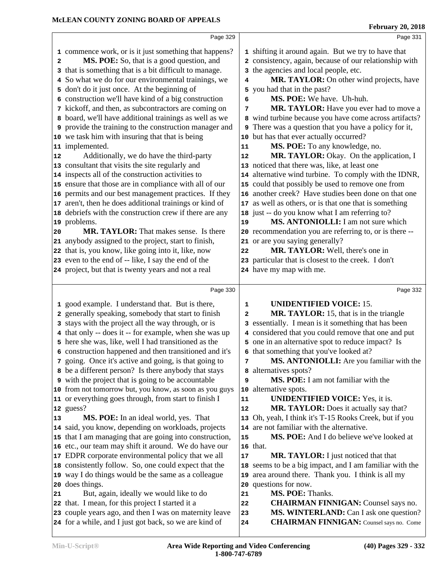|    | Page 329                                                                                                         |              | Page 331                                                                                   |
|----|------------------------------------------------------------------------------------------------------------------|--------------|--------------------------------------------------------------------------------------------|
|    | 1 commence work, or is it just something that happens?                                                           |              | 1 shifting it around again. But we try to have that                                        |
| 2  | MS. POE: So, that is a good question, and                                                                        |              | 2 consistency, again, because of our relationship with                                     |
| 3  | that is something that is a bit difficult to manage.                                                             |              | 3 the agencies and local people, etc.                                                      |
|    | 4 So what we do for our environmental trainings, we                                                              | 4            | MR. TAYLOR: On other wind projects, have                                                   |
|    | 5 don't do it just once. At the beginning of                                                                     |              | 5 you had that in the past?                                                                |
|    | 6 construction we'll have kind of a big construction                                                             | 6            | MS. POE: We have. Uh-huh.                                                                  |
|    | 7 kickoff, and then, as subcontractors are coming on                                                             | 7            | MR. TAYLOR: Have you ever had to move a                                                    |
| 8  | board, we'll have additional trainings as well as we                                                             |              | 8 wind turbine because you have come across artifacts?                                     |
| 9  | provide the training to the construction manager and                                                             |              | <b>9</b> There was a question that you have a policy for it,                               |
|    | 10 we task him with insuring that that is being                                                                  |              | 10 but has that ever actually occurred?                                                    |
|    | 11 implemented.                                                                                                  | 11           | MS. POE: To any knowledge, no.                                                             |
| 12 | Additionally, we do have the third-party                                                                         | 12           | MR. TAYLOR: Okay. On the application, I                                                    |
|    | 13 consultant that visits the site regularly and                                                                 |              | 13 noticed that there was, like, at least one                                              |
|    | 14 inspects all of the construction activities to                                                                |              | 14 alternative wind turbine. To comply with the IDNR,                                      |
|    | 15 ensure that those are in compliance with all of our                                                           |              | 15 could that possibly be used to remove one from                                          |
| 16 | permits and our best management practices. If they                                                               |              | 16 another creek? Have studies been done on that one                                       |
| 17 | aren't, then he does additional trainings or kind of                                                             |              | 17 as well as others, or is that one that is something                                     |
| 18 | debriefs with the construction crew if there are any                                                             |              | 18 just -- do you know what I am referring to?                                             |
| 19 | problems.                                                                                                        | 19           | MS. ANTONIOLLI: I am not sure which                                                        |
| 20 | <b>MR. TAYLOR:</b> That makes sense. Is there                                                                    |              | 20 recommendation you are referring to, or is there --                                     |
| 21 | anybody assigned to the project, start to finish,                                                                |              | 21 or are you saying generally?                                                            |
| 22 | that is, you know, like going into it, like, now                                                                 | 22           | MR. TAYLOR: Well, there's one in                                                           |
|    | 23 even to the end of -- like, I say the end of the                                                              |              | 23 particular that is closest to the creek. I don't                                        |
|    | 24 project, but that is twenty years and not a real                                                              |              | 24 have my map with me.                                                                    |
|    |                                                                                                                  |              |                                                                                            |
|    | Page 330                                                                                                         |              |                                                                                            |
|    |                                                                                                                  |              | Page 332                                                                                   |
|    | 1 good example. I understand that. But is there,                                                                 | 1            | <b>UNIDENTIFIED VOICE: 15.</b>                                                             |
|    | 2 generally speaking, somebody that start to finish                                                              | $\mathbf{2}$ | MR. TAYLOR: 15, that is in the triangle                                                    |
|    | 3 stays with the project all the way through, or is                                                              |              | 3 essentially. I mean is it something that has been                                        |
|    | 4 that only -- does it -- for example, when she was up                                                           |              | 4 considered that you could remove that one and put                                        |
|    | 5 here she was, like, well I had transitioned as the                                                             |              | 5 one in an alternative spot to reduce impact? Is                                          |
|    | 6 construction happened and then transitioned and it's                                                           |              | 6 that something that you've looked at?                                                    |
|    | 7 going. Once it's active and going, is that going to                                                            | 7            | MS. ANTONIOLLI: Are you familiar with the                                                  |
|    | 8 be a different person? Is there anybody that stays                                                             |              | alternatives spots?                                                                        |
|    | <b>9</b> with the project that is going to be accountable                                                        | 9            | MS. POE: I am not familiar with the                                                        |
|    | 10 from not tomorrow but, you know, as soon as you guys                                                          |              | 10 alternative spots.                                                                      |
|    | 11 or everything goes through, from start to finish I                                                            | 11           | <b>UNIDENTIFIED VOICE:</b> Yes, it is.                                                     |
|    | 12 guess?                                                                                                        | ${\bf 12}$   | MR. TAYLOR: Does it actually say that?                                                     |
| 13 | MS. POE: In an ideal world, yes. That                                                                            | 13           | Oh, yeah, I think it's T-15 Rooks Creek, but if you                                        |
|    | 14 said, you know, depending on workloads, projects                                                              |              | 14 are not familiar with the alternative.                                                  |
|    | 15 that I am managing that are going into construction,                                                          | 15           | MS. POE: And I do believe we've looked at                                                  |
|    | 16 etc., our team may shift it around. We do have our                                                            |              | 16 that.                                                                                   |
|    | 17 EDPR corporate environmental policy that we all                                                               | $17\,$       | MR. TAYLOR: I just noticed that that                                                       |
| 18 | consistently follow. So, one could expect that the                                                               | 18           | seems to be a big impact, and I am familiar with the                                       |
| 19 | way I do things would be the same as a colleague                                                                 | 19           | area around there. Thank you. I think is all my                                            |
| 20 | does things.                                                                                                     | 20           | questions for now.                                                                         |
| 21 | But, again, ideally we would like to do                                                                          | 21           | MS. POE: Thanks.                                                                           |
| 22 | that. I mean, for this project I started it a                                                                    | 22           | <b>CHAIRMAN FINNIGAN:</b> Counsel says no.                                                 |
|    | 23 couple years ago, and then I was on maternity leave<br>24 for a while, and I just got back, so we are kind of | 23<br>24     | MS. WINTERLAND: Can I ask one question?<br><b>CHAIRMAN FINNIGAN:</b> Counsel says no. Come |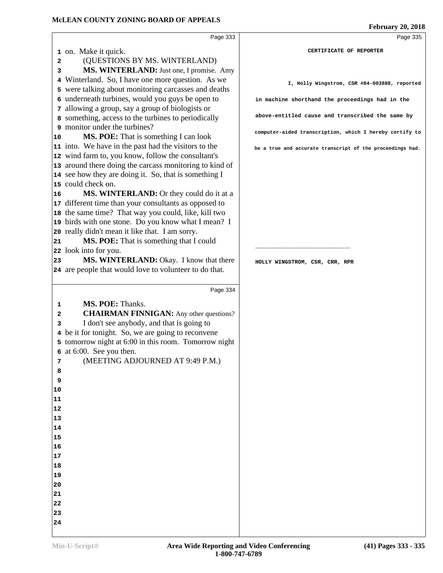|    | Page 333                                                                    | Page 335                                                  |
|----|-----------------------------------------------------------------------------|-----------------------------------------------------------|
|    | 1 on. Make it quick.                                                        | CERTIFICATE OF REPORTER                                   |
| 2  | (QUESTIONS BY MS. WINTERLAND)                                               |                                                           |
| 3  | MS. WINTERLAND: Just one, I promise. Amy                                    |                                                           |
|    | 4 Winterland. So, I have one more question. As we                           |                                                           |
|    | 5 were talking about monitoring carcasses and deaths                        | I, Holly Wingstrom, CSR #84-003888, reported              |
|    | 6 underneath turbines, would you guys be open to                            |                                                           |
|    | 7 allowing a group, say a group of biologists or                            | in machine shorthand the proceedings had in the           |
|    | 8 something, access to the turbines to periodically                         | above-entitled cause and transcribed the same by          |
|    | 9 monitor under the turbines?                                               |                                                           |
|    |                                                                             | computer-aided transcription, which I hereby certify to   |
| 10 | MS. POE: That is something I can look                                       |                                                           |
|    | 11 into. We have in the past had the visitors to the                        | be a true and accurate transcript of the proceedings had. |
|    | 12 wind farm to, you know, follow the consultant's                          |                                                           |
|    | 13 around there doing the carcass monitoring to kind of                     |                                                           |
|    | 14 see how they are doing it. So, that is something I<br>15 could check on. |                                                           |
|    |                                                                             |                                                           |
| 16 | MS. WINTERLAND: Or they could do it at a                                    |                                                           |
|    | 17 different time than your consultants as opposed to                       |                                                           |
|    | 18 the same time? That way you could, like, kill two                        |                                                           |
|    | 19 birds with one stone. Do you know what I mean? I                         |                                                           |
|    | 20 really didn't mean it like that. I am sorry.                             |                                                           |
| 21 | MS. POE: That is something that I could                                     |                                                           |
|    | 22 look into for you.                                                       |                                                           |
| 23 | MS. WINTERLAND: Okay. I know that there                                     | HOLLY WINGSTROM, CSR, CRR, RPR                            |
|    | 24 are people that would love to volunteer to do that.                      |                                                           |
|    |                                                                             |                                                           |
|    | Page 334                                                                    |                                                           |
| 1  | MS. POE: Thanks.                                                            |                                                           |
| 2  | <b>CHAIRMAN FINNIGAN:</b> Any other questions?                              |                                                           |
| 3  | I don't see anybody, and that is going to                                   |                                                           |
|    | 4 be it for tonight. So, we are going to reconvene                          |                                                           |
|    | 5 tomorrow night at 6:00 in this room. Tomorrow night                       |                                                           |
|    | 6 at 6:00. See you then.                                                    |                                                           |
| 7  | (MEETING ADJOURNED AT 9:49 P.M.)                                            |                                                           |
| 8  |                                                                             |                                                           |
| 9  |                                                                             |                                                           |
| 10 |                                                                             |                                                           |
| 11 |                                                                             |                                                           |
| 12 |                                                                             |                                                           |
| 13 |                                                                             |                                                           |
| 14 |                                                                             |                                                           |
| 15 |                                                                             |                                                           |
| 16 |                                                                             |                                                           |
| 17 |                                                                             |                                                           |
| 18 |                                                                             |                                                           |
| 19 |                                                                             |                                                           |
| 20 |                                                                             |                                                           |
| 21 |                                                                             |                                                           |
| 22 |                                                                             |                                                           |
|    |                                                                             |                                                           |

  **February 20, 2018**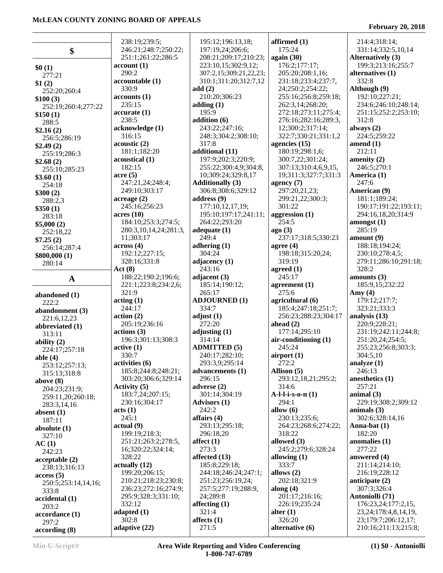|                       | 238:19;239:5;          | 195:12;196:13,18;       | affirmed (1)              | 214:4;318:14;                               |
|-----------------------|------------------------|-------------------------|---------------------------|---------------------------------------------|
| \$                    | 246:21;248:7;250:22;   | 197:19,24;206:6;        | 175:24                    | 331:14;332:5,10,14                          |
|                       | 251:1;261:22;286:5     | 208:21;209:17;210:23;   | again (30)                | <b>Alternatively (3)</b>                    |
| \$0(1)                | account(1)             | 223:10,15;302:9,12;     | 176:2;177:17;             | 199:3;213:16;255:7                          |
| 277:21                | 290:2                  | 307:2,15;309:21,22,23;  | 205:20;208:1,16;          | alternatives (1)                            |
| \$1(2)                | accountable (1)        | 310:1;311:20;312:7,12   | 231:18;233:4;237:7,       | 332:8                                       |
| 252:20;260:4          | 330:9                  | add(2)                  | 24;250:2;254:22;          | Although (9)                                |
| \$100(3)              | accounts(1)            | 210:20;306:23           | 255:16;256:8;259:18;      | 192:10;227:21;                              |
| 252:19;260:4;277:22   | 235:15                 | adding $(1)$            | 262:3,14;268:20;          | 234:6;246:10;248:14;                        |
| \$150(1)              | accurate(1)            | 195:9                   | 272:18;273:11;275:4;      | 251:15;252:2;253:10;                        |
| 288:5                 | 238:5                  | addition (6)            | 276:16;282:16;289:3,      | 312:8                                       |
| \$2.16(2)             | acknowledge (1)        | 243:22;247:16;          | 12;300:2;317:14;          | always $(2)$                                |
| 256:5;286:19          | 316:15                 | 248:3;304:2;308:10;     | 322:7;330:21;331:1,2      | 224:5;259:22                                |
| \$2.49(2)             | acoustic (2)           | 317:8                   | agencies $(15)$           | amend $(1)$                                 |
| 255:19;286:3          | 181:1;182:20           | additional (11)         | 180:19;298:1,6;           | 212:11                                      |
| \$2.68(2)             | acoustical (1)         | 197:9;202:3;220:9;      | 300:7,22;301:24;          | amenity $(2)$                               |
| 255:10;285:23         | 182:15                 | 255:22;300:4,9;304:8,   | 307:13;310:4,6,9,15,      | 246:5;270:1                                 |
| \$3.60(1)             | $\arccos(5)$           | 10;309:24;329:8,17      | 19;311:3;327:7;331:3      | America (1)                                 |
| 254:18                | 247:21,24;248:4;       | <b>Additionally (3)</b> | agency $(7)$              | 247:6                                       |
| \$300(2)              | 249:10:303:17          | 306:8;308:6;329:12      | 297:20,21,23;             | American (9)                                |
| 288:2,3               | acreage(2)             | address $(9)$           | 299:21,22;300:3;          | 181:1;189:24;                               |
| \$350(1)              | 245:16;256:23          | 177:10,12,17,19;        | 301:22                    | 190:17;191:22;193:11;                       |
| 283:18                | acres(10)              | 195:10;197:17;241:11;   | aggression (1)            | 294:16,18,20;314:9                          |
| \$5,000(2)            | 184:10;253:3;274:5;    | 264:22;293:20           | 254:5                     | amongst(1)                                  |
| 252:18,22             | 280:3,10,14,24;281:3,  | adequate $(1)$          | ago(3)                    | 285:19                                      |
| \$7.25(2)             | 11;303:17              | 249:4                   | 237:17;318:5;330:23       | amount(9)                                   |
| 256:14;287:4          | across(4)              | adhering $(1)$          | agree $(4)$               | 188:18;194:24;                              |
| \$800,000(1)          | 192:12;227:15;         | 304:24                  | 198:18;315:20,24;         | 230:10;278:4,5;                             |
| 280:14                | 328:16;331:8           | adjacency $(1)$         | 319:19                    | 279:11;286:10;291:18;                       |
|                       | Act(8)                 | 243:16                  | agreed $(1)$              | 328:2                                       |
| $\mathbf A$           | 188:22;190:2;196:6;    | adjacent $(3)$          | 245:17                    | amounts $(3)$                               |
|                       | 221:1;223:8;234:2,6;   | 185:14;190:12;          | agreement $(1)$           | 185:9,15;232:22                             |
| abandoned (1)         | 321:9                  | 265:17                  | 275:6                     | Amy $(4)$                                   |
| 222:2                 | acting(1)              | <b>ADJOURNED (1)</b>    | agricultural (6)          | 179:12;217:7;                               |
| abandonment (3)       | 244:17                 | 334:7                   | 185:4;247:18;251:7;       | 323:21;333:3                                |
| 221:6,12,23           | action(2)              | adjust $(1)$            | 256:23;288:23;304:17      | analysis $(13)$                             |
| abbreviated (1)       | 205:19;236:16          | 272:20                  | ahead $(2)$               | 220:9;228:21;                               |
| 313:11                | actions (3)            | adjusting $(1)$         | 177:14;295:10             | 231:19;242:11;244:8;                        |
| ability $(2)$         | 196:3;301:13;308:3     | 314:14                  | air-conditioning (1)      | 251:20,24;254:5;                            |
| 224:17;257:18         | active(1)              | <b>ADMITTED (5)</b>     | 245:24                    | 255:23;256:8;303:3;                         |
| able $(4)$            | 330:7                  | 240:17;282:10;          | airport $(1)$             | 304:5,10                                    |
| 253:12;257:13;        | activities (6)         | 293:3,9;295:14          | 272:2                     | analyze $(1)$                               |
| 315:13;318:8          | 185:8;244:8;248:21;    | advancements (1)        | Allison (5)               | 246:13                                      |
| above $(8)$           | 303:20;306:6;329:14    | 296:15                  | 293:12,18,21;295:2;       | anesthetics (1)                             |
| 204:23;231:9;         | Activity (5)           | adverse $(2)$           | 314:6                     | 257:21                                      |
| 259:11,20;260:18;     | 183:7,24;207:15;       | 301:14;304:19           | $A-l-l-i-s-o-n(1)$        | animal $(3)$                                |
| 283:3,14,16           | 230:16;304:17          | <b>Advisors (1)</b>     | 294:1                     | 229:19;308:2;309:12                         |
| absent $(1)$          | acts (1)               | 242:2                   | allow $(6)$               | animals $(3)$                               |
| 187:11                | 245:1                  | affairs $(4)$           | 230:13;235:6;             | 302:6;328:14,16                             |
| absolute $(1)$        | actual(9)              | 293:13;295:18;          | 264:23;268:6;274:22;      | Anna-bat $(1)$                              |
| 327:10                | 199:19;218:3;          | 296:18,20               | 318:22                    | 182:20                                      |
| AC(1)                 | 251:21;263:2;278:5,    | affect $(1)$            | allowed $(3)$             | anomalies (1)                               |
| 242:23                | 16;320:22;324:14;      | 273:3                   | 245:2;279:6;328:24        | 277:22                                      |
| acceptable(2)         | 328:22                 | affected (13)           | allowing $(1)$            | answered (4)                                |
| 238:13;316:13         | actually(12)           | 185:8;229:18;           | 333:7                     | 211:14;214:10;                              |
| access(5)             | 199:20;206:15;         | 244:18;246:24;247:1;    | allows $(2)$              | 216:19;228:12                               |
| 250:5;253:14,14,16;   | 210:21;218:23;230:8;   | 251:23;256:19,24;       | 202:18;321:9              | anticipate $(2)$                            |
| 333:8                 | 236:23;272:16;274:9;   | 257:5;277:19;288:9,     | along $(4)$               | 307:3;326:4                                 |
| accidental (1)        | 295:9;328:3;331:10;    | 24;289:8                | 201:17;216:16;            | Antoniolli (71)                             |
| 203:2                 | 332:12                 | affecting $(1)$         | 226:19;235:24             | 176:23,24;177:2,15,                         |
| accordance (1)        | adapted $(1)$          | 321:4                   | alter $(1)$               | 23, 24; 178: 4, 8, 14, 19,                  |
|                       |                        |                         |                           |                                             |
| 297:2<br>according(8) | 302:8<br>adaptive (22) | affects $(1)$<br>271:5  | 326:20<br>alternative (6) | 23;179:7;206:12,17;<br>210:16;211:13;215:8; |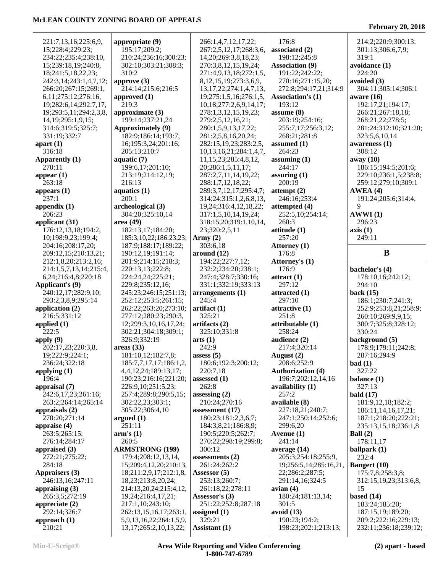| 221:7,13,16;225:6,9,          | appropriate (9)                                        | 266:1,4,7,12,17,22;           | 176:8                                 | 214:2;220:9;300:13;                           |
|-------------------------------|--------------------------------------------------------|-------------------------------|---------------------------------------|-----------------------------------------------|
| 15;228:4;229:23;              | 195:17;209:2;                                          | 267:2,5,12,17;268:3,6,        | associated (2)                        | 301:13;306:6,7,9;                             |
|                               |                                                        |                               |                                       |                                               |
| 234:22;235:4;238:10,          | 210:24;236:16;300:23;                                  | 14, 20; 269: 3, 8, 18, 23;    | 198:12;245:8                          | 319:1                                         |
| 15;239:18,19;240:8,           | 302:10;303:21;308:3;                                   | 270:3,8,12,15,19,24;          | <b>Association (9)</b>                | avoidance (1)                                 |
| 18;241:5,18,22,23;            | 310:2                                                  | 271:4,9,13,18;272:1,5,        | 191:22;242:22;                        | 224:20                                        |
| 242:3,14;243:1,4,7,12;        | approve $(3)$                                          | 8, 12, 15, 19; 273: 3, 6, 9,  | 270:16;271:15,20;                     | avoided (3)                                   |
| 266:20;267:15;269:1,          | 214:14;215:6;216:5                                     | 13, 17, 22; 274: 1, 4, 7, 13, | 272:8;294:17,21;314:9                 | 304:11;305:14;306:1                           |
| 6, 11; 275: 12; 276: 16,      | approved (1)                                           | 19;275:1,5,16;276:1,5,        | <b>Association's (1)</b>              | aware $(16)$                                  |
|                               |                                                        |                               |                                       |                                               |
| 19;282:6,14;292:7,17,         | 219:3                                                  | 10,18;277:2,6,9,14,17;        | 193:12                                | 192:17,21;194:17;                             |
| 19;293:5,11;294:2,3,8,        | approximate (3)                                        | 278:1,3,12,15,19,23;          | assume $(8)$                          | 266:21;267:18,18;                             |
| 14, 19; 295: 1, 9, 15;        | 199:14;237:21,24                                       | 279:2,5,12,16,21;             | 203:19;254:16;                        | 268:21,22;278:5;                              |
| 314:6;319:5;325:7;            | Approximately (9)                                      | 280:1,5,9,13,17,22;           | 255:7,17;256:3,12;                    | 281:24;312:10;321:20;                         |
| 331:19;332:7                  | 182:9;186:14;193:7,                                    | 281:2,5,8,16,20,24;           | 268:21;281:8                          | 323:5,6,10,14                                 |
| apart $(1)$                   | 16;195:3,24;201:16;                                    | 282:15,19,23;283:2,5,         | assumed $(1)$                         | awareness (1)                                 |
| 316:18                        | 205:13;210:7                                           | 10, 13, 16, 21; 284: 1, 4, 7, | 264:23                                | 308:12                                        |
|                               |                                                        |                               |                                       |                                               |
| Apparently (1)                | aquatic $(7)$                                          | 11,15,23;285:4,8,12,          | assuming $(1)$                        | away (10)                                     |
| 270:11                        | 199:6,17;201:10;                                       | 20;286:1,5,11,17;             | 244:17                                | 186:15;194:5;201:6;                           |
| appear $(1)$                  | 213:19;214:12,19;                                      | 287:2,7,11,14,19,22;          | assuring $(1)$                        | 229:10;236:1,5;238:8;                         |
| 263:18                        | 216:13                                                 | 288:1,7,12,18,22;             | 200:19                                | 259:12;279:10;309:1                           |
| appears $(1)$                 | aquatics (1)                                           | 289:3,7,12,17;295:4,7;        | attempt (2)                           | AWEA(4)                                       |
| 237:1                         | 200:1                                                  | 314:24;315:1,2,6,8,13,        | 246:16;253:4                          | 191:24;205:6;314:4,                           |
| appendix $(1)$                | archeological (3)                                      | 19,24;316:4,12,18,22;         | attempted (4)                         | 9                                             |
|                               |                                                        |                               |                                       |                                               |
| 206:23                        | 304:20;325:10,14                                       | 317:1,5,10,14,19,24;          | 252:5,10;254:14;                      | AWWI(1)                                       |
| applicant (31)                | area (49)                                              | 318:15,20;319:1,10,14,        | 260:3                                 | 296:23                                        |
| 176:12,13,18;194:2,           | 182:13,17;184:20;                                      | 23;320:2,5,11                 | attitude (1)                          | axis(1)                                       |
| 10;198:9,23;199:4;            | 185:3, 10, 22; 186: 23, 23;                            | Army $(2)$                    | 257:20                                | 249:11                                        |
| 204:16;208:17,20;             | 187:9;188:17;189:22;                                   | 303:6,18                      | Attorney (1)                          |                                               |
| 209:12,15;210:13,21;          | 190:12,19;191:14;                                      | around $(12)$                 | 176:8                                 | $\bf{B}$                                      |
| 212:1,8,20;213:2,16;          | 201:9;214:15;218:3;                                    | 194:22;227:7,12;              | Attorney's (1)                        |                                               |
| 214:1,5,7,13,14;215:4,        | 220:13,13;222:8;                                       | 232:2;234:20;238:1;           | 176:9                                 | bachelor's (4)                                |
|                               |                                                        |                               |                                       |                                               |
| 6,24;216:4,8;220:18           | 224:24,24;225:21;                                      | 247:4;328:7;330:16;           | attract(1)                            | 178:10,16;242:12;                             |
|                               |                                                        |                               |                                       |                                               |
| Applicant's (9)               | 229:8;235:12,16;                                       | 331:1;332:19;333:13           | 297:12                                | 294:10                                        |
| 240:12,17;282:9,10;           | 245:23;246:15;251:13;                                  | arrangements (1)              | attracted (1)                         | back $(15)$                                   |
| 293:2,3,8,9;295:14            | 252:12;253:5;261:15;                                   | 245:4                         | 297:10                                | 186:1;230:7;241:3;                            |
|                               |                                                        |                               |                                       |                                               |
| application (2)               | 262:22;263:20;273:10;                                  | artifact(1)                   | attractive (1)                        | 252:9;253:8,21;258:9;                         |
| 216:5;331:12                  | 277:12;280:23;290:3,                                   | 325:21                        | 251:8                                 | 260:10;269:9,9,15;                            |
| applied $(1)$                 | 12;299:3,10,16,17,24;                                  | artifacts (2)                 | attributable (1)                      | 300:7;325:8;328:12;                           |
| 222:5                         | 302:21;304:18;309:1;                                   | 325:10;331:8                  | 258:24                                | 330:24                                        |
| apply (9)                     | 326:9;332:19                                           | arts(1)                       | audience (2)                          | background (5)                                |
| 202:17,23;220:3,8,            | areas(33)                                              | 242:9                         | 217:4;320:14                          | 178:9;179:11;242:8;                           |
| 19:222:9:224:1:               | 181:10,12;182:7,8;                                     | assess $(5)$                  | August (2)                            | 287:16:294:9                                  |
| 236:24;322:18                 | 185:7,7,17,17;186:1,2,                                 | 180:6;192:3;200:12;           | 208:6;252:9                           | bad(1)                                        |
| applying $(1)$                |                                                        | 220:7,18                      | <b>Authorization (4)</b>              | 327:22                                        |
|                               | 4,4,12,24;189:13,17;                                   |                               |                                       |                                               |
| 196:4                         | 190:23;216:16;221:20;                                  | assessed $(1)$                | 196:7;202:12,14,16                    | balance $(1)$                                 |
| appraisal (7)                 | 226:9, 10; 251:5, 23;                                  | 262:8                         | availability (1)                      | 327:13                                        |
| 242:6,17,23;261:16;           | 257:4;289:8;290:5,15;                                  | assessing $(2)$               | 257:2                                 | bald $(17)$                                   |
| 263:2;264:14;265:14           | 302:22,23;303:1;                                       | 210:24;270:16                 | available (8)                         | 181:9,12,18;182:2;                            |
| appraisals $(2)$              | 305:22;306:4,10                                        | assessment $(17)$             | 227:18,21;240:7;                      | 186:11, 14, 16, 17, 21;                       |
| 270:20;271:14                 | argued $(1)$                                           | 180:23;181:2,3,6,7;           | 247:1;250:14;252:6;                   | 187:1;218:20;222:21;                          |
|                               | 251:11                                                 | 184:3,8,21;186:8,9;           | 299:6.20                              | 235:13,15,18;236:1,8                          |
| appraise (4)<br>263:5;265:15; | arm's(1)                                               | 190:5;220:5;262:7;            | Avenue (1)                            | Ball $(2)$                                    |
| 276:14;284:17                 | 260:5                                                  | 270:22;298:19;299:8;          | 241:14                                | 178:11,17                                     |
|                               |                                                        |                               |                                       |                                               |
|                               | <b>ARMSTRONG (199)</b>                                 | 300:12                        | average $(14)$                        | ballpark $(1)$                                |
| 272:21;275:22;                | 179:4;208:12,13,14,                                    | assessments $(2)$             | 205:3;254:18;255:9,                   | 232:4                                         |
| appraised (3)<br>284:18       | 15;209:4,12,20;210:13,                                 | 261:24;262:2                  | 19;256:5,14;285:16,21,                | <b>Bangert</b> (10)                           |
| <b>Appraisers (3)</b>         | 18;211:2,9,17;212:1,8,                                 | Assessor $(5)$                | 22;286:2;287:5;                       | 175:7,8;258:3,8;                              |
| 246:13,16;247:11              | 18,23;213:8,20,24;                                     | 253:13;260:7;                 | 291:14,16;324:5                       | 312:15, 19, 23; 313: 6, 8,                    |
| appraising (3)                | 214:13,20,24;215:4,12,                                 | 261:18,22;278:11              | avian(4)                              | 15                                            |
| 265:3,5;272:19                | 19, 24; 216: 4, 17, 21;                                | Assessor's (3)                | 180:24;181:13,14;                     | based $(14)$                                  |
|                               |                                                        |                               | 301:5                                 |                                               |
| appreciate $(2)$              | 217:1,10;243:10;                                       | 251:22;252:8;287:18           |                                       | 183:24;185:20;                                |
| 292:14;326:7                  | 262:13,15,16,17;263:1,                                 | assigned $(1)$                | avoid (13)                            | 187:15,19;189:20;                             |
| approach $(1)$<br>210:21      | 5,9,13,16,22;264:1,5,9,<br>13, 17; 265: 2, 10, 13, 22; | 329:21<br>Assistant (1)       | 190:23;194:2;<br>198:23;202:1;213:13; | 209:2;222:16;229:13;<br>232:11;236:18;239:12; |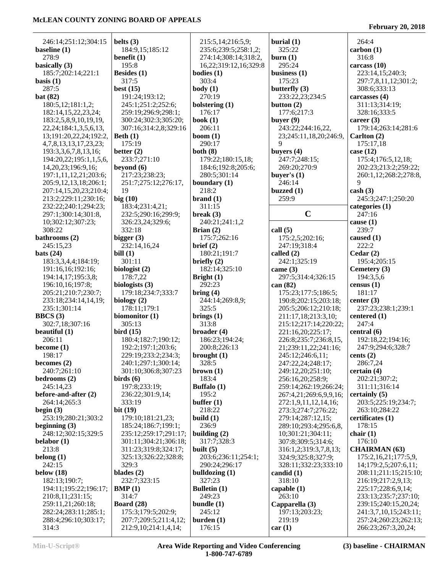**February 20, 2018**

|                                              |                                               |                       |                          | 264:4                                |
|----------------------------------------------|-----------------------------------------------|-----------------------|--------------------------|--------------------------------------|
| 246:14;251:12;304:15<br>baseline (1)         | belts $(3)$<br>184:9,15;185:12                | 215:5,14;216:5,9;     | burial $(1)$<br>325:22   | carbon(1)                            |
| 278:9                                        |                                               | 235:6;239:5;258:1,2;  |                          | 316:8                                |
|                                              | benefit $(1)$                                 | 274:14;308:14;318:2,  | burn(1)                  |                                      |
| basically (3)                                | 195:8                                         | 16,22;319:12,16;329:8 | 295:24                   | carcass (10)                         |
| 185:7;202:14;221:1                           | Besides $(1)$<br>317:5                        | bodies(1)<br>303:4    | business $(1)$           | 223:14,15;240:3;                     |
| basis $(1)$<br>287:5                         | best $(15)$                                   | body(1)               | 175:23<br>butterfly (3)  | 297:7,8,11,12;301:2;<br>308:6;333:13 |
| bat $(82)$                                   | 191:24;193:12;                                | 270:19                | 233:22,23;234:5          | carcasses (4)                        |
| 180:5,12;181:1,2;                            | 245:1;251:2;252:6;                            | bolstering (1)        | button $(2)$             | 311:13;314:19;                       |
| 182:14,15,22,23,24;                          | 259:19;296:9;298:1;                           | 176:17                | 177:6;217:3              | 328:16;333:5                         |
| 183:2,5,8,9,10,19,19,                        | 300:24;302:3;305:20;                          | book $(1)$            | buyer $(9)$              | career $(3)$                         |
| 22, 24; 184: 1, 3, 5, 6, 13,                 | 307:16;314:2,8;329:16                         | 206:11                | 243:22;244:16,22,        | 179:14;263:14;281:6                  |
| 13;191:20,22,24;192:2,                       | Beth $(1)$                                    | boom $(1)$            | 23;245:11,18,20;246:9,   | Carlton $(2)$                        |
| 4, 7, 8, 13, 13, 17, 23, 23;                 | 175:19                                        | 290:17                | 9                        | 175:17,18                            |
| 193:3,3,6,7,8,13,16;                         | better $(2)$                                  | both $(8)$            | buyers $(4)$             | case $(12)$                          |
| 194:20,22;195:1,1,5,6,                       | 233:7;271:10                                  | 179:22;180:15,18;     | 247:7;248:15;            | 175:4;176:5,12,18;                   |
| 14, 20, 23; 196: 9, 16;                      | beyond $(6)$                                  | 184:6;192:8;205:6;    | 269:20;270:9             | 202:23;213:2;259:22;                 |
| 197:1,11,12,21;203:6;                        | 217:23;238:23;                                | 280:5;301:14          | buyer's $(1)$            | 260:1,12;268:2;278:8,                |
| 205:9,12,13,18;206:1;                        | 251:7;275:12;276:17,                          | boundary (1)          | 246:14                   | 9                                    |
| 207:14,15,20,23;210:4;                       | 19                                            | 218:2                 | buzzed $(1)$             | $\cosh(3)$                           |
| 213:2;229:11;230:16;                         | big(10)                                       | brand(1)              | 259:9                    | 245:3;247:1;250:20                   |
| 232:22;240:1;294:23;                         | 183:4;231:4,21;                               | 311:15                |                          | categories (1)                       |
| 297:1;300:14;301:8,                          | 232:5;290:16;299:9;                           | break $(3)$           | $\mathbf C$              | 247:16                               |
| 10;302:12;307:23;                            | 326:23,24;329:6;                              | 240:21;241:1,2        |                          | cause $(1)$                          |
| 308:22                                       | 332:18                                        | Brian $(2)$           | call $(5)$               | 239:7                                |
| bathrooms (2)                                | bigger $(3)$                                  | 175:7;262:16          | 175:2,5;202:16;          | caused $(1)$                         |
| 245:15,23                                    | 232:14,16,24                                  | brief (2)             | 247:19;318:4             | 222:2                                |
| bats $(24)$                                  | bill(1)                                       | 180:21;191:7          | called (2)               | Cedar $(2)$                          |
| 183:3,3,4,4;184:19;                          | 301:11                                        | briefly $(2)$         | 242:1;325:19             | 195:4;205:15                         |
| 191:16,16;192:16;                            | biologist (2)                                 | 182:14;325:10         | came $(3)$               | Cemetery (3)                         |
| 194:14,17;195:3,8;                           | 178:7,22                                      | Bright $(1)$          | 297:5;314:4;326:15       | 194:3,5,6                            |
| 196:10,16;197:8;                             | biologists (3)                                | 292:23                | can (82)                 | census $(1)$                         |
| 205:21;210:7;230:7;                          | 179:18;234:7;333:7                            | bring(4)              | 175:23;177:5;186:5;      | 181:17                               |
| 233:18;234:14,14,19;                         | biology $(2)$                                 | 244:14;269:8,9;       | 190:8;202:15;203:18;     | center $(3)$                         |
| 235:1;301:14                                 | 178:11;179:1                                  | 325:5                 | 205:5;206:12;210:18;     | 237:23;238:1;239:1                   |
| BBCS(3)                                      | biomonitor (1)                                | brings $(1)$          | 211:17,18;213:3,10;      | centered $(1)$                       |
| 302:7,18;307:16                              | 305:13                                        | 313:8                 | 215:12;217:14;220:22;    | 247:4                                |
| beautiful (1)                                | bird(15)                                      | broader (4)           | 221:16,20;225:17;        | central (6)                          |
| 206:11                                       | 180:4;182:7;190:12;                           | 186:23;194:24;        | 226:8;235:7;236:8,15,    | 192:18,22;194:16;                    |
| become $(1)$                                 | 192:2;197:1;203:6;                            | 200:8;226:13          | 21;239:11,22;241:16;     | 247:9;294:6;328:7                    |
| 198:17                                       | 229:19;233:2;234:3;                           | brought $(1)$         | 245:12;246:6,11;         | cents $(2)$                          |
| becomes $(2)$                                | 240:1;297:1;300:14;                           | 328:5                 | 247:22,24;248:17;        | 286:7,24                             |
| 240:7;261:10                                 | 301:10;306:8;307:23                           | brown (1)             | 249:12,20;251:10;        | certain $(4)$                        |
| bedrooms (2)                                 | birds $(6)$                                   | 183:4                 | 256:16,20;258:9;         | 202:21;307:2;                        |
| 245:14,23                                    | 197:8;233:19;                                 | Buffalo (1)           | 259:14;262:19;266:24;    | 311:11;316:14                        |
| before-and-after (2)                         | 236:22;301:9,14;                              | 195:2                 | 267:4,21;269:6,9,9,16;   | certainly (5)                        |
| 264:14;265:3                                 | 333:19                                        | buffer $(1)$          | 272:1,9,11,12,14,16;     | 203:5;225:19;234:7;                  |
| begin $(3)$                                  | bit $(19)$                                    | 218:22                | 273:3;274:7;276:22;      | 263:10;284:22                        |
| 253:19;280:21;303:2                          | 179:10;181:21,23;                             | build $(1)$           | 279:14;287:12,15;        | certificates (1)                     |
| beginning $(3)$                              | 185:24;186:7;199:1;                           | 236:9                 | 289:10;293:4;295:6,8,    | 178:15                               |
| 248:12;302:15;329:5                          | 235:12;259:17;291:17;                         | building $(2)$        | 10;301:21;304:11;        | chair $(1)$                          |
| belabor $(1)$                                | 301:11;304:21;306:18;                         | 317:7;328:3           | 307:8;309:5;314:6;       | 176:10                               |
| 213:8                                        | 311:23;319:8;324:17;                          | built $(5)$           | 316:1,2;319:3,7,8,13;    | <b>CHAIRMAN</b> (63)                 |
| belong $(1)$                                 | 325:13;326:22;328:8;                          | 203:6;236:11;254:1;   | 324:9;325:8;327:9;       | 175:2,16,21;177:5,9,                 |
| 242:15                                       | 329:3                                         | 290:24;296:17         | 328:11;332:23;333:10     | 14;179:2,5;207:6,11;                 |
| below $(18)$                                 | blades $(2)$                                  | bulldozing $(1)$      | candid $(1)$             | 208:11;211:15;215:10;                |
| 182:13;190:7;                                | 232:7;323:15                                  | 327:23                | 318:10                   | 216:19;217:2,9,13;                   |
| 194:11;195:22;196:17;                        | BMP(1)                                        | <b>Bulletin</b> (1)   | capable $(1)$            | 225:17;228:6,9,14;                   |
| 210:8,11;231:15;                             | 314:7                                         | 249:23                | 263:10                   | 233:13;235:7;237:10;                 |
| 259:11,21;260:18;                            | Board $(28)$                                  | bundle $(1)$          | Capparella (3)           | 239:15;240:15,20,24;                 |
| 282:24;283:11;285:1;<br>288:4;296:10;303:17; | 175:3;179:5;202:9;                            | 245:12<br>burden(1)   | 197:13;203:23;<br>219:19 | 241:3,7,10,15;243:11;                |
| 314:3                                        | 207:7;209:5;211:4,12;<br>212:9,10;214:1,4,14; | 176:15                |                          | 257:24;260:23;262:13;                |
|                                              |                                               |                       | car(1)                   | 266:23;267:3,20,24;                  |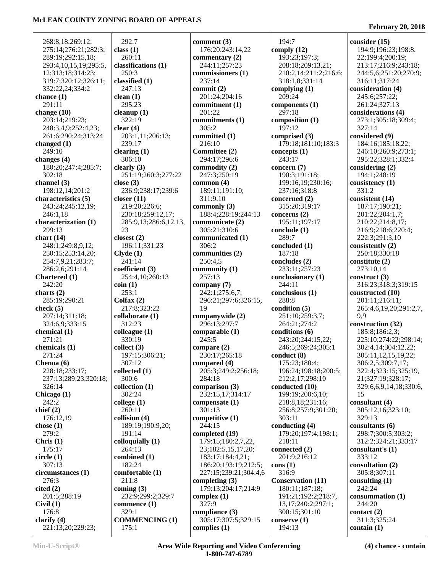268:8,18;269:12; 275:14;276:21;282:3; 289:19;292:15,18; 293:4,10,15,19;295:5, 12;313:18;314:23; 319:7;320:12;326:11; 332:22,24;334:2 **chance (1)** 291:11 **change (10)** 203:14;219:23; 248:3,4,9;252:4,23; 261:6;290:24;313:24 **changed (1)** 249:10 **changes (4)** 180:20;247:4;285:7; 302:18 **channel (3)** 198:12,14;201:2 **characteristics (5)** 243:24;245:12,19; 246:1,18 **characterization (1)** 299:13 **chart (14)** 248:1;249:8,9,12; 250:15;253:14,20; 254:7,9,21;283:7; 286:2,6;291:14 **Chartered (1)** 242:20 **charts (2)** 285:19;290:21 **check (5)** 207:14;311:18; 324:6,9;333:15 **chemical (1)** 271:21 **chemicals (1)** 271:24 **Chenoa (6)** 228:18;233:17; 237:13;289:23;320:18; 326:14 **Chicago (1)** 242:2 **chief (2)** 176:12,19 **chose (1)** 279:2 **Chris (1)** 175:17 **circle (1)** 307:13 **circumstances (1)** 276:3 **cited (2)** 201:5;288:19 **Civil (1)** 176:8 **clarify (4)** 221:13,20;229:23;

 292:7 **class (1)** 260:11 **classifications (1)** 250:3 **classified (1)** 247:13 **clean (1)** 295:23 **cleanup (1)** 322:19 **clear (4)** 203:1,11;206:13; 239:17 **clearing (1)** 306:10 **clearly (3)** 251:19;260:3;277:22 **close (3)** 236:9;238:17;239:6 **closer (11)** 219:20;226:6; 230:18;259:12,17; 285:9,13;286:6,12,13, 23 **closest (2)** 196:11;331:23 **Clyde (1)** 241:14 **coefficient (3)** 254:4,10;260:13 **coin (1)** 253:1 **Colfax (2)** 217:8;323:22 **collaborate (1)** 312:23 **colleague (1)** 330:19 **collect (3)** 197:15;306:21; 307:12 **collected (1)** 300:6 **collection (1)** 302:24 **college (1)** 260:11 **collision (4)** 189:19;190:9,20; 191:14 **colloquially (1)** 264:13 **combined (1)** 182:24 **comfortable (1)** 211:8 **coming (3)** 232:9;299:2;329:7 **commence (1)** 329:1 **COMMENCING (1)** 175:1

**comment (3)** 176:20;243:14,22 **commentary (2)** 244:11;257:23 **commissioners (1)** 237:14 **commit (2)** 201:24;204:16 **commitment (1)** 201:22 **commitments (1)** 305:2 **committed (1)** 216:10 **Committee (2)** 294:17;296:6 **commodity (2)** 247:3;250:19 **common (4)** 189:11;191:10; 311:9,10 **commonly (3)** 188:4;228:19;244:13 **communicate (2)** 305:21;310:6 **communicated (1)** 306:2 **communities (2)** 250:4,5 **community (1)** 257:13 **company (7)** 242:1;275:6,7; 296:21;297:6;326:15, 19 **companywide (2)** 296:13;297:7 **comparable (1)** 245:5 **compare (2)** 230:17;265:18 **compared (4)** 205:3;249:2;256:18; 284:18 **comparison (3)** 232:15,17;314:17 **compensate (1)** 301:13 **competitive (1)** 244:15 **completed (19)** 179:15;180:2,7,22, 23;182:5,15,17,20; 183:17;184:4,21; 186:20;193:19;212:5; 227:15;239:21;304:4,6 **completing (3)** 179:13;204:17;214:9 **complex (1)** 327:9 **compliance (3)** 305:17;307:5;329:15 **complies (1)**

 194:7 **comply (12)** 193:23;197:3; 208:18;209:13,21; 210:2,14;211:2;216:6; 318:1,8;331:14 **complying (1)** 209:24 **components (1)** 297:18 **composition (1)** 197:12 **comprised (3)** 179:18;181:10;183:3 **concepts (1)** 243:17 **concern (7)** 190:3;191:18; 199:16,19;230:16; 237:16;318:8 **concerned (2)** 315:20;319:17 **concerns (2)** 195:11;197:17 **conclude (1)** 289:7 **concluded (1)** 187:18 **concludes (2)** 233:11;257:23 **conclusionary (1)** 244:11 **conclusions (1)** 288:8 **condition (5)** 251:10;259:3,7; 264:21;274:2 **conditions (6)** 243:20;244:15,22; 246:5;269:24;305:1 **conduct (8)** 175:23;180:4; 196:24;198:18;200:5; 212:2,17;298:10 **conducted (10)** 199:19;200:6,10; 218:8,18;231:16; 256:8;257:9;301:20; 303:11 **conducting (4)** 179:20;197:4;198:1; 218:11 **connected (2)** 201:9;216:12 **cons (1)** 316:9 **Conservation (11)** 180:11;187:18; 191:21;192:2;218:7, 13,17;240:2;297:1; 300:15;301:10 **conserve (1)** 194:13

#### **February 20, 2018**

**consider (15)** 194:9;196:23;198:8, 22;199:4;200:19; 213:17;216:9;243:18; 244:5,6;251:20;270:9; 316:11;317:24 **consideration (4)** 245:6;257:22; 261:24;327:13 **considerations (4)** 273:1;305:18;309:4; 327:14 **considered (9)** 184:16;185:18,22; 246:10;260:9;273:1; 295:22;328:1;332:4 **considering (2)** 194:1;248:19 **consistency (1)** 331:2 **consistent (14)** 187:17;190:21; 201:22;204:1,7; 210:22;214:8,17; 216:9;218:6;220:4; 222:3;291:3,10 **consistently (2)** 250:18;330:18 **constitute (2)** 273:10,14 **construct (3)** 316:23;318:3;319:15 **constructed (10)** 201:11;216:11; 265:4,6,19,20;291:2,7, 9,9 **construction (32)** 185:8;186:2,3; 225:10;274:22;298:14; 302:4,14;304:12,22; 305:11,12,15,19,22; 306:2,5;309:7,17; 322:4;323:15;325:19, 21;327:19;328:17; 329:6,6,9,14,18;330:6, 15 **consultant (4)** 305:12,16;323:10; 329:13 **consultants (6)** 298:7;300:5;303:2; 312:2;324:21;333:17 **consultant's (1)** 333:12 **consultation (2)** 305:8;307:11 **consulting (1)** 242:24 **consummation (1)** 244:20 **contact (2)** 311:3;325:24 **contain (1)**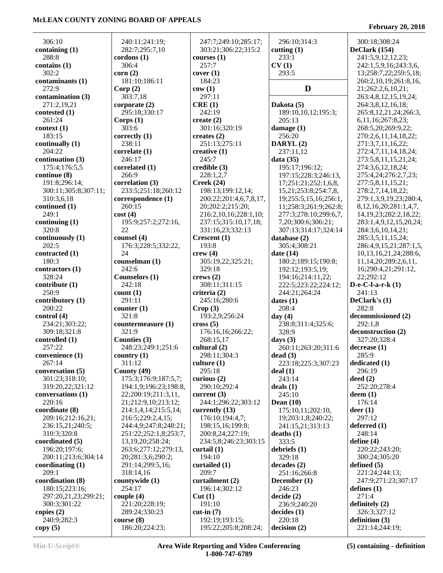| 306:10                      | 240:11;241:19;                | 247:7;249:10;285:17;        | 296:10;314:3                          | 300:18;308:24                        |
|-----------------------------|-------------------------------|-----------------------------|---------------------------------------|--------------------------------------|
| containing (1)              | 282:7;295:7,10                | 303:21;306:22;315:2         | cutting $(1)$                         | DeClark (154)                        |
| 288:8                       | cordons(1)                    | courses $(1)$               | 233:1                                 | 241:5,9,12,12,23;                    |
| contains(1)                 | 306:4                         | 257:7                       | CV(1)                                 | 242:1,5,9,16;243:3,6,                |
| 302:2                       | corr(2)                       | cover(1)                    | 293:5                                 | 13;258:7,22;259:5,18;                |
| contaminants (1)            | 181:10;186:11                 | 184:23                      |                                       | 260:2,10,19;261:8,16,                |
| 272:9                       | Corp(2)                       | cov(1)                      | D                                     | 21;262:2,6,10,21;                    |
| contamination (3)           | 303:7,18                      | 297:11                      |                                       | 263:4,8,12,15,19,24;                 |
| 271:2,19,21                 | corporate $(2)$               | CRE(1)                      | Dakota (5)                            | 264:3,8,12,16,18;                    |
| contested (1)               | 295:18;330:17                 | 242:19                      | 189:10,10,12;195:3;                   | 265:8, 12, 21, 24; 266:3,            |
| 261:24                      | Corps(1)                      | create $(2)$                | 205:13                                | 6, 11, 16; 267: 8, 23;               |
| context(1)                  | 303:6                         | 301:16;320:19               | damage $(1)$                          | 268:5,20;269:9,22;                   |
| 183:15                      | correctly (1)                 | creates $(2)$               | 256:20                                | 270:2,6,11,14,18,22;                 |
| continually (1)             | 238:11                        | 251:13;275:11               | DARYL(2)                              | 271:3,7,11,16,22;                    |
| 204:22                      | correlate (1)                 | creative $(1)$              | 237:11,12                             | 272:4,7,11,14,18,24;                 |
| continuation (3)            | 246:17                        | 245:7                       | data $(35)$                           | 273:5,8,11,15,21,24;                 |
| 175:4;176:5,5               | correlated (1)                | $\bf{c}$ redible $(3)$      | 195:17;196:12;                        | 274:3,6,12,18,24;                    |
| continue (8)                | 266:9                         | 228:1,2,7                   | 197:15;228:3;246:13,                  | 275:4,24;276:2,7,23;                 |
| 191:8;296:14;               | correlation (3)               | Creek(24)                   | 17;251:21;252:1,6,8,                  | 277:5,8,11,15,21;                    |
| 300:11;305:8;307:11;        | 233:5;251:18;260:12           | 198:13;199:12,14;           | 15,21;253:8;254:7,8,                  | 278:2,7,14,18,22;                    |
| 310:3,6,18                  | correspondence (1)            | 200:22;201:4,6,7,8,17,      | 19;255:5,15,16;256:1,                 | 279:1,3,9,19,23;280:4,               |
| continued (1)               | 260:15                        | 20;202:2;215:20;            | 11;258:3;261:9;262:8;                 | 8, 12, 16, 20; 281: 1, 4, 7,         |
| 249:1                       | cost(4)                       | 216:2,10,16;228:1,10;       | 277:3;278:10;299:6,7,                 | 14, 19, 23; 282: 2, 18, 22;          |
| continuing $(1)$            | 195:9;257:2;272:16,           | 237:15:315:10.17.18:        | 7,20;300:6;306:21;                    | 283:1,4,9,12,15,20,24;               |
| 320:8                       | 22                            | 331:16,23;332:13            | 307:13;314:17;324:14                  | 284:3,6,10,14,21;                    |
| continuously (1)            | counsel (4)                   | Crescent (1)                | database (2)                          | 285:3,5,11,15,24;                    |
| 202:5                       | 176:3;228:5;332:22,<br>24     | 193:8                       | 305:4;308:21                          | 286:4,9,15,21;287:1,5,               |
| contracted (1)<br>180:3     |                               | crew(4)                     | date $(14)$                           | 10, 13, 16, 21, 24; 288: 6,          |
|                             | counselman (1)<br>242:6       | 305:19,22;325:21;<br>329:18 | 180:2;189:15;190:8;                   | 11, 14, 20; 289: 2, 6, 11,           |
| contractors (1)<br>328:24   | Counselors (1)                | crews $(2)$                 | 192:12;193:5,19;<br>194:16;214:11,22; | 16;290:4,21;291:12,<br>22;292:12     |
| contribute(1)               | 242:18                        | 308:11;311:15               | 222:5;223:22;224:12;                  | $D-e-C-I-a-r-k(1)$                   |
| 250:9                       | count(1)                      | criteria (2)                | 244:21;264:24                         | 241:13                               |
| contributory (1)            | 291:11                        | 245:16;280:6                | dates(1)                              | DeClark's (1)                        |
| 200:22                      | counter(1)                    | Crop(3)                     | 208:4                                 | 282:8                                |
| control (4)                 | 321:8                         | 193:2,9;256:24              | day(4)                                | decommissioned (2)                   |
| 234:21;303:22;              | countermeasure (1)            | $\csc(5)$                   | 238:8;311:4;325:6;                    | 292:1,8                              |
| 309:18;321:8                | 321:9                         | 176:16,16;266:22;           | 328:9                                 | deconstruction (2)                   |
| controlled (1)              | Counties (3)                  | 268:15,17                   | days $(3)$                            | 327:20;328:4                         |
| 257:22                      | 248:23;249:1;251:6            | cultural (2)                | 260:11;263:20;311:6                   | decrease (1)                         |
| convenience (1)             | country $(1)$                 | 298:11;304:3                | dead(3)                               | 285:9                                |
| 267:14                      | 311:12                        | culture $(1)$               | 223:18;225:3;307:23                   | dedicated (1)                        |
| conversation (5)            | County (49)                   | 295:18                      | deal(1)                               | 296:19                               |
| 301:23;318:10;              | 175:3;176:9;187:5,7;          | curious $(2)$               | 243:14                                | deed $(2)$                           |
| 319:20,22;321:12            | 194:1,9;196:23;198:8,         | 290:10;292:4                | deals $(1)$                           | 252:20;278:4                         |
| conversations (1)           | 22;200:19;211:3,11,           | current $(3)$               | 245:10                                | $d$ eem $(1)$                        |
| 220:16                      | 21;212:9,10;213:12;           | 244:1;296:22;303:12         | Dean $(10)$                           | 176:14                               |
| coordinate (8)              | 214:1,4,14;215:5,14;          | currently $(13)$            | 175:10,11;202:10,                     | deer(1)                              |
| 209:16;212:16,21;           | 216:5;229:2,4,15;             | 176:10;194:4,7;             | 19;203:1,8;240:22;                    | 297:12                               |
| 236:15,21;240:5;            | 244:4,9;247:8;248:21;         | 198:15,16;199:8;            | 241:15,21;313:13                      | deferred (1)                         |
| 310:3;320:8                 | 251:22;252:1,8;253:7,         | 200:8,24;227:19;            | deaths(1)                             | 248:14                               |
| coordinated (5)             | 13,19,20;258:24;              | 234:5,8;246:23;303:15       | 333:5                                 | define $(4)$                         |
| 196:20;197:6;               | 263:6;277:12;279:13,          | curtail $(1)$               | debriefs $(1)$                        | 220:22;243:20;                       |
| 200:11;213:6;304:14         | 20;281:3,6;290:2;             | 194:10                      | 329:18                                | 300:24;305:20                        |
| coordinating $(1)$<br>209:1 | 291:14;299:5,16;<br>318:14,16 | curtailed $(1)$<br>209:7    | decades(2)                            | defined $(5)$<br>221:24;244:13;      |
| coordination (8)            | countywide (1)                | curtailment (2)             | 251:16;266:8                          |                                      |
| 180:15;223:16;              | 254:17                        | 196:14;302:12               | December (1)<br>246:23                | 247:9;271:23;307:17<br>defines $(1)$ |
| 297:20,21,23;299:21;        | couple $(4)$                  | Cut(1)                      | decide(2)                             | 271:4                                |
| 300:3;301:22                | 221:20;228:19;                | 191:10                      | 236:9;240:20                          | definitely $(2)$                     |
| copies $(2)$                | 289:24;330:23                 | $cut-in(7)$                 | decides(1)                            | 326:3;327:12                         |
| 240:9;282:3                 | course(8)                     | 192:19;193:15;              | 220:18                                | definition $(3)$                     |
| copy(5)                     | 186:20;224:23;                | 195:22;205:8;208:24;        | decision(2)                           | 221:14;244:19;                       |
|                             |                               |                             |                                       |                                      |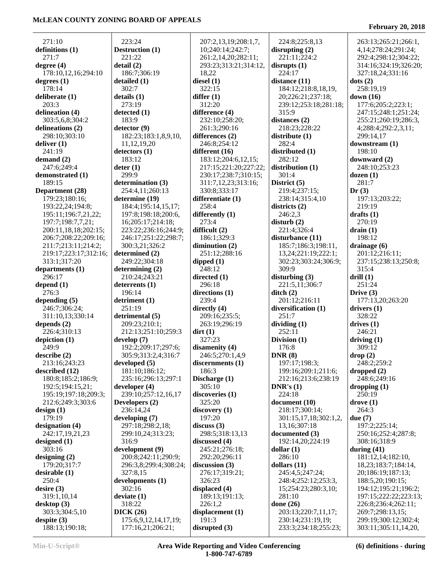#### 271:10 **definitions (1)** 271:7 **degree (4)** 178:10,12,16;294:10 **degrees (1)** 178:14 **deliberate (1)** 203:3 **delineation (4)** 303:5,6,8;304:2 **delineations (2)** 298:10;303:10 **deliver (1)** 241:19 **demand (2)** 247:6;249:4 **demonstrated (1)** 189:15 **Department (28)** 179:23;180:16; 193:22,24;194:8; 195:11;196:7,21,22; 197:7;198:7,7,21; 200:11,18,18;202:15; 206:7;208:22;209:16; 211:7;213:11;214:2; 219:17;223:17;312:16; 313:1;317:20 **departments (1)** 296:17 **depend (1)** 276:3 **depending (5)** 246:7;306:24; 311:10,13;330:14 **depends (2)** 226:4;310:13 **depiction (1)** 249:9 **describe (2)** 213:16;243:23 **described (12)** 180:8;185:2;186:9; 192:5;194:15,21; 195:19;197:18;209:3; 212:6;249:3;303:6 **design (1)** 179:19 **designation (4)** 242:17,19,21,23 **designed (1)** 303:16 **designing (2)** 179:20;317:7 **desirable (1)** 250:4 **desire (3)** 319:1,10,14 **desktop (3)** 303:3;304:5,10 **despite (3)**

 223:24 **Destruction (1)** 221:22 **detail (2)** 186:7;306:19 **detailed (1)** 302:7 **details (1)** 273:19 **detected (1)** 183:9 **detector (9)** 182:23;183:1,8,9,10, 11,12,19,20 **detectors (1)** 183:12 **deter (1)** 299:9 **determination (3)** 254:4,11;260:13 **determine (19)** 184:4;195:14,15,17; 197:8;198:18;200:6, 16;205:17;214:18; 223:22;236:16;244:9; 246:17;251:22;298:7; 300:3,21;326:2 **determined (2)** 249:22;304:18 **determining (2)** 210:24;243:21 **deterrents (1)** 196:14 **detriment (1)** 251:19 **detrimental (5)** 209:23;210:1; 212:13;251:10;259:3 **develop (7)** 192:2;209:17;297:6; 305:9;313:2,4;316:7 **developed (5)** 181:10;186:12; 235:16;296:13;297:1 **developer (4)** 239:10;257:12,16,17 **Developers (2)** 236:14,24 **developing (7)** 297:18;298:2,18; 299:10,24;313:23; 316:9 **development (9)** 200:8;242:11;290:9; 296:3,8;299:4;308:24; 327:8,15 **developments (1)** 302:16 **deviate (1)** 318:22 **DICK (26)** 175:6,9,12,14,17,19; 177:16,21;206:21;

 207:2,13,19;208:1,7, 10;240:14;242:7; 261:2,14,20;282:11; 293:23;313:21;314:12, 18,22 **diesel (1)** 322:15 **differ (1)** 312:20 **difference (4)** 232:10;258:20; 261:3;290:16 **differences (2)** 246:8;254:12 **different (16)** 183:12;204:6,12,15; 217:15;221:20;227:22; 230:17;238:7;310:15; 311:7,12,23;313:16; 330:8;333:17 **differentiate (1)** 258:4 **differently (1)** 273:4 **difficult (2)** 186:1;329:3 **diminution (2)** 251:12;288:16 **dipped (1)** 248:12 **directed (1)** 296:18 **directions (1)** 239:4 **directly (4)** 209:16;235:5; 263:19;296:19 **dirt (1)** 327:23 **disamenity (4)** 246:5;270:1,4,9 **discernments (1)** 186:3 **Discharge (1)** 305:10 **discoveries (1)** 325:20 **discovery (1)** 197:20 **discuss (3)** 298:5;318:13,13 **discussed (4)** 245:21;276:18; 292:20;296:11 **discussion (3)** 276:17;319:21; 326:23 **displaced (4)** 189:13;191:13; 226:1,2 **displacement (1)** 191:3 **disrupted (3)**

 224:8;225:8,13 **disrupting (2)** 221:11;224:2 **disrupts (1)** 224:17 **distance (11)** 184:12;218:8,18,19, 20;226:21;237:18; 239:12;253:18;281:18; 315:9 **distances (2)** 218:23;228:22 **distribute (1)** 282:4 **distributed (1)** 282:12 **distribution (1)** 301:4 **District (5)** 219:4;237:15; 238:14;315:4,10 **districts (2)** 246:2,3 **disturb (2)** 221:4;326:4 **disturbance (11)** 185:7;186:3;198:11, 13,24;221:19;222:1; 302:23;303:24;306:9; 309:9 **disturbing (3)** 221:5,11;306:7 **ditch (2)** 201:12;216:11 **diversification (1)** 251:7 **dividing (1)** 252:11 **Division (1)** 176:8 **DNR (8)** 197:17;198:3; 199:16;209:1;211:6; 212:16;213:6;238:19 **DNR's (1)** 224:18 **document (10)** 218:17;300:14; 301:15,17,18;302:1,2, 13,16;307:18 **documented (3)** 192:14,20;224:19 **dollar (1)** 286:10 **dollars (11)** 245:4,5;247:24; 248:4;252:12;253:3, 15;254:23;280:3,10; 281:10 **done (26)** 203:13;220:7,11,17; 230:14;231:19,19; 233:3;234:18;255:23;

#### **February 20, 2018**

 263:13;265:21;266:1, 4,14;278:24;291:24; 292:4;298:12;304:22; 314:16;324:19;326:20; 327:18,24;331:16 **dots (2)** 258:19,19 **down (16)** 177:6;205:2;223:1; 247:15;248:1;251:24; 255:21;260:19;286:3, 4;288:4;292:2,3,11; 299:14,17 **downstream (1)** 198:10 **downward (2)** 248:10;253:23 **dozen (1)** 281:7 **Dr (3)** 197:13;203:22; 219:19 **drafts (1)** 270:19 **drain (1)** 198:12 **drainage (6)** 201:12;216:11; 237:15;238:13;250:8; 315:4 **drill (1)** 251:24 **Drive (3)** 177:13,20;263:20 **drivers (1)** 328:22 **drives (1)** 246:21 **driving (1)** 309:12 **drop (2)** 248:2;259:2 **dropped (2)** 248:6;249:16 **dropping (1)** 250:19 **drove (1)** 264:3 **due (7)** 197:2;225:14; 250:16;252:4;287:8; 308:16;318:9 **during (41)** 181:12,14;182:10, 18,23;183:7;184:14, 20;186:19;187:13; 188:5,20;190:15; 194:12;195:21;196:2; 197:15;222:22;223:13; 226:8;236:4;262:11; 269:7;298:13,15; 299:19;300:12;302:4; 303:11;305:11,14,20,

188:13;190:18;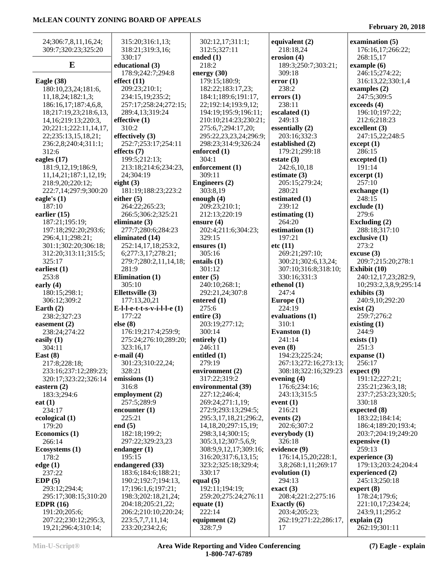| 24;306:7,8,11,16,24;        | 315:20;316:1,13;              | 302:12,17;311:1;         | equivalent (2)        | examination (5)                  |
|-----------------------------|-------------------------------|--------------------------|-----------------------|----------------------------------|
| 309:7;320:23;325:20         | 318:21;319:3,16;              | 312:5;327:11             | 218:18,24             | 176:16,17;266:22;                |
|                             | 330:17                        | ended $(1)$              | erosion $(4)$         | 268:15,17                        |
| E                           | educational (3)               | 218:2                    | 189:3;250:7;303:21;   | example $(6)$                    |
|                             | 178:9;242:7;294:8             | energy $(30)$            | 309:18                | 246:15;274:22;                   |
| Eagle $(38)$                | effect $(11)$                 | 179:15;180:9;            | error(1)              | 316:13,22;330:1,4                |
| 180:10,23,24;181:6,         | 209:23;210:1;                 | 182:22;183:17,23;        | 238:2                 | examples $(2)$                   |
| 11,18,24;182:1,3;           | 234:15,19;235:2;              | 184:1;189:6;191:17,      | errors(1)             | 247:5;309:5                      |
| 186:16,17;187:4,6,8,        | 257:17;258:24;272:15;         | 22;192:14;193:9,12;      | 238:11                | exceeds (4)                      |
| 18;217:19,23;218:6,13,      | 289:4,13;319:24               | 194:19;195:9;196:11;     | escalated $(1)$       | 196:10;197:22;                   |
| 14, 16; 219: 13; 220: 3,    | effective (1)                 | 210:10;214:23;230:21;    | 249:13                | 212:6;218:23                     |
| 20;221:1;222:11,14,17,      | 310:2                         | 275:6,7;294:17,20;       | essentially (2)       | excellent $(3)$                  |
|                             | effectively $(3)$             |                          | 203:16;332:3          | 247:15,22;248:5                  |
| 22;235:13,15,18,21;         |                               | 295:22,23,23,24;296:9;   |                       |                                  |
| 236:2,8;240:4;311:1;        | 252:7;253:17;254:11           | 298:23;314:9;326:24      | established (2)       | except (1)<br>286:15             |
| 312:6                       | effects $(7)$                 | enforced $(1)$           | 179:21;299:18         |                                  |
| eagles $(17)$               | 199:5;212:13;                 | 304:1                    | estate $(3)$          | excepted (1)                     |
| 181:9,12,19;186:9,          | 213:18;214:6;234:23,          | enforcement (1)          | 242:6,10,18           | 191:14                           |
| 11, 14, 21; 187: 1, 12, 19; | 24;304:19                     | 309:11                   | estimate $(3)$        | $\text{except} \left( 1 \right)$ |
| 218:9,20;220:12;            | eight $(3)$                   | <b>Engineers (2)</b>     | 205:15;279:24;        | 257:10                           |
| 222:7,14;297:9;300:20       | 181:19;188:23;223:2           | 303:8,19                 | 280:21                | exchange $(1)$                   |
| eagle's $(1)$               | either $(5)$                  | enough $(4)$             | estimated (1)         | 248:15                           |
| 187:10                      | 264:22;265:23;                | 209:23;210:1;            | 239:12                | exclude (1)                      |
| earlier $(15)$              | 266:5;306:2;325:21            | 212:13;220:19            | estimating $(1)$      | 279:6                            |
| 187:21;195:19;              | eliminate $(3)$               | ensure $(4)$             | 264:20                | Excluding (2)                    |
| 197:18;292:20;293:6;        | 277:7;280:6;284:23            | 202:4;211:6;304:23;      | estimation $(1)$      | 288:18;317:10                    |
| 296:4,11;298:21;            | eliminated (14)               | 329:15                   | 197:21                | exclusive (1)                    |
| 301:1;302:20;306:18;        | 252:14,17,18;253:2,           | ensures $(1)$            | etc(11)               | 273:2                            |
| 312:20;313:11;315:5;        | 6;277:3,17;278:21;            | 305:16                   | 269:21;297:10;        | $\csc{use}$ (3)                  |
| 325:17                      | 279:7;280:2,11,14,18;         | entails $(1)$            | 300:21;302:6,13,24;   | 209:7;215:20;278:1               |
| earliest $(1)$              | 281:9                         | 301:12                   | 307:10;316:8;318:10;  | Exhibit (10)                     |
| 253:8                       | Elimination $(1)$             | enter $(5)$              | 330:16;331:3          | 240:12,17,23;282:9,              |
| early $(4)$                 | 305:10                        | 240:10;268:1;            | ethenol $(1)$         | 10;293:2,3,8,9;295:14            |
| 180:15;298:1;               | Ellettsville (3)              | 292:21,24;307:8          | 247:4                 | exhibits $(3)$                   |
| 306:12;309:2                | 177:13,20,21                  | entered (1)              | Europe $(1)$          | 240:9,10;292:20                  |
| Earth $(2)$                 | E-l-l-e-t-t-s-v-i-l-l-e $(1)$ | 275:6                    | 224:19                | exist(2)                         |
| 238:2;327:23                | 177:22                        | entire $(3)$             | evaluations (1)       | 259:7;276:2                      |
| easement $(2)$              | else (8)                      | 203:19;277:12;           | 310:1                 | existing $(1)$                   |
| 238:24;274:22               | 176:19;217:4;259:9;           | 300:14                   | Evanston (1)          | 244:9                            |
| easily $(1)$                | 275:24;276:10;289:20;         | entirely $(1)$           | 241:14                | exists (1)                       |
|                             | 323:16,17                     | 246:11                   | even(8)               | 251:3                            |
| 304:11                      | $e$ -mail $(4)$               |                          | 194:23;225:24;        |                                  |
| East $(8)$                  |                               | entitled (1)             |                       | expanse $(1)$                    |
| 217:8;228:18;               | 301:23;310:22,24;             | 279:19                   | 267:13;272:16;273:13; | 256:17                           |
| 233:16;237:12;289:23;       | 328:21                        | environment (2)          | 308:18;322:16;329:23  | expect (9)                       |
| 320:17;323:22;326:14        | emissions (1)                 | 317:22;319:2             | evening $(4)$         | 191:12;227:21;                   |
| eastern $(2)$               | 316:8                         | environmental (39)       | 176:6;234:16;         | 235:21;236:3,18;                 |
| 183:3;294:6                 | employment (2)                | 227:12;246:4;            | 243:13;315:5          | 237:7;253:23;320:5;              |
| eat $(1)$                   | 257:5;289:9                   | 269:24;271:1,19;         | event $(1)$           | 330:18                           |
| 234:17                      | encounter $(1)$               | 272:9;293:13;294:5;      | 216:21                | expected (8)                     |
| ecological $(1)$            | 225:21                        | 295:3,17,18,21;296:2,    | events $(2)$          | 183:22;184:14;                   |
| 179:20                      | end $(5)$                     | 14, 18, 20; 297: 15, 19; | 202:6;307:2           | 186:4;189:20;193:4;              |
| Economics (1)               | 182:18;199:2;                 | 298:3,14;300:15;         | everybody $(1)$       | 203:7;204:19;249:20              |
| 266:14                      | 297:22;329:23,23              | 305:3,12;307:5,6,9;      | 326:18                | expensive $(1)$                  |
| Ecosystems (1)              | endanger $(1)$                | 308:9,9,12,17;309:16;    | evidence (9)          | 259:13                           |
| 178:2                       | 195:15                        | 316:20;317:6,13,15;      | 176:14,15,20;228:1,   | experience (3)                   |
| edge(1)                     | endangered (33)               | 323:2;325:18;329:4;      | 3,8;268:1,11;269:17   | 179:13;203:24;204:4              |
| 237:22                      | 183:6;184:6;188:21;           | 330:17                   | evolution $(1)$       | experienced $(2)$                |
| EDP(5)                      | 190:2;192:7;194:13,           | equal $(5)$              | 294:13                | 245:13;250:18                    |
| 293:12;294:4;               | 17;196:1,6;197:21;            | 192:11;194:19;           | exact $(3)$           | expert $(8)$                     |
| 295:17;308:15;310:20        | 198:3;202:18,21,24;           | 259:20;275:24;276:11     | 208:4;221:2;275:16    | 178:24;179:6;                    |
| EDPR $(16)$                 | 204:18;205:21,22;             | equate $(1)$             | Exactly $(6)$         | 221:10,17;234:24;                |
| 191:20;205:6;               | 206:2;210:10;220:24;          | 222:14                   | 203:4;205:23;         | 243:9,11;295:2                   |
| 207:22;230:12;295:3,        | 223:5,7,7,11,14;              | equipment $(2)$          | 262:19;271:22;286:17, | explain $(2)$                    |
| 19,21;296:4;310:14;         | 233:20;234:2,6;               | 328:7,9                  | 17                    | 262:19;301:11                    |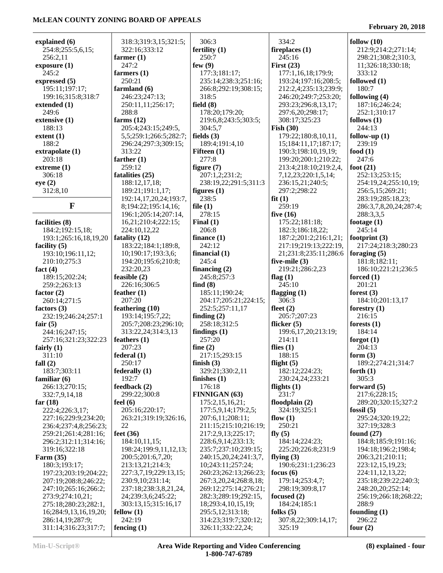**February 20, 2018**

| explained (6)                  | 318:3;319:3,15;321:5;      | 306:3                           | 334:2                              | follow $(10)$                 |
|--------------------------------|----------------------------|---------------------------------|------------------------------------|-------------------------------|
| 254:8;255:5,6,15;              | 322:16;333:12              | fertility $(1)$                 | fireplaces $(1)$                   | 212:9;214:2;271:14;           |
| 256:2,11                       | farmer $(1)$               | 250:7                           | 245:16                             | 298:21;308:2;310:3,           |
| exposure(1)                    | 247:2                      | few $(9)$                       | First $(23)$                       | 11;326:18;330:18;             |
| 245:2                          | farmers $(1)$              | 177:3;181:17;                   | 177:1,16,18;179:9;                 | 333:12                        |
| expressed $(5)$                | 250:21                     | 235:14;238:3;251:16;            | 193:24;197:16;208:5;               | followed $(1)$                |
| 195:11;197:17;                 | farmland (6)               | 266:8;292:19;308:15;            | 212:2,4;235:13;239:9;              | 180:7                         |
| 199:16;315:8;318:7             | 246:23;247:13;             | 318:5                           | 246:20;249:7;253:20;               | following (4)                 |
| extended (1)                   | 250:11,11;256:17;<br>288:8 | field $(8)$<br>178:20;179:20;   | 293:23;296:8,13,17;                | 187:16;246:24;                |
| 249:6<br>extensive (1)         | farms $(12)$               |                                 | 297:6,20;298:17;<br>308:17;325:23  | 252:1;310:17<br>follows $(1)$ |
| 188:13                         | 205:4;243:15;249:5,        | 219:6,8;243:5;303:5;<br>304:5,7 | Fish $(30)$                        | 244:13                        |
| extent(1)                      | 5,5;259:1;266:5;282:7;     | fields $(3)$                    | 179:22;180:8,10,11,                | follow-up $(1)$               |
| 188:2                          | 296:24;297:3;309:15;       | 189:4;191:4,10                  | 15;184:11,17;187:17;               | 239:19                        |
| extrapolate (1)                | 313:22                     | Fifteen $(1)$                   | 190:3;198:10,19,19;                | food $(1)$                    |
| 203:18                         | farther $(1)$              | 277:8                           | 199:20;200:1;210:22;               | 247:6                         |
| extreme $(1)$                  | 259:12                     | figure $(7)$                    | 213:4;218:10;219:2,4,              | foot $(21)$                   |
| 306:18                         | fatalities (25)            | 207:1,2;231:2;                  | 7,12,23;220:1,5,14;                | 252:13;253:15;                |
| eye(2)                         | 188:12,17,18;              | 238:19,22;291:5;311:3           | 236:15,21;240:5;                   | 254:19,24;255:10,19;          |
| 312:8,10                       | 189:21;191:1,17;           | figures $(1)$                   | 297:2;298:22                       | 256:5,15;269:21;              |
|                                | 192:14,17,20,24;193:7,     | 238:5                           | fit(1)                             | 283:19;285:18,23;             |
| $\mathbf{F}$                   | 8;194:22;195:14,16;        | file $(1)$                      | 259:19                             | 286:3,7,8,20,24;287:4;        |
|                                | 196:1;205:14;207:14,       | 278:15                          | five $(16)$                        | 288:3,3,5                     |
| facilities (8)                 | 16,21;210:4;222:15;        | Final $(1)$                     | 175:22;181:18;                     | footage $(1)$                 |
| 184:2;192:15,18;               | 224:10,12,22               | 206:8                           | 182:3;186:18,22;                   | 245:14                        |
| 193:1;265:16,18,19,20          | fatality $(12)$            | finance $(1)$                   | 187:2;201:2;216:1,21;              | footprint $(3)$               |
| facility $(5)$                 | 183:22;184:1;189:8,        | 242:12                          | 217:19;219:13;222:19,              | 217:24;218:3;280:23           |
| 193:10;196:11,12;              | 10;190:17;193:3,6;         | financial $(1)$                 | 21;231:8;235:11;286:6              | foraging $(5)$                |
| 210:10;275:3                   | 194:20;195:6;210:8;        | 245:4                           | five-mile $(3)$                    | 181:8;182:11;                 |
| fact $(4)$                     | 232:20,23                  | financing $(2)$                 | 219:21;286:2,23                    | 186:10;221:21;236:5           |
| 189:15;202:24;                 | feasible $(2)$             | 245:8;257:3                     | flag $(1)$                         | forced $(1)$                  |
| 259:2;263:13                   | 226:16;306:5               | find $(8)$                      | 245:10                             | 201:21                        |
| factor $(2)$                   | feather $(1)$              | 185:11;190:24;                  | flagging $(1)$                     | forest $(3)$                  |
| 260:14;271:5                   | 207:20                     | 204:17;205:21;224:15;           | 306:3                              | 184:10;201:13,17              |
| factors $(3)$                  | feathering $(10)$          | 252:5;257:11,17                 | fleet $(2)$                        | forestry $(1)$                |
| 232:19;246:24;257:1            | 193:14;195:7,22;           | finding $(2)$                   | 205:7;207:23                       | 216:15                        |
| fair $(5)$                     | 205:7;208:23;296:10;       | 258:18:312:5                    | flicker $(5)$                      | forests $(1)$                 |
| 244:16;247:15;                 | 313:22,24;314:3,13         | findings $(1)$                  | 199:6,17,20;213:19;                | 184:14                        |
| 257:16;321:23;322:23           | feathers $(1)$             | 257:20                          | 214:11                             | forgot $(1)$                  |
| fairly $(1)$                   | 207:23                     | fine $(2)$                      | flies $(1)$                        | 204:13                        |
| 311:10                         | federal(1)                 | 217:15;293:15                   | 188:15                             | form $(3)$                    |
| fall $(2)$                     | 250:17<br>federally $(1)$  | finish $(3)$<br>329:21;330:2,11 | flight $(5)$                       | 189:2;274:21;314:7            |
| 183:7;303:11<br>familiar $(6)$ | 192:7                      | finishes $(1)$                  | 182:12;224:23;<br>230:24,24;233:21 | forth $(1)$<br>305:3          |
| 266:13;270:15;                 | feedback $(2)$             | 176:18                          | flights $(1)$                      | forward $(5)$                 |
| 332:7,9,14,18                  | 299:22;300:8               | <b>FINNIGAN (63)</b>            | 231:7                              | 217:6;228:15;                 |
| far $(18)$                     | feel $(6)$                 | 175:2,15,16,21;                 | floodplain $(2)$                   | 289:20;320:15;327:2           |
| 222:4;226:3,17;                | 205:16;220:17;             | 177:5,9,14;179:2,5;             | 324:19;325:1                       | fossil $(5)$                  |
| 227:16;229:9;234:20;           | 263:21;319:19;326:16,      | 207:6,11;208:11;                | flow $(1)$                         | 295:24;320:19,22;             |
| 236:4;237:4,8;256:23;          | 22                         | 211:15;215:10;216:19;           | 250:21                             | 327:19;328:3                  |
| 259:21;261:4;281:16;           | feet $(36)$                | 217:2,9,13;225:17;              | fly $(5)$                          | found $(27)$                  |
| 296:2;312:11;314:16;           | 184:10,11,15;              | 228:6,9,14;233:13;              | 184:14;224:23;                     | 184:8;185:9;191:16;           |
| 319:16;322:18                  | 198:24;199:9,11,12,13;     | 235:7;237:10;239:15;            | 225:20;226:8;231:9                 | 194:18;196:2;198:4;           |
| Farm $(35)$                    | 200:5;201:6,7,20;          | 240:15,20,24;241:3,7,           | flying $(3)$                       | 206:3,21;210:11;              |
| 180:3;193:17;                  | 213:13,21;214:3;           | 10;243:11;257:24;               | 190:6;231:1;236:23                 | 223:12,15,19,23;              |
| 197:23;203:19;204:22;          | 227:3,7,19;229:13,15;      | 260:23;262:13;266:23;           | focus $(6)$                        | 224:11,12,13,22;              |
| 207:19;208:8;246:22;           | 230:9,10;231:14;           | 267:3, 20, 24; 268: 8, 18;      | 179:14;253:4,7;                    | 235:18;239:22;240:3;          |
| 247:10;265:16;266:2;           | 237:18;238:3,8,21,24,      | 269:12;275:14;276:21;           | 298:19;309:8,17                    | 248:20,20;252:14;             |
| 273:9;274:10,21;               | 24;239:3,6;245:22;         | 282:3;289:19;292:15,            | focused $(2)$                      | 256:19;266:18;268:22;         |
| 275:18;280:23;282:1,           | 303:13,15;315:16,17        | 18;293:4,10,15,19;              | 184:24;185:1                       | 288:9                         |
| 16;284:9,13,16,19,20;          | fellow $(1)$               | 295:5,12;313:18;                | folks $(5)$                        | founding $(1)$                |
| 286:14,19;287:9;               | 242:19                     | 314:23;319:7;320:12;            | 307:8,22;309:14,17;                | 296:22                        |
| 311:14;316:23;317:7;           | fencing $(1)$              | 326:11;332:22,24;               | 325:19                             | four $(2)$                    |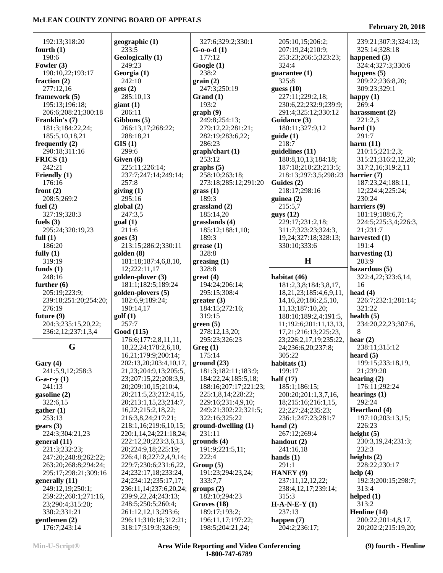# **February 20, 2018**

| 192:13;318:20                      | geographic (1)                                        | 327:6;329:2;330:1                          | 205:10,15;206:2;              | 239:21;307:3;324:13;                  |
|------------------------------------|-------------------------------------------------------|--------------------------------------------|-------------------------------|---------------------------------------|
| fourth $(1)$                       | 233:5                                                 | $G-0-0-d(1)$                               | 207:19,24;210:9;              | 325:14;328:18                         |
| 198:6                              | Geologically (1)                                      | 177:12                                     | 253:23;266:5;323:23;          | happened $(3)$                        |
| Fowler (3)                         | 249:23                                                | Google(1)<br>238:2                         | 324:4                         | 324:4;327:3;330:6<br>happens $(5)$    |
| 190:10,22;193:17<br>fraction $(2)$ | Georgia (1)<br>242:10                                 | grain(2)                                   | guarantee $(1)$<br>325:8      | 209:22;236:8,20;                      |
| 277:12,16                          | gets(2)                                               | 247:3;250:19                               | guess $(10)$                  | 309:23;329:1                          |
| framework (5)                      | 285:10,13                                             | Grand (1)                                  | 227:11;229:2,18;              | happy $(1)$                           |
| 195:13;196:18;                     | giant(1)                                              | 193:2                                      | 230:6,22;232:9;239:9;         | 269:4                                 |
| 206:6;208:21;300:18                | 206:11                                                | graph(9)                                   | 291:4;325:12;330:12           | harassment (2)                        |
| Franklin's (7)                     | Gibbons (5)                                           | 249:8;254:13;                              | Guidance (3)                  | 221:2.3                               |
| 181:3;184:22,24;                   | 266:13,17;268:22;                                     | 279:12,22;281:21;                          | 180:11;327:9,12               | hard $(1)$                            |
| 185:5, 10, 18, 21                  | 288:18,21                                             | 282:19;283:6,22;                           | guide(1)                      | 291:7                                 |
| frequently $(2)$                   | GIS(1)                                                | 286:23                                     | 218:7                         | harm $(11)$                           |
| 290:18;311:16                      | 299:6                                                 | graph/chart(1)                             | quidelines(11)                | 210:15;221:2,3;                       |
| FRICS(1)                           | Given (6)                                             | 253:12                                     | 180:8, 10, 13; 184: 18;       | 315:21;316:2,12,20;                   |
| 242:21                             | 225:11;226:14;                                        | graphs(5)                                  | 187:18;210:23;213:5;          | 317:2,16;319:2,11                     |
| Friendly (1)                       | 237:7;247:14;249:14;                                  | 258:10;263:18;                             | 218:13;297:3,5;298:23         | harrier $(7)$                         |
| 176:16                             | 257:8                                                 | 273:18;285:12;291:20                       | Guides (2)                    | 187:23,24;188:11,<br>12;224:4;225:24; |
| front $(2)$<br>208:5;269:2         | giving(1)<br>295:16                                   | grass(1)<br>189:3                          | 218:17;298:16                 | 230:24                                |
| fuel $(2)$                         | global(2)                                             | grassland (2)                              | guinea $(2)$<br>215:5,7       | harriers (9)                          |
| 327:19;328:3                       | 247:3,5                                               | 185:14,20                                  | guys(12)                      | 181:19;188:6,7;                       |
| fuels $(3)$                        | goal(1)                                               | grasslands $(4)$                           | 229:17:231:2,18:              | 224:5;225:3,4;226:3,                  |
| 295:24;320:19,23                   | 211:6                                                 | 185:12;188:1,10;                           | 311:7;323:23;324:3,           | 21;231:7                              |
| full $(1)$                         | goes(3)                                               | 189:3                                      | 19,24;327:18;328:13;          | harvested (1)                         |
| 186:20                             | 213:15;286:2;330:11                                   | $g$ rease $(1)$                            | 330:10;333:6                  | 191:4                                 |
| fully $(1)$                        | golden (8)                                            | 328:8                                      |                               | harvesting $(1)$                      |
| 319:19                             | 181:18;187:4,6,8,10,                                  | greasing(1)                                | H                             | 203:9                                 |
| funds $(1)$                        | 12;222:11,17                                          | 328:8                                      |                               | hazardous $(5)$                       |
| 248:16                             | golden-plover (3)                                     | $gr$ eat (4)                               | habitat (46)                  | 322:4,22;323:6,14,                    |
| further $(6)$                      | 181:1;182:5;189:24                                    | 194:24;206:14;                             |                               | 16                                    |
|                                    |                                                       |                                            | 181:2,3,8;184:3,8,17,         |                                       |
| 205:19;223:9;                      | golden-plovers (5)                                    | 295:15;308:4                               | 18, 21, 23; 185: 4, 6, 9, 11, | head $(4)$                            |
| 239:18;251:20;254:20;              | 182:6,9;189:24;                                       | greater(3)                                 | 14, 16, 20; 186: 2, 5, 10,    | 226:7;232:1;281:14;                   |
| 276:19                             | 190:14,17                                             | 184:15;272:16;                             | 11,13;187:10,20;              | 321:22                                |
| future $(9)$                       | golf(1)                                               | 319:15                                     | 188:10;189:2,4;191:5,         | health $(5)$                          |
| 204:3;235:15,20,22;                | 257:7                                                 | green(5)                                   | 11;192:6;201:11,13,13,        | 234:20,22,23;307:6,                   |
| 236:2,12;237:1,3,4                 | Good (115)                                            | 278:12,13,20;                              | 17,21;216:13;225:23,          | 8                                     |
|                                    | 176:6;177:2,8,11,11,                                  | 295:23;326:23                              | 23;226:2,17,19;235:22,        | hear $(2)$                            |
| G                                  | 18, 22, 24; 178: 2, 6, 10,                            | Greg(1)                                    | 24;236:6,20;237:8;            | 238:11;315:12                         |
|                                    | 16,21;179:9;200:14;                                   | 175:14                                     | 305:22                        | heard $(5)$                           |
| Gary $(4)$                         | 202:13,20;203:4,10,17,<br>21, 23; 204: 9, 13; 205: 5, | ground(23)                                 | habitats $(1)$<br>199:17      | 199:15;233:18,19,                     |
| 241:5,9,12;258:3<br>$G-a-r-y(1)$   | 23;207:15,22;208:3,9,                                 | 181:3;182:11;183:9;<br>184:22,24;185:5,18; | half $(17)$                   | 21;239:20<br>hearing $(2)$            |
| 241:13                             | 20;209:10,15;210:4,                                   | 188:16;207:17;221:23;                      | 185:1;186:15;                 | 176:11;292:24                         |
| gasoline (2)                       | 20;211:5,23;212:4,15,                                 | 225:1,8,14;228:22;                         | 200:20;201:1,3,7,16,          | hearings $(1)$                        |
| 322:6,15                           | 20;213:1,15,23;214:7,                                 | 229:16;231:4,9,10;                         | 18;215:16;216:1,15,           | 292:24                                |
| gather (1)                         | 16,22;215:2,18,22;                                    | 249:21;302:22;321:5;                       | 22;227:24;235:23;             | Heartland (4)                         |
| 253:13                             | 216:3,8,24;217:21;                                    | 322:16;325:22                              | 236:1;247:23;281:7            | 197:10;203:13,15;                     |
| gears(3)                           | 218:1,16;219:6,10,15;                                 | $ground-dwelling(1)$                       | hand $(2)$                    | 226:23                                |
| 224:3;304:21,23                    | 220:1,14,24;221:18,24;                                | 231:11                                     | 267:12;269:4                  | height $(5)$                          |
| general $(11)$                     | 222:12,20;223:3,6,13,                                 | grounds(4)                                 | handout $(2)$                 | 230:3,19,24;231:3;                    |
| 221:3;232:23;                      | 20;224:9,18;225:19;                                   | 191:9;221:5,11;                            | 241:16,18                     | 232:3                                 |
| 247:20;248:8;262:22;               | 226:4,18;227:2,4,9,14;                                | 222:4                                      | hands $(1)$                   | heights $(2)$                         |
| 263:20;268:8;294:24;               | 229:7;230:6;231:6,22,                                 | Group(5)                                   | 291:1                         | 228:22;230:17                         |
| 295:17;298:21;309:16               | 24;232:17,18;233:24,                                  | 191:23;294:23,24;                          | HANEY (9)                     | help $(4)$                            |
| generally (11)                     | 24;234:12;235:17,17;                                  | 333:7,7                                    | 237:11,12,12,22;              | 192:3;200:15;298:7;                   |
| 249:12,19;250:1;                   | 236:11,14;237:6,20,24;                                | groups (2)                                 | 238:4, 12, 17; 239: 14;       | 313:4                                 |
| 259:22;260:1;271:16,               | 239:9,22,24;243:13;<br>248:5;250:5;260:4;             | 182:10;294:23<br>Groves (18)               | 315:3                         | helped $(1)$<br>313:2                 |
| 23;290:4;315:20;<br>330:2;331:21   | 261:12,12,13;293:6;                                   | 189:17;193:2;                              | $H-A-N-E-Y(1)$<br>237:13      | Henline (14)                          |
| gentlemen $(2)$<br>176:7;243:14    | 296:11;310:18;312:21;                                 | 196:11,17;197:22;                          | happen $(7)$                  | 200:22;201:4,8,17,                    |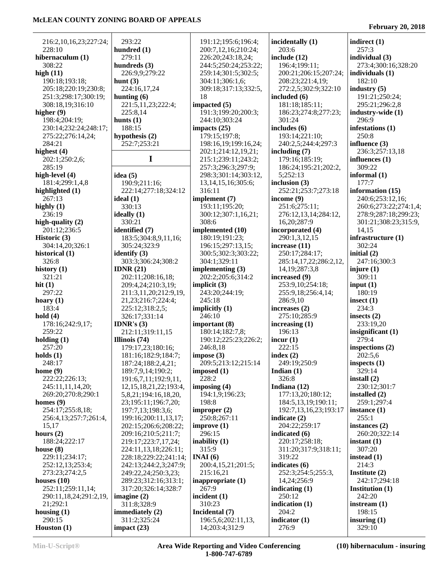293:22

279:11

188:15

330:13

330:21

 216:2,10,16,23;227:24; 228:10 **hibernaculum (1)** 308:22 **high (11)** 190:18;193:18; 205:18;220:19;230:8; 251:3;298:17;300:19; 308:18,19;316:10 **higher (9)** 198:4;204:19; 230:14;232:24;248:17; 275:22;276:14,24; 284:21 **highest (4)** 202:1;250:2,6; 285:19 **high-level (4)** 181:4;299:1,4,8 **highlighted (1)** 267:13 **highly (1)** 236:19 **high-quality (2)** 201:12;236:5 **Historic (3)** 304:14,20;326:1 **historical (1)** 326:8 **history (1)** 321:21 **hit (1)** 297:22 **hoary (1)** 183:4 **hold (4)** 178:16;242:9,17; 259:22 **holding (1)** 257:20 **holds (1)** 248:17 **home (9)** 222:22;226:13; 245:11,11,14,20; 269:20;270:8;290:1 **homes (9)** 254:17;255:8,18; 256:4,13;257:7;261:4, 15,17 **hours (2)** 188:24;222:17 **house (8)** 229:11;234:17; 252:12,13;253:4; 273:23;274:2,5 **houses (10)** 252:11;259:11,14; 290:11,18,24;291:2,19, 21;292:1 **housing (1) hunt (3) hunts (1) idea (5) ideal (1) ideally (1)**

**hundred (1) hundreds (3)** 226:9,9;279:22 224:16,17,24 **hunting (6)** 221:5,11,23;222:4; 225:8,14 **hypothesis (2)** 252:7;253:21 **I** 190:9;211:16; 222:14;277:18;324:12 **identified (7)** 183:5;304:8,9,11,16; 305:24;323:9 **identify (3)** 303:3;306:24;308:2 **IDNR (21)** 202:11;208:16,18; 209:4,24;210:3,19; 211:3,11,20;212:9,19, 21,23;216:7;224:4; 225:12;318:2,5; 326:17;331:14 **IDNR's (3)** 212:11;319:11,15 **Illinois (74)** 179:17,23;180:16; 181:16;182:9;184:7; 187:24;188:2,4,21; 189:7,9,14;190:2; 191:6,7,11;192:9,11, 12,15,18,21,22;193:4, 5,8,21;194:16,18,20, 23;195:11;196:7,20; 197:7,13;198:3,6; 199:16;200:11,13,17; 202:15;206:6;208:22; 209:16;210:5;211:7; 219:17;223:7,17,24; 224:11,13,18;226:11; 228:18;229:22;241:14; 242:13;244:2,3;247:9; 249:22,24;250:3,23; 289:23;312:16;313:1; 317:20;326:14;328:7 **imagine (2)** 311:8;328:9 **immediately (2)** 311:2;325:24 **impact (23)** 191:12;195:6;196:4; 200:7,12,16;210:24; 226:20;243:18,24; 244:5;250:24;253:22; 259:14;301:5;302:5; 304:11;306:1,6; 309:18;317:13;332:5, 18 **impacted (5)** 191:3;199:20;200:3; 244:10;303:24 **impacts (25)** 179:15;197:8; 198:16,19;199:16,24; 202:1;214:12,19,21; 215:1;239:11;243:2; 257:3;296:3;297:9; 298:3;301:14;303:12, 13,14,15,16;305:6; 316:11 **implement (7)** 193:11;195:20; 300:12;307:1,16,21; 308:6 **implemented (10)** 180:19;191:23; 196:15;297:13,15; 300:5;302:3;303:22; 304:1;329:11 **implementing (3)** 202:2;205:6;314:2 **implicit (3)** 243:20;244:19; 245:18 **implicitly (1)** 246:10 **important (8)** 180:14;182:7,8; 190:12;225:23;226:2; 246:8,18 **impose (3)** 209:5;213:12;215:14 **imposed (1)** 228:2 **imposing (4)** 194:1,9;196:23; 198:8 **improper (2)** 250:8;267:11 **improve (1)** 296:15 **inability (1)** 315:9 **INAI (6)** 200:4,15,21;201:5; 215:16,21 **inappropriate (1)** 267:9 **incident (1)** 310:23 **Incidental (7)** 196:5,6;202:11,13, 14;203:4;312:9

**incidentally (1)** 203:6 **include (12)** 196:4;199:11; 200:21;206:15;207:24; 208:23;221:4,19; 272:2,5;302:9;322:10 **included (6)** 181:18;185:11; 186:23;274:8;277:23; 301:24 **includes (6)** 193:14;221:10; 240:2,5;244:4;297:3 **including (7)** 179:16;185:19; 186:24;195:21;202:2, 5;252:13 **inclusion (3)** 252:21;253:7;273:18 **income (9)** 251:6;275:11; 276:12,13,14;284:12, 16,20;287:9 **incorporated (4)** 290:1,3,12,15 **increase (11)** 250:17;284:17; 285:14,17,22;286:2,12, 14,19;287:3,8 **increased (9)** 253:9,10;254:18; 255:9,18;256:4,14; 286:9,10 **increases (2)** 275:10;285:9 **increasing (1)** 196:13 **incur (1)** 222:15 **index (2)** 249:19;250:9 **Indian (1)** 326:8 **Indiana (12)** 177:13,20;180:12; 184:5,13,19;190:11; 192:7,13,16,23;193:17 **indicate (2)** 204:22;259:17 **indicated (6)** 220:17;258:18; 311:20;317:9;318:11; 319:22 **indicates (6)** 252:3;254:5;255:3, 14,24;256:9 **indicating (1)** 250:12 **indication (1)** 204:2 **indicator (1)** 276:9

#### **February 20, 2018**

**indirect (1)** 257:3 **individual (3)** 273:4;300:16;328:20 **individuals (1)** 182:10 **industry (5)** 191:21;250:24; 295:21;296:2,8 **industry-wide (1)** 296:9 **infestations (1)** 250:8 **influence (3)** 236:3;257:13,18 **influences (1)** 309:22 **informal (1)** 177:7 **information (15)** 240:6;253:12,16; 260:6;273:22;274:1,4; 278:9;287:18;299:23; 301:21;308:23;315:9, 14,15 **infrastructure (1)** 302:24 **initial (2)** 247:16;300:3 **injure (1)** 309:11 **input (1)** 180:19 **insect (1)** 234:3 **insects (2)** 233:19,20 **insignificant (1)** 279:4 **inspections (2)** 202:5,6 **inspects (1)** 329:14 **install (2)** 230:12;301:7 **installed (2)** 259:1;297:4 **instance (1)** 255:1 **instances (2)** 260:20;322:14 **instant (1)** 307:20 **instead (1)** 214:3 **Institute (2)** 242:17;294:18 **Institution (1)** 242:20 **instream (1)** 198:15 **insuring (1)** 329:10

 290:15 **Houston (1)**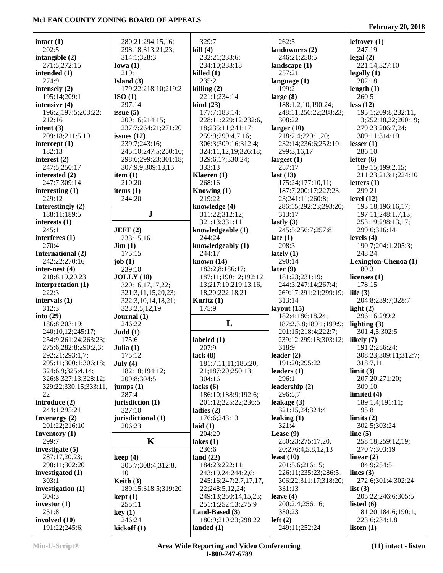| intact $(1)$           | 280:21;294:15,16;              | 329:7                     | 262:5                  | leftover $(1)$       |
|------------------------|--------------------------------|---------------------------|------------------------|----------------------|
| 202:5                  | 298:18;313:21,23;              | kill(4)                   | landowners (2)         | 247:19               |
| intangible $(2)$       | 314:1;328:3                    | 232:21;233:6;             | 246:21;258:5           | legal(2)             |
| 271:5;272:15           | Iowa $(1)$                     | 234:10;333:18             | landscape $(1)$        | 221:14;327:10        |
| intended $(1)$         | 219:1                          | killed(1)                 | 257:21                 | legally(1)           |
| 274:9                  | Island $(3)$                   | 235:2                     | language $(1)$         | 202:18               |
| intensely $(2)$        | 179:22;218:10;219:2            | killing $(2)$             | 199:2                  | length $(1)$         |
| 195:14;209:1           | ISO(1)                         | 221:1;234:14              |                        | 260:5                |
|                        | 297:14                         |                           | large $(8)$            |                      |
| intensive (4)          |                                | $\operatorname{kind}(23)$ | 188:1,2,10;190:24;     | less (12)            |
| 196:2;197:5;203:22;    | issue $(5)$                    | 177:7;183:14;             | 248:11;256:22;288:23;  | 195:1;209:8;232:11,  |
| 212:16                 | 200:16;214:15;                 | 228:11;229:12;232:6,      | 308:22                 | 13;252:18,22;260:19; |
| intent $(3)$           | 237:7;264:21;271:20            | 18;235:11;241:17;         | larger $(10)$          | 279:23;286:7,24;     |
| 209:18;211:5,10        | issues $(12)$                  | 259:9;299:4,7,16;         | 218:2,4;229:1,20;      | 309:11:314:19        |
| intercept $(1)$        | 239:7;243:16;                  | 306:3;309:16;312:4;       | 232:14;236:6;252:10;   | lesser(1)            |
| 182:13                 | 245:10;247:5;250:16;           | 324:11,12,19;326:18;      | 299:3,16,17            | 286:10               |
| interest $(2)$         | 298:6;299:23;301:18;           | 329:6,17;330:24;          | largest $(1)$          | letter $(6)$         |
| 247:5;250:17           | 307:9,9;309:13,15              | 333:13                    | 257:17                 | 189:15;199:2,15;     |
| interested (2)         | item $(1)$                     | Klaeren $(1)$             | last $(13)$            | 211:23;213:1;224:10  |
| 247:7;309:14           | 210:20                         | 268:16                    | 175:24;177:10,11;      | letters $(1)$        |
| interesting $(1)$      | items $(1)$                    | Knowing $(1)$             | 187:7;200:17;227:23,   | 299:21               |
| 229:12                 | 244:20                         | 219:22                    | 23;241:11;260:8;       | level $(12)$         |
| Interestingly $(2)$    |                                | knowledge (4)             | 286:15;292:23;293:20;  | 193:18;196:16,17;    |
| 188:11;189:5           | ${\bf J}$                      | 311:22;312:12;            | 313:17                 | 197:11;248:1,7,13;   |
|                        |                                | 321:13;331:11             |                        | 253:19;298:13,17;    |
| interests $(1)$        |                                |                           | lastly $(3)$           |                      |
| 245:1                  | JEFF(2)                        | knowledgeable (1)         | 245:5;256:7;257:8      | 299:6;316:14         |
| interferes (1)         | 233:15,16                      | 244:24                    | late $(1)$             | levels $(4)$         |
| 270:4                  | $\text{Jim} (1)$               | knowledgeably (1)         | 208:3                  | 190:7;204:1;205:3;   |
| International (2)      | 175:15                         | 244:17                    | lately $(1)$           | 248:24               |
| 242:22;270:16          | job $(1)$                      | known $(14)$              | 290:14                 | Lexington-Chenoa (1) |
| inter-nest $(4)$       | 239:10                         | 182:2,8;186:17;           | later $(9)$            | 180:3                |
| 218:8,19,20,23         | <b>JOLLY</b> (18)              | 187:11;190:12;192:12,     | 181:23;231:19;         | licenses $(1)$       |
| interpretation (1)     | 320:16,17,17,22;               | 13;217:19;219:13,16,      | 244:3;247:14;267:4;    | 178:15               |
| 222:3                  | 321:3,11,15,20,23;             | 18,20;222:18,21           | 269:17;291:21;299:19;  | life $(3)$           |
| intervals $(1)$        | 322:3,10,14,18,21;             | Kuritz $(1)$              | 313:14                 | 204:8;239:7;328:7    |
| 312:3                  | 323:2,5,12,19                  | 175:9                     | layout $(15)$          | light $(2)$          |
| into $(29)$            | Journal $(1)$                  |                           | 182:4;186:18,24;       | 296:16;299:2         |
| 186:8;203:19;          | 246:22                         | L                         | 187:2,3,8;189:1;199:9; | lighting $(3)$       |
| 240:10,12;245:17;      | Judd(1)                        |                           | 201:15;218:4;222:7;    | 301:4,5;302:5        |
| 254:9;261:24;263:23;   | 175:6                          |                           |                        |                      |
|                        |                                | labeled $(1)$             | 239:12;299:18;303:12;  | likely $(7)$         |
| 275:6;282:8;290:2,3;   | Julia $(1)$                    | 207:9                     | 318:9                  | 191:2;256:24;        |
| 292:21;293:1,7;        | 175:12                         | lack(8)                   | leader $(2)$           | 308:23;309:11;312:7; |
| 295:11;300:1;306:18;   | July $(4)$                     | 181:7,11,11;185:20,       | 191:20;295:22          | 318:7,11             |
| 324:6,9;325:4,14;      | 182:18;194:12;                 | 21;187:20;250:13;         | leaders $(1)$          | limit (3)            |
| 326:8;327:13;328:12;   | 209:8;304:5                    | 304:16                    | 296:1                  | 207:20;271:20;       |
| 329:22;330:15;333:11,  | jumps(1)                       | lacks(6)                  | leadership (2)         | 309:10               |
| 22                     | 287:4                          | 186:10;188:9;192:6;       | 296:5,7                | limited $(4)$        |
| introduce (2)          | jurisdiction (1)               | 201:12;225:22;236:5       | leakage (3)            | 189:1,4;191:11;      |
| 244:1;295:21           | 327:10                         | ladies $(2)$              | 321:15,24;324:4        | 195:8                |
| Invenergy $(2)$        | jurisdictional (1)             | 176:6;243:13              | leaking $(1)$          | limits $(2)$         |
| 201:22;216:10          | 206:23                         | laid $(1)$                | 321:4                  | 302:5;303:24         |
| <b>Inventory</b> $(1)$ |                                | 204:20                    | Lease $(9)$            | line $(5)$           |
| 299:7                  | K                              | lakes $(1)$               | 250:23;275:17,20,      | 258:18;259:12,19;    |
| investigate $(5)$      |                                | 236:6                     | 20;276:4,5,8,12,13     | 270:7;303:19         |
|                        |                                |                           |                        |                      |
| 287:17,20,23;          | keep(4)                        | land $(22)$               | least $(10)$           | linear $(2)$         |
| 298:11;302:20          | 305:7;308:4;312:8,             | 184:23;222:11;            | 201:5,6;216:15;        | 184:9;254:5          |
| investigated $(1)$     | 10                             | 243:19,24;244:2,6;        | 226:11;235:23;286:5;   | lines $(3)$          |
| 303:1                  | Keith $(3)$                    | 245:16;247:2,7,17,17,     | 306:22;311:17;318:20;  | 272:6;301:4;302:24   |
| investigation $(1)$    | 189:15;318:5;319:20            | 22;248:5,12,24;           | 331:13                 | list $(3)$           |
| 304:3                  | $\text{kept} \left( 1 \right)$ | 249:13;250:14,15,23;      | leave $(4)$            | 205:22;246:6;305:5   |
| investor $(1)$         | 255:11                         | 251:1;252:13;275:9        | 200:2,4;256:16;        | listed $(6)$         |
| 251:8                  | key(1)                         | Land-Based (3)            | 330:23                 | 181:20;184:6;190:1;  |
| involved $(10)$        | 246:24                         | 180:9;210:23;298:22       | left(2)                | 223:6;234:1,8        |
| 191:22;245:6;          | kickoff(1)                     | landed $(1)$              | 249:11;252:24          | listen $(1)$         |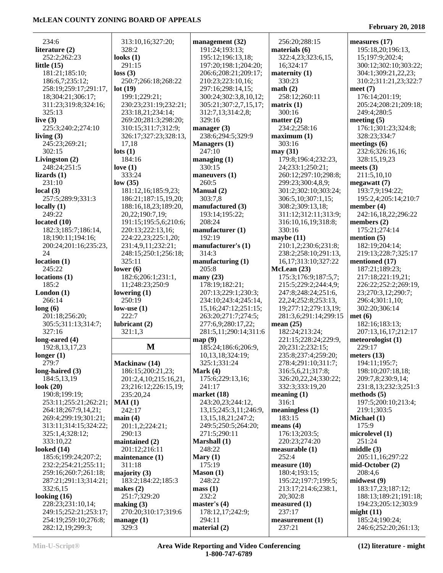328:2 **looks (1)**

313:10,16;327:20;

**management (32)** 191:24;193:13; 195:12;196:13,18; 197:20;198:1;204:20; 206:6;208:21;209:17; 210:23;223:10,16; 297:16;298:14,15; 300:24;302:3,8,10,12; 305:21;307:2,7,15,17; 312:7,13;314:2,8;

 256:20;288:15 **materials (6)**

258:12;260:11

 179:8;196:4;232:23, 24;233:1;250:21; 260:12;297:10;298:8; 299:23;300:4,8,9; 301:2;302:10;303:24; 306:5,10;307:1,15; 308:2;309:13,18; 311:12;312:11;313:9; 316:10,16,19;318:8;

 210:1,2;230:6;231:8; 238:2;258:10;291:13, 16,17;313:10;327:22

 175:3;176:9;187:5,7; 215:5;229:2;244:4,9; 247:8;248:24;251:6, 22,24;252:8;253:13, 19;277:12;279:13,19; 281:3,6;291:14;299:15

**matrix (1)** 300:16 **matter (2)** 234:2;258:16 **maximum (1)** 303:16 **may (31)**

 330:16 **maybe (11)**

**McLean (23)**

**mean (25)**

**meaning (1)** 316:1 **meaningless (1)** 183:15 **means (4)**

 176:13;203:5; 220:23;274:20 **measurable (1)** 252:4 **measure (10)** 180:4;193:15; 195:22;197:7;199:5; 213:17;214:6;238:1,

20;302:8

 182:24;213:24; 221:15;228:24;229:9, 20;231:2;232:15; 235:8;237:4;259:20; 278:4;291:10;311:7; 316:5,6,21;317:8; 326:20,22,24;330:22; 332:3;333:19,20

 16;324:17 **maternity (1)** 330:23 **math (2)**

322:4,23;323:6,15,

 234:6 **literature (2)** 252:25

 197:5;200:10;213:4; 219:1;303:5 **Michael (1)** 175:9 **microlevel (1)** 251:24 **middle (3)** 205:11,16;297:22 **mid-October (2)** 208:4,6 **midwest (9)** 183:17,23;187:12; 188:13;189:21;191:18; 194:23;205:12;303:9 **might (11)** 185:24;190:24; 246:6;252:20;261:13;

| 232.2,202.23                                  | 100KS (1 <i>)</i>                   | 199.12,190.13,10,           |  |
|-----------------------------------------------|-------------------------------------|-----------------------------|--|
| little $(15)$                                 | 291:15                              | 197:20;198:1;204:20;        |  |
| 181:21;185:10;                                | loss(3)                             | 206:6;208:21;209:17;        |  |
| 186:6,7;235:12;                               | 250:7;266:18;268:22                 | 210:23;223:10,16;           |  |
| 258:19;259:17;291:17,                         | lot(19)                             | 297:16;298:14,15;           |  |
| 18;304:21;306:17;                             | 199:1;229:21;                       | 300:24;302:3,8,10,12;       |  |
|                                               |                                     |                             |  |
| 311:23;319:8;324:16;                          | 230:23;231:19;232:21;               | 305:21;307:2,7,15,17;       |  |
| 325:13                                        | 233:18,21;234:14;                   | 312:7,13;314:2,8;           |  |
| live $(3)$                                    | 269:20;281:3;298:20;                | 329:16                      |  |
| 225:3;240:2;274:10                            | 310:15;311:7;312:9;                 | manager $(3)$               |  |
| living $(3)$                                  | 326:17;327:23;328:13,               | 238:6;294:5;329:9           |  |
| 245:23;269:21;                                | 17,18                               | <b>Managers</b> (1)         |  |
| 302:15                                        | $\text{lots}$ (1)                   | 247:10                      |  |
| Livingston (2)                                | 184:16                              | managing $(1)$              |  |
| 248:24;251:5                                  | love $(1)$                          | 330:15                      |  |
|                                               |                                     |                             |  |
| lizards (1)                                   | 333:24                              | maneuvers $(1)$             |  |
| 231:10                                        | low(35)                             | 260:5                       |  |
| local(3)                                      | 181:12,16;185:9,23;                 | Manual (2)                  |  |
| 257:5;289:9;331:3                             | 186:21;187:15,19,20;                | 303:7,8                     |  |
| locally(1)                                    | 188:16,18,23;189:20,                | manufactured (3)            |  |
| 249:22                                        | 20,22;190:7,19;                     | 193:14;195:22;              |  |
| located (10)                                  | 191:15;195:5,6;210:6;               | 208:24                      |  |
| 182:3;185:7;186:14,                           | 220:13;222:13,16;                   | manufacturer (1)            |  |
| 18;190:11;194:16;                             | 224:22,23;225:1,20;                 | 192:19                      |  |
| 200:24;201:16;235:23,                         |                                     |                             |  |
|                                               | 231:4,9,11;232:21;                  | manufacturer's (1)          |  |
| 24                                            | 248:15;250:1;256:18;                | 314:3                       |  |
| location (1)                                  | 325:11                              | manufacturing $(1)$         |  |
| 245:22                                        | lower $(6)$                         | 205:8                       |  |
| locations (1)                                 | 182:6;206:1;231:1,                  | many $(23)$                 |  |
| 185:2                                         | 11;248:23;250:9                     | 178:19;182:21;              |  |
|                                               |                                     |                             |  |
|                                               |                                     |                             |  |
|                                               | lowering $(1)$                      | 207:13;229:1;230:3;         |  |
| London (1)<br>266:14                          | 250:19                              | 234:10;243:4;245:14,        |  |
| long(6)                                       | low-use $(1)$                       | 15, 16; 247: 12; 251: 15;   |  |
| 201:18;256:20;                                | 222:7                               | 263:20;271:7;274:5;         |  |
| 305:5;311:13;314:7;                           | lubricant (2)                       | 277:6,9;280:17,22;          |  |
| 327:16                                        | 321:1,3                             | 281:5,11;290:14;311:6       |  |
| long-eared (4)                                |                                     | map(9)                      |  |
| 192:8,13,17,23                                | M                                   | 185:24;186:6;206:9,         |  |
| longer (1)                                    |                                     | 10,13,18;324:19;            |  |
| 279:7                                         | Mackinaw (14)                       | 325:1;331:24                |  |
|                                               |                                     | Mark (4)                    |  |
| long-haired (3)                               | 186:15;200:21,23;                   |                             |  |
| 184:5,13,19                                   | 201:2,4,10;215:16,21,               | 175:6;229:13,16;            |  |
|                                               | 23;216:12;226:15,19;                | 241:17                      |  |
| 190:8;199:19;                                 | 235:20,24                           | market $(18)$               |  |
| 253:11;255:21;262:21;                         | MAI(1)                              | 243:20,23;244:12,           |  |
| 264:18;267:9,14,21;                           | 242:17                              | 13, 15; 245: 3, 11; 246: 9, |  |
| 269:4;299:19;301:21;                          | main(4)                             | 13, 15, 18, 21; 247: 2;     |  |
| look (20)<br>313:11;314:15;324:22;            | 201:1,2;224:21;                     | 249:5;250:5;264:20;         |  |
| 325:1,4;328:12;                               | 290:13                              | 271:5;290:11                |  |
| 333:10,22                                     | maintained (2)                      | Marshall (1)                |  |
| looked (14)                                   | 201:12;216:11                       | 248:22                      |  |
| 185:6;199:24;207:2;                           | maintenance (1)                     |                             |  |
|                                               |                                     | Mary $(1)$<br>175:19        |  |
| 232:2;254:21;255:11;                          | 311:18                              |                             |  |
| 259:16;260:7;261:18;                          | majority $(3)$                      | Mason(1)                    |  |
| 287:21;291:13;314:21;                         | 183:2;184:22;185:3                  | 248:22                      |  |
| 332:6,15                                      | makes $(2)$                         | mass(1)                     |  |
| looking (16)                                  | 251:7;329:20                        | 232:2                       |  |
| 228:23;231:10,14;                             | making $(3)$                        | master's $(4)$              |  |
| 249:15;252:21;253:17;<br>254:19;259:10;276:8; | 270:20;310:17;319:6<br>manage $(1)$ | 178:12,17;242:9;<br>294:11  |  |

282:12,19;299:3;

329:3

**master's (4)** 178:12,17;242:9; 294:11 **material (2) measured (1)** 237:17 **measurement (1)** 237:21 **Min-U-Script® Area Wide Reporting and Video Conferencing 1-800-747-6789**

**(12) literature - might**

**measures (17)**

**meet (7)**

**meets (3)** 211:5,10,10 **megawatt (7)** 193:7,9;194:22; 195:2,4;205:14;210:7

**member (4)**

**members (2)** 175:21;274:14 **mention (5)** 182:19;204:14; 219:13;228:7;325:17

**mentioned (17)** 187:21;189:23; 217:18;221:19,21; 226:22;252:2;269:19, 23;270:3,12;290:7; 296:4;301:1,10; 302:20;306:14

 182:16;183:13; 207:13,16,17;212:17 **meteorologist (1)** 229:17 **meters (13)** 194:11;195:7; 198:10;207:18,18; 209:7,8;230:9,14; 231:8,13;232:3;251:3

**met (6)**

**methods (5)**

 195:18,20;196:13, 15;197:9;202:4; 300:12;302:10;303:22; 304:1;309:21,22,23; 310:2;311:21,23;322:7

 176:14;201:19; 205:24;208:21;209:18;

 176:1;301:23;324:8; 328:23;334:7 **meetings (6)**

> 232:6;326:16,16; 328:15,19,23

242:16,18,22;296:22

 249:4;280:5 **meeting (5)**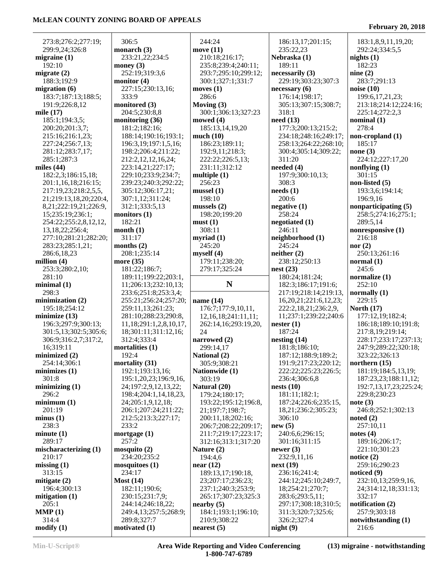306:5

333:9

204:5;230:8,8

181:2;182:16;

312:1;333:5,13

208:1;235:14

181:22;186:7;

312:4;333:4

192:4

233:2

257:2

234:17

234:20;235:2

182:11;190:6;

289:8;327:7

182:21

311:17

 273:8;276:2;277:19; 299:9,24;326:8 **migraine (1)** 192:10 **migrate (2)** 188:3;192:9 **migration (6)** 183:7;187:13;188:5; 191:9;226:8,12 **mile (17)** 185:1;194:3,5; 200:20;201:3,7; 215:16;216:1,23; 227:24;256:7,13; 281:12;283:7,17; 285:1;287:3 **miles (44)** 182:2,3;186:15,18; 201:1,16,18;216:15; 217:19,23;218:2,5,5, 21;219:13,18,20;220:4, 8,21;222:19,21;226:9, 15;235:19;236:1; 254:22;255:2,8,12,12, 13,18,22;256:4; 277:10;281:21;282:20; 283:23;285:1,21; 286:6,18,23 **million (4)** 253:3;280:2,10; 281:10 **minimal (1)** 298:3 **minimization (2)** 195:18;254:12 **minimize (13)** 196:3;297:9;300:13; 301:5,13;302:5;305:6; 306:9;316:2,7;317:2, 16;319:11 **minimized (2)** 254:14;306:1 **minimizes (1)** 301:8 **minimizing (1)** 296:2 **minimum (1)** 201:19 **minus (1)** 238:3 **minute (1)** 289:17 **mischaracterizing (1)** 210:17 **missing (1)** 313:15 **mitigate (2)** 196:4;300:13 **mitigation (1)** 205:1 **MMP (1)** 314:4 **modify (1) monarch (3) money (3) monitor (4) monitored (3) monitoring (36) monitors (1) month (1) months (2) more (35) mortalities (1) mortality (31) mortgage (1) mosquito (2) mosquitoes (1) Most (14) motivated (1)**

 233:21,22;234:5 252:19;319:3,6 227:15;230:13,16; 188:14;190:16;193:1; 196:3,19;197:1,5,16; 198:2;206:4;211:22; 212:2,12,12,16,24; 223:14,21;227:17; 229:10;233:9;234:7; 239:23;240:3;292:22; 305:12;306:17,21; 307:1,12;311:24; 189:11;199:22;203:1, 11;206:13;232:10,13; 233:6;251:8;253:3,4; 255:21;256:24;257:20; 259:11,13;261:23; 281:10;288:23;290:8, 11,18;291:1,2,8,10,17, 18;301:11;311:12,16; 192:1;193:13,16; 195:1,20,23;196:9,16, 24;197:2,9,12,13,22; 198:4;204:1,14,18,23, 24;205:1,9,12,18; 206:1;207:24;211:22; 212:5;213:3;227:17; 230:15;231:7,9; 244:14;246:18,22; 249:4,13;257:5;268:9; 244:24 **move (11)** 210:18;216:17; 235:8;239:4;240:11; 293:7;295:10;299:12; 300:1;327:1;331:7 **moves (1)** 286:6 **Moving (3)** 300:1;306:13;327:23 **mowed (4)** 185:13,14,19,20 **much (10)** 186:23;189:11; 192:9,11;218:3; 222:22;226:5,13; 231:11;312:12 **multiple (1)** 256:23 **mussel (1)** 198:10 **mussels (2)** 198:20;199:20 **must (1)** 308:11 **myriad (1)** 245:20 **myself (4)** 179:11;238:20; 279:17;325:24 **N name (14)** 176:7;177:9,10,11, 12,16,18;241:11,11; 262:14,16;293:19,20, 24 **narrowed (2)** 299:14,17 **National (2)** 305:9;308:21 **Nationwide (1)** 303:19 **Natural (20)** 179:24;180:17; 193:22;195:12;196:8, 21;197:7;198:7; 200:11,18;202:16; 206:7;208:22;209:17; 211:7;219:17;223:17; 312:16;313:1;317:20 **Nature (2)** 194:4,6 **near (12)** 189:13,17;190:18, 23;207:17;236:23; 237:1;240:3;253:9; 265:17;307:23;325:3 **nearby (5)** 184:1;193:1;196:10; 210:9;308:22 **nearest (5)**

 186:13,17;201:15; 235:22,23 **Nebraska (1)** 189:11 **necessarily (3)** 229:19;303:23;307:3 **necessary (6)** 176:14;198:17; 305:13;307:15;308:7; 318:1 **need (13)** 177:3;200:13;215:2; 234:18;248:16;249:17; 258:13;264:22;268:10; 300:4;305:14;309:22; 311:20 **needed (4)** 197:9;300:10,13; 308:3 **needs (1)** 200:6 **negative (1)** 258:24 **negotiated (1)** 246:11 **neighborhood (1)** 245:24 **neither (2)** 238:12;250:13 **nest (23)** 180:24;181:24; 182:3;186:17;191:6; 217:19;218:14;219:13, 16,20,21;221:6,12,23; 222:2,18,21;236:2,9, 11;237:1;239:22;240:6 **nester (1)** 187:24 **nesting (14)** 181:8;186:10; 187:12;188:9;189:2; 191:9;217:23;220:12; 222:22;225:23;226:5; 236:4;306:6,8 **nests (10)** 181:11;182:1; 187:24;226:6;235:15, 18,21;236:2;305:23; 306:10 **new (5)** 240:6,6;296:15; 301:16;311:15 **newer (3)** 232:9,11,16 **next (19)** 236:16;241:4; 244:12;245:10;249:7, 18;254:21;270:7; 283:6;293:5,11; 297:17;308:18;310:5; 311:3;320:7;325:6; 326:2;327:4 **night (9)**

**February 20, 2018**

 183:1,8,9,11,19,20; 292:24;334:5,5 **nights (1)** 182:23 **nine (2)** 283:7;291:13 **noise (10)** 199:6,17,21,23; 213:18;214:12;224:16; 225:14;272:2,3 **nominal (1)** 278:4 **non-cropland (1)** 185:17 **none (3)** 224:12;227:17,20 **nonflying (1)** 301:15 **non-listed (5)** 193:3,6;194:14; 196:9,16 **nonparticipating (5)** 258:5;274:16;275:1; 289:5,14 **nonresponsive (1)** 216:18 **nor (2)** 250:13;261:16 **normal (1)** 245:6 **normalize (1)** 252:10 **normally (1)** 229:15 **North (17)** 177:12,19;182:4; 186:18;189:10;191:8; 217:8,19;219:14; 228:17;233:17;237:13; 247:9;289:22;320:18; 323:22;326:13 **northern (15)** 181:19;184:5,13,19; 187:23,23;188:11,12; 192:7,13,17,23;225:24; 229:8;230:23 **note (3)** 246:8;252:1;302:13 **noted (2)** 257:10,11 **notes (4)** 189:16;206:17; 221:10;301:23 **notice (2)** 259:16;290:23 **noticed (9)** 232:10,13;259:9,16, 24;314:12,18;331:13; 332:17 **notification (2)** 257:9;303:18 **notwithstanding (1)**  $216.6$ 

**Min-U-Script® Area Wide Reporting and Video Conferencing 1-800-747-6789**

**(13) migraine - notwithstanding**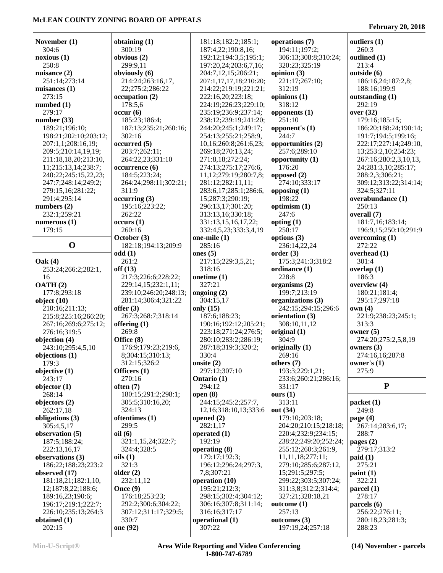#### **February 20, 2018**

| November (1)                            | obtaining (1)                   | 181:18;182:2;185:1;                          | operations (7)                               | outliers (1)                       |
|-----------------------------------------|---------------------------------|----------------------------------------------|----------------------------------------------|------------------------------------|
| 304:6                                   | 300:19                          | 187:4,22;190:8,16;                           | 194:11;197:2;                                | 260:3                              |
| noxious(1)                              | obvious (2)                     | 192:12;194:3,5;195:1;                        | 306:13;308:8;310:24;                         | outlined (1)                       |
| 250:8<br>nuisance (2)                   | 299:9,11<br>obviously (6)       | 197:20,24;203:6,7,16;<br>204:7,12,15;206:21; | 320:23;325:19<br>opinion $(3)$               | 213:4<br>outside (6)               |
| 251:14;273:14                           | 214:24;263:16,17,               | 207:1,17,17,18;210:20;                       | 221:17;267:10;                               | 186:16,24;187:2,8;                 |
| nuisances (1)                           | 22;275:2;286:22                 | 214:22;219:19;221:21;                        | 312:19                                       | 188:16;199:9                       |
| 273:15                                  | occupation(2)                   | 222:16,20;223:18;                            | opinions $(1)$                               | outstanding (1)                    |
| numbed (1)                              | 178:5,6                         | 224:19;226:23;229:10;                        | 318:12                                       | 292:19                             |
| 279:17                                  | occur(6)                        | 235:19;236:9;237:14;                         | opponents $(1)$                              | over (32)                          |
| number(33)                              | 185:23;186:4;                   | 238:12;239:19;241:20;                        | 251:10                                       | 179:16;185:15;                     |
| 189:21;196:10;                          | 187:13;235:21;260:16;           | 244:20;245:1;249:17;                         | opponent's $(1)$                             | 186:20;188:24;190:14;              |
| 198:21;202:10;203:12;                   | 302:16                          | 254:13;255:21;258:9,                         | 244:7                                        | 191:7;194:5;199:16;                |
| 207:1,1;208:16,19;                      | occurred (5)                    | 10,16;260:8;261:6,23;                        | opportunities (2)                            | 222:17;227:14;249:10,              |
| 209:5;210:14,19,19;                     | 203:7;262:11;                   | 269:18;270:13,24;                            | 257:6;289:10                                 | 13;253:2,10;254:23;                |
| 211:18,18,20;213:10,                    | 264:22,23;331:10                | 271:8,18;272:24;                             | opportunity $(1)$                            | 267:16;280:2,3,10,13,              |
| 11;215:13,14;238:7;                     | occurrence (6)                  | 274:13;275:17;276:6,                         | 176:20                                       | 24;281:3,10;285:17;                |
| 240:22;245:15,22,23;                    | 184:5;223:24;                   | 11, 12, 279: 19, 280: 7, 8;                  | opposed $(2)$                                | 288:2,3;306:21;                    |
| 247:7;248:14;249:2;                     | 264:24;298:11;302:21;           | 281:12;282:11,11;                            | 274:10;333:17                                | 309:12;313:22;314:14;              |
| 279:15,16;281:22;                       | 311:9                           | 283:6,17;285:1;286:6,                        | opposing $(1)$<br>198:22                     | 324:5:327:11                       |
| 291:4;295:14<br>numbers $(2)$           | occurring (3)<br>195:16;223:22; | 15;287:3;290:19;<br>296:13,17;301:20;        | optimism (1)                                 | overabundance (1)<br>250:13        |
| 232:1;259:21                            | 262:22                          | 313:13,16;330:18;                            | 247:6                                        | overall (7)                        |
| numerous $(1)$                          | occurs(1)                       | 331:13,15,16,17,22;                          | opting $(1)$                                 | 181:7,16;183:14;                   |
| 179:15                                  | 260:16                          | 332:4,5,23;333:3,4,19                        | 250:17                                       | 196:9,15;250:10;291:9              |
|                                         | October (3)                     | one-mile $(1)$                               | options $(3)$                                | overcoming $(1)$                   |
| $\mathbf 0$                             | 182:18;194:13;209:9             | 285:16                                       | 236:14,22,24                                 | 272:22                             |
|                                         | odd(1)                          | ones $(5)$                                   | order(3)                                     | overhead (1)                       |
| $\textbf{Oak}(4)$                       | 261:2                           | 217:15;229:3,5,21;                           | 175:3;241:3;318:2                            | 301:4                              |
| 253:24;266:2;282:1,                     | off(13)                         | 318:16                                       | ordinance (1)                                | overlap $(1)$                      |
| 16                                      | 217:3;226:6;228:22;             | onetime $(1)$                                | 228:8                                        | 186:3                              |
| OATH(2)                                 | 229:14,15;232:1,11;             | 327:21                                       | organisms (2)                                | overview (4)                       |
| 177:8;293:18                            | 239:10;246:20;248:13;           | ongoing $(2)$                                | 199:7;213:19                                 | 180:21;181:4;                      |
| object $(10)$                           | 281:14;306:4;321:22             | 304:15,17                                    | organizations (3)                            | 295:17;297:18                      |
| 210:16;211:13;                          | offer $(3)$                     | only $(15)$                                  | 242:15;294:15;296:6                          | own(4)                             |
| 215:8;225:16;266:20;                    | 267:3;268:7;318:14              | 187:6;188:23;                                | orientation (3)                              | 221:9;238:23;245:1;                |
| 267:16;269:6;275:12;                    | offering $(1)$                  | 190:16;192:12;205:21;                        | 308:10,11,12                                 | 313:3                              |
| 276:16;319:5                            | 269:8<br>Office (8)             | 223:18;271:24;276:5;<br>280:10;283:2;286:19; | original $(1)$<br>304:9                      | owner $(5)$<br>274:20;275:2,5,8,19 |
| objection (4)<br>243:10;295:4,5,10      | 176:9;179:23;219:6,             | 287:18;319:3;320:2;                          | originally (1)                               | owners $(3)$                       |
| objections $(1)$                        | 8;304:15;310:13;                | 330:4                                        | 269:16                                       | 274:16,16;287:8                    |
| 179:3                                   | 312:15;326:2                    | onsite $(2)$                                 | others $(7)$                                 | owner's $(1)$                      |
| objective $(1)$                         | Officers (1)                    | 297:12;307:10                                | 193:3;229:1,21;                              | 275:9                              |
| 243:17                                  | 270:16                          | <b>Ontario</b> (1)                           | 233:6;260:21;286:16;                         |                                    |
| objector $(1)$                          | often (7)                       | 294:12                                       | 331:17                                       | ${\bf P}$                          |
| 268:14                                  | 180:15;291:2;298:1;             | open $(8)$                                   | ours(1)                                      |                                    |
| objectors (2)                           | 305:5;310:16,20;                | 244:15;245:2;257:7,                          | 313:11                                       | packet(1)                          |
| 262:17,18                               | 324:13                          | 12, 16; 318: 10, 13; 333: 6                  | out (34)                                     | 249:8                              |
| obligations (3)                         | oftentimes (1)                  | opened $(2)$                                 | 179:10;203:18;                               | page $(4)$                         |
| 305:4,5,17                              | 299:5                           | 282:1,17                                     | 204:20;210:15;218:18;                        | 267:14;283:6,17;                   |
| observation (5)                         | oil(6)                          | operated $(1)$                               | 220:4;232:9;234:15;                          | 288:7                              |
| 187:5;188:24;                           | 321:1,15,24;322:7;              | 192:19                                       | 238:22;249:20;252:24;                        | pages $(2)$                        |
| 222:13,16,17                            | 324:4;328:5                     | operating (8)                                | 255:12;260:3;261:9,                          | 279:17;313:2                       |
| observations (3)<br>186:22;188:23;223:2 | oils $(1)$<br>321:3             | 179:17;192:3;<br>196:12;296:24;297:3,        | 11, 11, 18; 277: 11;<br>279:10;285:6;287:12, | paid(1)<br>275:21                  |
| observed (17)                           | older $(2)$                     | 7,8;307:21                                   | 15;291:5;297:5;                              | paint(1)                           |
| 181:18,21;182:1,10,                     | 232:11,12                       | operation (10)                               | 299:22;303:5;307:24;                         | 322:21                             |
| 12;187:8,22;188:6;                      | Once (9)                        | 195:21;212:3;                                | 311:3,8;312:2;314:4;                         | $\boldsymbol{\text{pared}}$ (1)    |
| 189:16,23;190:6;                        | 176:18;253:23;                  | 298:15;302:4;304:12;                         | 327:21;328:18,21                             | 278:17                             |
| 196:17;219:1;222:7;                     | 292:2;300:6;304:22;             | 306:16;307:8;311:14;                         | outcome(1)                                   | parcels $(6)$                      |
| 226:10;235:13;264:3                     | 307:12;311:17;329:5;            | 316:16;317:17                                | 257:13                                       | 256:22;276:11;                     |
| obtained (1)                            | 330:7                           | operational (1)                              | outcomes (3)                                 | 280:18,23;281:3;                   |
| 202:15                                  | one (92)                        | 307:22                                       | 197:19,24;257:18                             | 288:23                             |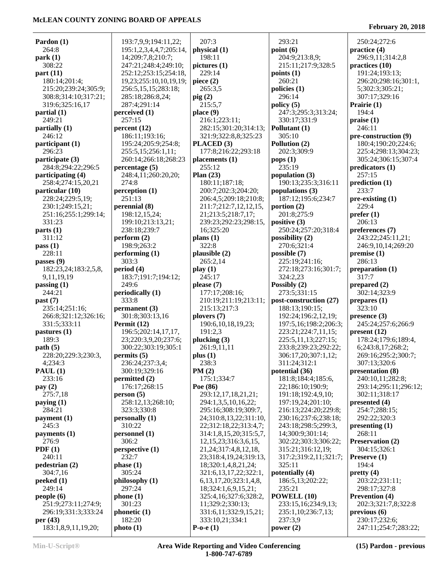#### **Pardon (1)** 264:8 **park (1)** 308:22 **part (11)** 180:14;201:4; 215:20;239:24;305:9; 308:8;314:10;317:21; 319:6;325:16,17 **partial (1)** 249:21 **partially (1)** 246:12 **participant (1)** 296:23 **participate (3)** 284:8;294:22;296:5 **participating (4)** 258:4;274:15,20,21 **particular (10)** 228:24;229:5,19; 230:1;249:15,21; 251:16;255:1;299:14; 331:23 **parts (1)** 311:12 **pass (1)** 228:11 **passes (9)** 182:23,24;183:2,5,8, 9,11,19,19 **passing (1)** 244:21 **past (7)** 235:14;251:16; 266:8;321:12;326:16; 331:5;333:11 **pastures (1)** 189:3 **path (5)** 228:20;229:3;230:3, 4;234:3 **PAUL (1)** 233:16 **pay (2)** 275:7,18 **paying (1)** 284:21 **payment (1)** 245:3 **payments (1)** 276:9 **PDF (1)** 240:11 **pedestrian (2)** 304:7,16 **peeked (1)** 249:14 **people (6)** 251:9;273:11;274:9; 296:19;331:3;333:24 **per (43)** 183:1,8,9,11,19,20; 193:7,9,9;194:11,22; 195:1,2,3,4,4,7;205:14, 14;209:7,8;210:7; 247:21;248:4;249:10; 252:12;253:15;254:18, 19,23;255:10,10,19,19; 256:5,15,15;283:18; 285:18;286:8,24; 287:4;291:14 **perceived (1)** 257:15 **percent (12)** 186:11;193:16; 195:24;205:9;254:8; 255:5,15;256:1,11; 260:14;266:18;268:23 **percentage (5)** 248:4,11;260:20,20; 274:8 **perception (1)** 251:13 **perennial (8)** 198:12,15,24; 199:10;213:13,21; 238:18;239:7 **perform (2)** 198:9;263:2 **performing (1)** 303:3 **period (4)** 183:7;191:7;194:12; 249:6 **periodically (1)** 333:8 **permanent (3)** 301:8;303:13,16 **Permit (12)** 196:5;202:14,17,17, 23;220:3,9,20;237:6; 300:22;303:19;305:1 **permits (5)** 236:24;237:3,4; 300:19;329:16 **permitted (2)** 176:17;268:15 **person (5)** 258:12,13;268:10; 323:3;330:8 **personally (1)** 310:22 **personnel (1)** 306:2 **perspective (1)** 232:7 **phase (1)** 305:24 **philosophy (1)** 297:24 **phone (1)** 301:23 **phonetic (1)** 182:20 **photo (1)** 207:3 **physical (1)** 198:11 **pictures (1)** 229:14 **piece (2)** 265:3,5 **pig (2)** 215:5,7 **place (9)** 216:1;223:11; 282:15;301:20;314:13; 321:9;322:8,8;325:23 **PLACED (3)** 177:8;216:22;293:18 **placements (1)** 255:12 **Plan (23)** 180:11;187:18; 200:7;202:3;204:20; 206:4,5;209:18;210:8; 211:7;212:7,12,12,15, 21;213:5;218:7,17; 239:23;292:23;298:15, 16;325:20 **plans (1)** 322:8 **plausible (2)** 265:2,14 **play (1)** 245:17 **please (7)** 177:17;208:16; 210:19;211:19;213:11; 215:13;217:3 **plovers (7)** 190:6,10,18,19,23; 191:2,3 **plucking (3)** 261:9,11,11 **plus (1)** 238:3 **PM (2)** 175:1;334:7 **Poe (86)** 293:12,17,18,21,21; 294:1,3,5,10,16,22; 295:16;308:19;309:7, 24;310:8,13,22;311:10, 22;312:18,22;313:4,7; 314:1,8,15,20;315:5,7, 12,15,23;316:3,6,15, 21,24;317:4,8,12,18, 23;318:4,19,24;319:13, 18;320:1,4,8,21,24; 321:6,13,17,22;322:1, 6,13,17,20;323:1,4,8, 18;324:1,6,9,15,21; 325:4,16;327:6;328:2, 11;329:2;330:13; 331:6,11;332:9,15,21; 333:10,21;334:1 **P-o-e (1)** 293:21 **point (6)** 204:9;213:8,9; 215:11;217:9;328:5 **points (1)** 260:21 **policies (1)** 296:14 **policy (5)** 247:3;295:3;313:24; 330:17;331:9 **Pollutant (1)** 305:10 **Pollution (2)** 202:3;309:9 **pops (1)** 235:19 **population (3)** 190:13;235:3;316:11 **populations (3)** 187:12;195:6;234:7 **portion (2)** 201:8;275:9 **positive (3)** 250:24;257:20;318:4 **possibility (2)** 270:6;321:4 **possible (7)** 225:19;241:16; 272:18;273:16;301:7; 324:2,23 **Possibly (2)** 273:5;331:15 **post-construction (27)** 188:13;190:15; 192:24;196:2,12,19; 197:5,16;198:2;206:3; 223:21;224:7,11,15; 225:5,11,13;227:15; 233:8;239:23;292:22; 306:17,20;307:1,12; 311:24;312:1 **potential (36)** 181:8;184:4;185:6, 22;186:10;190:9; 191:18;192:4,9,10; 197:19,24;201:10; 216:13;224:20;229:8; 230:16;237:6;238:18; 243:18;298:5;299:3, 14;300:9;301:14; 302:22;303:3;306:22; 315:21;316:12,19; 317:2;319:2,11;321:7; 325:11 **potentially (4)** 186:5,13;202:22; 235:21 **POWELL (10)** 233:15,16;234:9,13; 235:1,10;236:7,13; 237:3,9 **power (2)** 250:24;272:6 **practice (4)** 296:9,11;314:2,8 **practices (10)** 191:24;193:13; 296:20;298:16;301:1, 5;302:3;305:21; 307:17;329:16 **Prairie (1)** 194:4 **praise (1)** 246:11 **pre-construction (9)** 180:4;190:20;224:6; 225:4;298:13;304:23; 305:24;306:15;307:4 **predicators (1)** 257:15 **prediction (1)** 233:7 **pre-existing (1)** 229:4 **prefer (1)** 206:13 **preferences (7)** 243:22;245:11,21; 246:9,10,14;269:20 **premise (1)** 286:13 **preparation (1)** 317:7 **prepared (2)** 302:14;323:9 **prepares (1)** 323:10 **presence (3)** 245:24;257:6;266:9 **present (12)** 178:24;179:6;189:4, 6;243:8,17;268:2; 269:16;295:2;300:7; 307:13;320:6 **presentation (8)** 240:10,11;282:8; 293:14;295:11;296:12; 302:11;318:17 **presented (4)** 254:7;288:15; 292:22;320:3 **presenting (1)** 268:11 **Preservation (2)** 304:15;326:1 **Preserve (1)** 194:4 **pretty (4)** 203:22;231:11; 298:17;327:8 **Prevention (4)** 202:3;321:7,8;322:8 **previous (6)** 230:17;232:6; 247:11;254:7;283:22;

**February 20, 2018**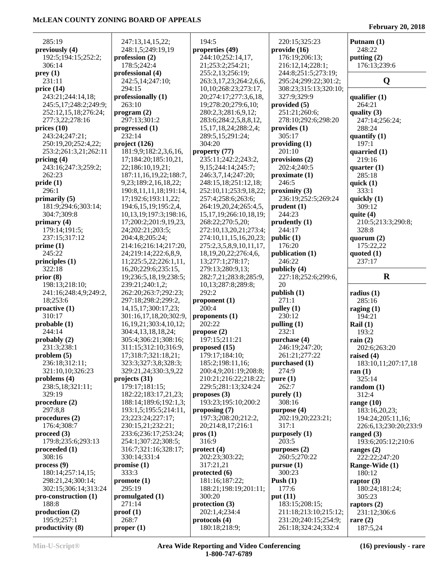| 285:19                          | 247:13,14,15,22;                               | 194:5                          | 220:15;325:23                               | Putnam $(1)$           |
|---------------------------------|------------------------------------------------|--------------------------------|---------------------------------------------|------------------------|
| previously (4)                  | 248:1,5;249:19,19                              | properties (49)                | provide(16)                                 | 248:22                 |
| 192:5;194:15;252:2;             | profession $(2)$                               | 244:10;252:14,17,              | 176:19;206:13;                              | putting (2)            |
| 306:14                          | 178:5;242:4                                    | 21;253:2;254:21;               | 216:12,14;228:1;                            | 176:13;239:6           |
| prey(1)                         | professional (4)                               | 255:2,13;256:19;               | 244:8;251:5;273:19;                         |                        |
| 231:11                          | 242:5,14;247:10;                               | 263:3,17,23;264:2,6,6,         | 295:24;299:22;301:2;                        | Q                      |
| price $(14)$                    | 294:15                                         | 10,10;268:23;273:17,           | 308:23;315:13;320:10;                       |                        |
| 243:21;244:14,18;               | professionally (1)                             | 20;274:17;277:3,6,18,          | 327:9;329:9                                 | qualifier $(1)$        |
| 245:5,17;248:2;249:9;           | 263:10                                         | 19;278:20;279:6,10;            | provided $(5)$                              | 264:21                 |
| 252:12,15,18;276:24;            | program (2)                                    | 280:2,3;281:6,9,12;            | 251:21;260:6;                               | quality $(3)$          |
| 277:3,22;278:16                 | 297:13;301:2                                   | 283:6;284:2,5,8,8,12,          | 278:10;292:6;298:20                         | 247:14;256:24;         |
| prices $(10)$                   | progressed (1)                                 | 15, 17, 18, 24; 288: 2, 4;     | provides (1)                                | 288:24                 |
| 243:24;247:21;                  | 232:14                                         | 289:5,15;291:24;               | 305:17                                      | quantify $(1)$         |
| 250:19,20;252:4,22;             | project (126)                                  | 304:20                         | providing(1)                                | 197:1                  |
| 253:2;261:3,21;262:11           | 181:9,9;182:2,3,6,16,                          | property (77)                  | 201:10                                      | quarried $(1)$         |
| pricing $(4)$                   | 17;184:20;185:10,21,                           | 235:11;242:2;243:2,            | provisions (2)                              | 219:16                 |
| 243:16;247:3;259:2;             | 22;186:10,19,21;                               | 9, 15; 244: 14; 245: 7;        | 202:4;240:5                                 | quarter $(1)$          |
| 262:23                          | 187:11,16,19,22;188:7,                         | 246:3,7,14;247:20;             | proximate(1)                                | 285:18                 |
|                                 |                                                | 248:15,18;251:12,18;           | 246:5                                       |                        |
| pride(1)<br>296:1               | 9,23;189:2,16,18,22;<br>190:8,11,11,18;191:14, |                                | proximity $(3)$                             | quick $(1)$<br>333:1   |
|                                 |                                                | 252:10,11;253:9,18,22;         |                                             |                        |
| primarily $(5)$                 | 17;192:6;193:11,22;                            | 257:4;258:6;263:6;             | 236:19;252:5;269:24                         | quickly $(1)$          |
| 181:9;294:6;303:14;             | 194:6,15,19;195:2,4,                           | 264:19,20,24;265:4,5,          | prudent(1)                                  | 309:12                 |
| 304:7;309:8                     | 10,13,19;197:3;198:16,                         | 15, 17, 19; 266: 10, 18, 19;   | 244:23                                      | quite $(4)$            |
| primary $(4)$                   | 17:200:2:201:9.19.23.                          | 268:22:270:5,20;               | prudently $(1)$                             | 210:5;213:3;290:8;     |
| 179:14;191:5;                   | 24;202:21;203:5;                               | 272:10,13,20,21;273:4;         | 244:17                                      | 328:8                  |
| 237:15;317:12                   | 204:4,8;205:24;                                | 274:10,11,15,16,20,23;         | public (1)                                  | quorum $(2)$           |
| prime(1)                        | 214:16;216:14;217:20,                          | 275:2,3,5,8,9,10,11,17,        | 176:20                                      | 175:22,22              |
| 245:22                          | 24;219:14;222:6,8,9,                           | 18, 19, 20, 22; 276: 4, 6,     | publication (1)                             | quoted $(1)$           |
| principles $(1)$                | 11;225:5,22;226:1,11,                          | 13;277:1;278:17;               | 246:22                                      | 237:17                 |
| 322:18                          | 16, 20; 229: 6; 235: 15,                       | 279:13;280:9,13;               | publicly $(4)$                              |                        |
| prior $(8)$                     | 19;236:5,18,19;238:5;                          | 282:7,21;283:8;285:9,          | 227:18;252:6;299:6,<br>20                   | $\mathbf R$            |
| 198:13;218:10;                  | 239:21;240:1,2;                                |                                |                                             |                        |
|                                 |                                                | 10,13;287:8;289:8;             |                                             |                        |
| 241:16;248:4,9;249:2,           | 262:20;263:7;292:23;                           | 292:2                          | publish (1)                                 | radius $(1)$           |
| 18;253:6                        | 297:18;298:2;299:2,                            | proponent $(1)$                | 271:1                                       | 285:16                 |
| $\text{proactive}(1)$           | 14, 15, 17; 300: 17, 23;                       | 200:4                          | pulley(1)                                   | raging $(1)$           |
| 310:17                          | 301:16,17,18,20;302:9,                         | proponents $(1)$               | 230:12                                      | 194:21                 |
| probable(1)                     | 16, 19, 21; 303: 4, 10, 12;                    | 202:22                         | pulling $(1)$                               | Rail $(1)$             |
| 244:14                          | 304:4,13,18,18,24;                             | propose $(2)$                  | 232:1                                       | 193:2                  |
| probably $(2)$                  | 305:4;306:21;308:16;                           | 197:15;211:21                  | purchase (4)                                | rain $(2)$             |
| 231:3;238:1                     | 311:15;312:10;316:9,                           | proposed (15)                  | 246:19;247:20;                              | 202:6;263:20           |
| problem $(5)$                   | 17;318:7;321:18,21;                            | 179:17;184:10;                 | 261:21;277:22                               | raised $(4)$           |
| 236:18;312:11;                  | 323:3;327:3,8;328:3;                           | 185:2;198:11,16;               | purchased (1)                               | 183:10,11;207:17,18    |
| 321:10,10;326:23                | 329:21,24;330:3,9,22                           | 200:4,9;201:19;208:8;          | 274:9                                       | ran $(1)$              |
| problems $(4)$                  | projects (31)                                  | 210:21;216:22;218:22;          | pure $(1)$                                  | 325:14                 |
| 238:5,18;321:11;                | 179:17;181:15;                                 | 229:5;281:13;324:24            | 262:7                                       | random $(1)$           |
| 329:19                          | 182:22;183:17,21,23;                           | proposes $(3)$                 | purely $(1)$                                | 312:4                  |
| procedure(2)                    | 188:14;189:6;192:1,3;                          | 193:23;195:10;200:2            | 308:16                                      | range $(10)$           |
| 297:8,8                         | 193:1,5;195:5;214:11,                          | proposing $(7)$                | purpose (4)                                 | 183:16,20,23;          |
| procedures (2)                  | 23;223:24;227:17;                              | 197:3;208:20;212:2,            | 202:19,20;223:21;                           | 194:24;205:11,16;      |
| 176:4;308:7                     | 230:15,21;232:21;                              | 20;214:8,17;216:1              | 317:1                                       | 226:6,13;230:20;233:9  |
| proceed $(3)$                   | 233:6;236:17;253:24;                           | prox(1)                        | purposely (1)                               | ranged $(3)$           |
| 179:8;235:6;293:13              | 254:1;307:22;308:5;                            | 316:9                          | 203:5                                       | 193:6;205:12;210:6     |
| proceeded (1)                   | 316:7;321:16;328:17;                           | $\text{protect (4)}$           | purposes $(2)$                              | ranges $(2)$           |
| 308:16                          | 330:14;331:4                                   | 202:23;303:22;                 | 260:5;270:22                                | 222:22;247:20          |
| process(9)                      | promise $(1)$                                  | 317:21,21                      | pursue(1)                                   | Range-Wide (1)         |
| 180:14;257:14,15;               | 333:3                                          | protected $(6)$                | 300:23                                      | 180:12                 |
| 298:21,24;300:14;               | promote(1)                                     | 181:16;187:22;                 | Push $(1)$                                  | raptor $(3)$           |
| 302:15;306:14;313:24            | 295:19                                         | 188:21;198:19;201:11;          | 177:6                                       | 180:24;181:24;         |
| pro-construction (1)            | promulgated (1)                                | 300:20                         | put $(11)$                                  | 305:23                 |
| 188:8                           | 271:14                                         | protection (3)                 | 183:15;208:15;                              | raptors $(2)$          |
| production (2)                  | proof(1)                                       | 202:1,4;234:4                  | 211:18;213:10;215:12;                       | 231:12;306:6           |
| 195:9;257:1<br>productivity (8) | 268:7<br>proper <sub>(1)</sub>                 | protocols (4)<br>180:18;218:9; | 231:20;240:15;254:9;<br>261:18;324:24;332:4 | rare $(2)$<br>187:5,24 |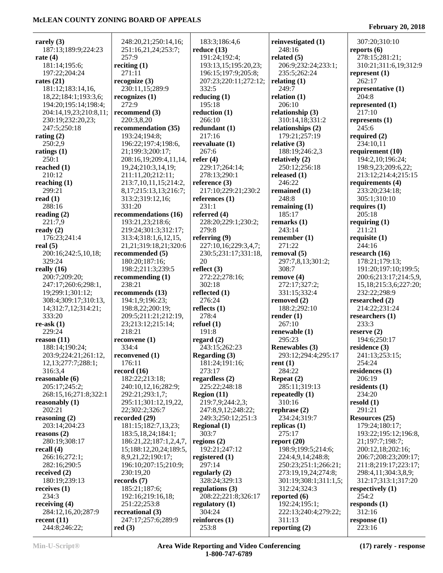| rarely (3)             | 248:20,21;250:14,16;        | 183:3;186:4,6         | reinvestigated (1)    | 307:20;310:10               |
|------------------------|-----------------------------|-----------------------|-----------------------|-----------------------------|
| 187:13;189:9;224:23    | 251:16,21,24;253:7;         | reduce $(13)$         | 248:16                | reports $(6)$               |
| rate (4)               | 257:9                       | 191:24;192:4;         | related $(5)$         | 278:15;281:21;              |
| 181:14;195:6;          | reciting $(1)$              | 193:13,15;195:20,23;  | 206:9;232:24;233:1;   | 310:21;311:6,19;312:9       |
| 197:22;204:24          | 271:11                      | 196:15;197:9;205:8;   | 235:5;262:24          | represent $(1)$             |
| rates $(21)$           | recognize (3)               | 207:23;220:11;272:12; | relating $(1)$        | 262:17                      |
| 181:12;183:14,16,      | 230:11,15;289:9             | 332:5                 | 249:7                 | representative (1)          |
| 18,22;184:1;193:3,6;   | recognizes (1)              | reducing $(1)$        | relation $(1)$        | 204:8                       |
| 194:20;195:14;198:4;   | 272:9                       | 195:18                | 206:10                | represented $(1)$           |
| 204:14,19,23;210:8,11; | recommend $(3)$             | reduction $(1)$       | relationship (3)      | 217:10                      |
|                        | 220:3,8,20                  | 266:10                |                       |                             |
| 230:19;232:20,23;      |                             |                       | 310:14,18;331:2       | represents $(1)$            |
| 247:5;250:18           | recommendation (35)         | redundant $(1)$       | relationships $(2)$   | 245:6                       |
| rating $(2)$           | 193:24;194:8;               | 217:16                | 179:21;257:19         | required $(2)$              |
| 250:2,9                | 196:22;197:4;198:6,         | reevaluate $(1)$      | relative $(3)$        | 234:10,11                   |
| ratings (1)            | 21;199:3;200:17;            | 267:6                 | 188:19;246:2,3        | requirement (10)            |
| 250:1                  | 208:16,19;209:4,11,14,      | refer $(4)$           | relatively $(2)$      | 194:2,10;196:24;            |
| reached (1)            | 19,24;210:3,14,19;          | 229:17;264:14;        | 250:12;256:18         | 198:9,23;209:6,22;          |
| 210:12                 | 211:11,20;212:11;           | 278:13;290:1          | released $(1)$        | 213:12;214:4;215:15         |
| reaching (1)           | 213:7, 10, 11, 15; 214: 2,  | reference $(3)$       | 246:22                | requirements (4)            |
| 299:21                 | 8, 17, 215: 13, 13, 216: 7; | 217:10;229:21;230:2   | remained (1)          | 233:20;234:18;              |
| read (1)               | 313:2;319:12,16;            | references $(1)$      | 248:8                 | 305:1;310:10                |
| 288:16                 | 331:20                      | 231:1                 | remaining $(1)$       | requires $(1)$              |
| reading (2)            | recommendations (16)        | referred $(4)$        | 185:17                | 205:18                      |
| 221:7,9                | 193:21,23;218:6;            | 228:20;229:1;230:2;   | remarks $(1)$         | requiring $(1)$             |
| ready(2)               | 219:24;301:3;312:17;        | 279:8                 | 243:14                | 211:21                      |
| 176:23;241:4           | 313:4;318:1,6,12,15,        | referring $(9)$       | remember $(1)$        | requisite $(1)$             |
| real (5)               | 21,21;319:18,21;320:6       | 227:10,16;229:3,4,7;  | 271:22                | 244:16                      |
| 200:16;242:5,10,18;    | recommended (5)             | 230:5;231:17;331:18,  | removal (5)           | research $(16)$             |
| 329:24                 | 180:20;187:16;              | 20                    | 297:7,8,13;301:2;     | 178:21;179:13;              |
| really (16)            | 198:2;211:3;239:5           | reflect $(3)$         | 308:7                 | 191:20;197:10;199:5;        |
| 200:7;209:20;          | recommending $(1)$          | 272:22;278:16;        | remove(4)             | 200:6;213:17;214:5,9,       |
| 247:17;260:6;298:1,    | 238:21                      | 302:18                | 272:17;327:2;         | 15, 18; 215: 3, 6; 227: 20; |
| 19;299:1;301:12;       | recommends (13)             | reflected $(1)$       | 331:15;332:4          | 232:22;298:9                |
| 308:4;309:17;310:13,   | 194:1,9;196:23;             | 276:24                | removed $(2)$         | researched $(2)$            |
| 14;312:7,12;314:21;    | 198:8,22;200:19;            | reflects $(1)$        | 188:2;292:10          | 214:22;231:24               |
| 333:20                 | 209:5;211:21;212:19,        | 278:4                 | render $(1)$          | researchers $(1)$           |
| re-ask (1)             | 23;213:12;215:14;           | refuel $(1)$          | 267:10                | 233:3                       |
| 229:24                 | 218:21                      | 191:8                 | renewable $(1)$       | reserve $(2)$               |
| reason (11)            | reconvene $(1)$             | regard $(2)$          | 295:23                | 194:6;250:17                |
| 188:14;190:24;         | 334:4                       | 243:15;262:23         | <b>Renewables (3)</b> | residence $(3)$             |
| 203:9;224:21;261:12,   |                             |                       |                       |                             |
|                        | reconvened (1)              | Regarding (3)         | 293:12;294:4;295:17   | 241:13;253:15;<br>254:24    |
| 12,13;277:7;288:1;     | 176:11                      | 181:24;191:16;        | rent $(1)$            |                             |
| 316:3,4                | record $(16)$               | 273:17                | 284:22                | residences $(1)$            |
| reasonable (6)         | 182:22;213:18;              | regardless $(2)$      | Repeat $(2)$          | 206:19                      |
| 205:17;245:2;          | 240:10,12,16;282:9;         | 225:22;248:18         | 285:11;319:13         | residents $(1)$             |
| 268:15,16;271:8;322:1  | 292:21;293:1,7;             | Region $(11)$         | repeatedly $(1)$      | 234:20                      |
| reasonably (1)         | 295:11;301:12,19,22,        | 219:7,9;244:2,3;      | 310:16                | resold $(1)$                |
| 202:21                 | 22;302:2;326:7              | 247:8,9,12;248:22;    | rephrase $(2)$        | 291:21                      |
| reasoning (2)          | recorded $(29)$             | 249:3;250:12;251:3    | 234:24;319:7          | <b>Resources</b> (25)       |
| 203:14;204:23          | 181:15;182:7,13,23;         | <b>Regional</b> (1)   | replicas $(1)$        | 179:24;180:17;              |
| reasons (2)            | 183:5, 18, 24; 184: 1;      | 303:7                 | 275:17                | 193:22;195:12;196:8,        |
| 280:19;308:17          | 186:21,22;187:1,2,4,7,      | regions $(2)$         | report $(20)$         | 21;197:7;198:7;             |
| recall (4)             | 15;188:12,20,24;189:5,      | 192:21;247:12         | 198:9;199:5;214:6;    | 200:12,18;202:16;           |
| 266:16;272:1;          | 8,9,21,22;190:17;           | registered $(1)$      | 224:4,9,14;248:8;     | 206:7;208:23;209:17;        |
| 282:16;290:5           | 196:10;207:15;210:9;        | 297:14                | 250:23;251:1;266:21;  | 211:8;219:17;223:17;        |
| received (2)           | 230:19,20                   | regularly $(2)$       | 273:19,19,24;274:8;   | 298:4,11;304:3,8,9;         |
| 180:19;239:13          | records (7)                 | 328:24;329:13         | 301:19;308:1;311:1,5; | 312:17;313:1;317:20         |
| receives (1)           | 185:21;187:6;               | regulations $(3)$     | 312:24;324:3          | respectively (1)            |
| 234:3                  | 192:16;219:16,18;           | 208:22;221:8;326:17   | reported $(6)$        | 254:2                       |
| receiving (4)          | 251:22;253:8                | regulatory $(1)$      | 192:24;195:1;         | responds $(1)$              |
| 284:12,16,20;287:9     | recreational (3)            | 304:24                | 222:13;240:4;279:22;  | 312:16                      |
| recent (11)            | 247:17;257:6;289:9          | reinforces $(1)$      | 311:13                | response $(1)$              |
| 244:8;246:22;          | red(3)                      | 253:8                 | reporting $(2)$       | 223:16                      |
|                        |                             |                       |                       |                             |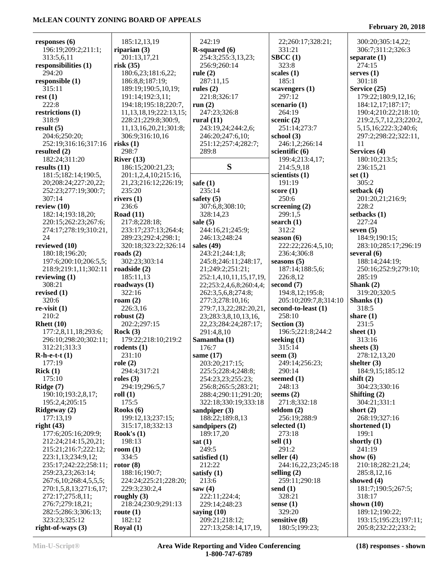| responses $(6)$            | 185:12,13,19                 | 242:19                     | 22;260:17;328:21;     | 300:20;305:14,22;          |
|----------------------------|------------------------------|----------------------------|-----------------------|----------------------------|
| 196:19;209:2;211:1;        | riparian $(3)$               | $R$ -squared $(6)$         | 331:21                | 306:7;311:2;326:3          |
| 313:5,6,11                 | 201:13,17,21                 | 254:3;255:3,13,23;         | $\text{B}$ CC $(1)$   | separate $(1)$             |
| responsibilities (1)       | risk(35)                     | 256:9;260:14               | 323:8                 | 274:15                     |
| 294:20                     | 180:6,23;181:6,22;           | rule $(2)$                 | scales $(1)$          | serves $(1)$               |
| responsible (1)            | 186:8,8;187:19;              | 287:11,15                  | 185:1                 | 301:18                     |
| 315:11                     | 189:19;190:5,10,19;          | rules $(2)$                | scavengers (1)        | Service (25)               |
| rest(1)                    | 191:14;192:3,11;             | 221:8;326:17               | 297:12                | 179:22;180:9,12,16;        |
| 222:8                      | 194:18;195:18;220:7,         | run $(2)$                  | scenario $(1)$        | 184:12,17;187:17;          |
| restrictions (1)           | 11, 13, 18, 19; 222: 13, 15; | 247:23;326:8               | 264:19                | 190:4;210:22;218:10;       |
| 318:9                      | 228:21;229:8;300:9,          | rural $(11)$               | scenic $(2)$          | 219:2,5,7,12,23;220:2,     |
| result(5)                  | 11, 13, 16, 20, 21; 301: 8;  | 243:19,24;244:2,6;         | 251:14;273:7          | 5, 15, 16; 222: 3; 240: 6; |
| 204:6;250:20;              | 306:9;316:10,16              | 246:20;247:6,10;           | school $(3)$          | 297:2;298:22;322:11,       |
| 252:19;316:16;317:16       | risks $(1)$                  | 251:12;257:4;282:7;        | 246:1,2;266:14        | 11                         |
| resulted $(2)$             | 298:7                        | 289:8                      | scientific $(6)$      | Services (4)               |
| 182:24;311:20              | River $(13)$                 |                            | 199:4;213:4,17;       | 180:10;213:5;              |
| results $(11)$             | 186:15;200:21,23;            | S                          | 214:5,9,18            | 236:15,21                  |
|                            |                              |                            |                       |                            |
| 181:5;182:14;190:5,        | 201:1,2,4,10;215:16,         |                            | scientists $(1)$      | set $(1)$<br>305:2         |
| 20;208:24;227:20,22;       | 21, 23; 216: 12; 226: 19;    | safe $(1)$                 | 191:19                |                            |
| 252:23;277:19;300:7;       | 235:20                       | 235:14                     | score(1)              | setback (4)                |
| 307:14                     | rivers $(1)$                 | safety $(5)$               | 250:6                 | 201:20,21;216:9;           |
| review $(10)$              | 236:6                        | 307:6,8;308:10;            | screening $(2)$       | 228:2                      |
| 182:14;193:18,20;          | Road $(11)$                  | 328:14,23                  | 299:1,5               | setbacks (1)               |
| 220:15;262:23;267:6;       | 217:8;228:18;                | sale $(5)$                 | search $(1)$          | 227:24                     |
| 274:17;278:19;310:21,      | 233:17;237:13;264:4;         | 244:16,21;245:9;           | 312:2                 | seven $(5)$                |
| 24                         | 289:23;292:4;298:1;          | 246:13;248:24              | season $(6)$          | 184:9;190:15;              |
| reviewed (10)              | 320:18;323:22;326:14         | sales $(49)$               | 222:22;226:4,5,10;    | 283:10;285:17;296:19       |
| 180:18;196:20;             | roads $(2)$                  | 243:21;244:1,8;            | 236:4;306:8           | several $(6)$              |
| 197:6;200:10;206:5,5;      | 302:23;303:14                | 245:8;246:11;248:17,       | seasons $(5)$         | 188:14;244:19;             |
| 218:9;219:1,11;302:11      | roadside $(2)$               | 21;249:2;251:21;           | 187:14;188:5,6;       | 250:16;252:9;279:10;       |
| reviewing $(1)$            | 185:11,13                    | 252:1,4,10,11,15,17,19,    | 226:8,12              | 285:19                     |
| 308:21                     | roadways $(1)$               | 22;253:2,4,6,8;260:4,4;    | second $(7)$          | Shank $(2)$                |
| revised $(1)$              | 322:16                       | 262:3,5,6,8;274:8;         | 194:8,12;195:8;       | 319:20;320:5               |
| 320:6                      | roam $(2)$                   | 277:3;278:10,16;           | 205:10;209:7,8;314:10 | Shanks (1)                 |
| $re-visit(1)$              | 226:3,16                     | 279:7,13,22;282:20,21,     | second-to-least (1)   | 318:5                      |
| 210:2                      | robust $(2)$                 | 23;283:3,8,10,13,16,       | 258:10                | share $(1)$                |
| Rhett $(10)$               | 202:2;297:15                 | 22, 23; 284: 24; 287: 17;  | Section $(3)$         | 231:5                      |
| 177:2,8,11,18;293:6;       | Rock $(3)$                   | 291:4,8,10                 | 196:5;221:8;244:2     | sheet $(1)$                |
| 296:10;298:20;302:11;      | 179:22;218:10;219:2          | Samantha (1)               | seeking $(1)$         | 313:16                     |
| 312:21;313:3               | rodents $(1)$                | 176:7                      | 315:14                | sheets $(3)$               |
| $R-h-e-t-t(1)$             | 231:10                       | same $(17)$                | seem $(3)$            | 278:12,13,20               |
| 177:19                     | role $(2)$                   | 203:20;217:15;             | 249:14;256:23;        | shelter $(3)$              |
| Rick(1)                    | 294:4;317:21                 | 225:5;228:4;248:8;         | 290:14                | 184:9,15;185:12            |
| 175:10                     | roles $(3)$                  | 254:23,23;255:23;          | seemed $(1)$          | shift $(2)$                |
| Ridge $(7)$                | 294:19;296:5,7               | 256:8;265:5;283:21;        | 248:13                | 304:23;330:16              |
| 190:10;193:2,8,17;         | roll $(1)$                   | 288:4;290:11;291:20;       | seems $(2)$           | Shifting $(2)$             |
| 195:2,4;205:15             | 175:5                        | 322:18;330:19;333:18       | 271:8;332:18          | 304:21;331:1               |
| Ridgeway (2)               | Rooks (6)                    | sandpiper $(3)$            | seldom $(2)$          | short $(2)$                |
| 177:13,19                  | 199:12,13;237:15;            | 188:22;189:8,13            | 256:19;288:9          | 268:19;327:16              |
| right $(43)$               | 315:17,18;332:13             | sandpipers (2)             | selected $(1)$        | shortened $(1)$            |
| 177:6;205:16;209:9;        | Rook's $(1)$                 | 189:17,20                  | 273:18                | 199:1                      |
| 212:24;214:15,20,21;       | 198:13                       | sat(1)                     | sell $(1)$            | shortly $(1)$              |
| 215:21;216:7;222:12;       | room $(1)$                   | 249:5                      | 291:2                 | 241:19                     |
| 223:1,13;234:9,12;         | 334:5                        | satisfied (1)              | seller $(4)$          | show $(6)$                 |
| 235:17;242:22;258:11;      | rotor $(8)$                  | 212:22                     | 244:16,22,23;245:18   | 210:18;282:21,24;          |
| 259:23,23;263:14;          | 188:16;190:7;                | satisfy $(1)$              | selling $(2)$         | 285:8,12,16                |
| 267:6, 10; 268:4, 5, 5, 5; | 224:24;225:21;228:20;        | 213:6                      | 259:11;290:18         | showed $(4)$               |
|                            | 229:3;230:2,4                |                            |                       | 181:7;190:5;267:5;         |
| 270:1,5,8,13;271:6,17;     | roughly $(3)$                | saw $(4)$<br>222:11;224:4; | send $(1)$<br>328:21  | 318:17                     |
| 272:17;275:8,11;           |                              |                            |                       |                            |
| 276:7;279:18,21;           | 218:24;230:9;291:13          | 229:14;248:23              | sense $(1)$           | shown $(10)$               |
| 282:5;286:3;306:13;        | route $(1)$                  | saying $(10)$              | 329:20                | 189:12;190:22;             |
| 323:23;325:12              | 182:12                       | 209:21;218:12;             | sensitive (8)         | 193:15;195:23;197:11;      |
| right-of-ways $(3)$        | Royal $(1)$                  | 227:13;258:14,17,19,       | 180:5;199:23;         | 205:8;232:22;233:2;        |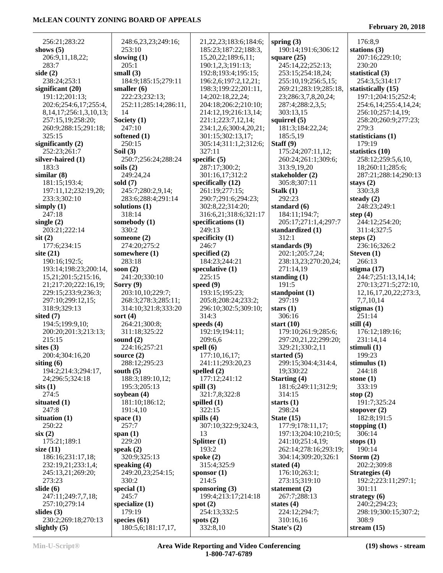| 256:21;283:22                         | 248:6,23,23;249:16;                  | 21, 22, 23; 183: 6; 184: 6; | spring $(3)$               | 176:8,9                     |
|---------------------------------------|--------------------------------------|-----------------------------|----------------------------|-----------------------------|
| shows $(5)$                           | 253:10                               | 185:23;187:22;188:3,        | 190:14;191:6;306:12        | stations $(3)$              |
| 206:9,11,18,22;                       | slowing $(1)$                        | 15,20,22;189:6,11;          | square $(25)$              | 207:16;229:10;              |
| 283:7                                 | 205:1                                | 190:1,2,3;191:13;           | 245:14,22;252:13;          | 230:20                      |
| side $(2)$                            | small $(3)$                          | 192:8;193:4;195:15;         | 253:15;254:18,24;          | statistical (3)             |
| 238:24;253:1                          | 184:9;185:15;279:11                  | 196:2,6;197:2,12,21;        | 255:10,19;256:5,15;        | 254:3,5;314:17              |
|                                       |                                      |                             |                            |                             |
| significant $(20)$                    | smaller $(6)$                        | 198:3;199:22;201:11,        | 269:21;283:19;285:18,      | statistically (15)          |
| 191:12;201:13;                        | 222:23;232:13;                       | 14;202:18,22,24;            | 23;286:3,7,8,20,24;        | 197:1;204:15;252:4;         |
| 202:6;254:6,17;255:4,                 | 252:11;285:14;286:11,                | 204:18;206:2;210:10;        | 287:4;288:2,3,5;           | 254:6, 14; 255:4, 14, 24;   |
| 8, 14, 17; 256: 1, 3, 10, 13;         | 14                                   | 214:12,19;216:13,14;        | 303:13,15                  | 256:10;257:14,19;           |
| 257:15,19;258:20;                     | Society $(1)$                        | 221:1;223:7,12,14;          | squirrel $(5)$             | 258:20;260:9;277:23;        |
| 260:9;288:15;291:18;                  | 247:10                               | 234:1,2,6;300:4,20,21;      | 181:3;184:22,24;           | 279:3                       |
| 325:15                                | softened (1)                         | 301:15;302:13,17;           | 185:5,19                   | statisticians (1)           |
| significantly $(2)$                   | 250:15                               | 305:14;311:1,2;312:6;       | Staff $(9)$                | 179:19                      |
| 252:23;261:7                          | Soil $(3)$                           | 327:11                      | 175:24;207:11,12;          | statistics (10)             |
| silver-haired (1)                     | 250:7;256:24;288:24                  | specific $(5)$              | 260:24;261:1;309:6;        | 258:12;259:5,6,10,          |
| 183:3                                 | soils $(2)$                          | 287:17;300:2;               | 313:9,19,20                | 18;260:11;285:6;            |
| similar(8)                            | 249:24,24                            | 301:16,17;312:2             | stakeholder (2)            | 287:21;288:14;290:13        |
|                                       |                                      |                             |                            |                             |
| 181:15;193:4;                         | sold $(7)$                           | specifically $(12)$         | 305:8;307:11               | stays $(2)$                 |
| 197:11,12;232:19,20;                  | 245:7;280:2,9,14;                    | 261:19:277:15:              | Stalk $(1)$                | 330:3,8                     |
| 233:3;302:10                          | 283:6;288:4;291:14                   | 290:7;291:6;294:23;         | 292:23                     | steady $(2)$                |
| simply $(1)$                          | solutions $(1)$                      | 302:8,22;314:20;            | standard (6)               | 248:23;249:1                |
| 247:18                                | 318:14                               | 316:6,21;318:6;321:17       | 184:11;194:7;              | step $(4)$                  |
| single $(2)$                          | somebody (1)                         | specifications (1)          | 205:17;271:1,4;297:7       | 244:12;254:20;              |
| 203:21;222:14                         | 330:2                                | 249:13                      | standardized (1)           | 311:4;327:5                 |
| $s$ it $(2)$                          | someone $(2)$                        | specificity $(1)$           | 312:1                      | steps $(2)$                 |
| 177:6;234:15                          | 274:20;275:2                         | 246:7                       | standards (9)              | 236:16;326:2                |
| site $(21)$                           | somewhere (1)                        | specified (2)               | 202:1;205:7,24;            | Steven $(1)$                |
| 190:16;192:5;                         | 283:18                               | 184:23;244:21               | 238:13,23;270:20,24;       | 266:13                      |
| 193:14;198:23;200:14,                 | soon $(2)$                           | speculative $(1)$           | 271:14,19                  | stigma $(17)$               |
|                                       |                                      |                             |                            |                             |
| 15,21;201:5;215:16,                   | 241:20;330:10                        | 225:15                      | standing $(1)$             | 244:7;251:13,14,14;         |
| 21;217:20;222:16,19;                  | Sorry $(9)$                          | speed $(9)$                 | 191:5                      | 270:13;271:5;272:10,        |
| 229:15;233:9;236:3;                   | 203:10,10;229:7;                     | 193:15;195:23;              | standpoint $(1)$           | 12, 16, 17, 20, 22; 273: 3, |
| 297:10;299:12,15;                     | 268:3;278:3;285:11;                  | 205:8;208:24;233:2;         | 297:19                     | 7,7,10,14                   |
| 318:9;329:13                          | 314:10;321:8;333:20                  | 296:10;302:5;309:10;        | stars $(1)$                | stigmas $(1)$               |
| sited $(7)$                           | sort $(4)$                           | 314:3                       | 306:16                     | 251:14                      |
| 194:5;199:9,10;                       | 264:21;300:8;                        | speeds $(4)$                | start $(10)$               | still $(4)$                 |
| 200:20;201:3;213:13;                  | 311:18;325:22                        | 192:19;194:11;              | 179:10;261:9;285:6;        | 176:12;189:16;              |
| 215:15                                | sound $(2)$                          | 209:6,6                     | 297:20,21,22;299:20;       | 231:14,14                   |
| sites $(3)$                           | 224:16;257:21                        | spell $(6)$                 | 329:21;330:2,11            | stimuli $(1)$               |
| 200:4;304:16,20                       | source $(2)$                         | 177:10,16,17;               | started $(5)$              | 199:23                      |
| siting $(6)$                          | 288:12;295:23                        | 241:11;293:20,23            |                            |                             |
|                                       |                                      |                             |                            |                             |
|                                       |                                      |                             | 299:15;304:4;314:4,        | stimulus $(1)$              |
| 194:2;214:3;294:17,                   | south $(5)$                          | spelled $(2)$               | 19;330:22                  | 244:18                      |
| 24;296:5;324:18                       | 188:3;189:10,12;                     | 177:12;241:12               | Starting (4)               | stone $(1)$                 |
| sits(1)                               | 195:3;205:13                         | spill $(3)$                 | 181:6;249:11;312:9;        | 333:19                      |
| 274:5                                 | soybean $(4)$                        | 321:7,8;322:8               | 314:15                     | stop $(2)$                  |
| situated $(1)$                        | 181:10;186:12;                       | spilled $(1)$               | starts $(1)$               | 191:7;325:24                |
| 247:8                                 | 191:4,10                             | 322:15                      | 298:24                     | stopover $(2)$              |
| situation $(1)$                       | space $(1)$                          | spills $(4)$                | State $(15)$               | 182:8;191:5                 |
| 250:22                                | 257:7                                | 307:10;322:9;324:3,         | 177:9;178:11,17;           | stopping $(1)$              |
| six(2)                                | span $(1)$                           | 13                          | 197:13;204:10;210:5;       | 306:14                      |
| 175:21;189:1                          | 229:20                               |                             |                            |                             |
|                                       |                                      | Splitter $(1)$              | 241:10;251:4,19;           | stops $(1)$                 |
| size $(11)$                           | speak $(2)$                          | 193:2                       | 262:14;278:16;293:19;      | 190:14                      |
| 186:16;231:17,18;                     | 320:9;325:13                         | spoke $(2)$                 | 304:14;309:20;326:1        | Storm $(2)$                 |
| 232:19,21;233:1,4;                    | speaking $(4)$                       | 315:4;325:9                 | stated $(4)$               | 202:2;309:8                 |
| 245:13,21;269:20;                     | 249:20,23;254:15;                    | sponsor $(1)$               | 176:10;263:1;              | Strategies (4)              |
| 273:23                                | 330:2                                | 214:5                       | 273:15;319:10              | 192:2;223:11;297:1;         |
| slide $(6)$                           | special $(1)$                        | sponsoring $(3)$            | statement $(2)$            | 301:11                      |
| 247:11;249:7,7,18;                    | 245:7                                | 199:4;213:17;214:18         | 267:7;288:13               | strategy $(6)$              |
| 257:10;279:14                         | specialize $(1)$                     | spot $(2)$                  | states $(4)$               | 240:2:294:23:               |
| slides $(3)$                          | 179:19                               | 254:13;332:5                | 224:12;294:7;              | 298:19;300:15;307:2;        |
| 230:2;269:18;270:13<br>slightly $(5)$ | species $(61)$<br>180:5,6;181:17,17, | spots $(2)$<br>332:8,10     | 310:16,16<br>State's $(2)$ | 308:9<br>stream $(15)$      |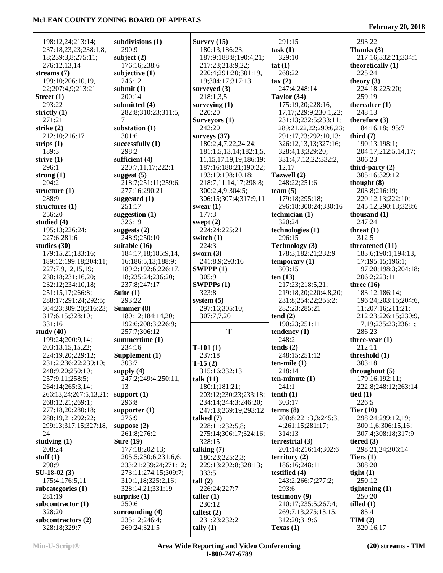**February 20, 2018**

| 198:12,24;213:14;      | subdivisions (1)      | Survey $(15)$                | 291:15                      | 293:22                   |
|------------------------|-----------------------|------------------------------|-----------------------------|--------------------------|
| 237:18,23,23;238:1,8,  | 290:9                 | 180:13;186:23;               | task(1)                     | Thanks $(3)$             |
| 18;239:3,8;275:11;     | subject $(2)$         | 187:9;188:8;190:4,21;        | 329:10                      | 217:16;332:21;334:1      |
| 276:12,13,14           | 176:16;238:6          | 217:23;218:9,22;             | tat(1)                      | theoretically (1)        |
| streams (7)            | subjective $(1)$      | 220:4;291:20;301:19,         | 268:22                      | 225:24                   |
| 199:10;206:10,19,      | 246:12                | 19;304:17;317:13             | $\tan(2)$                   | theory $(3)$             |
| 22;207:4,9;213:21      | submit $(1)$          | surveyed $(3)$               | 247:4;248:14                | 224:18;225:20;           |
| Street (1)             | 200:14                | 218:1,3,5                    | Taylor (34)                 | 259:19                   |
| 293:22                 | submitted (4)         | surveying $(1)$              | 175:19,20;228:16,           | thereafter $(1)$         |
| strictly (1)           | 282:8;310:23;311:5,   | 220:20                       | 17, 17; 229: 9; 230: 1, 22; | 248:13                   |
|                        | 7                     | Surveyors (1)                |                             | therefore $(3)$          |
| 271:21                 |                       |                              | 231:13;232:5;233:11;        |                          |
| strike (2)             | substation $(1)$      | 242:20                       | 289:21, 22, 22; 290: 6, 23; | 184:16,18;195:7          |
| 212:10;216:17          | 301:6                 | surveys $(37)$               | 291:17,23;292:10,13;        | third $(7)$              |
| strips (1)             | successfully $(1)$    | 180:2,4,7,22,24,24;          | 326:12,13,13;327:16;        | 190:13;198:1;            |
| 189:3                  | 298:2                 | 181:1,5,13,14;182:1,5,       | 328:4,13;329:20;            | 204:17;212:5,14,17;      |
| strive (1)             | sufficient (4)        | 11, 15, 17, 19, 19; 186: 19; | 331:4,7,12,22;332:2,        | 306:23                   |
| 296:1                  | 220:7,11,17;222:1     | 187:16;188:21;190:22;        | 12,17                       | third-party $(2)$        |
| strong $(1)$           | suggest $(5)$         | 193:19;198:10,18;            | Tazwell (2)                 | 305:16;329:12            |
| 204:2                  | 218:7;251:11;259:6;   | 218:7,11,14,17;298:8;        | 248:22;251:6                | thought $(8)$            |
| structure (1)          | 277:16;290:21         | 300:2,4,9;304:5;             | team $(5)$                  | 203:8;216:19;            |
| 288:9                  | suggested $(1)$       | 306:15;307:4;317:9,11        | 179:18;295:18;              | 220:12,13;222:10;        |
| structures (1)         | 251:17                | swear $(1)$                  | 296:18;308:24;330:16        | 245:12;290:13;328:6      |
| 256:20                 | suggestion $(1)$      | 177:3                        | technician $(1)$            | thousand $(1)$           |
| studied (4)            | 326:19                | swept $(2)$                  | 320:24                      | 247:24                   |
| 195:13;226:24;         | suggests $(2)$        | 224:24;225:21                | technologies (1)            | threat $(1)$             |
| 227:6;281:6            | 248:9;250:10          | switch $(1)$                 | 296:15                      | 312:5                    |
| studies (30)           | suitable (16)         | 224:3                        | Technology (3)              | threatened (11)          |
| 179:15,21;183:16;      | 184:17,18;185:9,14,   | sworn $(3)$                  | 178:3;182:21;232:9          | 183:6;190:1;194:13,      |
| 189:12;199:18;204:11;  | 16;186:5,13;188:9;    | 241:8,9;293:16               | temporary $(1)$             | 17;195:15;196:1;         |
| 227:7,9,12,15,19;      | 189:2;192:6;226:17,   | SWPPP $(1)$                  | 303:15                      | 197:20;198:3;204:18;     |
| 230:18;231:16,20;      | 18;235:24;236:20;     | 305:9                        | ten $(13)$                  | 206:2;223:11             |
| 232:12;234:10,18;      | 237:8;247:17          | SWPPPs(1)                    | 217:23;218:5,21;            | three $(16)$             |
| 251:15,17;266:8;       | Suite $(1)$           | 323:8                        | 219:18,20;220:4,8,20;       | 183:12;186:14;           |
|                        |                       |                              |                             |                          |
|                        |                       |                              |                             |                          |
| 288:17;291:24;292:5;   | 293:22                | system $(5)$                 | 231:8;254:22;255:2;         | 196:24;203:15;204:6,     |
| 304:23;309:20;316:23;  | Summer (8)            | 297:16;305:10;               | 282:23;285:21               | 11;207:16;211:21;        |
| 317:6,15;328:10;       | 180:12;184:14,20;     | 307:7,7,20                   | tend(2)                     | 212:23;226:15;230:9,     |
| 331:16                 | 192:6;208:3;226:9;    |                              | 190:23;251:11               | 17, 19; 235: 23; 236: 1; |
| study $(40)$           | 257:7;306:12          | T                            | tendency $(1)$              | 286:23                   |
| 199:24;200:9,14;       | summertime (1)        |                              | 248:2                       | three-year $(1)$         |
| 203:13,15,15,22;       | 234:16                | $T-101(1)$                   | tends(2)                    | 212:11                   |
| 224:19,20;229:12;      | Supplement (1)        | 237:18                       | 248:15;251:12               | threshold $(1)$          |
| 231:2;236:22;239:10;   | 303:7                 | $T-15(2)$                    | $ten$ -mile $(1)$           | 303:18                   |
| 248:9,20;250:10;       | supply $(4)$          | 315:16;332:13                | 218:14                      | throughout $(5)$         |
| 257:9,11;258:5;        | 247:2;249:4;250:11,   | talk $(11)$                  | $ten-minute(1)$             | 179:16;192:11;           |
| 264:14;265:3,14;       | 13                    | 180:1;181:21;                | 241:1                       | 222:8;248:12;263:14      |
| 266:13,24;267:5,13,21; | support $(1)$         | 203:12;230:23;233:18;        | tenth(1)                    | tied $(1)$               |
| 268:12,21;269:1;       | 296:8                 | 234:14;244:3;246:20;         | 303:17                      | 226:5                    |
| 277:18,20;280:18;      | supporter $(1)$       | 247:13;269:19;293:12         | terms $(8)$                 | Tier $(10)$              |
| 288:19,21;292:22;      | 276:9                 | talked $(7)$                 | 200:8;221:3,3;245:3,        | 298:24;299:12,19;        |
| 299:13;317:15;327:18,  | suppose $(2)$         | 228:11;232:5,8;              | 4;261:15;281:17;            | 300:1,6;306:15,16;       |
| 24                     | 261:8;276:2           | 275:14;306:17;324:16;        | 314:13                      | 307:4;308:18;317:9       |
|                        | <b>Sure (19)</b>      | 328:15                       | terrestrial $(3)$           | tiered $(3)$             |
| studying (1)<br>208:24 | 177:18;202:13;        | talking $(7)$                | 201:14;216:14;302:6         | 298:21,24;306:14         |
| stuff $(1)$            | 205:5;230:6;231:6,6;  | 180:23;225:2,3;              | territory $(2)$             | Tiers $(1)$              |
| 290:9                  | 233:21;239:24;271:12; | 229:13;292:8;328:13;         | 186:16:248:11               | 308:20                   |
| SU-18-02 (3)           | 273:11;274:15;309:7;  | 333:5                        | testified $(4)$             | tight $(1)$              |
| 175:4;176:5,11         | 310:1,18;325:2,16;    | tall(2)                      | 243:2;266:7;277:2;          | 250:12                   |
| subcategories (1)      | 328:14,21;331:19      | 226:24;227:7                 | 293:6                       | tightening $(1)$         |
| 281:19                 | surprise $(1)$        | taller $(1)$                 | testimony $(9)$             | 250:20                   |
| subcontractor (1)      | 250:6                 | 230:12                       | 210:17;235:5;267:4;         | tilled $(1)$             |
| 328:20                 | surrounding $(4)$     | tallest $(2)$                | 269:7,13;275:13,15;         | 185:4                    |
| subcontractors (2)     | 235:12;246:4;         | 231:23;232:2                 | 312:20;319:6                | TIM(2)                   |
| 328:18;329:7           | 269:24;321:5          | tally $(1)$                  | Texas $(1)$                 | 320:16,17                |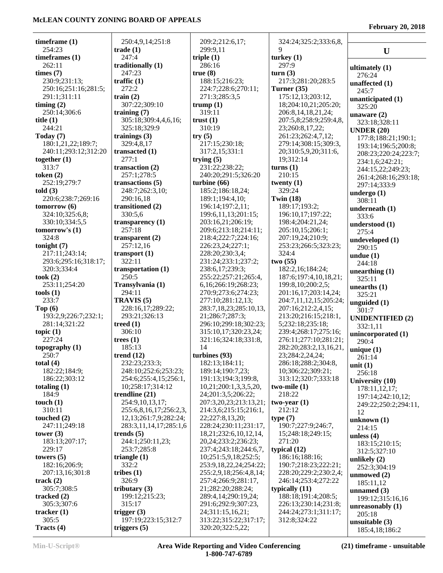**February 20, 2018**

| timeframe $(1)$                        | 250:4,9,14;251:8                  | 209:2;212:6,17;                          | 324:24;325:2;333:6,8,                   |                                     |
|----------------------------------------|-----------------------------------|------------------------------------------|-----------------------------------------|-------------------------------------|
| 254:23                                 | $\textbf{trade} \left( 1 \right)$ | 299:9,11                                 | 9                                       | U                                   |
| timeframes (1)                         | 247:4                             | triple $(1)$                             | turkey $(1)$                            |                                     |
| 262:11                                 | traditionally (1)                 | 286:16                                   | 297:9                                   |                                     |
| times (7)                              | 247:23                            | true(8)                                  | turn(3)                                 | ultimately $(1)$<br>276:24          |
| 230:9;231:13;                          | traffic $(1)$                     | 188:15;216:23;                           | 217:3;281:20;283:5                      | unaffected $(1)$                    |
| 250:16;251:16;281:5;                   | 272:2                             | 224:7;228:6;270:11;                      | Turner (35)                             | 245:7                               |
| 291:1;311:11                           | train $(2)$                       | 271:3;285:3,5                            | 175:12,13;203:12,                       | unanticipated (1)                   |
| timing $(2)$                           | 307:22;309:10                     | trump $(1)$                              | 18;204:10,21;205:20;                    | 325:20                              |
| 250:14;306:6                           | training $(7)$                    | 319:11                                   | 206:8, 14, 18, 21, 24;                  | unaware $(2)$                       |
| title $(1)$                            | 305:18;309:4,4,6,16;              | trust $(1)$                              | 207:5,8;258:9;259:4,8,                  | 323:18;328:11                       |
| 244:21                                 | 325:18;329:9                      | 310:19                                   | 23;260:8,17,22;                         | <b>UNDER (20)</b>                   |
| Today (7)                              | trainings $(3)$                   | try(5)                                   | 261:23;262:4,7,12;                      | 177:8;188:21;190:1;                 |
| 180:1,21,22;189:7;                     | 329:4,8,17                        | 217:15;230:18;                           | 279:14;308:15;309:3,                    | 193:14;196:5;200:8;                 |
| 240:11;293:12;312:20                   | transacted (1)                    | 317:2,15;331:1                           | 20;310:5,9,20;311:6,                    | 208:23;220:24;223:7;                |
| together $(1)$                         | 277:1                             | trying $(5)$                             | 19;312:14                               | 234:1,6;242:21;                     |
| 313:7                                  | transaction $(2)$                 | 231:22;238:22;                           | turns(1)                                | 244:15,22;249:23;                   |
| token $(2)$                            | 257:1;278:5                       | 240:20;291:5;326:20                      | 210:15                                  | 261:4;268:16;293:18;                |
| 252:19;279:7                           | transactions (5)                  | turbine (66)                             | twenty $(1)$                            | 297:14:333:9                        |
| told(3)                                | 248:7;262:3,10;                   | 185:2;186:18,24;                         | 329:24                                  | undergo $(1)$                       |
| 220:6;238:7;269:16                     | 290:16,18                         | 189:1;194:4,10;                          | Twin $(18)$                             | 308:11                              |
| tomorrow(6)                            | transitioned (2)                  | 196:14;197:2,11;                         | 189:17;193:2;                           | underneath $(1)$                    |
| 324:10;325:6,8;                        | 330:5,6                           | 199:6,11,13;201:15;                      | 196:10,17;197:22;                       | 333:6                               |
| 330:10;334:5,5                         | transparency $(1)$                | 203:16,21;206:19;                        | 198:4;204:21,24;                        | understood (1)                      |
| tomorrow's $(1)$                       | 257:18                            | 209:6;213:18;214:11;                     | 205:10,15;206:1;                        | 275:4                               |
| 324:8                                  | transparent $(2)$                 | 218:4;222:7;224:16;                      | 207:19,24;210:9;                        | undeveloped (1)                     |
| tonight $(7)$                          | 257:12,16                         | 226:23,24;227:1;                         | 253:23;266:5;323:23;<br>324:4           | 290:15                              |
| 217:11;243:14;<br>293:6;295:16;318:17; | transport $(1)$<br>322:11         | 228:20;230:3,4;<br>231:24;233:1;237:2;   | two(55)                                 | undue $(1)$                         |
| 320:3;334:4                            | transportation (1)                | 238:6,17;239:3;                          | 182:2,16;184:24;                        | 244:18                              |
| took $(2)$                             | 250:5                             | 255:22;257:21;265:4,                     | 187:6;197:4,10,18,21;                   | unearthing $(1)$                    |
| 253:11;254:20                          | Transylvania (1)                  | 6, 16; 266: 19; 268: 23;                 | 199:8, 10; 200: 2, 5;                   | 325:11                              |
| tools(1)                               | 294:11                            | 270:9;273:6;274:23;                      | 201:16,17;203:14,24;                    | unearths $(1)$                      |
| 233:7                                  | TRAVIS <sub>(5)</sub>             | 277:10;281:12,13;                        | 204:7,11,12,15;205:24;                  | 325:21                              |
| Top $(6)$                              | 228:16,17;289:22;                 | 283:7,18,23;285:10,13,                   | 207:16;212:2,4,15;                      | unguided (1)                        |
| 193:2,9;226:7;232:1;                   | 293:21;326:13                     | 21;286:7;287:3;                          | 213:20;216:15;218:1,                    | 301:7                               |
| 281:14;321:22                          | treed $(1)$                       | 296:10;299:18;302:23;                    | 5;232:18;235:18;                        | <b>UNIDENTIFIED (2)</b><br>332:1,11 |
| topic $(1)$                            | 306:10                            | 315:10,17;320:23,24;                     | 239:4;268:17;275:16;                    | unincorporated (1)                  |
| 227:24                                 | trees $(1)$                       | 321:16;324:18;331:8,                     | 276:11;277:10;281:21;                   | 290:4                               |
| topography (1)                         | 185:13                            | 14                                       | 282:20;283:2,13,16,21,                  | unique $(1)$                        |
| 250:7                                  | trend $(12)$                      | turbines $(93)$                          | 23;284:2,24,24;                         | 261:14                              |
| total $(4)$                            | 232:23;233:3;                     | 182:13;184:11;                           | 286:18;288:2;304:8,                     | unit $(1)$                          |
| 182:22;184:9;                          | 248:10;252:6;253:23;              | 189:14;190:7,23;                         | 10;306:22;309:21;                       | 256:18                              |
| 186:22;303:12                          | 254:6;255:4,15;256:1,             | 191:13;194:3;199:8,                      | 313:12;320:7;333:18                     | University (10)                     |
| totaling $(1)$                         | 10;258:17;314:12                  | 10,21;200:1,3,3,5,20,                    | two-mile $(1)$                          | 178:11,12,17;                       |
| 184:9                                  | trendline $(21)$                  | 24;201:3,5;206:22;                       | 218:22                                  | 197:14;242:10,12;                   |
| touch $(1)$                            | 254:9,10,13,17;                   | 207:3,20,23;213:13,21;                   | $two-year(1)$                           | 249:22;250:2;294:11,                |
| 310:11                                 | 255:6,8,16,17;256:2,3,            | 214:3,6;215:15;216:1,                    | 212:12                                  | 12                                  |
| touched $(2)$                          | 12,13;261:7,9;282:24;             | 22;227:8,13,20;                          | type(7)                                 | unknown $(1)$                       |
| 247:11;249:18                          | 283:3,11,14,17;285:1,6            | 228:24;230:11;231:17,                    | 190:7;227:9;246:7,                      | 214:15                              |
| tower $(3)$                            | trends $(5)$                      | 18, 21, 232: 6, 10, 12, 14,              | 15;248:18;249:15;                       | unless $(4)$                        |
| 183:13;207:17;                         | 244:1;250:11,23;                  | 20, 24; 233: 2; 236: 23;                 | 271:20                                  | 183:15;210:15;                      |
| 229:17                                 | 253:7;285:8                       | 237:4;243:18;244:6,7,                    | typical $(12)$                          | 312:5;327:10                        |
| towers $(5)$                           | triangle $(1)$                    | 10;251:5,9,18;252:5;                     | 186:16;188:16;                          | unlikely $(2)$                      |
| 182:16;206:9;                          | 332:2                             | 253:9,18,22,24;254:22;                   | 190:7;218:23;222:21;                    | 252:3;304:19                        |
| 207:13,16;301:8                        | tribes $(1)$                      | 255:2,9,18;256:4,8,14;                   | 228:20;229:2;230:2,4;                   | unmowed $(2)$                       |
| track $(2)$<br>305:7;308:5             | 326:9<br>tributary $(3)$          | 257:4;266:9;281:17,<br>21;282:20;288:24; | 246:14;253:4;272:22<br>typically $(11)$ | 185:11,12                           |
| tracked $(2)$                          | 199:12;215:23;                    | 289:4,14;290:19,24;                      | 188:18;191:4;208:5;                     | unnamed $(3)$                       |
| 305:3;307:6                            | 315:17                            | 291:6;292:9;307:23,                      | 226:13;230:14;231:8;                    | 199:12;315:16,16                    |
| tracker $(1)$                          | trigger $(3)$                     | 24;311:15,16,21;                         | 244:24;273:1;311:17;                    | unreasonably $(1)$                  |
| 305:5                                  | 197:19;223:15;312:7               | 313:22;315:22;317:17;                    | 312:8;324:22                            | 205:18                              |
| Tracts $(4)$                           | triggers $(5)$                    | 320:20;322:5,22;                         |                                         | unsuitable $(3)$                    |
|                                        |                                   |                                          |                                         | 185:4,18;186:2                      |

**Min-U-Script® Area Wide Reporting and Video Conferencing 1-800-747-6789**

**(21) timeframe - unsuitable**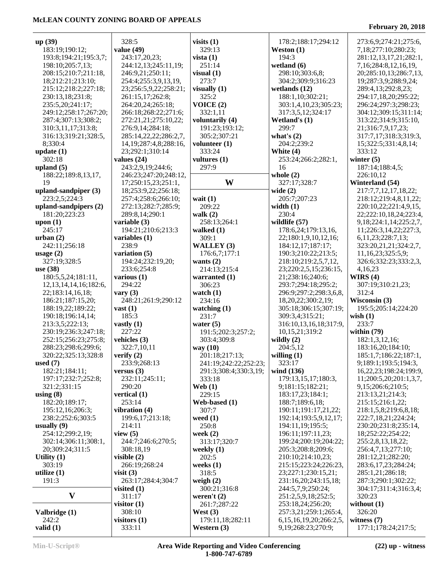| up (39)                     | 328:5                       | visits $(1)$          | 178:2;188:17;294:12           | 273:6,9;274:21;275:6,         |
|-----------------------------|-----------------------------|-----------------------|-------------------------------|-------------------------------|
| 183:19;190:12;              | value $(49)$                | 329:13                | Weston $(1)$                  | 7,18;277:10;280:23;           |
|                             |                             |                       |                               |                               |
| 193:8;194:21;195:3,7;       | 243:17,20,23;               | vista $(1)$           | 194:3                         | 281:12,13,17,21;282:1,        |
| 198:10;205:7,13;            | 244:12,13;245:11,19;        | 251:14                | wetland $(6)$                 | 7,16;284:8,12,16,19,          |
| 208:15;210:7;211:18,        | 246:9,21;250:11;            | visual(1)             | 298:10;303:6,8;               | 20;285:10,13;286:7,13,        |
| 18;212:21;213:10;           |                             | 273:7                 |                               |                               |
|                             | 254:4;255:3,9,13,19,        |                       | 304:2;309:9;316:23            | 19;287:3,9;288:9,24;          |
| 215:12;218:2;227:18;        | 23;256:5,9,22;258:21;       | visually $(1)$        | wetlands $(12)$               | 289:4,13;292:8,23;            |
| 230:13,18;231:8;            | 261:15,17;262:8;            | 325:2                 | 188:1,10;302:21;              | 294:17,18,20;295:22;          |
| 235:5,20;241:17;            | 264:20,24;265:18;           | VOICE(2)              | 303:1,4,10,23;305:23;         | 296:24;297:3;298:23;          |
|                             |                             |                       |                               |                               |
| 249:12;258:17;267:20;       | 266:18;268:22;271:6;        | 332:1,11              | 317:3,5,12;324:17             | 304:12;309:15;311:14;         |
| 287:4;307:13;308:2;         | 272:21,21;275:10,22;        | voluntarily (4)       | Wetland's $(1)$               | 313:22;314:9;315:10,          |
| 310:3,11,17;313:8;          | 276:9,14;284:18;            | 191:23;193:12;        | 299:7                         | 21;316:7,9,17,23;             |
|                             |                             |                       |                               |                               |
| 316:13;319:21;328:5,        | 285:14,22,22;286:2,7,       | 305:2;307:21          | what's $(2)$                  | 317:7,17;318:3;319:3,         |
| 8;330:4                     | 14, 19; 287: 4, 8; 288: 16, | volunteer $(1)$       | 204:2;239:2                   | 15;322:5;331:4,8,14;          |
| update $(1)$                | 23;292:1;310:14             | 333:24                | White $(4)$                   | 333:12                        |
| 302:18                      | values $(24)$               | vultures (1)          | 253:24;266:2;282:1,           | winter $(5)$                  |
|                             |                             |                       |                               |                               |
| upland $(5)$                | 243:2,9,19;244:6;           | 297:9                 | 16                            | 187:14;188:4,5;               |
| 188:22;189:8,13,17,         | 246:23;247:20;248:12,       |                       | whole $(2)$                   | 226:10,12                     |
| 19                          | 17;250:15,23;251:1,         | W                     | 327:17;328:7                  | Winterland (54)               |
| upland-sandpiper (3)        |                             |                       |                               | 217:7,7,12,17,18,22;          |
|                             | 18;253:9,22;256:18;         |                       | wide $(2)$                    |                               |
| 223:2,5;224:3               | 257:4;258:6;266:10;         | wait $(1)$            | 205:7;207:23                  | 218:12;219:4,8,11,22;         |
| upland-sandpipers $(2)$     | 272:13;282:7;285:9;         | 209:22                | width $(1)$                   | 220:10,22;221:4,9,15,         |
| 181:20;223:23               | 289:8,14;290:1              | walk $(2)$            | 230:4                         | 22;222:10,18,24;223:4,        |
|                             |                             |                       |                               |                               |
| upon $(1)$                  | variable (3)                | 258:13;264:1          | wildlife (57)                 | 9, 18; 224: 1, 14; 225: 2, 7, |
| 245:17                      | 194:21;210:6;213:3          | walked $(1)$          | 178:6,24;179:13,16,           | 11;226:3,14,22;227:3,         |
| urban(2)                    | variables (1)               | 309:1                 | 22;180:1,9,10,12,16;          | 6, 11, 23; 228: 7, 13;        |
| 242:11;256:18               | 238:9                       | WALLEY (3)            | 184:12,17;187:17;             | 323:20,21,21;324:2,7,         |
|                             |                             |                       |                               |                               |
| usage $(2)$                 | variation (5)               | 176:6,7;177:1         | 190:3;210:22;213:5;           | 11,16,23;325:5,9;             |
| 327:19;328:5                | 194:24;232:19,20;           | wants $(2)$           | 218:10;219:2,5,7,12,          | 326:6;332:23;333:2,3,         |
| use $(38)$                  | 233:6;254:8                 | 214:13;215:4          | 23;220:2,5,15;236:15,         | 4,16,23                       |
| 180:5,5,24;181:11,          | various $(1)$               |                       |                               | WIRS $(4)$                    |
|                             |                             | warranted (1)         | 21;238:16;240:6;              |                               |
| 12, 13, 14, 14, 16; 182: 6, | 294:22                      | 306:23                | 293:7;294:18;295:2;           | 307:19;310:21,23;             |
| 22;183:14,16,18;            | vary $(3)$                  | watch $(1)$           | 296:9;297:2;298:3,6,8,        | 312:4                         |
| 186:21;187:15,20;           | 248:21;261:9;290:12         | 234:16                | 18,20,22;300:2,19;            | Wisconsin (3)                 |
|                             |                             |                       |                               |                               |
| 188:19,22;189:22;           | vast $(1)$                  | watching $(1)$        | 305:18;306:15;307:19;         | 195:5;205:14;224:20           |
| 190:18;196:14,14;           | 185:3                       | 231:7                 | 309:3,4;315:21;               | wish $(1)$                    |
| 213:3,5;222:13;             | vastly $(1)$                | water $(5)$           | 316:10,13,16,18;317:9,        | 233:7                         |
| 230:19;236:3;247:18;        | 227:22                      | 191:5;202:3;257:2;    | 10,15,21;319:2                | within $(79)$                 |
|                             |                             |                       |                               |                               |
| 252:15;256:23;275:8;        | vehicles $(3)$              | 303:4;309:8           | wildly $(2)$                  | 182:1,3,12,16;                |
| 288:23;298:6;299:6;         | 322:7,10,11                 | way (10)              | 204:5,12                      | 183:16,20;184:10;             |
| 320:22;325:13;328:8         | verify $(2)$                | 201:18;217:13;        | willing $(1)$                 | 185:1,7;186:22;187:1,         |
| used $(7)$                  | 233:9;268:13                | 241:19;242:22;252:23; | 323:17                        | 9;189:1;193:5;194:3,          |
|                             |                             |                       |                               |                               |
| 182:21;184:11;              | versus $(3)$                | 291:3;308:4;330:3,19; | wind (136)                    | 16,22,23;198:24;199:9,        |
| 197:17;232:7;252:8;         | 232:11;245:11;              | 333:18                | 179:13,15,17;180:3,           | 11;200:5,20;201:1,3,7,        |
| 321:2;331:15                | 290:20                      | Web $(1)$             | 9;181:15;182:21;              | 9,15;206:6;210:5;             |
| using $(8)$                 | vertical $(1)$              | 229:15                | 183:17,23;184:1;              | 213:13,21;214:3;              |
|                             |                             |                       |                               |                               |
| 182:20;189:17;              | 253:14                      | Web-based (1)         | 188:7;189:6,18;               | 215:15;216:1,22;              |
| 195:12,16;206:3;            | vibration $(4)$             | 307:7                 | 190:11;191:17,21,22;          | 218:1,5,8;219:6,8,18;         |
| 238:2;252:6;303:5           | 199:6,17;213:18;            | weed $(1)$            | 192:14;193:5,9,12,17;         | 222:7,18,21;224:24;           |
| usually $(9)$               | 214:11                      | 250:8                 | 194:11,19;195:5;              | 230:20;231:8;235:14,          |
|                             |                             |                       |                               |                               |
| 254:12;299:2,19;            | view $(5)$                  | week $(2)$            | 196:11;197:11,23;             | 18;252:22;254:22;             |
| 302:14;306:11;308:1,        | 244:7;246:6;270:5;          | 313:17;320:7          | 199:24;200:19;204:22;         | 255:2,8,13,18,22;             |
| 20;309:24;311:5             | 308:18,19                   | weekly $(1)$          | 205:3;208:8;209:6;            | 256:4,7,13;277:10;            |
| Utility $(1)$               | visible $(2)$               | 202:5                 | 210:10;214:10,23;             | 281:12,21;282:20;             |
|                             |                             |                       |                               |                               |
| 303:19                      | 266:19;268:24               | weeks $(1)$           | 215:15;223:24;226:23,         | 283:6,17,23;284:24;           |
| utilize $(1)$               | visit $(3)$                 | 318:5                 | 23;227:1;230:15,21;           | 285:1,21;286:18;              |
| 191:3                       | 263:17;284:4;304:7          | weigh $(2)$           | 231:16,20;243:15,18;          | 287:3;290:1;302:22;           |
|                             | visited $(1)$               | 300:21;316:8          | 244:5,7,9;250:24;             | 304:17;311:4;316:3,4;         |
|                             |                             |                       |                               |                               |
| $\mathbf{V}$                | 311:17                      | weren't $(2)$         | 251:2,5,9,18;252:5;           | 320:23                        |
|                             | visitor $(1)$               | 261:7;287:22          | 253:18,24;256:20;             | without $(1)$                 |
| Valbridge (1)               | 308:10                      | West $(3)$            | 257:3,21;259:1;265:4,         | 326:20                        |
| 242:2                       |                             | 179:11,18;282:11      |                               | witness $(7)$                 |
|                             | visitors $(1)$              |                       | 6, 15, 16, 19, 20; 266: 2, 5, |                               |
| valid $(1)$                 | 333:11                      | Western (3)           | 9,19;268:23;270:9;            | 177:1;178:24;217:5;           |